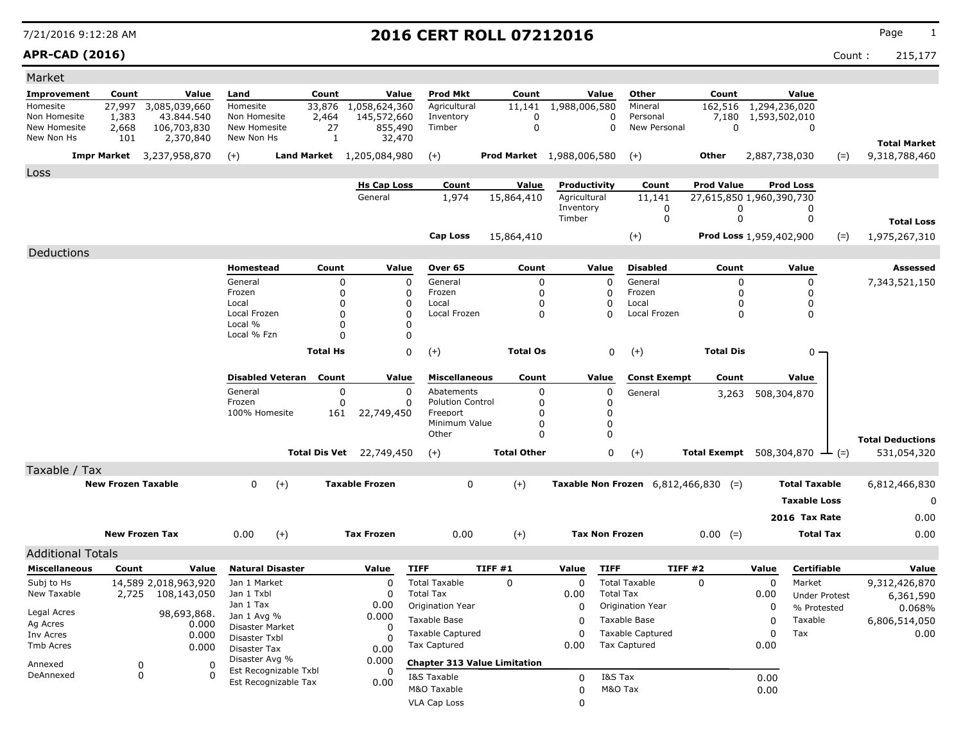**APR-CAD (2016)** Count : 215,177

| Market                     |                           |                                  |                            |                                               |                 |                                 |                              |                                     |                       |                  |                                               |                                              |               |                      |       |                         |
|----------------------------|---------------------------|----------------------------------|----------------------------|-----------------------------------------------|-----------------|---------------------------------|------------------------------|-------------------------------------|-----------------------|------------------|-----------------------------------------------|----------------------------------------------|---------------|----------------------|-------|-------------------------|
| Improvement                | Count                     | Value                            | Land                       |                                               | Count           | Value                           | <b>Prod Mkt</b>              | Count                               |                       | Value            | Other                                         | Count                                        |               | Value                |       |                         |
| Homesite                   | 27,997                    | 3,085,039,660                    | Homesite                   |                                               | 33,876          | 1,058,624,360                   | Agricultural                 | 11,141                              | 1,988,006,580         |                  | Mineral                                       | 162,516 1,294,236,020                        |               |                      |       |                         |
| Non Homesite               | 1,383                     | 43.844.540                       | Non Homesite               |                                               | 2,464           | 145,572,660                     | Inventory                    | 0                                   |                       | 0                | Personal                                      | 7,180                                        | 1,593,502,010 |                      |       |                         |
| New Homesite<br>New Non Hs | 2,668<br>101              | 106,703,830<br>2,370,840         | New Homesite<br>New Non Hs |                                               | 27<br>1         | 855,490<br>32,470               | Timber                       | $\mathbf 0$                         |                       | $\mathbf 0$      | New Personal                                  | 0                                            |               | 0                    |       |                         |
|                            |                           |                                  |                            |                                               |                 |                                 |                              |                                     |                       |                  |                                               |                                              |               |                      |       | <b>Total Market</b>     |
|                            |                           | <b>Impr Market</b> 3,237,958,870 | $(+)$                      | <b>Land Market</b>                            |                 | 1,205,084,980                   | $(+)$                        | <b>Prod Market</b> 1,988,006,580    |                       |                  | $^{(+)}$                                      | Other                                        | 2,887,738,030 |                      | $(=)$ | 9,318,788,460           |
| Loss                       |                           |                                  |                            |                                               |                 |                                 |                              |                                     |                       |                  |                                               |                                              |               |                      |       |                         |
|                            |                           |                                  |                            |                                               |                 | <b>Hs Cap Loss</b>              | Count                        | Value                               | Productivity          |                  | Count                                         | <b>Prod Value</b>                            |               | <b>Prod Loss</b>     |       |                         |
|                            |                           |                                  |                            |                                               |                 | General                         | 1,974                        | 15,864,410                          | Agricultural          |                  | 11,141                                        | 27,615,850 1,960,390,730                     |               |                      |       |                         |
|                            |                           |                                  |                            |                                               |                 |                                 |                              |                                     | Inventory<br>Timber   |                  | 0<br>0                                        | 0<br>0                                       |               | 0<br>0               |       |                         |
|                            |                           |                                  |                            |                                               |                 |                                 |                              |                                     |                       |                  |                                               |                                              |               |                      |       | <b>Total Loss</b>       |
|                            |                           |                                  |                            |                                               |                 |                                 | Cap Loss                     | 15,864,410                          |                       |                  | $(+)$                                         | Prod Loss 1,959,402,900                      |               |                      | $(=)$ | 1,975,267,310           |
| Deductions                 |                           |                                  |                            |                                               |                 |                                 |                              |                                     |                       |                  |                                               |                                              |               |                      |       |                         |
|                            |                           |                                  | Homestead                  |                                               | Count           | Value                           | Over 65                      | Count                               |                       | Value            | <b>Disabled</b>                               | Count                                        |               | Value                |       | Assessed                |
|                            |                           |                                  | General                    |                                               | $\mathbf 0$     |                                 | 0<br>General                 | 0                                   |                       | $\mathbf 0$      | General                                       | 0                                            |               | 0                    |       | 7,343,521,150           |
|                            |                           |                                  | Frozen                     |                                               | 0               |                                 | 0<br>Frozen                  | 0                                   |                       | 0                | Frozen                                        | 0                                            |               | $\Omega$             |       |                         |
|                            |                           |                                  | Local<br>Local Frozen      |                                               | $\Omega$<br>0   | 0                               | Local<br>0<br>Local Frozen   | 0<br>0                              |                       | 0<br>O           | Local<br>Local Frozen                         | 0<br>0                                       |               | 0<br>$\mathbf 0$     |       |                         |
|                            |                           |                                  | Local %                    |                                               | 0               |                                 | 0                            |                                     |                       |                  |                                               |                                              |               |                      |       |                         |
|                            |                           |                                  | Local % Fzn                |                                               | $\Omega$        |                                 | 0                            |                                     |                       |                  |                                               |                                              |               |                      |       |                         |
|                            |                           |                                  |                            |                                               | <b>Total Hs</b> |                                 | 0<br>$(+)$                   | <b>Total Os</b>                     |                       | 0                | $(+)$                                         | <b>Total Dis</b>                             |               | $0 -$                |       |                         |
|                            |                           |                                  |                            |                                               |                 |                                 |                              |                                     |                       |                  |                                               |                                              |               |                      |       |                         |
|                            |                           |                                  |                            | <b>Disabled Veteran</b>                       | Count           | Value                           | <b>Miscellaneous</b>         | Count                               |                       | Value            | <b>Const Exempt</b>                           | Count                                        |               | Value                |       |                         |
|                            |                           |                                  | General                    |                                               | $\pmb{0}$       |                                 | 0<br>Abatements              | 0                                   |                       | 0                | General                                       | 3,263                                        |               | 508,304,870          |       |                         |
|                            |                           |                                  | Frozen                     |                                               | $\Omega$        |                                 | 0<br><b>Polution Control</b> | 0                                   |                       | 0                |                                               |                                              |               |                      |       |                         |
|                            |                           |                                  | 100% Homesite              |                                               | 161             | 22,749,450                      | Freeport<br>Minimum Value    | 0<br>0                              |                       | 0<br>0           |                                               |                                              |               |                      |       |                         |
|                            |                           |                                  |                            |                                               |                 |                                 | Other                        | 0                                   |                       | $\Omega$         |                                               |                                              |               |                      |       |                         |
|                            |                           |                                  |                            |                                               |                 |                                 |                              |                                     |                       |                  |                                               |                                              |               |                      |       | <b>Total Deductions</b> |
|                            |                           |                                  |                            |                                               |                 | <b>Total Dis Vet</b> 22,749,450 | $(+)$                        | <b>Total Other</b>                  |                       | 0                | $(+)$                                         | Total Exempt $508,304,870$ $\rightarrow$ (=) |               |                      |       | 531,054,320             |
| Taxable / Tax              |                           |                                  |                            |                                               |                 |                                 |                              |                                     |                       |                  |                                               |                                              |               |                      |       |                         |
|                            | <b>New Frozen Taxable</b> |                                  | $\mathbf 0$                | $(+)$                                         |                 | <b>Taxable Frozen</b>           | 0                            | $(+)$                               |                       |                  | <b>Taxable Non Frozen</b> $6,812,466,830$ (=) |                                              |               | <b>Total Taxable</b> |       | 6,812,466,830           |
|                            |                           |                                  |                            |                                               |                 |                                 |                              |                                     |                       |                  |                                               |                                              |               | <b>Taxable Loss</b>  |       | 0                       |
|                            |                           |                                  |                            |                                               |                 |                                 |                              |                                     |                       |                  |                                               |                                              |               | 2016 Tax Rate        |       | 0.00                    |
|                            | <b>New Frozen Tax</b>     |                                  | 0.00                       | $(+)$                                         |                 | <b>Tax Frozen</b>               | 0.00                         | $(+)$                               | <b>Tax Non Frozen</b> |                  |                                               | $0.00 (=)$                                   |               | <b>Total Tax</b>     |       | 0.00                    |
|                            |                           |                                  |                            |                                               |                 |                                 |                              |                                     |                       |                  |                                               |                                              |               |                      |       |                         |
| <b>Additional Totals</b>   |                           |                                  |                            |                                               |                 |                                 |                              |                                     |                       |                  |                                               |                                              |               |                      |       |                         |
| <b>Miscellaneous</b>       | Count                     | Value                            | <b>Natural Disaster</b>    |                                               |                 | Value                           | <b>TIFF</b>                  | TIFF#1                              | Value                 | <b>TIFF</b>      | TIFF #2                                       |                                              | Value         | <b>Certifiable</b>   |       | Value                   |
| Subj to Hs                 |                           | 14,589 2,018,963,920             | Jan 1 Market               |                                               |                 | 0                               | <b>Total Taxable</b>         | 0                                   | 0                     |                  | <b>Total Taxable</b>                          | 0                                            | 0             | Market               |       | 9,312,426,870           |
| New Taxable                | 2,725                     | 108,143,050                      | Jan 1 Txbl<br>Jan 1 Tax    |                                               |                 | 0                               | <b>Total Tax</b>             |                                     | 0.00                  | <b>Total Tax</b> |                                               |                                              | 0.00          | <b>Under Protest</b> |       | 6,361,590               |
| Legal Acres                |                           | 98,693,868.                      | Jan 1 Avg %                |                                               |                 | 0.00<br>0.000                   | Origination Year             |                                     | 0                     |                  | Origination Year                              |                                              | 0             | % Protested          |       | 0.068%                  |
| Ag Acres                   |                           | 0.000                            | Disaster Market            |                                               |                 | 0                               | Taxable Base                 |                                     | 0                     |                  | Taxable Base                                  |                                              | 0             | Taxable              |       | 6,806,514,050           |
| Inv Acres                  |                           | 0.000                            | Disaster Txbl              |                                               |                 | O                               | <b>Taxable Captured</b>      |                                     | 0                     |                  | <b>Taxable Captured</b>                       |                                              | 0             | Tax                  |       | 0.00                    |
| Tmb Acres                  |                           | 0.000                            | Disaster Tax               |                                               |                 | 0.00                            | <b>Tax Captured</b>          |                                     | 0.00                  |                  | <b>Tax Captured</b>                           |                                              | 0.00          |                      |       |                         |
| Annexed                    | 0                         | 0                                | Disaster Avg %             |                                               |                 | 0.000                           |                              | <b>Chapter 313 Value Limitation</b> |                       |                  |                                               |                                              |               |                      |       |                         |
| DeAnnexed                  | 0                         | 0                                |                            | Est Recognizable Txbl<br>Est Recognizable Tax |                 | 0.00                            | I&S Taxable                  |                                     | 0                     | I&S Tax          |                                               |                                              | 0.00          |                      |       |                         |
|                            |                           |                                  |                            |                                               |                 |                                 | M&O Taxable                  |                                     | 0                     | M&O Tax          |                                               |                                              | 0.00          |                      |       |                         |
|                            |                           |                                  |                            |                                               |                 |                                 | VLA Cap Loss                 |                                     | 0                     |                  |                                               |                                              |               |                      |       |                         |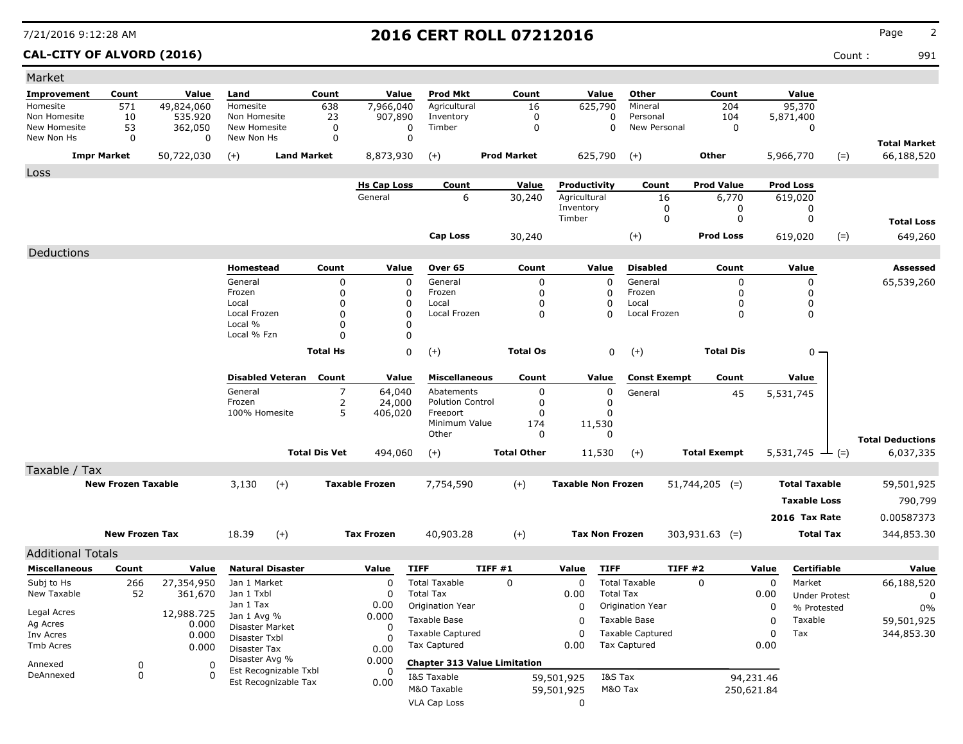### **CAL-CITY OF ALVORD (2016)** Count : 991

| Market                     |                           |                |                               |                    |                      |                       |                                     |                    |                 |                           |                       |                         |                     |                  |            |                      |       |                                   |
|----------------------------|---------------------------|----------------|-------------------------------|--------------------|----------------------|-----------------------|-------------------------------------|--------------------|-----------------|---------------------------|-----------------------|-------------------------|---------------------|------------------|------------|----------------------|-------|-----------------------------------|
| <b>Improvement</b>         | Count                     | Value          | Land                          |                    | Count                | Value                 | <b>Prod Mkt</b>                     |                    | Count           |                           | Value                 | Other                   |                     | Count            |            | Value                |       |                                   |
| Homesite                   | 571                       | 49,824,060     | Homesite                      |                    | 638                  | 7,966,040             | Agricultural                        |                    | 16              |                           | 625,790               | Mineral                 |                     | 204              |            | 95,370               |       |                                   |
| Non Homesite               | 10                        | 535.920        | Non Homesite                  |                    | 23                   | 907,890               | Inventory                           |                    | 0               |                           | 0                     | Personal                |                     | 104              |            | 5,871,400            |       |                                   |
| New Homesite<br>New Non Hs | 53<br>0                   | 362,050<br>0   | New Homesite<br>New Non Hs    |                    | 0<br>0               | 0<br>0                | Timber                              |                    | $\mathbf 0$     |                           | 0                     | New Personal            |                     | $\mathbf 0$      |            | 0                    |       |                                   |
|                            | <b>Impr Market</b>        | 50,722,030     | $(+)$                         | <b>Land Market</b> |                      | 8,873,930             | $(+)$                               | <b>Prod Market</b> |                 |                           | 625,790               | $(+)$                   | Other               |                  |            | 5,966,770            | $(=)$ | <b>Total Market</b><br>66,188,520 |
|                            |                           |                |                               |                    |                      |                       |                                     |                    |                 |                           |                       |                         |                     |                  |            |                      |       |                                   |
| Loss                       |                           |                |                               |                    |                      | <b>Hs Cap Loss</b>    | Count                               |                    | Value           | Productivity              |                       | Count                   | <b>Prod Value</b>   |                  |            | <b>Prod Loss</b>     |       |                                   |
|                            |                           |                |                               |                    |                      | General               | 6                                   |                    | 30,240          | Agricultural              |                       | 16                      |                     | 6,770            |            | 619,020              |       |                                   |
|                            |                           |                |                               |                    |                      |                       |                                     |                    |                 | Inventory                 |                       | 0                       |                     | 0                |            | 0                    |       |                                   |
|                            |                           |                |                               |                    |                      |                       |                                     |                    |                 | Timber                    |                       | 0                       |                     | 0                |            | 0                    |       | <b>Total Loss</b>                 |
|                            |                           |                |                               |                    |                      |                       | <b>Cap Loss</b>                     |                    | 30,240          |                           |                       | $(+)$                   | <b>Prod Loss</b>    |                  |            | 619,020              | $(=)$ | 649,260                           |
| Deductions                 |                           |                |                               |                    |                      |                       |                                     |                    |                 |                           |                       |                         |                     |                  |            |                      |       |                                   |
|                            |                           |                | Homestead                     |                    | Count                | Value                 | Over 65                             |                    | Count           |                           | Value                 | <b>Disabled</b>         |                     | Count            |            | Value                |       | <b>Assessed</b>                   |
|                            |                           |                | General                       |                    | 0                    | $\mathbf 0$           | General                             |                    | $\mathbf 0$     |                           | 0                     | General                 |                     | $\mathbf 0$      |            | 0                    |       | 65,539,260                        |
|                            |                           |                | Frozen                        |                    | 0                    | 0                     | Frozen                              |                    | 0               |                           | 0                     | Frozen                  |                     | 0                |            | 0                    |       |                                   |
|                            |                           |                | Local<br>Local Frozen         |                    | 0                    | 0<br>$\Omega$         | Local<br>Local Frozen               |                    | $\Omega$        |                           | 0<br>$\Omega$         | Local<br>Local Frozen   |                     | O<br>$\mathbf 0$ |            | 0                    |       |                                   |
|                            |                           |                | Local %                       |                    | 0<br>0               | 0                     |                                     |                    | 0               |                           |                       |                         |                     |                  |            | 0                    |       |                                   |
|                            |                           |                | Local % Fzn                   |                    | 0                    | $\Omega$              |                                     |                    |                 |                           |                       |                         |                     |                  |            |                      |       |                                   |
|                            |                           |                |                               |                    | <b>Total Hs</b>      | 0                     | $(+)$                               |                    | <b>Total Os</b> |                           | 0                     | $(+)$                   |                     | <b>Total Dis</b> |            | $0 -$                |       |                                   |
|                            |                           |                |                               |                    |                      |                       |                                     |                    |                 |                           |                       |                         |                     |                  |            |                      |       |                                   |
|                            |                           |                | <b>Disabled Veteran</b>       |                    | Count                | Value                 | <b>Miscellaneous</b>                |                    | Count           |                           | Value                 | <b>Const Exempt</b>     |                     | Count            |            | Value                |       |                                   |
|                            |                           |                | General                       |                    | 7                    | 64,040                | Abatements                          |                    | $\mathbf 0$     |                           | 0                     | General                 |                     | 45               |            | 5,531,745            |       |                                   |
|                            |                           |                | Frozen                        |                    | 2                    | 24,000                | <b>Polution Control</b>             |                    | 0               |                           | 0                     |                         |                     |                  |            |                      |       |                                   |
|                            |                           |                | 100% Homesite                 |                    | 5                    | 406,020               | Freeport<br>Minimum Value           |                    | 0<br>174        |                           | 0                     |                         |                     |                  |            |                      |       |                                   |
|                            |                           |                |                               |                    |                      |                       | Other                               |                    | 0               |                           | 11,530<br>$\Omega$    |                         |                     |                  |            |                      |       |                                   |
|                            |                           |                |                               |                    |                      |                       |                                     |                    |                 |                           |                       |                         |                     |                  |            |                      |       | <b>Total Deductions</b>           |
|                            |                           |                |                               |                    | <b>Total Dis Vet</b> | 494,060               | $(+)$                               | <b>Total Other</b> |                 |                           | 11,530                | $(+)$                   | <b>Total Exempt</b> |                  |            | 5,531,745            | $(=)$ | 6,037,335                         |
| Taxable / Tax              |                           |                |                               |                    |                      |                       |                                     |                    |                 |                           |                       |                         |                     |                  |            |                      |       |                                   |
|                            | <b>New Frozen Taxable</b> |                | 3,130                         | $(+)$              |                      | <b>Taxable Frozen</b> | 7,754,590                           | $(+)$              |                 | <b>Taxable Non Frozen</b> |                       |                         | $51,744,205$ (=)    |                  |            | <b>Total Taxable</b> |       | 59,501,925                        |
|                            |                           |                |                               |                    |                      |                       |                                     |                    |                 |                           |                       |                         |                     |                  |            | <b>Taxable Loss</b>  |       | 790,799                           |
|                            |                           |                |                               |                    |                      |                       |                                     |                    |                 |                           |                       |                         |                     |                  |            | 2016 Tax Rate        |       | 0.00587373                        |
|                            | <b>New Frozen Tax</b>     |                | 18.39                         | $(+)$              |                      | <b>Tax Frozen</b>     | 40,903.28                           | $(+)$              |                 |                           | <b>Tax Non Frozen</b> |                         | $303,931.63$ (=)    |                  |            | <b>Total Tax</b>     |       | 344,853.30                        |
| <b>Additional Totals</b>   |                           |                |                               |                    |                      |                       |                                     |                    |                 |                           |                       |                         |                     |                  |            |                      |       |                                   |
| <b>Miscellaneous</b>       | Count                     | Value          | <b>Natural Disaster</b>       |                    |                      | Value                 | <b>TIFF</b>                         | <b>TIFF #1</b>     |                 | Value                     | <b>TIFF</b>           |                         | <b>TIFF #2</b>      |                  | Value      | Certifiable          |       | Value                             |
| Subj to Hs                 | 266                       | 27,354,950     | Jan 1 Market                  |                    |                      | $\Omega$              | <b>Total Taxable</b>                | $\Omega$           |                 | $\mathbf 0$               |                       | <b>Total Taxable</b>    | $\Omega$            |                  | 0          | Market               |       | 66,188,520                        |
| New Taxable                | 52                        | 361,670        | Jan 1 Txbl                    |                    |                      | O                     | <b>Total Tax</b>                    |                    |                 | 0.00                      | <b>Total Tax</b>      |                         |                     |                  | 0.00       | <b>Under Protest</b> |       | 0                                 |
|                            |                           |                | Jan 1 Tax                     |                    |                      | 0.00                  | Origination Year                    |                    |                 | 0                         |                       | Origination Year        |                     |                  | 0          | % Protested          |       | $0\%$                             |
| Legal Acres                |                           | 12,988.725     | Jan 1 Avg %                   |                    |                      | 0.000                 | Taxable Base                        |                    |                 | 0                         |                       | Taxable Base            |                     |                  | 0          | Taxable              |       | 59,501,925                        |
| Ag Acres<br>Inv Acres      |                           | 0.000<br>0.000 | Disaster Market               |                    |                      | 0                     | <b>Taxable Captured</b>             |                    |                 | $\Omega$                  |                       | <b>Taxable Captured</b> |                     |                  | 0          | Tax                  |       | 344,853.30                        |
| Tmb Acres                  |                           | 0.000          | Disaster Txbl<br>Disaster Tax |                    |                      |                       | <b>Tax Captured</b>                 |                    |                 | 0.00                      |                       | <b>Tax Captured</b>     |                     |                  | 0.00       |                      |       |                                   |
|                            |                           |                | Disaster Avg %                |                    |                      | 0.00<br>0.000         | <b>Chapter 313 Value Limitation</b> |                    |                 |                           |                       |                         |                     |                  |            |                      |       |                                   |
| Annexed<br>DeAnnexed       | 0<br>0                    | 0<br>$\Omega$  | Est Recognizable Txbl         |                    |                      | 0                     | I&S Taxable                         |                    |                 |                           | I&S Tax               |                         |                     |                  | 94,231.46  |                      |       |                                   |
|                            |                           |                | Est Recognizable Tax          |                    |                      | 0.00                  | M&O Taxable                         |                    |                 | 59,501,925<br>59,501,925  | M&O Tax               |                         |                     |                  | 250,621.84 |                      |       |                                   |
|                            |                           |                |                               |                    |                      |                       | <b>VLA Cap Loss</b>                 |                    |                 | 0                         |                       |                         |                     |                  |            |                      |       |                                   |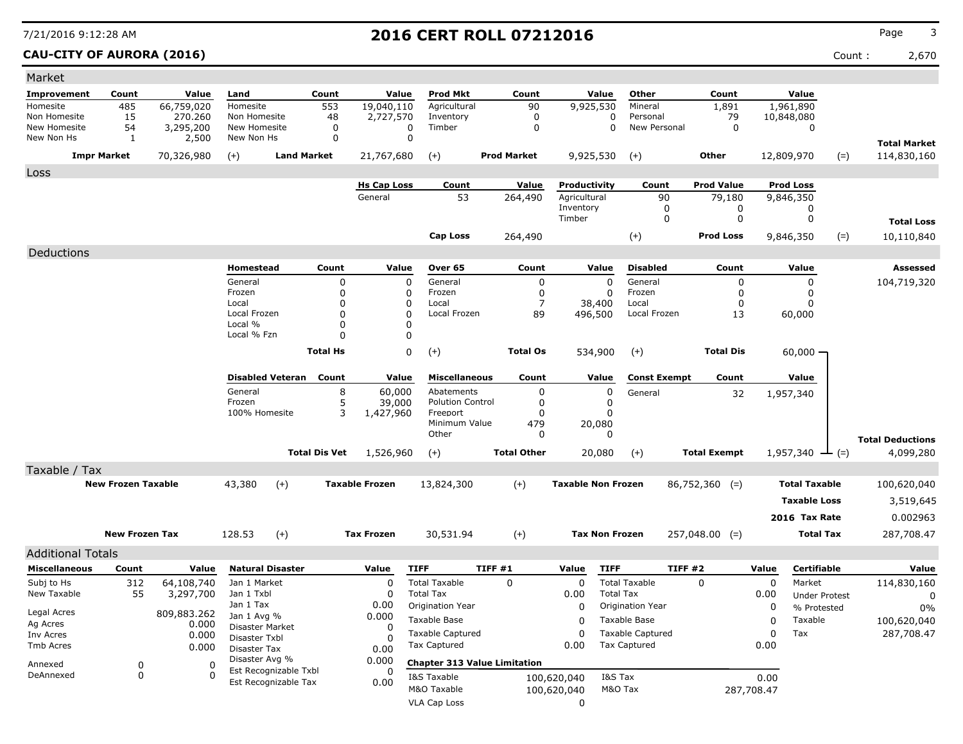### **CAU-CITY OF AURORA (2016)** Count : 2,670

| Market                     |                           |             |                                  |                         |                      |                       |                         |                                     |                           |                       |                         |                     |            |                             |       |                         |
|----------------------------|---------------------------|-------------|----------------------------------|-------------------------|----------------------|-----------------------|-------------------------|-------------------------------------|---------------------------|-----------------------|-------------------------|---------------------|------------|-----------------------------|-------|-------------------------|
| Improvement                | Count                     | Value       | Land                             |                         | Count                | Value                 | <b>Prod Mkt</b>         | Count                               |                           | Value                 | Other                   | Count               |            | Value                       |       |                         |
| Homesite                   | 485                       | 66,759,020  | Homesite                         |                         | 553                  | 19,040,110            | Agricultural            | 90                                  |                           | 9,925,530             | Mineral                 | 1,891               |            | 1,961,890                   |       |                         |
| Non Homesite               | 15                        | 270.260     | Non Homesite                     |                         | 48                   | 2,727,570             | Inventory               | $\mathbf 0$                         |                           | 0                     | Personal                | 79                  |            | 10,848,080                  |       |                         |
| New Homesite<br>New Non Hs | 54                        | 3,295,200   | New Homesite<br>New Non Hs       |                         | 0<br>0               | 0<br>$\mathbf 0$      | Timber                  | $\mathbf 0$                         |                           | 0                     | New Personal            | $\mathbf 0$         |            | $\Omega$                    |       |                         |
|                            | 1                         | 2,500       |                                  |                         |                      |                       |                         |                                     |                           |                       |                         |                     |            |                             |       | <b>Total Market</b>     |
|                            | <b>Impr Market</b>        | 70,326,980  | $(+)$                            | <b>Land Market</b>      |                      | 21,767,680            | $(+)$                   | <b>Prod Market</b>                  |                           | 9,925,530             | $(+)$                   | <b>Other</b>        |            | 12,809,970                  | $(=)$ | 114,830,160             |
| Loss                       |                           |             |                                  |                         |                      |                       |                         |                                     |                           |                       |                         |                     |            |                             |       |                         |
|                            |                           |             |                                  |                         |                      | <b>Hs Cap Loss</b>    | Count                   | Value                               | Productivity              |                       | Count                   | <b>Prod Value</b>   |            | <b>Prod Loss</b>            |       |                         |
|                            |                           |             |                                  |                         |                      | General               | 53                      | 264,490                             | Agricultural              |                       | 90                      | 79,180              |            | 9,846,350                   |       |                         |
|                            |                           |             |                                  |                         |                      |                       |                         |                                     | Inventory<br>Timber       |                       | 0<br>$\Omega$           | 0<br>0              |            | 0<br>0                      |       |                         |
|                            |                           |             |                                  |                         |                      |                       |                         |                                     |                           |                       |                         |                     |            |                             |       | <b>Total Loss</b>       |
|                            |                           |             |                                  |                         |                      |                       | <b>Cap Loss</b>         | 264,490                             |                           |                       | $(+)$                   | <b>Prod Loss</b>    |            | 9,846,350                   | $(=)$ | 10,110,840              |
| Deductions                 |                           |             |                                  |                         |                      |                       |                         |                                     |                           |                       |                         |                     |            |                             |       |                         |
|                            |                           |             | Homestead                        |                         | Count                | Value                 | Over 65                 | Count                               |                           | Value                 | <b>Disabled</b>         | Count               |            | Value                       |       | Assessed                |
|                            |                           |             | General                          |                         | $\Omega$             | $\mathbf 0$           | General                 | $\mathbf 0$                         |                           | $\Omega$              | General                 | $\Omega$            |            | $\Omega$                    |       | 104,719,320             |
|                            |                           |             | Frozen                           |                         | $\Omega$             | 0                     | Frozen                  | $\mathbf 0$                         |                           | $\mathbf 0$           | Frozen                  | $\mathbf 0$         |            | 0                           |       |                         |
|                            |                           |             | Local                            |                         | $\Omega$             | 0                     | Local                   | $\overline{7}$                      |                           | 38,400                | Local                   | 0                   |            | 0                           |       |                         |
|                            |                           |             | Local Frozen<br>Local %          |                         | $\Omega$<br>$\Omega$ | $\mathbf 0$<br>0      | Local Frozen            | 89                                  |                           | 496,500               | Local Frozen            | 13                  |            | 60,000                      |       |                         |
|                            |                           |             | Local % Fzn                      |                         | $\Omega$             | 0                     |                         |                                     |                           |                       |                         |                     |            |                             |       |                         |
|                            |                           |             |                                  |                         | <b>Total Hs</b>      | 0                     |                         |                                     |                           |                       |                         | <b>Total Dis</b>    |            |                             |       |                         |
|                            |                           |             |                                  |                         |                      |                       | $(+)$                   | <b>Total Os</b>                     |                           | 534,900               | $(+)$                   |                     |            | 60,000                      |       |                         |
|                            |                           |             |                                  | <b>Disabled Veteran</b> | Count                | Value                 | <b>Miscellaneous</b>    | Count                               |                           | Value                 | <b>Const Exempt</b>     | Count               |            | Value                       |       |                         |
|                            |                           |             | General                          |                         | 8                    | 60,000                | Abatements              | $\mathbf 0$                         |                           | $\mathbf 0$           | General                 | 32                  |            | 1,957,340                   |       |                         |
|                            |                           |             | Frozen                           |                         | 5                    | 39,000                | <b>Polution Control</b> | 0                                   |                           | 0                     |                         |                     |            |                             |       |                         |
|                            |                           |             | 100% Homesite                    |                         | 3                    | 1,427,960             | Freeport                | $\mathbf 0$                         |                           | 0                     |                         |                     |            |                             |       |                         |
|                            |                           |             |                                  |                         |                      |                       | Minimum Value<br>Other  | 479<br>0                            |                           | 20,080<br>0           |                         |                     |            |                             |       |                         |
|                            |                           |             |                                  |                         |                      |                       |                         |                                     |                           |                       |                         |                     |            |                             |       | <b>Total Deductions</b> |
|                            |                           |             |                                  |                         | <b>Total Dis Vet</b> | 1,526,960             | $(+)$                   | <b>Total Other</b>                  |                           | 20,080                | $(+)$                   | <b>Total Exempt</b> |            | 1,957,340 $\rightarrow$ (=) |       | 4,099,280               |
| Taxable / Tax              |                           |             |                                  |                         |                      |                       |                         |                                     |                           |                       |                         |                     |            |                             |       |                         |
|                            | <b>New Frozen Taxable</b> |             | 43,380                           | $(+)$                   |                      | <b>Taxable Frozen</b> | 13,824,300              | $(+)$                               | <b>Taxable Non Frozen</b> |                       |                         | $86,752,360$ (=)    |            | <b>Total Taxable</b>        |       | 100,620,040             |
|                            |                           |             |                                  |                         |                      |                       |                         |                                     |                           |                       |                         |                     |            | <b>Taxable Loss</b>         |       | 3,519,645               |
|                            |                           |             |                                  |                         |                      |                       |                         |                                     |                           |                       |                         |                     |            | 2016 Tax Rate               |       | 0.002963                |
|                            |                           |             |                                  |                         |                      |                       |                         |                                     |                           |                       |                         |                     |            |                             |       |                         |
|                            | <b>New Frozen Tax</b>     |             | 128.53                           | $(+)$                   |                      | <b>Tax Frozen</b>     | 30,531.94               | $(+)$                               |                           | <b>Tax Non Frozen</b> |                         | $257,048.00$ (=)    |            | <b>Total Tax</b>            |       | 287,708.47              |
| <b>Additional Totals</b>   |                           |             |                                  |                         |                      |                       |                         |                                     |                           |                       |                         |                     |            |                             |       |                         |
| <b>Miscellaneous</b>       | Count                     | Value       | <b>Natural Disaster</b>          |                         |                      | Value                 | <b>TIFF</b>             | TIFF #1                             | Value                     | <b>TIFF</b>           | <b>TIFF #2</b>          |                     | Value      | <b>Certifiable</b>          |       | Value                   |
| Subj to Hs                 | 312                       | 64,108,740  | Jan 1 Market                     |                         |                      | 0                     | <b>Total Taxable</b>    | 0                                   | 0                         |                       | <b>Total Taxable</b>    | $\mathbf 0$         | 0          | Market                      |       | 114,830,160             |
| New Taxable                | 55                        | 3,297,700   | Jan 1 Txbl                       |                         |                      | 0                     | <b>Total Tax</b>        |                                     | 0.00                      | <b>Total Tax</b>      |                         |                     | 0.00       | <b>Under Protest</b>        |       | 0                       |
| Legal Acres                |                           | 809,883.262 | Jan 1 Tax                        |                         |                      | 0.00                  | Origination Year        |                                     | $\mathbf 0$               |                       | Origination Year        |                     | 0          | % Protested                 |       | 0%                      |
| Ag Acres                   |                           | 0.000       | Jan 1 Avg %                      |                         |                      | 0.000<br>$\Omega$     | Taxable Base            |                                     | $\Omega$                  |                       | Taxable Base            |                     | 0          | Taxable                     |       | 100,620,040             |
| Inv Acres                  |                           | 0.000       | Disaster Market<br>Disaster Txbl |                         |                      | 0                     | <b>Taxable Captured</b> |                                     | 0                         |                       | <b>Taxable Captured</b> |                     | 0          | Tax                         |       | 287,708.47              |
| <b>Tmb Acres</b>           |                           | 0.000       | Disaster Tax                     |                         |                      | 0.00                  | Tax Captured            |                                     | 0.00                      |                       | <b>Tax Captured</b>     |                     | 0.00       |                             |       |                         |
| Annexed                    | $\mathbf 0$               | $\Omega$    | Disaster Avg %                   |                         |                      | 0.000                 |                         | <b>Chapter 313 Value Limitation</b> |                           |                       |                         |                     |            |                             |       |                         |
| DeAnnexed                  | $\mathbf 0$               | $\Omega$    |                                  | Est Recognizable Txbl   |                      | 0                     | I&S Taxable             |                                     | 100,620,040               | I&S Tax               |                         |                     | 0.00       |                             |       |                         |
|                            |                           |             |                                  | Est Recognizable Tax    |                      | 0.00                  | M&O Taxable             |                                     | 100,620,040               | M&O Tax               |                         |                     | 287,708.47 |                             |       |                         |
|                            |                           |             |                                  |                         |                      |                       | <b>VLA Cap Loss</b>     |                                     | 0                         |                       |                         |                     |            |                             |       |                         |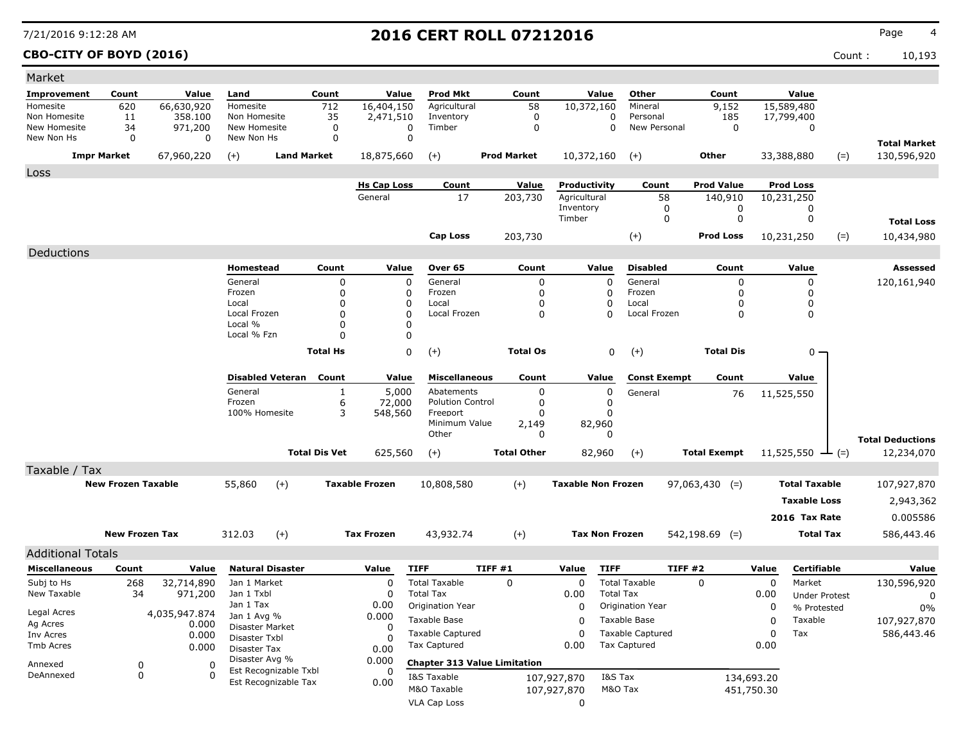### **CBO-CITY OF BOYD (2016)** Count : 10,193

| Market                                           |                           |                       |                                |                         |                      |                       |                                          |                                     |                           |                       |                         |                     |            |                                |       |                         |
|--------------------------------------------------|---------------------------|-----------------------|--------------------------------|-------------------------|----------------------|-----------------------|------------------------------------------|-------------------------------------|---------------------------|-----------------------|-------------------------|---------------------|------------|--------------------------------|-------|-------------------------|
| <b>Improvement</b>                               | Count                     | Value                 | Land                           |                         | Count                | Value                 | <b>Prod Mkt</b>                          | Count                               |                           | Value                 | Other                   | Count               |            | Value                          |       |                         |
| Homesite                                         | 620                       | 66,630,920            | Homesite                       |                         | 712                  | 16,404,150            | Agricultural                             | 58                                  |                           | 10,372,160            | Mineral                 | 9,152               |            | 15,589,480                     |       |                         |
| Non Homesite                                     | 11                        | 358,100               | Non Homesite                   |                         | 35                   | 2,471,510             | Inventory                                | $\mathbf 0$                         |                           | 0                     | Personal                | 185                 |            | 17,799,400                     |       |                         |
| New Homesite                                     | 34                        | 971,200               | New Homesite                   |                         | $\mathbf 0$          | 0                     | Timber                                   | 0                                   |                           | $\mathbf 0$           | New Personal            | 0                   |            | 0                              |       |                         |
| New Non Hs                                       | 0                         | 0                     | New Non Hs                     |                         | 0                    | 0                     |                                          |                                     |                           |                       |                         |                     |            |                                |       | <b>Total Market</b>     |
|                                                  | <b>Impr Market</b>        | 67,960,220            | $(+)$                          |                         | <b>Land Market</b>   | 18,875,660            | $(+)$                                    | <b>Prod Market</b>                  |                           | 10,372,160            | $(+)$                   | Other               |            | 33,388,880                     | $(=)$ | 130,596,920             |
| Loss                                             |                           |                       |                                |                         |                      |                       |                                          |                                     |                           |                       |                         |                     |            |                                |       |                         |
|                                                  |                           |                       |                                |                         |                      | <b>Hs Cap Loss</b>    | Count                                    | Value                               | Productivity              |                       | Count                   | <b>Prod Value</b>   |            | <b>Prod Loss</b>               |       |                         |
|                                                  |                           |                       |                                |                         |                      | General               | 17                                       | 203,730                             | Agricultural              |                       | 58                      | 140,910             |            | 10,231,250                     |       |                         |
|                                                  |                           |                       |                                |                         |                      |                       |                                          |                                     | Inventory                 |                       | 0                       | 0                   |            | 0                              |       |                         |
|                                                  |                           |                       |                                |                         |                      |                       |                                          |                                     | Timber                    |                       | 0                       | 0                   |            | 0                              |       | <b>Total Loss</b>       |
|                                                  |                           |                       |                                |                         |                      |                       | Cap Loss                                 | 203,730                             |                           |                       | $(+)$                   | Prod Loss           |            | 10,231,250                     | $(=)$ | 10,434,980              |
| Deductions                                       |                           |                       |                                |                         |                      |                       |                                          |                                     |                           |                       |                         |                     |            |                                |       |                         |
|                                                  |                           |                       | Homestead                      |                         | Count                | Value                 | Over 65                                  | Count                               |                           | Value                 | <b>Disabled</b>         | Count               |            | Value                          |       | <b>Assessed</b>         |
|                                                  |                           |                       | General                        |                         | 0                    | 0                     | General                                  | 0                                   |                           | $\Omega$              | General                 | 0                   |            | 0                              |       | 120,161,940             |
|                                                  |                           |                       | Frozen                         |                         | 0                    | 0                     | Frozen                                   | 0                                   |                           | 0                     | Frozen                  | 0                   |            | 0                              |       |                         |
|                                                  |                           |                       | Local                          |                         | 0                    | 0                     | Local                                    | 0                                   |                           | 0                     | Local                   | 0                   |            | 0                              |       |                         |
|                                                  |                           |                       | Local Frozen<br>Local %        |                         | $\Omega$<br>0        | $\mathbf 0$<br>0      | Local Frozen                             | $\Omega$                            |                           | 0                     | Local Frozen            | $\mathbf 0$         |            | $\mathbf 0$                    |       |                         |
|                                                  |                           |                       | Local % Fzn                    |                         | $\Omega$             | 0                     |                                          |                                     |                           |                       |                         |                     |            |                                |       |                         |
|                                                  |                           |                       |                                |                         | <b>Total Hs</b>      | 0                     | $(+)$                                    | <b>Total Os</b>                     |                           | 0                     | $(+)$                   | <b>Total Dis</b>    |            | $0 -$                          |       |                         |
|                                                  |                           |                       |                                |                         |                      |                       |                                          |                                     |                           |                       |                         |                     |            |                                |       |                         |
|                                                  |                           |                       |                                | <b>Disabled Veteran</b> | Count                | Value                 | <b>Miscellaneous</b>                     | Count                               |                           | Value                 | <b>Const Exempt</b>     | Count               |            | Value                          |       |                         |
|                                                  |                           |                       | General                        |                         | $\mathbf{1}$         | 5,000                 | Abatements                               | 0                                   |                           | 0                     | General                 | 76                  |            | 11,525,550                     |       |                         |
|                                                  |                           |                       | Frozen                         |                         | 6                    | 72,000                | <b>Polution Control</b>                  | 0                                   |                           | 0                     |                         |                     |            |                                |       |                         |
|                                                  |                           |                       | 100% Homesite                  |                         | 3                    | 548,560               | Freeport                                 | 0                                   |                           | 0                     |                         |                     |            |                                |       |                         |
|                                                  |                           |                       |                                |                         |                      |                       | Minimum Value<br>Other                   | 2,149<br>0                          |                           | 82,960<br>0           |                         |                     |            |                                |       |                         |
|                                                  |                           |                       |                                |                         |                      |                       |                                          |                                     |                           |                       |                         |                     |            |                                |       | <b>Total Deductions</b> |
|                                                  |                           |                       |                                |                         | <b>Total Dis Vet</b> | 625,560               | $(+)$                                    | <b>Total Other</b>                  |                           | 82,960                | $(+)$                   | <b>Total Exempt</b> |            | 11,525,550 $\rightarrow$ (=)   |       | 12,234,070              |
| Taxable / Tax                                    |                           |                       |                                |                         |                      |                       |                                          |                                     |                           |                       |                         |                     |            |                                |       |                         |
|                                                  | <b>New Frozen Taxable</b> |                       | 55,860                         | $(+)$                   |                      | <b>Taxable Frozen</b> | 10,808,580                               | $(+)$                               | <b>Taxable Non Frozen</b> |                       |                         | $97,063,430$ (=)    |            | <b>Total Taxable</b>           |       | 107,927,870             |
|                                                  |                           |                       |                                |                         |                      |                       |                                          |                                     |                           |                       |                         |                     |            | <b>Taxable Loss</b>            |       | 2,943,362               |
|                                                  |                           |                       |                                |                         |                      |                       |                                          |                                     |                           |                       |                         |                     |            | 2016 Tax Rate                  |       | 0.005586                |
|                                                  | <b>New Frozen Tax</b>     |                       | 312.03                         | $(+)$                   |                      | <b>Tax Frozen</b>     | 43,932.74                                | $^{(+)}$                            |                           | <b>Tax Non Frozen</b> |                         | $542,198.69$ (=)    |            | <b>Total Tax</b>               |       | 586,443.46              |
|                                                  |                           |                       |                                |                         |                      |                       |                                          |                                     |                           |                       |                         |                     |            |                                |       |                         |
| <b>Additional Totals</b><br><b>Miscellaneous</b> |                           |                       |                                | <b>Natural Disaster</b> |                      | Value                 | <b>TIFF</b>                              | TIFF #1                             | Value                     | <b>TIFF</b>           |                         | TIFF #2             | Value      | Certifiable                    |       | Value                   |
| Subj to Hs                                       | Count                     | Value                 |                                |                         |                      |                       |                                          |                                     | 0                         |                       | <b>Total Taxable</b>    |                     |            |                                |       |                         |
| New Taxable                                      | 268<br>34                 | 32,714,890<br>971,200 | Jan 1 Market<br>Jan 1 Txbl     |                         |                      | 0<br>0                | <b>Total Taxable</b><br><b>Total Tax</b> | 0                                   | 0.00                      | <b>Total Tax</b>      |                         | 0                   | 0<br>0.00  | Market<br><b>Under Protest</b> |       | 130,596,920             |
|                                                  |                           |                       | Jan 1 Tax                      |                         |                      | 0.00                  | Origination Year                         |                                     | 0                         |                       | Origination Year        |                     | 0          | % Protested                    |       | 0<br>$0\%$              |
| Legal Acres                                      |                           | 4,035,947.874         | Jan 1 Avg %                    |                         |                      | 0.000                 | Taxable Base                             |                                     | 0                         |                       | Taxable Base            |                     | 0          | Taxable                        |       | 107,927,870             |
| Ag Acres<br>Inv Acres                            |                           | 0.000<br>0.000        | Disaster Market                |                         |                      | 0                     | <b>Taxable Captured</b>                  |                                     | 0                         |                       | <b>Taxable Captured</b> |                     | 0          | Tax                            |       | 586,443.46              |
| Tmb Acres                                        |                           | 0.000                 | Disaster Txbl                  |                         |                      | 0                     | Tax Captured                             |                                     | 0.00                      |                       | Tax Captured            |                     | 0.00       |                                |       |                         |
|                                                  |                           |                       | Disaster Tax<br>Disaster Avg % |                         |                      | 0.00<br>0.000         |                                          |                                     |                           |                       |                         |                     |            |                                |       |                         |
| Annexed                                          | 0                         | 0                     |                                | Est Recognizable Txbl   |                      | 0                     |                                          | <b>Chapter 313 Value Limitation</b> |                           |                       |                         |                     |            |                                |       |                         |
| DeAnnexed                                        | 0                         | $\Omega$              |                                | Est Recognizable Tax    |                      | 0.00                  | I&S Taxable                              |                                     | 107,927,870               | I&S Tax               |                         |                     | 134,693.20 |                                |       |                         |
|                                                  |                           |                       |                                |                         |                      |                       | M&O Taxable                              |                                     | 107,927,870               |                       | M&O Tax                 |                     | 451,750.30 |                                |       |                         |
|                                                  |                           |                       |                                |                         |                      |                       | <b>VLA Cap Loss</b>                      |                                     | 0                         |                       |                         |                     |            |                                |       |                         |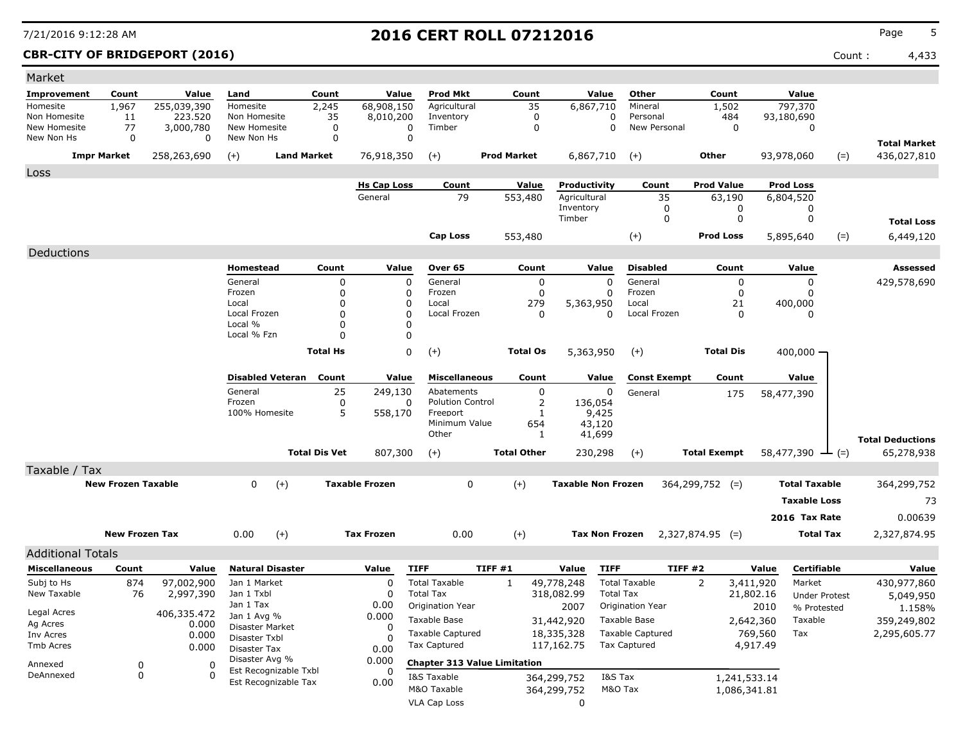### **CBR-CITY OF BRIDGEPORT (2016)** Count : 4,433

| Market                   |                           |             |                                |                      |                       |                                     |                    |                           |                         |                     |                     |                      |                         |
|--------------------------|---------------------------|-------------|--------------------------------|----------------------|-----------------------|-------------------------------------|--------------------|---------------------------|-------------------------|---------------------|---------------------|----------------------|-------------------------|
| <b>Improvement</b>       | Count                     | Value       | Land                           | Count                | Value                 | <b>Prod Mkt</b>                     | Count              | Value                     | Other                   | Count               |                     | Value                |                         |
| Homesite                 | 1,967                     | 255,039,390 | Homesite                       | 2,245                | 68,908,150            | Agricultural                        | 35                 | 6,867,710                 | Mineral                 | 1,502               |                     | 797,370              |                         |
| Non Homesite             | 11                        | 223,520     | Non Homesite                   | 35                   | 8,010,200             | Inventory                           | 0                  | 0                         | Personal                | 484                 |                     | 93,180,690           |                         |
| New Homesite             | 77                        | 3,000,780   | New Homesite                   | $\mathbf 0$          | $\mathbf 0$           | Timber                              | $\mathbf 0$        | 0                         | New Personal            | $\mathbf 0$         |                     | 0                    |                         |
| New Non Hs               | 0                         | 0           | New Non Hs                     | $\mathbf 0$          | $\mathbf 0$           |                                     |                    |                           |                         |                     |                     |                      | <b>Total Market</b>     |
|                          | <b>Impr Market</b>        | 258,263,690 | $(+)$                          | <b>Land Market</b>   | 76,918,350            | $(+)$                               | <b>Prod Market</b> | 6,867,710                 | $(+)$                   | Other               |                     | 93,978,060<br>$(=)$  | 436,027,810             |
| Loss                     |                           |             |                                |                      |                       |                                     |                    |                           |                         |                     |                     |                      |                         |
|                          |                           |             |                                |                      | <b>Hs Cap Loss</b>    | Count                               | Value              | Productivity              | Count                   | <b>Prod Value</b>   |                     | <b>Prod Loss</b>     |                         |
|                          |                           |             |                                |                      | General               | 79                                  | 553,480            | Agricultural              | 35                      | 63,190              |                     | 6,804,520            |                         |
|                          |                           |             |                                |                      |                       |                                     |                    | Inventory                 | 0                       |                     | 0                   | 0                    |                         |
|                          |                           |             |                                |                      |                       |                                     |                    | Timber                    | 0                       |                     | 0                   | 0                    | <b>Total Loss</b>       |
|                          |                           |             |                                |                      |                       | Cap Loss                            | 553,480            |                           | $(+)$                   | <b>Prod Loss</b>    |                     | 5,895,640<br>$(=)$   | 6,449,120               |
| Deductions               |                           |             |                                |                      |                       |                                     |                    |                           |                         |                     |                     |                      |                         |
|                          |                           |             | Homestead                      | Count                | Value                 | Over 65                             | Count              | Value                     | <b>Disabled</b>         | Count               |                     | Value                | Assessed                |
|                          |                           |             | General                        | 0                    | 0                     | General                             | 0                  | $\Omega$                  | General                 |                     | 0                   | 0                    | 429,578,690             |
|                          |                           |             | Frozen                         | 0                    | 0                     | Frozen                              | 0                  | $\Omega$                  | Frozen                  |                     | 0                   | 0                    |                         |
|                          |                           |             | Local                          | 0                    | 0                     | Local                               | 279                | 5,363,950                 | Local                   | 21                  |                     | 400,000              |                         |
|                          |                           |             | Local Frozen                   | O                    | $\mathbf 0$           | Local Frozen                        | 0                  | 0                         | Local Frozen            |                     | $\Omega$            | 0                    |                         |
|                          |                           |             | Local %<br>Local % Fzn         | 0<br>$\Omega$        | $\Omega$<br>0         |                                     |                    |                           |                         |                     |                     |                      |                         |
|                          |                           |             |                                |                      |                       |                                     |                    |                           |                         |                     |                     |                      |                         |
|                          |                           |             |                                | <b>Total Hs</b>      | 0                     | $^{(+)}$                            | <b>Total Os</b>    | 5,363,950                 | $(+)$                   | <b>Total Dis</b>    |                     | 400,000 -            |                         |
|                          |                           |             | <b>Disabled Veteran</b>        | Count                | Value                 | <b>Miscellaneous</b>                | Count              | Value                     | <b>Const Exempt</b>     | Count               |                     | Value                |                         |
|                          |                           |             | General                        | 25                   | 249,130               | Abatements                          | 0                  | 0                         | General                 | 175                 |                     | 58,477,390           |                         |
|                          |                           |             | Frozen                         | 0                    | 0                     | <b>Polution Control</b>             | 2                  | 136,054                   |                         |                     |                     |                      |                         |
|                          |                           |             | 100% Homesite                  | 5                    | 558,170               | Freeport                            | 1                  | 9,425                     |                         |                     |                     |                      |                         |
|                          |                           |             |                                |                      |                       | Minimum Value<br>Other              | 654<br>1           | 43,120<br>41,699          |                         |                     |                     |                      |                         |
|                          |                           |             |                                |                      |                       |                                     |                    |                           |                         |                     |                     |                      | <b>Total Deductions</b> |
|                          |                           |             |                                | <b>Total Dis Vet</b> | 807,300               | $(+)$                               | <b>Total Other</b> | 230,298                   | $(+)$                   | <b>Total Exempt</b> |                     | 58,477,390<br>- (=)  | 65,278,938              |
| Taxable / Tax            |                           |             |                                |                      |                       |                                     |                    |                           |                         |                     |                     |                      |                         |
|                          | <b>New Frozen Taxable</b> |             | 0<br>$(+)$                     |                      | <b>Taxable Frozen</b> | 0                                   | $(+)$              | <b>Taxable Non Frozen</b> |                         | $364,299,752$ (=)   |                     | <b>Total Taxable</b> | 364,299,752             |
|                          |                           |             |                                |                      |                       |                                     |                    |                           |                         |                     |                     | <b>Taxable Loss</b>  | 73                      |
|                          |                           |             |                                |                      |                       |                                     |                    |                           |                         |                     |                     | 2016 Tax Rate        | 0.00639                 |
|                          | <b>New Frozen Tax</b>     |             | 0.00<br>$(+)$                  |                      | <b>Tax Frozen</b>     | 0.00                                | $(+)$              | <b>Tax Non Frozen</b>     |                         | $2,327,874.95$ (=)  |                     | <b>Total Tax</b>     | 2,327,874.95            |
| <b>Additional Totals</b> |                           |             |                                |                      |                       |                                     |                    |                           |                         |                     |                     |                      |                         |
| <b>Miscellaneous</b>     | Count                     | Value       | <b>Natural Disaster</b>        |                      | Value                 | <b>TIFF</b>                         | TIFF #1            | <b>TIFF</b><br>Value      |                         | TIFF#2              | Value               | <b>Certifiable</b>   | Value                   |
| Subj to Hs               | 874                       | 97,002,900  | Jan 1 Market                   |                      | $\Omega$              | <b>Total Taxable</b>                | 1                  | 49,778,248                | <b>Total Taxable</b>    | 2                   | 3,411,920           | Market               | 430,977,860             |
| New Taxable              | 76                        | 2,997,390   | Jan 1 Txbl                     |                      | $\Omega$              | <b>Total Tax</b>                    |                    | 318,082.99                | <b>Total Tax</b>        |                     | 21,802.16           | <b>Under Protest</b> | 5,049,950               |
|                          |                           |             | Jan 1 Tax                      |                      | 0.00                  | Origination Year                    |                    | 2007                      | Origination Year        |                     | 2010                | % Protested          | 1.158%                  |
| Legal Acres              |                           | 406,335.472 | Jan 1 Avg %                    |                      | 0.000                 | Taxable Base                        |                    | 31,442,920                | Taxable Base            |                     | 2,642,360           | Taxable              | 359,249,802             |
| Ag Acres                 |                           | 0.000       | Disaster Market                |                      | 0                     | <b>Taxable Captured</b>             |                    |                           | <b>Taxable Captured</b> |                     |                     |                      |                         |
| Inv Acres<br>Tmb Acres   |                           | 0.000       | Disaster Txbl                  |                      | 0                     | Tax Captured                        |                    | 18,335,328<br>117,162.75  | <b>Tax Captured</b>     |                     | 769,560<br>4,917.49 | Tax                  | 2,295,605.77            |
|                          |                           | 0.000       | Disaster Tax<br>Disaster Avg % |                      | 0.00                  |                                     |                    |                           |                         |                     |                     |                      |                         |
| Annexed                  | 0                         | 0           | Est Recognizable Txbl          |                      | 0.000<br>0            | <b>Chapter 313 Value Limitation</b> |                    |                           |                         |                     |                     |                      |                         |
| DeAnnexed                | 0                         | -0          | Est Recognizable Tax           |                      | 0.00                  | I&S Taxable                         |                    | 364,299,752               | I&S Tax                 |                     | 1,241,533.14        |                      |                         |
|                          |                           |             |                                |                      |                       | M&O Taxable                         |                    | 364,299,752               | M&O Tax                 |                     | 1,086,341.81        |                      |                         |
|                          |                           |             |                                |                      |                       | <b>VLA Cap Loss</b>                 |                    | 0                         |                         |                     |                     |                      |                         |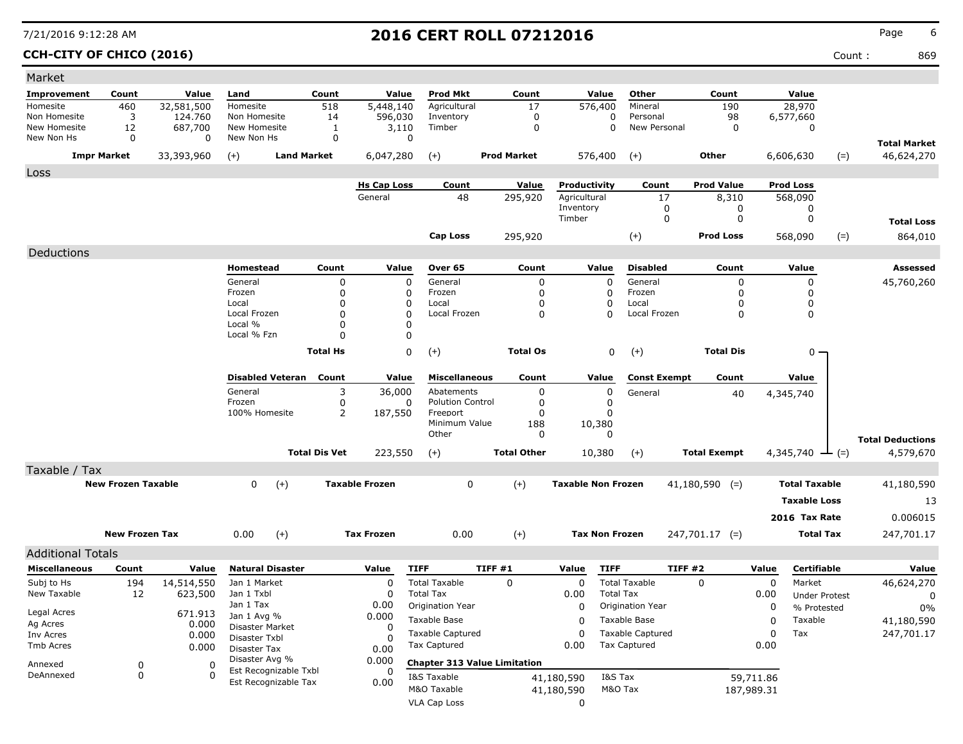**CCH-CITY OF CHICO (2016)** Count : 869

| Market                       |                           |                    |                                  |                      |                       |                                     |                            |                           |                          |                     |            |                      |                                   |
|------------------------------|---------------------------|--------------------|----------------------------------|----------------------|-----------------------|-------------------------------------|----------------------------|---------------------------|--------------------------|---------------------|------------|----------------------|-----------------------------------|
| Improvement                  | Count                     | Value              | Land                             | Count                | Value                 | <b>Prod Mkt</b>                     | Count                      | Value                     | Other                    | Count               |            | Value                |                                   |
| Homesite                     | 460                       | 32,581,500         | Homesite                         | 518                  | 5,448,140             | Agricultural                        | 17                         | 576,400                   | Mineral                  | 190                 |            | 28,970               |                                   |
| Non Homesite<br>New Homesite | 3<br>12                   | 124,760<br>687,700 | Non Homesite<br>New Homesite     | 14<br>1              | 596,030<br>3,110      | Inventory<br>Timber                 | $\mathbf 0$<br>$\mathbf 0$ | 0<br>0                    | Personal<br>New Personal | 98<br>0             |            | 6,577,660<br>0       |                                   |
| New Non Hs                   | 0                         | 0                  | New Non Hs                       | 0                    | $\mathbf 0$           |                                     |                            |                           |                          |                     |            |                      |                                   |
|                              | <b>Impr Market</b>        | 33,393,960         | <b>Land Market</b><br>$(+)$      |                      | 6,047,280             | $(+)$                               | <b>Prod Market</b>         | 576,400                   | $(+)$                    | Other               |            | $(=)$<br>6,606,630   | <b>Total Market</b><br>46,624,270 |
| Loss                         |                           |                    |                                  |                      |                       |                                     |                            |                           |                          |                     |            |                      |                                   |
|                              |                           |                    |                                  |                      | <b>Hs Cap Loss</b>    | Count                               | Value                      | Productivity              | Count                    | <b>Prod Value</b>   |            | <b>Prod Loss</b>     |                                   |
|                              |                           |                    |                                  |                      | General               | 48                                  | 295,920                    | Agricultural              | 17                       | 8,310               |            | 568,090              |                                   |
|                              |                           |                    |                                  |                      |                       |                                     |                            | Inventory<br>Timber       | 0<br>0                   | 0<br>0              |            | 0<br>0               | <b>Total Loss</b>                 |
|                              |                           |                    |                                  |                      |                       | Cap Loss                            |                            |                           |                          | <b>Prod Loss</b>    |            |                      |                                   |
|                              |                           |                    |                                  |                      |                       |                                     | 295,920                    |                           | $(+)$                    |                     |            | $(=)$<br>568,090     | 864,010                           |
| Deductions                   |                           |                    |                                  |                      |                       |                                     |                            |                           |                          |                     |            |                      |                                   |
|                              |                           |                    | Homestead                        | Count                | Value                 | Over 65                             | Count                      | Value                     | <b>Disabled</b>          | Count               |            | Value                | <b>Assessed</b>                   |
|                              |                           |                    | General<br>Frozen                | 0<br>$\Omega$        | 0<br>0                | General<br>Frozen                   | 0<br>0                     | 0<br>0                    | General<br>Frozen        | 0<br>$\Omega$       |            | 0<br>0               | 45,760,260                        |
|                              |                           |                    | Local                            | $\Omega$             | 0                     | Local                               | $\Omega$                   | 0                         | Local                    | n                   |            | 0                    |                                   |
|                              |                           |                    | Local Frozen                     | $\Omega$             | $\mathbf 0$           | Local Frozen                        | 0                          | $\Omega$                  | Local Frozen             | $\Omega$            |            | 0                    |                                   |
|                              |                           |                    | Local %                          | $\Omega$             | 0                     |                                     |                            |                           |                          |                     |            |                      |                                   |
|                              |                           |                    | Local % Fzn                      | $\Omega$             | 0                     |                                     |                            |                           |                          |                     |            |                      |                                   |
|                              |                           |                    |                                  | <b>Total Hs</b>      | 0                     | $(+)$                               | <b>Total Os</b>            | 0                         | $(+)$                    | <b>Total Dis</b>    |            | 0                    |                                   |
|                              |                           |                    | <b>Disabled Veteran</b>          | Count                | Value                 | <b>Miscellaneous</b>                | Count                      | Value                     | <b>Const Exempt</b>      | Count               |            | Value                |                                   |
|                              |                           |                    | General                          | 3                    | 36,000                | Abatements                          | 0                          | 0                         | General                  | 40                  |            | 4,345,740            |                                   |
|                              |                           |                    | Frozen                           | 0                    | 0                     | <b>Polution Control</b>             | $\Omega$                   | 0                         |                          |                     |            |                      |                                   |
|                              |                           |                    | 100% Homesite                    | $\overline{2}$       | 187,550               | Freeport<br>Minimum Value           | $\Omega$<br>188            | 0<br>10,380               |                          |                     |            |                      |                                   |
|                              |                           |                    |                                  |                      |                       | Other                               | $\Omega$                   | $\Omega$                  |                          |                     |            |                      | <b>Total Deductions</b>           |
|                              |                           |                    |                                  | <b>Total Dis Vet</b> | 223,550               | $(+)$                               | <b>Total Other</b>         | 10,380                    | $(+)$                    | <b>Total Exempt</b> |            | 4,345,740<br>$(=)$   | 4,579,670                         |
| Taxable / Tax                |                           |                    |                                  |                      |                       |                                     |                            |                           |                          |                     |            |                      |                                   |
|                              | <b>New Frozen Taxable</b> |                    | $\mathbf{0}$<br>$(+)$            |                      | <b>Taxable Frozen</b> | 0                                   | $(+)$                      | <b>Taxable Non Frozen</b> |                          | $41,180,590$ (=)    |            | <b>Total Taxable</b> | 41,180,590                        |
|                              |                           |                    |                                  |                      |                       |                                     |                            |                           |                          |                     |            | <b>Taxable Loss</b>  |                                   |
|                              |                           |                    |                                  |                      |                       |                                     |                            |                           |                          |                     |            |                      | 13                                |
|                              |                           |                    |                                  |                      |                       |                                     |                            |                           |                          |                     |            | 2016 Tax Rate        | 0.006015                          |
|                              | <b>New Frozen Tax</b>     |                    | 0.00<br>$(+)$                    |                      | <b>Tax Frozen</b>     | 0.00                                | $(+)$                      | <b>Tax Non Frozen</b>     |                          | $247,701.17$ (=)    |            | <b>Total Tax</b>     | 247,701.17                        |
| <b>Additional Totals</b>     |                           |                    |                                  |                      |                       |                                     |                            |                           |                          |                     |            |                      |                                   |
| <b>Miscellaneous</b>         | Count                     | Value              | <b>Natural Disaster</b>          |                      | Value                 | <b>TIFF</b>                         | <b>TIFF #1</b>             | <b>TIFF</b><br>Value      |                          | <b>TIFF #2</b>      | Value      | Certifiable          | Value                             |
| Subj to Hs                   | 194                       | 14,514,550         | Jan 1 Market                     |                      | 0                     | <b>Total Taxable</b>                | $\Omega$                   | 0                         | <b>Total Taxable</b>     | $\Omega$            | 0          | Market               | 46,624,270                        |
| New Taxable                  | 12                        | 623,500            | Jan 1 Txbl                       |                      | 0                     | <b>Total Tax</b>                    |                            | 0.00                      | <b>Total Tax</b>         |                     | 0.00       | <b>Under Protest</b> | 0                                 |
| Legal Acres                  |                           | 671.913            | Jan 1 Tax                        |                      | 0.00                  | Origination Year                    |                            | 0                         | Origination Year         |                     | 0          | % Protested          | $0\%$                             |
| Ag Acres                     |                           | 0.000              | Jan 1 Avg %                      |                      | 0.000                 | Taxable Base                        |                            | 0                         | Taxable Base             |                     | 0          | Taxable              | 41,180,590                        |
| Inv Acres                    |                           | 0.000              | Disaster Market<br>Disaster Txbl |                      | 0<br>O                | <b>Taxable Captured</b>             |                            | 0                         | <b>Taxable Captured</b>  |                     | 0          | Tax                  | 247,701.17                        |
| Tmb Acres                    |                           | 0.000              | Disaster Tax                     |                      | 0.00                  | Tax Captured                        |                            | 0.00                      | <b>Tax Captured</b>      |                     | 0.00       |                      |                                   |
| Annexed                      | 0                         | 0                  | Disaster Avg %                   |                      | 0.000                 | <b>Chapter 313 Value Limitation</b> |                            |                           |                          |                     |            |                      |                                   |
| DeAnnexed                    | 0                         | 0                  | Est Recognizable Txbl            |                      | 0                     | I&S Taxable                         |                            | 41,180,590                | I&S Tax                  |                     | 59,711.86  |                      |                                   |
|                              |                           |                    | Est Recognizable Tax             |                      | 0.00                  | M&O Taxable                         |                            | 41,180,590                | M&O Tax                  |                     | 187,989.31 |                      |                                   |
|                              |                           |                    |                                  |                      |                       | <b>VLA Cap Loss</b>                 |                            | 0                         |                          |                     |            |                      |                                   |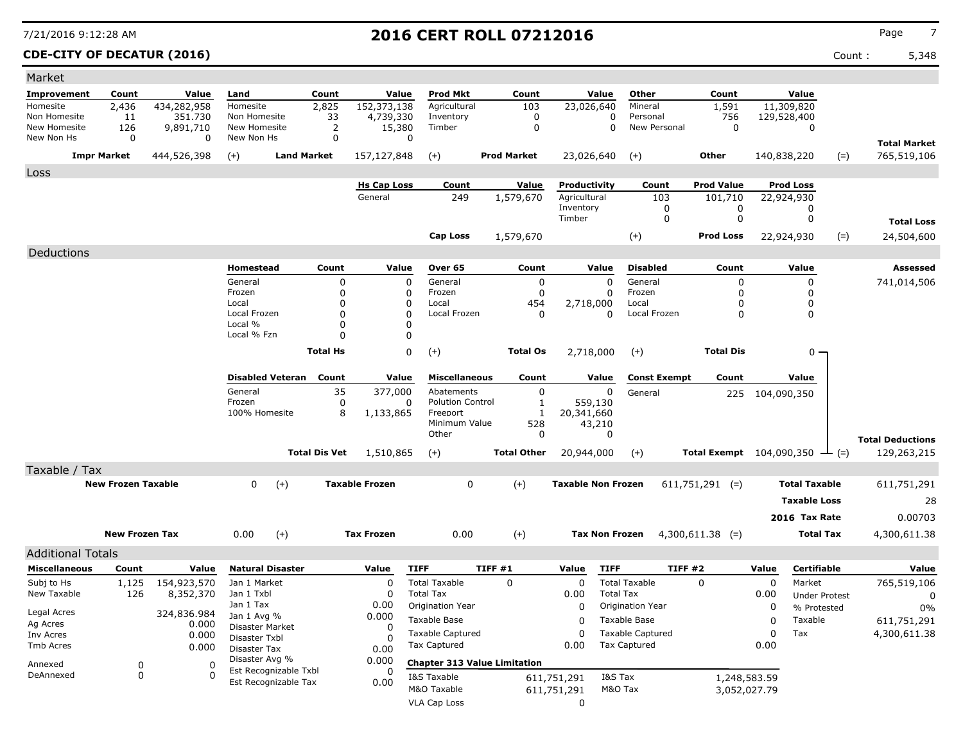**CDE-CITY OF DECATUR (2016)** Count : 5,348

| Market                       |                           |                |                                |                         |                      |                       |                                     |         |                     |                           |                         |                          |                                 |             |                            |        |                         |
|------------------------------|---------------------------|----------------|--------------------------------|-------------------------|----------------------|-----------------------|-------------------------------------|---------|---------------------|---------------------------|-------------------------|--------------------------|---------------------------------|-------------|----------------------------|--------|-------------------------|
| Improvement                  | Count                     | Value          | Land                           |                         | Count                | Value                 | <b>Prod Mkt</b>                     |         | Count               |                           | Value                   | Other                    | Count                           |             | Value                      |        |                         |
| Homesite                     | 2,436                     | 434,282,958    | Homesite                       |                         | 2,825                | 152,373,138           | Agricultural                        |         | 103                 | 23,026,640                |                         | Mineral                  | 1,591                           |             | 11,309,820                 |        |                         |
| Non Homesite<br>New Homesite | 11                        | 351,730        | Non Homesite<br>New Homesite   |                         | 33                   | 4,739,330<br>15,380   | Inventory<br>Timber                 |         | 0<br>$\mathbf 0$    |                           | 0<br>$\mathbf 0$        | Personal<br>New Personal | 756<br>$\mathbf 0$              |             | 129,528,400<br>$\mathbf 0$ |        |                         |
| New Non Hs                   | 126<br>0                  | 9,891,710<br>0 | New Non Hs                     |                         | 2<br>$\mathbf 0$     | 0                     |                                     |         |                     |                           |                         |                          |                                 |             |                            |        |                         |
|                              |                           |                |                                |                         |                      |                       |                                     |         |                     |                           |                         |                          |                                 |             |                            |        | <b>Total Market</b>     |
|                              | <b>Impr Market</b>        | 444,526,398    | $(+)$                          | <b>Land Market</b>      |                      | 157,127,848           | $(+)$                               |         | <b>Prod Market</b>  | 23,026,640                |                         | $(+)$                    | <b>Other</b>                    |             | 140,838,220                | $(=)$  | 765,519,106             |
| Loss                         |                           |                |                                |                         |                      |                       |                                     |         |                     |                           |                         |                          |                                 |             |                            |        |                         |
|                              |                           |                |                                |                         |                      | <b>Hs Cap Loss</b>    | Count                               |         | Value               | Productivity              |                         | Count                    | <b>Prod Value</b>               |             | <b>Prod Loss</b>           |        |                         |
|                              |                           |                |                                |                         |                      | General               | 249                                 |         | 1,579,670           | Agricultural<br>Inventory |                         | 103<br>0                 | 101,710<br>0                    |             | 22,924,930<br>0            |        |                         |
|                              |                           |                |                                |                         |                      |                       |                                     |         |                     | Timber                    |                         | 0                        | 0                               |             | 0                          |        | <b>Total Loss</b>       |
|                              |                           |                |                                |                         |                      |                       | <b>Cap Loss</b>                     |         | 1,579,670           |                           |                         | $(+)$                    | <b>Prod Loss</b>                |             | 22,924,930                 | $(=)$  | 24,504,600              |
|                              |                           |                |                                |                         |                      |                       |                                     |         |                     |                           |                         |                          |                                 |             |                            |        |                         |
| Deductions                   |                           |                |                                |                         |                      |                       |                                     |         |                     |                           |                         |                          |                                 |             |                            |        |                         |
|                              |                           |                | Homestead                      |                         | Count                | Value                 | Over 65                             |         | Count               |                           | Value                   | <b>Disabled</b>          | Count                           |             | Value                      |        | Assessed                |
|                              |                           |                | General<br>Frozen              |                         | 0<br>0               | $\Omega$<br>$\Omega$  | General<br>Frozen                   |         | 0<br>$\mathbf 0$    |                           | $\Omega$<br>$\mathbf 0$ | General<br>Frozen        | $\Omega$<br>0                   |             | 0<br>0                     |        | 741,014,506             |
|                              |                           |                | Local                          |                         | 0                    | $\mathbf 0$           | Local                               |         | 454                 | 2,718,000                 |                         | Local                    | $\Omega$                        |             | 0                          |        |                         |
|                              |                           |                | Local Frozen                   |                         | $\Omega$             | $\Omega$              | Local Frozen                        |         | $\Omega$            |                           | $\Omega$                | Local Frozen             | $\Omega$                        |             | 0                          |        |                         |
|                              |                           |                | Local %<br>Local % Fzn         |                         | 0<br>0               | $\Omega$              |                                     |         |                     |                           |                         |                          |                                 |             |                            |        |                         |
|                              |                           |                |                                |                         |                      | 0                     |                                     |         |                     |                           |                         |                          |                                 |             |                            |        |                         |
|                              |                           |                |                                |                         | <b>Total Hs</b>      | $\Omega$              | $^{(+)}$                            |         | <b>Total Os</b>     | 2,718,000                 |                         | $(+)$                    | <b>Total Dis</b>                |             | 0                          |        |                         |
|                              |                           |                |                                | <b>Disabled Veteran</b> | Count                | Value                 | <b>Miscellaneous</b>                |         | Count               |                           | Value                   | <b>Const Exempt</b>      | Count                           |             | Value                      |        |                         |
|                              |                           |                | General                        |                         | 35                   | 377,000               | Abatements                          |         | $\mathbf 0$         |                           | $\mathbf 0$             | General                  | 225                             | 104,090,350 |                            |        |                         |
|                              |                           |                | Frozen                         |                         | $\mathbf 0$          | 0                     | <b>Polution Control</b>             |         | 1                   |                           | 559,130                 |                          |                                 |             |                            |        |                         |
|                              |                           |                | 100% Homesite                  |                         | 8                    | 1,133,865             | Freeport<br>Minimum Value           |         | $\mathbf{1}$<br>528 | 20,341,660                | 43,210                  |                          |                                 |             |                            |        |                         |
|                              |                           |                |                                |                         |                      |                       | Other                               |         | 0                   |                           | 0                       |                          |                                 |             |                            |        | <b>Total Deductions</b> |
|                              |                           |                |                                |                         | <b>Total Dis Vet</b> | 1,510,865             | $(+)$                               |         | <b>Total Other</b>  | 20,944,000                |                         | $(+)$                    | <b>Total Exempt</b> 104,090,350 |             |                            | $ (=)$ | 129,263,215             |
| Taxable / Tax                |                           |                |                                |                         |                      |                       |                                     |         |                     |                           |                         |                          |                                 |             |                            |        |                         |
|                              | <b>New Frozen Taxable</b> |                | 0                              | $(+)$                   |                      | <b>Taxable Frozen</b> | $\mathbf 0$                         |         | $(+)$               | <b>Taxable Non Frozen</b> |                         |                          | $611,751,291$ (=)               |             | <b>Total Taxable</b>       |        | 611,751,291             |
|                              |                           |                |                                |                         |                      |                       |                                     |         |                     |                           |                         |                          |                                 |             | <b>Taxable Loss</b>        |        | 28                      |
|                              |                           |                |                                |                         |                      |                       |                                     |         |                     |                           |                         |                          |                                 |             | 2016 Tax Rate              |        | 0.00703                 |
|                              |                           |                |                                |                         |                      |                       |                                     |         |                     |                           |                         |                          |                                 |             |                            |        |                         |
|                              | <b>New Frozen Tax</b>     |                | 0.00                           | $(+)$                   |                      | <b>Tax Frozen</b>     | 0.00                                |         | $(+)$               |                           | <b>Tax Non Frozen</b>   |                          | $4,300,611.38$ (=)              |             | <b>Total Tax</b>           |        | 4,300,611.38            |
| <b>Additional Totals</b>     |                           |                |                                |                         |                      |                       |                                     |         |                     |                           |                         |                          |                                 |             |                            |        |                         |
| <b>Miscellaneous</b>         | Count                     | Value          | <b>Natural Disaster</b>        |                         |                      | Value                 | <b>TIFF</b>                         | TIFF #1 |                     | Value                     | <b>TIFF</b>             | TIFF #2                  |                                 | Value       | Certifiable                |        | Value                   |
| Subj to Hs                   | 1,125                     | 154,923,570    | Jan 1 Market                   |                         |                      | $\Omega$              | <b>Total Taxable</b>                |         | $\Omega$            | $\Omega$                  |                         | <b>Total Taxable</b>     | $\Omega$                        | $\Omega$    | Market                     |        | 765,519,106             |
| New Taxable                  | 126                       | 8,352,370      | Jan 1 Txbl                     |                         |                      | 0                     | <b>Total Tax</b>                    |         |                     | 0.00                      | <b>Total Tax</b>        |                          |                                 | 0.00        | <b>Under Protest</b>       |        | $\Omega$                |
| Legal Acres                  |                           | 324,836.984    | Jan 1 Tax                      |                         |                      | 0.00                  | Origination Year                    |         |                     | $\mathbf 0$               |                         | Origination Year         |                                 | $\mathbf 0$ | % Protested                |        | 0%                      |
| Ag Acres                     |                           | 0.000          | Jan 1 Avg %<br>Disaster Market |                         |                      | 0.000<br>0            | Taxable Base                        |         |                     | $\Omega$                  |                         | Taxable Base             |                                 | $\mathbf 0$ | Taxable                    |        | 611,751,291             |
| Inv Acres                    |                           | 0.000          | Disaster Txbl                  |                         |                      | <sup>0</sup>          | <b>Taxable Captured</b>             |         |                     | $\Omega$                  |                         | <b>Taxable Captured</b>  |                                 | 0           | Tax                        |        | 4,300,611.38            |
| Tmb Acres                    |                           | 0.000          | Disaster Tax                   |                         |                      | 0.00                  | <b>Tax Captured</b>                 |         |                     | 0.00                      |                         | <b>Tax Captured</b>      |                                 | 0.00        |                            |        |                         |
| Annexed                      | 0                         | 0              | Disaster Avg %                 | Est Recognizable Txbl   |                      | 0.000                 | <b>Chapter 313 Value Limitation</b> |         |                     |                           |                         |                          |                                 |             |                            |        |                         |
| DeAnnexed                    | $\Omega$                  | $\Omega$       |                                | Est Recognizable Tax    |                      | 0<br>0.00             | I&S Taxable                         |         |                     | 611,751,291               | I&S Tax                 |                          | 1,248,583.59                    |             |                            |        |                         |
|                              |                           |                |                                |                         |                      |                       | M&O Taxable                         |         |                     | 611,751,291               | M&O Tax                 |                          | 3,052,027.79                    |             |                            |        |                         |
|                              |                           |                |                                |                         |                      |                       | <b>VLA Cap Loss</b>                 |         |                     | $\mathbf 0$               |                         |                          |                                 |             |                            |        |                         |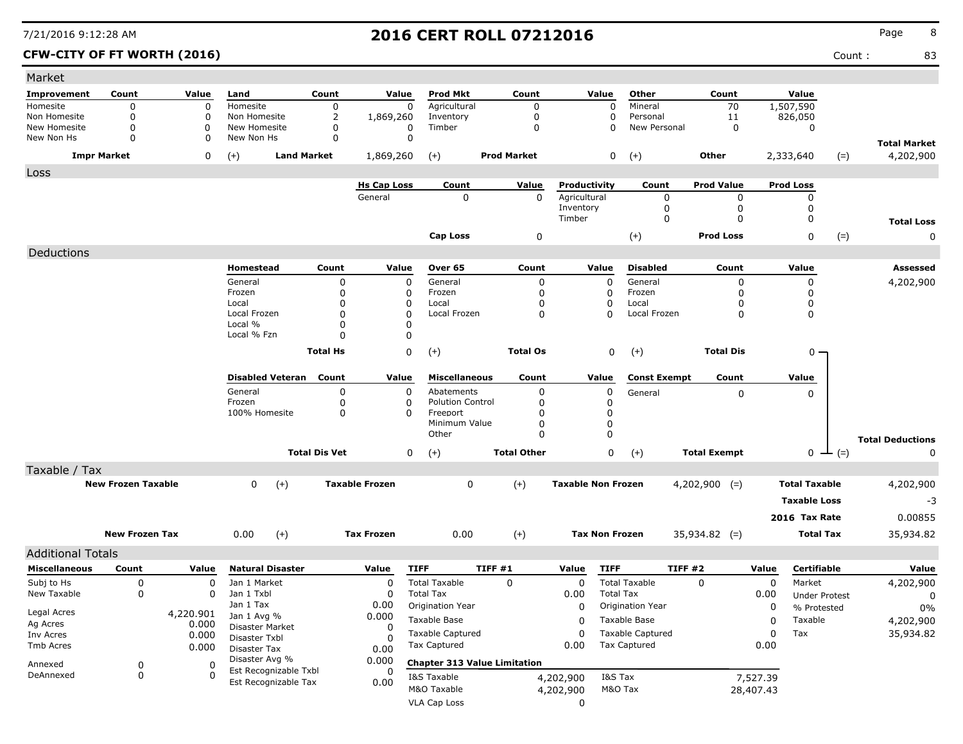### **CFW-CITY OF FT WORTH (2016)** Count : 83

| Market                     |                           |             |                                |                      |                       |                           |                                     |                           |                       |                         |                     |             |                       |                              |
|----------------------------|---------------------------|-------------|--------------------------------|----------------------|-----------------------|---------------------------|-------------------------------------|---------------------------|-----------------------|-------------------------|---------------------|-------------|-----------------------|------------------------------|
| Improvement                | Count                     | Value       | Land                           | Count                | Value                 | Prod Mkt                  | Count                               |                           | Value                 | Other                   | Count               |             | Value                 |                              |
| Homesite                   | $\mathbf 0$               | $\mathbf 0$ | Homesite                       | 0                    | 0                     | Agricultural              | 0                                   |                           | $\mathbf 0$           | Mineral                 | 70                  |             | 1,507,590             |                              |
| Non Homesite               | 0                         | 0           | Non Homesite                   | $\overline{2}$       | 1,869,260             | Inventory                 | 0                                   |                           | 0                     | Personal                | 11                  |             | 826,050               |                              |
| New Homesite<br>New Non Hs | 0<br>$\Omega$             | 0<br>0      | New Homesite<br>New Non Hs     | 0<br>$\mathbf 0$     | 0<br>0                | Timber                    | $\mathbf 0$                         |                           | 0                     | New Personal            | 0                   |             | 0                     |                              |
|                            |                           |             |                                |                      |                       |                           |                                     |                           |                       |                         |                     |             |                       | <b>Total Market</b>          |
|                            | <b>Impr Market</b>        | 0           | <b>Land Market</b><br>$(+)$    |                      | 1,869,260             | $(+)$                     | <b>Prod Market</b>                  |                           | 0                     | $(+)$                   | Other               |             | 2,333,640<br>$(=)$    | 4,202,900                    |
| Loss                       |                           |             |                                |                      | <b>Hs Cap Loss</b>    | Count                     | Value                               | Productivity              |                       | Count                   | <b>Prod Value</b>   |             | <b>Prod Loss</b>      |                              |
|                            |                           |             |                                |                      | General               | 0                         | $\Omega$                            | Agricultural              |                       | 0                       | 0                   |             | 0                     |                              |
|                            |                           |             |                                |                      |                       |                           |                                     | Inventory                 |                       | 0                       | 0                   |             | 0                     |                              |
|                            |                           |             |                                |                      |                       |                           |                                     | Timber                    |                       | $\mathbf 0$             | $\mathbf 0$         |             | 0                     | <b>Total Loss</b>            |
|                            |                           |             |                                |                      |                       | <b>Cap Loss</b>           | 0                                   |                           |                       | $(+)$                   | <b>Prod Loss</b>    |             | 0<br>$(=)$            | 0                            |
| Deductions                 |                           |             |                                |                      |                       |                           |                                     |                           |                       |                         |                     |             |                       |                              |
|                            |                           |             | Homestead                      | Count                | Value                 | Over 65                   | Count                               |                           | Value                 | <b>Disabled</b>         | Count               |             | Value                 | Assessed                     |
|                            |                           |             | General                        | 0                    | $\mathbf 0$           | General                   | 0                                   |                           | 0                     | General                 | 0                   |             | 0                     | 4,202,900                    |
|                            |                           |             | Frozen                         | 0                    | 0                     | Frozen                    | 0                                   |                           | 0                     | Frozen                  | O                   |             | 0                     |                              |
|                            |                           |             | Local                          | 0                    | 0                     | Local                     | 0                                   |                           | 0                     | Local                   | 0                   |             | 0                     |                              |
|                            |                           |             | Local Frozen<br>Local %        | 0<br>0               | 0<br>0                | Local Frozen              | 0                                   |                           | $\Omega$              | Local Frozen            | 0                   |             | 0                     |                              |
|                            |                           |             | Local % Fzn                    | $\Omega$             | 0                     |                           |                                     |                           |                       |                         |                     |             |                       |                              |
|                            |                           |             |                                | <b>Total Hs</b>      | 0                     | $(+)$                     | <b>Total Os</b>                     |                           | $\pmb{0}$             |                         | <b>Total Dis</b>    |             | $0 -$                 |                              |
|                            |                           |             |                                |                      |                       |                           |                                     |                           |                       | $(+)$                   |                     |             |                       |                              |
|                            |                           |             | <b>Disabled Veteran</b>        | Count                | Value                 | <b>Miscellaneous</b>      | Count                               |                           | Value                 | <b>Const Exempt</b>     | Count               |             | Value                 |                              |
|                            |                           |             | General                        | 0                    | 0                     | Abatements                | 0                                   |                           | 0                     | General                 | 0                   |             | 0                     |                              |
|                            |                           |             | Frozen                         | 0                    | 0                     | <b>Polution Control</b>   | 0                                   |                           | 0                     |                         |                     |             |                       |                              |
|                            |                           |             | 100% Homesite                  | 0                    | 0                     | Freeport<br>Minimum Value | 0<br>0                              |                           | 0<br>0                |                         |                     |             |                       |                              |
|                            |                           |             |                                |                      |                       | Other                     | 0                                   |                           | 0                     |                         |                     |             |                       |                              |
|                            |                           |             |                                | <b>Total Dis Vet</b> | 0                     | $(+)$                     | <b>Total Other</b>                  |                           | 0                     | $(+)$                   | <b>Total Exempt</b> |             | $_0$ $\perp$<br>$(=)$ | <b>Total Deductions</b><br>0 |
| Taxable / Tax              |                           |             |                                |                      |                       |                           |                                     |                           |                       |                         |                     |             |                       |                              |
|                            | <b>New Frozen Taxable</b> |             | 0<br>$(+)$                     |                      | <b>Taxable Frozen</b> | 0                         | $(+)$                               | <b>Taxable Non Frozen</b> |                       |                         | $4,202,900$ (=)     |             | <b>Total Taxable</b>  | 4,202,900                    |
|                            |                           |             |                                |                      |                       |                           |                                     |                           |                       |                         |                     |             | <b>Taxable Loss</b>   |                              |
|                            |                           |             |                                |                      |                       |                           |                                     |                           |                       |                         |                     |             |                       | -3                           |
|                            |                           |             |                                |                      |                       |                           |                                     |                           |                       |                         |                     |             | 2016 Tax Rate         | 0.00855                      |
|                            | <b>New Frozen Tax</b>     |             | 0.00<br>$(+)$                  |                      | <b>Tax Frozen</b>     | 0.00                      | $(+)$                               |                           | <b>Tax Non Frozen</b> |                         | $35,934.82$ (=)     |             | <b>Total Tax</b>      | 35,934.82                    |
| <b>Additional Totals</b>   |                           |             |                                |                      |                       |                           |                                     |                           |                       |                         |                     |             |                       |                              |
| <b>Miscellaneous</b>       | Count                     | Value       | <b>Natural Disaster</b>        |                      | Value                 | <b>TIFF</b>               | TIFF #1                             | Value                     | <b>TIFF</b>           | TIFF #2                 |                     | Value       | Certifiable           | Value                        |
| Subj to Hs                 | 0                         | 0           | Jan 1 Market                   |                      | 0                     | <b>Total Taxable</b>      | $\mathbf 0$                         | 0                         |                       | <b>Total Taxable</b>    | $\Omega$            | $\mathbf 0$ | Market                | 4,202,900                    |
| New Taxable                | 0                         | 0           | Jan 1 Txbl                     |                      | 0                     | <b>Total Tax</b>          |                                     | 0.00                      | <b>Total Tax</b>      |                         |                     | 0.00        | <b>Under Protest</b>  | 0                            |
| Legal Acres                |                           | 4,220.901   | Jan 1 Tax                      |                      | 0.00                  | Origination Year          |                                     | 0                         |                       | Origination Year        |                     | 0           | % Protested           | $0\%$                        |
| Ag Acres                   |                           | 0.000       | Jan 1 Avg %<br>Disaster Market |                      | 0.000<br>0            | Taxable Base              |                                     | 0                         |                       | Taxable Base            |                     | 0           | Taxable               | 4,202,900                    |
| Inv Acres                  |                           | 0.000       | Disaster Txbl                  |                      | 0                     | <b>Taxable Captured</b>   |                                     | 0                         |                       | <b>Taxable Captured</b> |                     | 0           | Tax                   | 35,934.82                    |
| Tmb Acres                  |                           | 0.000       | Disaster Tax                   |                      | 0.00                  | Tax Captured              |                                     | 0.00                      |                       | <b>Tax Captured</b>     |                     | 0.00        |                       |                              |
| Annexed                    | 0                         | 0           | Disaster Avg %                 |                      | 0.000                 |                           | <b>Chapter 313 Value Limitation</b> |                           |                       |                         |                     |             |                       |                              |
| DeAnnexed                  | 0                         | $\Omega$    | Est Recognizable Txbl          |                      | 0                     | I&S Taxable               |                                     | 4,202,900                 | I&S Tax               |                         |                     | 7,527.39    |                       |                              |
|                            |                           |             | Est Recognizable Tax           |                      | 0.00                  | M&O Taxable               |                                     | 4,202,900                 | M&O Tax               |                         |                     | 28,407.43   |                       |                              |
|                            |                           |             |                                |                      |                       | VLA Cap Loss              |                                     | 0                         |                       |                         |                     |             |                       |                              |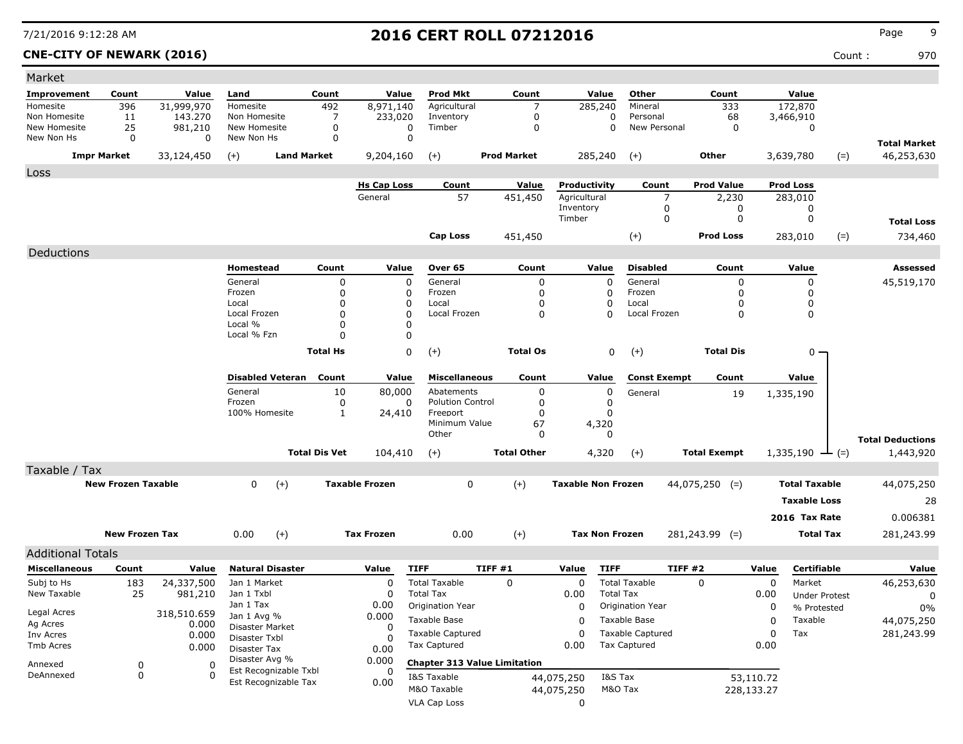| Market                     |                           |                      |                               |                      |                       |                                     |                    |                           |                         |                     |                         |                             |                      |                                   |
|----------------------------|---------------------------|----------------------|-------------------------------|----------------------|-----------------------|-------------------------------------|--------------------|---------------------------|-------------------------|---------------------|-------------------------|-----------------------------|----------------------|-----------------------------------|
| Improvement                | Count                     | Value                | Land                          | Count                | Value                 | <b>Prod Mkt</b>                     | Count              | Value                     | Other                   | Count               |                         | Value                       |                      |                                   |
| Homesite                   | 396                       | 31,999,970           | Homesite                      | 492                  | 8,971,140             | Agricultural                        | 7                  | 285,240                   | Mineral                 |                     | 333                     | 172,870                     |                      |                                   |
| Non Homesite               | 11                        | 143,270              | Non Homesite                  | 7                    | 233,020               | Inventory                           | 0                  |                           | 0<br>Personal           |                     | 68                      | 3,466,910                   |                      |                                   |
| New Homesite<br>New Non Hs | 25<br>$\mathbf 0$         | 981,210<br>0         | New Homesite<br>New Non Hs    | 0<br>0               | 0<br>$\Omega$         | Timber                              | $\Omega$           |                           | 0<br>New Personal       |                     | 0                       | 0                           |                      |                                   |
|                            | <b>Impr Market</b>        | 33,124,450           | $(+)$                         | <b>Land Market</b>   | 9,204,160             | $(+)$                               | <b>Prod Market</b> | 285,240                   | $(+)$                   | <b>Other</b>        |                         | 3,639,780                   | $(=)$                | <b>Total Market</b><br>46,253,630 |
| Loss                       |                           |                      |                               |                      |                       |                                     |                    |                           |                         |                     |                         |                             |                      |                                   |
|                            |                           |                      |                               |                      | <b>Hs Cap Loss</b>    | Count                               | Value              | Productivity              | Count                   | <b>Prod Value</b>   |                         | <b>Prod Loss</b>            |                      |                                   |
|                            |                           |                      |                               |                      | General               | 57                                  | 451,450            | Agricultural              | $\overline{7}$          |                     | 2,230                   | 283,010                     |                      |                                   |
|                            |                           |                      |                               |                      |                       |                                     |                    | Inventory<br>Timber       | 0<br>0                  |                     | 0<br>0                  | 0<br>0                      |                      |                                   |
|                            |                           |                      |                               |                      |                       |                                     |                    |                           |                         |                     |                         |                             |                      | <b>Total Loss</b>                 |
|                            |                           |                      |                               |                      |                       | Cap Loss                            | 451,450            |                           | $(+)$                   | <b>Prod Loss</b>    |                         | 283,010                     | $(=)$                | 734,460                           |
| Deductions                 |                           |                      |                               |                      |                       |                                     |                    |                           |                         |                     |                         |                             |                      |                                   |
|                            |                           |                      | Homestead                     | Count                | Value                 | Over 65                             | Count              | Value                     | <b>Disabled</b>         |                     | Count                   | Value                       |                      | Assessed                          |
|                            |                           |                      | General                       | 0                    | 0                     | General                             | 0                  | $\Omega$                  | General                 |                     | 0                       | 0                           |                      | 45,519,170                        |
|                            |                           |                      | Frozen                        | $\Omega$             | 0                     | Frozen                              | 0                  | 0                         | Frozen                  |                     | 0                       | 0                           |                      |                                   |
|                            |                           |                      | Local<br>Local Frozen         | $\Omega$<br>$\Omega$ | 0<br>0                | Local<br>Local Frozen               | 0<br>0             | O<br>$\Omega$             | Local<br>Local Frozen   |                     | $\Omega$<br>0           | 0<br>0                      |                      |                                   |
|                            |                           |                      | Local %                       | $\Omega$             | 0                     |                                     |                    |                           |                         |                     |                         |                             |                      |                                   |
|                            |                           |                      | Local % Fzn                   | O                    | 0                     |                                     |                    |                           |                         |                     |                         |                             |                      |                                   |
|                            |                           |                      |                               | <b>Total Hs</b>      | 0                     | $(+)$                               | <b>Total Os</b>    |                           | 0<br>$(+)$              |                     | <b>Total Dis</b>        | 0 -                         |                      |                                   |
|                            |                           |                      |                               |                      |                       |                                     |                    |                           |                         |                     |                         |                             |                      |                                   |
|                            |                           |                      | <b>Disabled Veteran</b>       | Count                | Value                 | <b>Miscellaneous</b>                | Count              | Value                     | <b>Const Exempt</b>     |                     | Count                   | Value                       |                      |                                   |
|                            |                           |                      | General                       | 10                   | 80,000                | Abatements                          | 0                  |                           | 0<br>General            |                     | 19                      | 1,335,190                   |                      |                                   |
|                            |                           |                      | Frozen                        | 0                    | 0                     | <b>Polution Control</b>             | 0                  |                           | 0                       |                     |                         |                             |                      |                                   |
|                            |                           |                      | 100% Homesite                 | $\mathbf{1}$         | 24,410                | Freeport                            | 0                  | 0                         |                         |                     |                         |                             |                      |                                   |
|                            |                           |                      |                               |                      |                       | Minimum Value                       | 67                 | 4,320                     |                         |                     |                         |                             |                      |                                   |
|                            |                           |                      |                               |                      |                       | Other                               | 0                  | $\mathbf{0}$              |                         |                     |                         |                             |                      | <b>Total Deductions</b>           |
|                            |                           |                      |                               | <b>Total Dis Vet</b> | 104,410               | $(+)$                               | <b>Total Other</b> | 4,320                     | $(+)$                   | <b>Total Exempt</b> |                         | 1,335,190 $\rightarrow$ (=) |                      | 1,443,920                         |
| Taxable / Tax              |                           |                      |                               |                      |                       |                                     |                    |                           |                         |                     |                         |                             |                      |                                   |
|                            | <b>New Frozen Taxable</b> |                      | $\mathbf{0}$<br>$(+)$         |                      | <b>Taxable Frozen</b> | 0                                   | $(+)$              | <b>Taxable Non Frozen</b> |                         | $44,075,250$ (=)    |                         | <b>Total Taxable</b>        |                      | 44,075,250                        |
|                            |                           |                      |                               |                      |                       |                                     |                    |                           |                         |                     |                         | <b>Taxable Loss</b>         |                      | 28                                |
|                            |                           |                      |                               |                      |                       |                                     |                    |                           |                         |                     |                         | 2016 Tax Rate               |                      | 0.006381                          |
|                            |                           |                      |                               |                      |                       |                                     |                    |                           |                         |                     |                         |                             |                      |                                   |
|                            | <b>New Frozen Tax</b>     |                      | $(+)$<br>0.00                 |                      | <b>Tax Frozen</b>     | 0.00                                | $(+)$              | <b>Tax Non Frozen</b>     |                         | $281,243.99$ (=)    |                         | <b>Total Tax</b>            |                      | 281,243.99                        |
| <b>Additional Totals</b>   |                           |                      |                               |                      |                       |                                     |                    |                           |                         |                     |                         |                             |                      |                                   |
| <b>Miscellaneous</b>       | Count                     | Value                | <b>Natural Disaster</b>       |                      | Value                 | <b>TIFF</b>                         | TIFF #1            | Value                     | <b>TIFF</b>             | TIFF#2              | Value                   | Certifiable                 |                      | Value                             |
| Subj to Hs                 | 183                       | 24,337,500           | Jan 1 Market                  |                      | 0                     | <b>Total Taxable</b>                | 0                  | 0                         | <b>Total Taxable</b>    | $\Omega$            |                         | 0<br>Market                 |                      | 46,253,630                        |
| New Taxable                | 25                        | 981,210              | Jan 1 Txbl                    |                      | 0                     | <b>Total Tax</b>                    |                    | 0.00                      | <b>Total Tax</b>        |                     | 0.00                    |                             | <b>Under Protest</b> | 0                                 |
|                            |                           |                      | Jan 1 Tax                     |                      | 0.00                  | <b>Origination Year</b>             |                    | 0                         | Origination Year        |                     |                         | 0<br>% Protested            |                      | 0%                                |
| Legal Acres<br>Ag Acres    |                           | 318,510.659<br>0.000 | Jan 1 Avg %                   |                      | 0.000                 | Taxable Base                        |                    | 0                         | Taxable Base            |                     |                         | Taxable<br>0                |                      | 44,075,250                        |
| Inv Acres                  |                           | 0.000                | Disaster Market               |                      | 0                     | <b>Taxable Captured</b>             |                    | 0                         | <b>Taxable Captured</b> |                     |                         | Tax<br>0                    |                      | 281,243.99                        |
| Tmb Acres                  |                           | 0.000                | Disaster Txbl<br>Disaster Tax |                      | n<br>0.00             | <b>Tax Captured</b>                 |                    | 0.00                      | Tax Captured            |                     | 0.00                    |                             |                      |                                   |
| Annexed                    | 0                         | 0                    | Disaster Avg %                |                      | 0.000                 | <b>Chapter 313 Value Limitation</b> |                    |                           |                         |                     |                         |                             |                      |                                   |
|                            |                           |                      | Est Recognizable Txbl         |                      | 0                     |                                     |                    |                           |                         |                     |                         |                             |                      |                                   |
| DeAnnexed                  |                           | $\Omega$             |                               |                      |                       |                                     |                    |                           |                         |                     |                         |                             |                      |                                   |
|                            | 0                         |                      | Est Recognizable Tax          |                      | 0.00                  | I&S Taxable<br>M&O Taxable          |                    | 44,075,250<br>44,075,250  | I&S Tax<br>M&O Tax      |                     | 53,110.72<br>228,133.27 |                             |                      |                                   |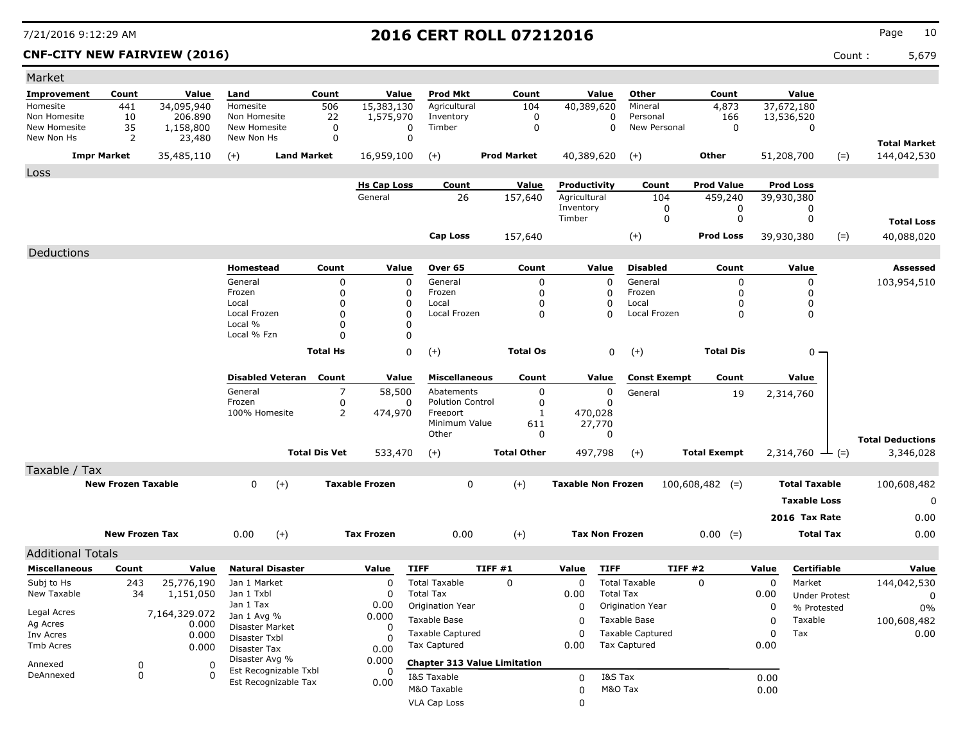**CNF-CITY NEW FAIRVIEW (2016)** Count : 5,679

| Market                   |                           |               |                                               |                      |                       |                         |                                     |                           |                         |                     |       |                             |       |                         |
|--------------------------|---------------------------|---------------|-----------------------------------------------|----------------------|-----------------------|-------------------------|-------------------------------------|---------------------------|-------------------------|---------------------|-------|-----------------------------|-------|-------------------------|
| <b>Improvement</b>       | Count                     | Value         | Land                                          | Count                | Value                 | <b>Prod Mkt</b>         | Count                               | Value                     | Other                   | Count               |       | Value                       |       |                         |
| Homesite                 | 441                       | 34,095,940    | Homesite                                      | 506                  | 15,383,130            | Agricultural            | 104                                 | 40,389,620                | Mineral                 | 4,873               |       | 37,672,180                  |       |                         |
| Non Homesite             | 10                        | 206.890       | Non Homesite                                  | 22                   | 1,575,970             | Inventory               | $\mathbf 0$                         | 0                         | Personal                | 166                 |       | 13,536,520                  |       |                         |
| New Homesite             | 35                        | 1,158,800     | New Homesite                                  | 0                    | 0                     | Timber                  | $\mathbf 0$                         | 0                         | New Personal            | 0                   |       | 0                           |       |                         |
| New Non Hs               | 2                         | 23,480        | New Non Hs                                    | 0                    | $\mathbf 0$           |                         |                                     |                           |                         |                     |       |                             |       | <b>Total Market</b>     |
|                          | <b>Impr Market</b>        | 35,485,110    | $(+)$                                         | <b>Land Market</b>   | 16,959,100            | $(+)$                   | <b>Prod Market</b>                  | 40,389,620                | $(+)$                   | <b>Other</b>        |       | 51,208,700                  | $(=)$ | 144,042,530             |
| Loss                     |                           |               |                                               |                      |                       |                         |                                     |                           |                         |                     |       |                             |       |                         |
|                          |                           |               |                                               |                      | <b>Hs Cap Loss</b>    | Count                   | Value                               | Productivity              | Count                   | <b>Prod Value</b>   |       | <b>Prod Loss</b>            |       |                         |
|                          |                           |               |                                               |                      | General               | 26                      | 157,640                             | Agricultural              | 104                     | 459,240             |       | 39,930,380                  |       |                         |
|                          |                           |               |                                               |                      |                       |                         |                                     | Inventory<br>Timber       | 0<br>$\Omega$           | 0<br>0              |       | 0<br>0                      |       |                         |
|                          |                           |               |                                               |                      |                       |                         |                                     |                           |                         |                     |       |                             |       | <b>Total Loss</b>       |
|                          |                           |               |                                               |                      |                       | <b>Cap Loss</b>         | 157,640                             |                           | $(+)$                   | <b>Prod Loss</b>    |       | 39,930,380                  | $(=)$ | 40,088,020              |
| Deductions               |                           |               |                                               |                      |                       |                         |                                     |                           |                         |                     |       |                             |       |                         |
|                          |                           |               | Homestead                                     | Count                | Value                 | Over 65                 | Count                               | Value                     | <b>Disabled</b>         | Count               |       | Value                       |       | Assessed                |
|                          |                           |               | General                                       | $\Omega$             | $\mathbf 0$           | General                 | $\mathbf 0$                         | $\Omega$                  | General                 | $\Omega$            |       | $\Omega$                    |       | 103,954,510             |
|                          |                           |               | Frozen                                        | $\Omega$             | 0                     | Frozen                  | $\mathbf 0$                         | $\mathbf 0$               | Frozen                  | $\mathbf 0$         |       | 0                           |       |                         |
|                          |                           |               | Local                                         | $\Omega$             | $\mathbf 0$           | Local                   | 0                                   | 0                         | Local                   | $\Omega$            |       | 0                           |       |                         |
|                          |                           |               | Local Frozen<br>Local %                       | $\Omega$<br>$\Omega$ | $\mathbf 0$<br>0      | Local Frozen            | $\mathbf{0}$                        | $\Omega$                  | Local Frozen            | $\Omega$            |       | $\Omega$                    |       |                         |
|                          |                           |               | Local % Fzn                                   | $\Omega$             | 0                     |                         |                                     |                           |                         |                     |       |                             |       |                         |
|                          |                           |               |                                               | <b>Total Hs</b>      | 0                     |                         |                                     |                           |                         | <b>Total Dis</b>    |       |                             |       |                         |
|                          |                           |               |                                               |                      |                       | $(+)$                   | <b>Total Os</b>                     | $\mathbf 0$               | $(+)$                   |                     |       | 0                           |       |                         |
|                          |                           |               | <b>Disabled Veteran</b>                       | Count                | Value                 | <b>Miscellaneous</b>    | Count                               | Value                     | <b>Const Exempt</b>     | Count               |       | Value                       |       |                         |
|                          |                           |               | General                                       | $\overline{7}$       | 58,500                | Abatements              | $\mathbf 0$                         | $\mathbf 0$               | General                 | 19                  |       | 2,314,760                   |       |                         |
|                          |                           |               | Frozen                                        | 0                    | 0                     | <b>Polution Control</b> | 0                                   | $\Omega$                  |                         |                     |       |                             |       |                         |
|                          |                           |               | 100% Homesite                                 | $\overline{2}$       | 474,970               | Freeport                | 1                                   | 470,028                   |                         |                     |       |                             |       |                         |
|                          |                           |               |                                               |                      |                       | Minimum Value<br>Other  | 611<br>0                            | 27,770<br>0               |                         |                     |       |                             |       |                         |
|                          |                           |               |                                               |                      |                       |                         |                                     |                           |                         |                     |       |                             |       | <b>Total Deductions</b> |
|                          |                           |               |                                               | <b>Total Dis Vet</b> | 533,470               | $(+)$                   | <b>Total Other</b>                  | 497,798                   | $(+)$                   | <b>Total Exempt</b> |       | $2,314,760 \rightarrow$ (=) |       | 3,346,028               |
| Taxable / Tax            |                           |               |                                               |                      |                       |                         |                                     |                           |                         |                     |       |                             |       |                         |
|                          | <b>New Frozen Taxable</b> |               | $\mathbf 0$<br>$(+)$                          |                      | <b>Taxable Frozen</b> | $\mathbf 0$             | $(+)$                               | <b>Taxable Non Frozen</b> |                         | $100,608,482$ (=)   |       | <b>Total Taxable</b>        |       | 100,608,482             |
|                          |                           |               |                                               |                      |                       |                         |                                     |                           |                         |                     |       | <b>Taxable Loss</b>         |       | $\mathbf 0$             |
|                          |                           |               |                                               |                      |                       |                         |                                     |                           |                         |                     |       | 2016 Tax Rate               |       | 0.00                    |
|                          | <b>New Frozen Tax</b>     |               | 0.00<br>$(+)$                                 |                      | <b>Tax Frozen</b>     | 0.00                    | $(+)$                               | <b>Tax Non Frozen</b>     |                         |                     |       | <b>Total Tax</b>            |       | 0.00                    |
|                          |                           |               |                                               |                      |                       |                         |                                     |                           |                         | $0.00 (=)$          |       |                             |       |                         |
| <b>Additional Totals</b> |                           |               |                                               |                      |                       |                         |                                     |                           |                         |                     |       |                             |       |                         |
| <b>Miscellaneous</b>     | Count                     | Value         | <b>Natural Disaster</b>                       |                      | Value                 | <b>TIFF</b>             | TIFF #1                             | <b>TIFF</b><br>Value      |                         | <b>TIFF #2</b>      | Value | Certifiable                 |       | Value                   |
| Subj to Hs               | 243                       | 25,776,190    | Jan 1 Market                                  |                      | 0                     | <b>Total Taxable</b>    | 0                                   | 0                         | <b>Total Taxable</b>    | $\mathbf 0$         | 0     | Market                      |       | 144,042,530             |
| New Taxable              | 34                        | 1,151,050     | Jan 1 Txbl                                    |                      | 0                     | <b>Total Tax</b>        |                                     | 0.00                      | <b>Total Tax</b>        |                     | 0.00  | <b>Under Protest</b>        |       | $\mathbf 0$             |
| Legal Acres              |                           | 7,164,329.072 | Jan 1 Tax                                     |                      | 0.00                  | Origination Year        |                                     | $\mathbf 0$               | Origination Year        |                     | 0     | % Protested                 |       | 0%                      |
| Ag Acres                 |                           | 0.000         | Jan 1 Avg %<br>Disaster Market                |                      | 0.000<br>$\Omega$     | Taxable Base            |                                     | $\Omega$                  | Taxable Base            |                     | 0     | Taxable                     |       | 100,608,482             |
| Inv Acres                |                           | 0.000         | Disaster Txbl                                 |                      | 0                     | <b>Taxable Captured</b> |                                     | 0                         | <b>Taxable Captured</b> |                     | 0     | Tax                         |       | 0.00                    |
| Tmb Acres                |                           | 0.000         | Disaster Tax                                  |                      | 0.00                  | <b>Tax Captured</b>     |                                     | 0.00                      | <b>Tax Captured</b>     |                     | 0.00  |                             |       |                         |
| Annexed                  | $\mathbf 0$               | $\Omega$      | Disaster Avg %                                |                      | 0.000                 |                         | <b>Chapter 313 Value Limitation</b> |                           |                         |                     |       |                             |       |                         |
| DeAnnexed                | $\mathbf 0$               | $\Omega$      | Est Recognizable Txbl<br>Est Recognizable Tax |                      | 0                     | I&S Taxable             |                                     | $\Omega$                  | I&S Tax                 |                     | 0.00  |                             |       |                         |
|                          |                           |               |                                               |                      | 0.00                  | M&O Taxable             |                                     | 0                         | M&O Tax                 |                     | 0.00  |                             |       |                         |
|                          |                           |               |                                               |                      |                       | VLA Cap Loss            |                                     | 0                         |                         |                     |       |                             |       |                         |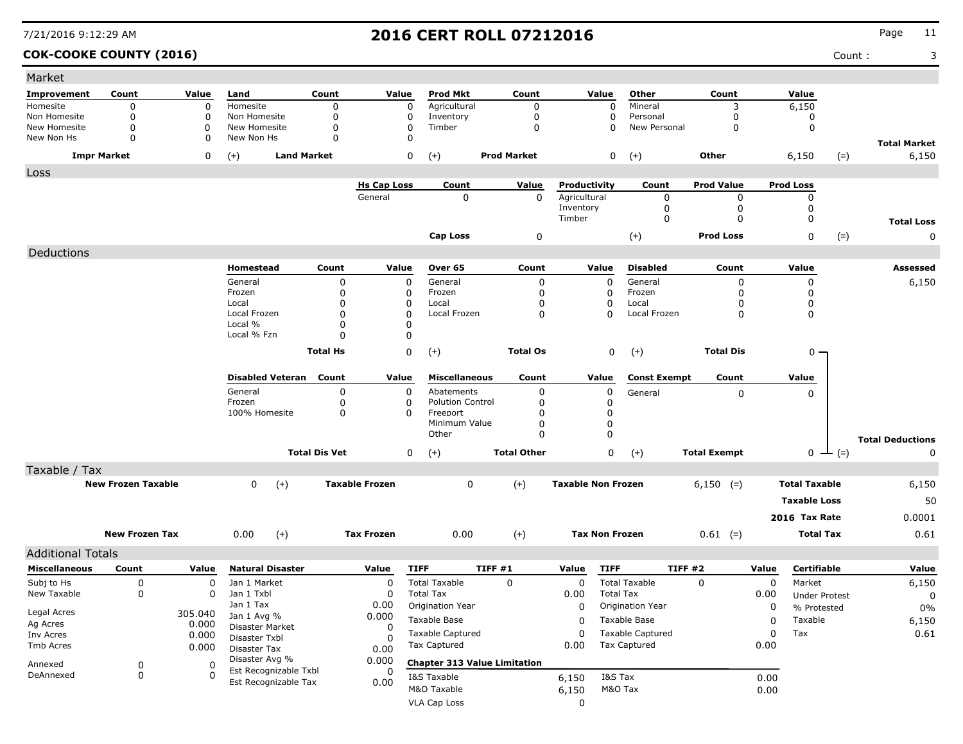| Market                       |                           |          |                              |                      |                       |                           |                                     |                           |                  |                          |                     |       |                      |                    |                         |
|------------------------------|---------------------------|----------|------------------------------|----------------------|-----------------------|---------------------------|-------------------------------------|---------------------------|------------------|--------------------------|---------------------|-------|----------------------|--------------------|-------------------------|
| Improvement                  | Count                     | Value    | Land                         | Count                | Value                 | <b>Prod Mkt</b>           | Count                               | Value                     |                  | Other                    | Count               |       | Value                |                    |                         |
| Homesite                     | $\Omega$                  | 0        | Homesite                     | $\mathbf 0$          | $\mathbf 0$           | Agricultural              | $\mathbf 0$                         |                           | 0                | Mineral                  | 3                   |       | 6,150                |                    |                         |
| Non Homesite<br>New Homesite | $\mathbf 0$<br>$\Omega$   | 0<br>0   | Non Homesite<br>New Homesite | 0<br>$\mathbf 0$     | 0<br>$\mathbf 0$      | Inventory<br>Timber       | 0<br>$\mathbf 0$                    |                           | 0<br>0           | Personal<br>New Personal | 0<br>0              |       | 0<br>$\mathbf 0$     |                    |                         |
| New Non Hs                   | 0                         | 0        | New Non Hs                   | $\Omega$             | 0                     |                           |                                     |                           |                  |                          |                     |       |                      |                    | <b>Total Market</b>     |
| <b>Impr Market</b>           |                           | 0        | <b>Land Market</b><br>$(+)$  |                      | 0                     | $(+)$                     | <b>Prod Market</b>                  |                           | 0                | $(+)$                    | Other               |       | 6,150                | $(=)$              | 6,150                   |
| Loss                         |                           |          |                              |                      |                       |                           |                                     |                           |                  |                          |                     |       |                      |                    |                         |
|                              |                           |          |                              |                      | <b>Hs Cap Loss</b>    | Count                     | Value                               | Productivity              |                  | Count                    | <b>Prod Value</b>   |       | <b>Prod Loss</b>     |                    |                         |
|                              |                           |          |                              |                      | General               | 0                         | 0                                   | Agricultural<br>Inventory |                  | 0<br>0                   | 0<br>0              |       | 0<br>0               |                    |                         |
|                              |                           |          |                              |                      |                       |                           |                                     | Timber                    |                  | 0                        | 0                   |       | 0                    |                    | <b>Total Loss</b>       |
|                              |                           |          |                              |                      |                       | <b>Cap Loss</b>           | 0                                   |                           |                  | $(+)$                    | <b>Prod Loss</b>    |       | 0                    | $(=)$              | 0                       |
| Deductions                   |                           |          |                              |                      |                       |                           |                                     |                           |                  |                          |                     |       |                      |                    |                         |
|                              |                           |          | Homestead                    | Count                | Value                 | Over 65                   | Count                               | Value                     |                  | <b>Disabled</b>          | Count               |       | Value                |                    | <b>Assessed</b>         |
|                              |                           |          | General                      | 0                    | $\mathbf 0$           | General                   | 0                                   |                           | $\mathbf 0$      | General                  | 0                   |       | 0                    |                    | 6,150                   |
|                              |                           |          | Frozen                       | 0                    | 0                     | Frozen                    | 0                                   |                           | 0                | Frozen                   | 0                   |       | 0                    |                    |                         |
|                              |                           |          | Local                        | 0                    | 0                     | Local                     | 0                                   |                           | 0                | Local                    | 0                   |       | 0                    |                    |                         |
|                              |                           |          | Local Frozen<br>Local %      | 0<br>0               | 0<br>0                | Local Frozen              | 0                                   |                           | $\Omega$         | Local Frozen             | 0                   |       | 0                    |                    |                         |
|                              |                           |          | Local % Fzn                  | 0                    | $\mathbf 0$           |                           |                                     |                           |                  |                          |                     |       |                      |                    |                         |
|                              |                           |          |                              | <b>Total Hs</b>      | 0                     | $(+)$                     | <b>Total Os</b>                     |                           | 0                | $^{(+)}$                 | <b>Total Dis</b>    |       | 0 -                  |                    |                         |
|                              |                           |          |                              |                      |                       |                           |                                     |                           |                  |                          |                     |       |                      |                    |                         |
|                              |                           |          | <b>Disabled Veteran</b>      | Count                | Value                 | <b>Miscellaneous</b>      | Count                               | Value                     |                  | <b>Const Exempt</b>      | Count               |       | Value                |                    |                         |
|                              |                           |          | General                      | 0                    | 0                     | Abatements                | 0                                   |                           | 0                | General                  | 0                   |       | 0                    |                    |                         |
|                              |                           |          | Frozen<br>100% Homesite      | 0                    | 0                     | <b>Polution Control</b>   | 0                                   |                           | 0                |                          |                     |       |                      |                    |                         |
|                              |                           |          |                              | 0                    | 0                     | Freeport<br>Minimum Value | 0<br>0                              |                           | 0<br>$\mathbf 0$ |                          |                     |       |                      |                    |                         |
|                              |                           |          |                              |                      |                       | Other                     | $\Omega$                            |                           | $\mathbf 0$      |                          |                     |       |                      |                    | <b>Total Deductions</b> |
|                              |                           |          |                              | <b>Total Dis Vet</b> | 0                     | $(+)$                     | <b>Total Other</b>                  |                           | 0                | $(+)$                    | <b>Total Exempt</b> |       |                      | $0 \leftarrow (=)$ | 0                       |
| Taxable / Tax                |                           |          |                              |                      |                       |                           |                                     |                           |                  |                          |                     |       |                      |                    |                         |
|                              | <b>New Frozen Taxable</b> |          | $(+)$<br>0                   |                      | <b>Taxable Frozen</b> | 0                         | $(+)$                               | <b>Taxable Non Frozen</b> |                  |                          | $6,150$ (=)         |       | <b>Total Taxable</b> |                    | 6,150                   |
|                              |                           |          |                              |                      |                       |                           |                                     |                           |                  |                          |                     |       | <b>Taxable Loss</b>  |                    | 50                      |
|                              |                           |          |                              |                      |                       |                           |                                     |                           |                  |                          |                     |       | 2016 Tax Rate        |                    | 0.0001                  |
|                              | <b>New Frozen Tax</b>     |          |                              |                      | <b>Tax Frozen</b>     |                           |                                     | <b>Tax Non Frozen</b>     |                  |                          |                     |       | <b>Total Tax</b>     |                    |                         |
|                              |                           |          | $(+)$<br>0.00                |                      |                       | 0.00                      | $(+)$                               |                           |                  |                          | $0.61$ (=)          |       |                      |                    | 0.61                    |
| <b>Additional Totals</b>     |                           |          |                              |                      |                       |                           |                                     |                           |                  |                          |                     |       |                      |                    |                         |
| <b>Miscellaneous</b>         | Count                     | Value    | <b>Natural Disaster</b>      |                      | Value                 | <b>TIFF</b>               | TIFF#1                              | Value                     | <b>TIFF</b>      | TIFF #2                  |                     | Value | Certifiable          |                    | Value                   |
| Subj to Hs                   | 0                         | 0        | Jan 1 Market                 |                      | $\mathbf 0$           | <b>Total Taxable</b>      | 0                                   | 0                         |                  | <b>Total Taxable</b>     | $\Omega$            | 0     | Market               |                    | 6,150                   |
| New Taxable                  | 0                         | 0        | Jan 1 Txbl                   |                      | O                     | <b>Total Tax</b>          |                                     | 0.00                      | <b>Total Tax</b> |                          |                     | 0.00  | <b>Under Protest</b> |                    | $\mathbf 0$             |
| Legal Acres                  |                           | 305.040  | Jan 1 Tax<br>Jan 1 Avg %     |                      | 0.00<br>0.000         | Origination Year          |                                     | 0                         |                  | Origination Year         |                     | 0     | % Protested          |                    | 0%                      |
| Ag Acres                     |                           | 0.000    | Disaster Market              |                      | 0                     | Taxable Base              |                                     | 0                         |                  | Taxable Base             |                     | 0     | Taxable              |                    | 6,150                   |
| Inv Acres                    |                           | 0.000    | Disaster Txbl                |                      | $\Omega$              | Taxable Captured          |                                     | 0                         |                  | <b>Taxable Captured</b>  |                     | 0     | Tax                  |                    | 0.61                    |
| Tmb Acres                    |                           | 0.000    | Disaster Tax                 |                      | 0.00                  | <b>Tax Captured</b>       |                                     | 0.00                      |                  | <b>Tax Captured</b>      |                     | 0.00  |                      |                    |                         |
| Annexed                      | 0                         | 0        | Disaster Avg %               |                      | 0.000                 |                           | <b>Chapter 313 Value Limitation</b> |                           |                  |                          |                     |       |                      |                    |                         |
| DeAnnexed                    | $\pmb{0}$                 | $\Omega$ | Est Recognizable Txbl        |                      | 0                     | I&S Taxable               |                                     | 6,150                     | I&S Tax          |                          |                     | 0.00  |                      |                    |                         |
|                              |                           |          | Est Recognizable Tax         |                      | 0.00                  | M&O Taxable               |                                     | 6,150                     | M&O Tax          |                          |                     | 0.00  |                      |                    |                         |
|                              |                           |          |                              |                      |                       | <b>VLA Cap Loss</b>       |                                     | 0                         |                  |                          |                     |       |                      |                    |                         |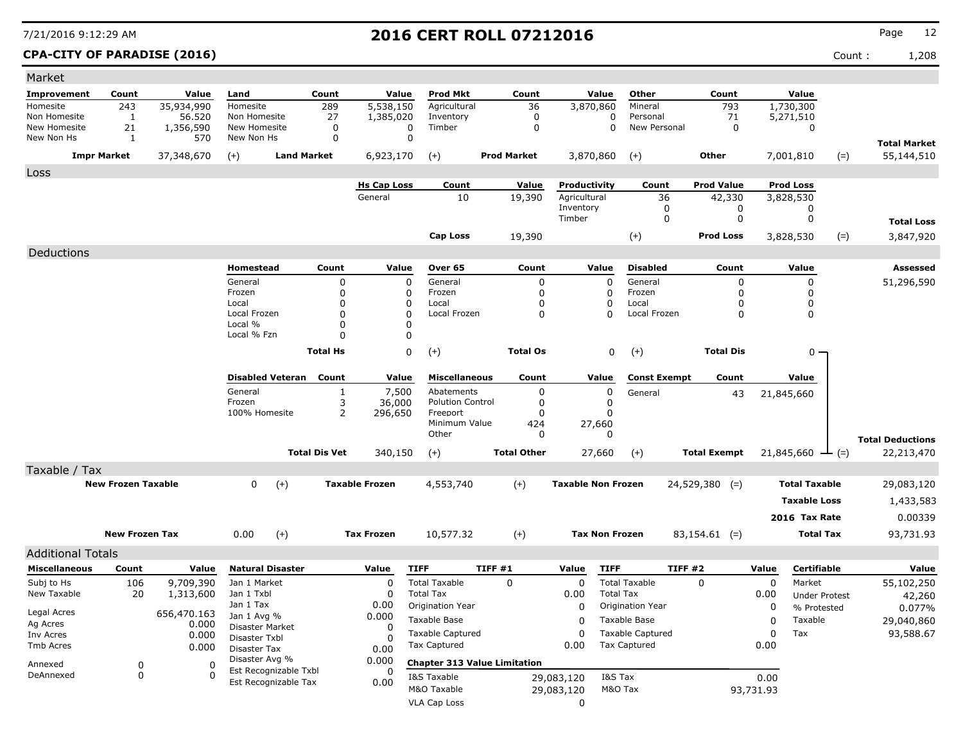### **CPA-CITY OF PARADISE (2016)** Count : 1,208

| Market                             |                           |                        |                                |                         |                      |                         |                                     |                                     |                           |                  |                                |                     |           |                                |        |                         |
|------------------------------------|---------------------------|------------------------|--------------------------------|-------------------------|----------------------|-------------------------|-------------------------------------|-------------------------------------|---------------------------|------------------|--------------------------------|---------------------|-----------|--------------------------------|--------|-------------------------|
| <b>Improvement</b>                 | Count                     | Value                  | Land                           |                         | Count                | Value                   | <b>Prod Mkt</b>                     | Count                               |                           | Value            | Other                          | Count               |           | Value                          |        |                         |
| Homesite                           | 243                       | 35,934,990             | Homesite                       |                         | 289                  | 5,538,150               | Agricultural                        | 36                                  | 3,870,860                 |                  | Mineral                        | 793                 |           | 1,730,300                      |        |                         |
| Non Homesite                       | 1                         | 56,520                 | Non Homesite                   |                         | 27                   | 1,385,020               | Inventory                           | 0                                   |                           | 0                | Personal                       | 71                  |           | 5,271,510                      |        |                         |
| New Homesite                       | 21                        | 1,356,590              | New Homesite                   |                         | $\mathbf 0$          | 0                       | Timber                              | 0                                   |                           | $\mathbf 0$      | New Personal                   | 0                   |           | 0                              |        |                         |
| New Non Hs                         | 1                         | 570                    | New Non Hs                     |                         | 0                    | 0                       |                                     |                                     |                           |                  |                                |                     |           |                                |        | <b>Total Market</b>     |
|                                    | <b>Impr Market</b>        | 37,348,670             | $(+)$                          | <b>Land Market</b>      |                      | 6,923,170               | $(+)$                               | <b>Prod Market</b>                  | 3,870,860                 |                  | $^{(+)}$                       | Other               |           | 7,001,810                      | $(=)$  | 55,144,510              |
| Loss                               |                           |                        |                                |                         |                      |                         |                                     |                                     |                           |                  |                                |                     |           |                                |        |                         |
|                                    |                           |                        |                                |                         |                      | <b>Hs Cap Loss</b>      | Count                               | Value                               | Productivity              |                  | Count                          | <b>Prod Value</b>   |           | <b>Prod Loss</b>               |        |                         |
|                                    |                           |                        |                                |                         |                      | General                 | 10                                  | 19,390                              | Agricultural              |                  | 36                             | 42,330              |           | 3,828,530                      |        |                         |
|                                    |                           |                        |                                |                         |                      |                         |                                     |                                     | Inventory                 |                  | 0<br>$\mathbf 0$               | 0                   |           | 0                              |        |                         |
|                                    |                           |                        |                                |                         |                      |                         |                                     |                                     | Timber                    |                  |                                | 0                   |           | 0                              |        | <b>Total Loss</b>       |
|                                    |                           |                        |                                |                         |                      |                         | <b>Cap Loss</b>                     | 19,390                              |                           |                  | $(+)$                          | <b>Prod Loss</b>    |           | 3,828,530                      | $(=)$  | 3,847,920               |
| Deductions                         |                           |                        |                                |                         |                      |                         |                                     |                                     |                           |                  |                                |                     |           |                                |        |                         |
|                                    |                           |                        | Homestead                      |                         | Count                | Value                   | Over 65                             | Count                               |                           | Value            | <b>Disabled</b>                | Count               |           | Value                          |        | Assessed                |
|                                    |                           |                        | General                        |                         | 0                    | 0                       | General                             | 0                                   |                           | $\Omega$         | General                        | 0                   |           | 0                              |        | 51,296,590              |
|                                    |                           |                        | Frozen                         |                         | 0                    | 0                       | Frozen                              | 0                                   |                           | 0                | Frozen                         | 0                   |           | 0                              |        |                         |
|                                    |                           |                        | Local                          |                         | 0                    | 0                       | Local                               | 0                                   |                           | 0                | Local                          | 0                   |           | 0                              |        |                         |
|                                    |                           |                        | Local Frozen<br>Local %        |                         | $\Omega$<br>0        | $\Omega$<br>$\mathbf 0$ | Local Frozen                        | 0                                   |                           | O                | Local Frozen                   | $\mathbf 0$         |           | 0                              |        |                         |
|                                    |                           |                        | Local % Fzn                    |                         | 0                    | 0                       |                                     |                                     |                           |                  |                                |                     |           |                                |        |                         |
|                                    |                           |                        |                                |                         | <b>Total Hs</b>      | 0                       | $(+)$                               | <b>Total Os</b>                     |                           | 0                | $(+)$                          | <b>Total Dis</b>    |           | 0                              |        |                         |
|                                    |                           |                        |                                |                         |                      |                         |                                     |                                     |                           |                  |                                |                     |           |                                |        |                         |
|                                    |                           |                        |                                | <b>Disabled Veteran</b> | Count                | Value                   | <b>Miscellaneous</b>                | Count                               |                           | Value            | <b>Const Exempt</b>            | Count               |           | Value                          |        |                         |
|                                    |                           |                        | General                        |                         | 1                    | 7,500                   | Abatements                          | 0                                   |                           | 0                | General                        | 43                  |           | 21,845,660                     |        |                         |
|                                    |                           |                        | Frozen                         |                         | 3                    | 36,000                  | <b>Polution Control</b>             | 0                                   |                           | 0                |                                |                     |           |                                |        |                         |
|                                    |                           |                        | 100% Homesite                  |                         | 2                    | 296,650                 | Freeport                            | 0                                   |                           | 0                |                                |                     |           |                                |        |                         |
|                                    |                           |                        |                                |                         |                      |                         | Minimum Value<br>Other              | 424<br>0                            | 27,660                    | $\Omega$         |                                |                     |           |                                |        |                         |
|                                    |                           |                        |                                |                         |                      |                         |                                     |                                     |                           |                  |                                |                     |           |                                |        | <b>Total Deductions</b> |
|                                    |                           |                        |                                |                         | <b>Total Dis Vet</b> | 340,150                 | $(+)$                               | <b>Total Other</b>                  |                           | 27,660           | $(+)$                          | <b>Total Exempt</b> |           | 21,845,660                     | $ (=)$ | 22,213,470              |
| Taxable / Tax                      |                           |                        |                                |                         |                      |                         |                                     |                                     |                           |                  |                                |                     |           |                                |        |                         |
|                                    | <b>New Frozen Taxable</b> |                        | 0                              | $(+)$                   |                      | <b>Taxable Frozen</b>   | 4,553,740                           | $(+)$                               | <b>Taxable Non Frozen</b> |                  |                                | $24,529,380$ (=)    |           | <b>Total Taxable</b>           |        | 29,083,120              |
|                                    |                           |                        |                                |                         |                      |                         |                                     |                                     |                           |                  |                                |                     |           | <b>Taxable Loss</b>            |        | 1,433,583               |
|                                    |                           |                        |                                |                         |                      |                         |                                     |                                     |                           |                  |                                |                     |           | 2016 Tax Rate                  |        | 0.00339                 |
|                                    | <b>New Frozen Tax</b>     |                        | 0.00                           | $(+)$                   |                      | <b>Tax Frozen</b>       | 10,577.32                           | $^{(+)}$                            | <b>Tax Non Frozen</b>     |                  |                                | $83,154.61$ (=)     |           | <b>Total Tax</b>               |        | 93,731.93               |
|                                    |                           |                        |                                |                         |                      |                         |                                     |                                     |                           |                  |                                |                     |           |                                |        |                         |
| <b>Additional Totals</b>           |                           |                        |                                |                         |                      |                         |                                     |                                     |                           |                  |                                |                     |           | Certifiable                    |        |                         |
| <b>Miscellaneous</b><br>Subj to Hs | Count                     | Value                  |                                | <b>Natural Disaster</b> |                      | Value<br>$\Omega$       | <b>TIFF</b><br><b>Total Taxable</b> | TIFF#1<br>$\Omega$                  | Value                     | <b>TIFF</b>      | TIFF#2<br><b>Total Taxable</b> |                     | Value     |                                |        | Value                   |
| New Taxable                        | 106<br>20                 | 9,709,390<br>1,313,600 | Jan 1 Market<br>Jan 1 Txbl     |                         |                      | $\Omega$                | <b>Total Tax</b>                    |                                     | 0<br>0.00                 | <b>Total Tax</b> |                                | 0                   | 0<br>0.00 | Market<br><b>Under Protest</b> |        | 55,102,250              |
|                                    |                           |                        | Jan 1 Tax                      |                         |                      | 0.00                    | Origination Year                    |                                     | 0                         |                  | Origination Year               |                     | 0         | % Protested                    |        | 42,260<br>0.077%        |
| Legal Acres                        |                           | 656,470.163            | Jan 1 Avg %                    |                         |                      | 0.000                   | Taxable Base                        |                                     | 0                         |                  | Taxable Base                   |                     | 0         | Taxable                        |        | 29,040,860              |
| Ag Acres                           |                           | 0.000                  | Disaster Market                |                         |                      | 0                       | <b>Taxable Captured</b>             |                                     | 0                         |                  | <b>Taxable Captured</b>        |                     | 0         | Tax                            |        | 93,588.67               |
| Inv Acres<br>Tmb Acres             |                           | 0.000<br>0.000         | Disaster Txbl                  |                         |                      | 0                       | Tax Captured                        |                                     | 0.00                      |                  | <b>Tax Captured</b>            |                     | 0.00      |                                |        |                         |
|                                    |                           |                        | Disaster Tax<br>Disaster Avg % |                         |                      | 0.00<br>0.000           |                                     |                                     |                           |                  |                                |                     |           |                                |        |                         |
| Annexed                            | 0                         | 0                      |                                | Est Recognizable Txbl   |                      | 0                       |                                     | <b>Chapter 313 Value Limitation</b> |                           |                  |                                |                     |           |                                |        |                         |
| DeAnnexed                          | 0                         | $\Omega$               |                                | Est Recognizable Tax    |                      | 0.00                    | I&S Taxable                         |                                     | 29,083,120                | I&S Tax          |                                |                     | 0.00      |                                |        |                         |
|                                    |                           |                        |                                |                         |                      |                         | M&O Taxable                         |                                     | 29,083,120                | M&O Tax          |                                |                     | 93,731.93 |                                |        |                         |
|                                    |                           |                        |                                |                         |                      |                         | <b>VLA Cap Loss</b>                 |                                     | 0                         |                  |                                |                     |           |                                |        |                         |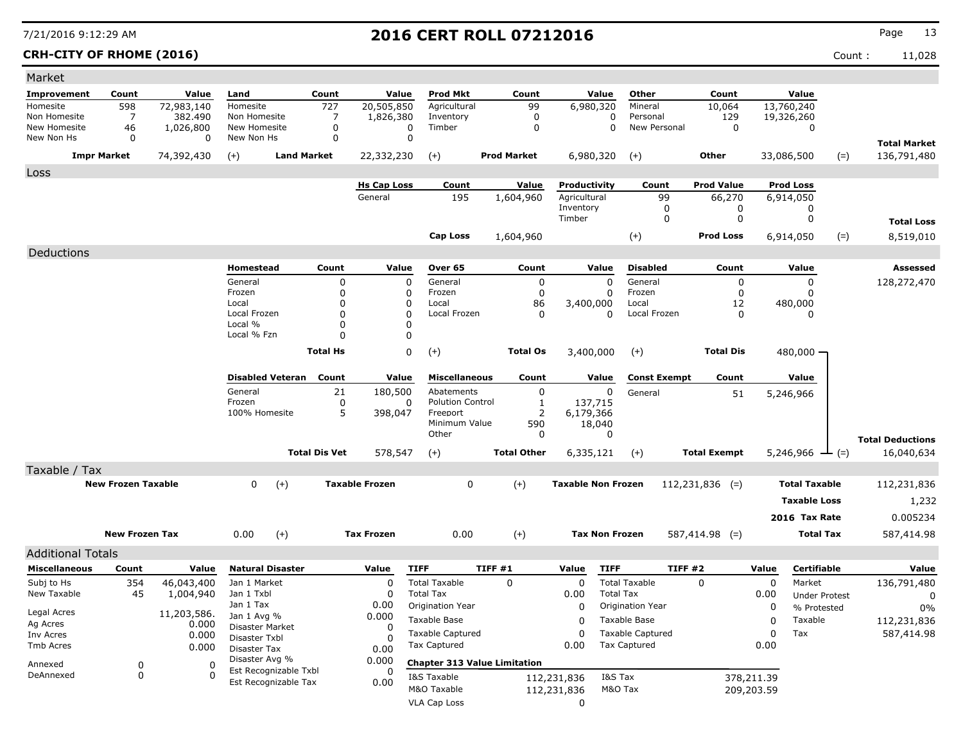### **CRH-CITY OF RHOME (2016)** Count : 11,028

| Market                     |                           |                       |                                         |                      |                       |                                     |                    |                     |                           |                         |                     |                     |             |                      |        |                                    |
|----------------------------|---------------------------|-----------------------|-----------------------------------------|----------------------|-----------------------|-------------------------------------|--------------------|---------------------|---------------------------|-------------------------|---------------------|---------------------|-------------|----------------------|--------|------------------------------------|
| <b>Improvement</b>         | Count                     | Value                 | Land                                    | Count                | Value                 | <b>Prod Mkt</b>                     |                    | Count               | Value                     | Other                   |                     | Count               |             | Value                |        |                                    |
| Homesite                   | 598                       | 72,983,140            | Homesite                                | 727                  | 20,505,850            | Agricultural                        |                    | 99                  | 6,980,320                 | Mineral                 |                     | 10,064              |             | 13,760,240           |        |                                    |
| Non Homesite               | 7                         | 382,490               | Non Homesite                            | 7                    | 1,826,380             | Inventory                           |                    | $\mathbf 0$         |                           | Personal<br>0           |                     | 129                 |             | 19,326,260           |        |                                    |
| New Homesite<br>New Non Hs | 46<br>0                   | 1,026,800<br>$\Omega$ | New Homesite<br>New Non Hs              | 0<br>0               | 0<br>$\mathbf 0$      | Timber                              |                    | $\mathbf 0$         |                           | $\mathbf 0$             | New Personal        | $\mathbf 0$         |             | 0                    |        |                                    |
|                            | <b>Impr Market</b>        | 74,392,430            |                                         | <b>Land Market</b>   |                       |                                     | <b>Prod Market</b> |                     | 6,980,320                 |                         |                     | Other               |             | 33,086,500           |        | <b>Total Market</b><br>136,791,480 |
|                            |                           |                       | $(+)$                                   |                      | 22,332,230            | $(+)$                               |                    |                     |                           | $(+)$                   |                     |                     |             |                      | $(=)$  |                                    |
| Loss                       |                           |                       |                                         |                      | <b>Hs Cap Loss</b>    | Count                               |                    | Value               | Productivity              |                         |                     | <b>Prod Value</b>   |             | <b>Prod Loss</b>     |        |                                    |
|                            |                           |                       |                                         |                      | General               | 195                                 | 1,604,960          |                     | Agricultural              |                         | Count<br>99         | 66,270              |             | 6,914,050            |        |                                    |
|                            |                           |                       |                                         |                      |                       |                                     |                    |                     | Inventory                 |                         | 0                   | 0                   |             | 0                    |        |                                    |
|                            |                           |                       |                                         |                      |                       |                                     |                    |                     | Timber                    |                         | 0                   | 0                   |             | 0                    |        | <b>Total Loss</b>                  |
|                            |                           |                       |                                         |                      |                       | Cap Loss                            | 1,604,960          |                     |                           | $(+)$                   |                     | <b>Prod Loss</b>    |             | 6,914,050            | $(=)$  | 8,519,010                          |
| Deductions                 |                           |                       |                                         |                      |                       |                                     |                    |                     |                           |                         |                     |                     |             |                      |        |                                    |
|                            |                           |                       | Homestead                               | Count                | Value                 | Over 65                             |                    | Count               | Value                     | <b>Disabled</b>         |                     | Count               |             | Value                |        | Assessed                           |
|                            |                           |                       | General                                 | 0                    | 0                     | General                             |                    | 0                   |                           | $\mathbf 0$<br>General  |                     | 0                   |             | 0                    |        | 128,272,470                        |
|                            |                           |                       | Frozen                                  | 0                    | 0                     | Frozen                              |                    | 0                   |                           | Frozen<br>0             |                     | 0                   |             | 0                    |        |                                    |
|                            |                           |                       | Local                                   | 0<br>0               | 0<br>$\Omega$         | Local                               |                    | 86                  | 3,400,000                 | Local                   |                     | 12                  |             | 480,000              |        |                                    |
|                            |                           |                       | Local Frozen<br>Local %                 | 0                    | O                     | Local Frozen                        |                    | 0                   |                           | 0                       | Local Frozen        | 0                   |             | 0                    |        |                                    |
|                            |                           |                       | Local % Fzn                             | 0                    | O                     |                                     |                    |                     |                           |                         |                     |                     |             |                      |        |                                    |
|                            |                           |                       |                                         | <b>Total Hs</b>      | 0                     | $(+)$                               |                    | <b>Total Os</b>     | 3,400,000                 | $(+)$                   |                     | <b>Total Dis</b>    |             | $480,000 -$          |        |                                    |
|                            |                           |                       |                                         |                      |                       |                                     |                    |                     |                           |                         |                     |                     |             |                      |        |                                    |
|                            |                           |                       | <b>Disabled Veteran</b>                 | Count                | Value                 | <b>Miscellaneous</b>                |                    | Count               | Value                     |                         | <b>Const Exempt</b> | Count               |             | Value                |        |                                    |
|                            |                           |                       | General                                 | 21                   | 180,500               | Abatements                          |                    | $\mathbf 0$         |                           | 0<br>General            |                     | 51                  |             | 5,246,966            |        |                                    |
|                            |                           |                       | Frozen<br>100% Homesite                 | 0<br>5               | 0<br>398,047          | <b>Polution Control</b><br>Freeport |                    | 1<br>$\overline{2}$ | 137,715<br>6,179,366      |                         |                     |                     |             |                      |        |                                    |
|                            |                           |                       |                                         |                      |                       | Minimum Value                       |                    | 590                 | 18,040                    |                         |                     |                     |             |                      |        |                                    |
|                            |                           |                       |                                         |                      |                       | Other                               |                    | 0                   |                           | 0                       |                     |                     |             |                      |        | <b>Total Deductions</b>            |
|                            |                           |                       |                                         | <b>Total Dis Vet</b> | 578,547               | $(+)$                               | <b>Total Other</b> |                     | 6,335,121                 | $(+)$                   |                     | <b>Total Exempt</b> |             | 5,246,966            | $ (=)$ | 16,040,634                         |
| Taxable / Tax              |                           |                       |                                         |                      |                       |                                     |                    |                     |                           |                         |                     |                     |             |                      |        |                                    |
|                            | <b>New Frozen Taxable</b> |                       | $(+)$<br>$\mathbf{0}$                   |                      | <b>Taxable Frozen</b> | 0                                   | $(+)$              |                     | <b>Taxable Non Frozen</b> |                         |                     | $112,231,836$ (=)   |             | <b>Total Taxable</b> |        | 112,231,836                        |
|                            |                           |                       |                                         |                      |                       |                                     |                    |                     |                           |                         |                     |                     |             | <b>Taxable Loss</b>  |        | 1,232                              |
|                            |                           |                       |                                         |                      |                       |                                     |                    |                     |                           |                         |                     |                     |             | 2016 Tax Rate        |        | 0.005234                           |
|                            |                           |                       |                                         |                      |                       |                                     |                    |                     |                           |                         |                     |                     |             |                      |        |                                    |
|                            | <b>New Frozen Tax</b>     |                       | $(+)$<br>0.00                           |                      | <b>Tax Frozen</b>     | 0.00                                | $(+)$              |                     | <b>Tax Non Frozen</b>     |                         |                     | $587,414.98$ (=)    |             | <b>Total Tax</b>     |        | 587,414.98                         |
| <b>Additional Totals</b>   |                           |                       |                                         |                      |                       |                                     |                    |                     |                           |                         |                     |                     |             |                      |        |                                    |
| <b>Miscellaneous</b>       | Count                     | Value                 | <b>Natural Disaster</b>                 |                      | Value                 | <b>TIFF</b>                         | <b>TIFF #1</b>     |                     | Value                     | <b>TIFF</b>             | TIFF #2             |                     | Value       | Certifiable          |        | Value                              |
| Subj to Hs                 | 354                       | 46,043,400            | Jan 1 Market                            |                      | $\Omega$              | <b>Total Taxable</b>                | $\Omega$           |                     | $\Omega$                  | <b>Total Taxable</b>    |                     | $\Omega$            | $\Omega$    | Market               |        | 136,791,480                        |
| New Taxable                | 45                        | 1,004,940             | Jan 1 Txbl                              |                      |                       | <b>Total Tax</b>                    |                    |                     | 0.00                      | <b>Total Tax</b>        |                     |                     | 0.00        | <b>Under Protest</b> |        | 0                                  |
| Legal Acres                |                           | 11,203,586.           | Jan 1 Tax<br>Jan 1 Avg %                |                      | 0.00<br>0.000         | Origination Year                    |                    |                     | 0                         | Origination Year        |                     |                     | 0           | % Protested          |        | $0\%$                              |
| Ag Acres                   |                           | 0.000                 | Disaster Market                         |                      | 0                     | Taxable Base                        |                    |                     | 0                         | Taxable Base            |                     |                     | 0           | Taxable              |        | 112,231,836                        |
| Inv Acres                  |                           | 0.000                 | Disaster Txbl                           |                      |                       | Taxable Captured                    |                    |                     | 0                         | <b>Taxable Captured</b> |                     |                     | $\mathbf 0$ | Tax                  |        | 587,414.98                         |
| Tmb Acres                  |                           | 0.000                 | Disaster Tax                            |                      | 0.00                  | Tax Captured                        |                    |                     | 0.00                      | Tax Captured            |                     |                     | 0.00        |                      |        |                                    |
| Annexed                    | 0                         | 0                     | Disaster Avg %<br>Est Recognizable Txbl |                      | 0.000<br>0            | <b>Chapter 313 Value Limitation</b> |                    |                     |                           |                         |                     |                     |             |                      |        |                                    |
| DeAnnexed                  | 0                         | 0                     | Est Recognizable Tax                    |                      | 0.00                  | I&S Taxable                         |                    |                     | 112,231,836               | I&S Tax                 |                     |                     | 378,211.39  |                      |        |                                    |
|                            |                           |                       |                                         |                      |                       | M&O Taxable                         |                    |                     | 112,231,836               | M&O Tax                 |                     |                     | 209,203.59  |                      |        |                                    |
|                            |                           |                       |                                         |                      |                       | <b>VLA Cap Loss</b>                 |                    |                     | 0                         |                         |                     |                     |             |                      |        |                                    |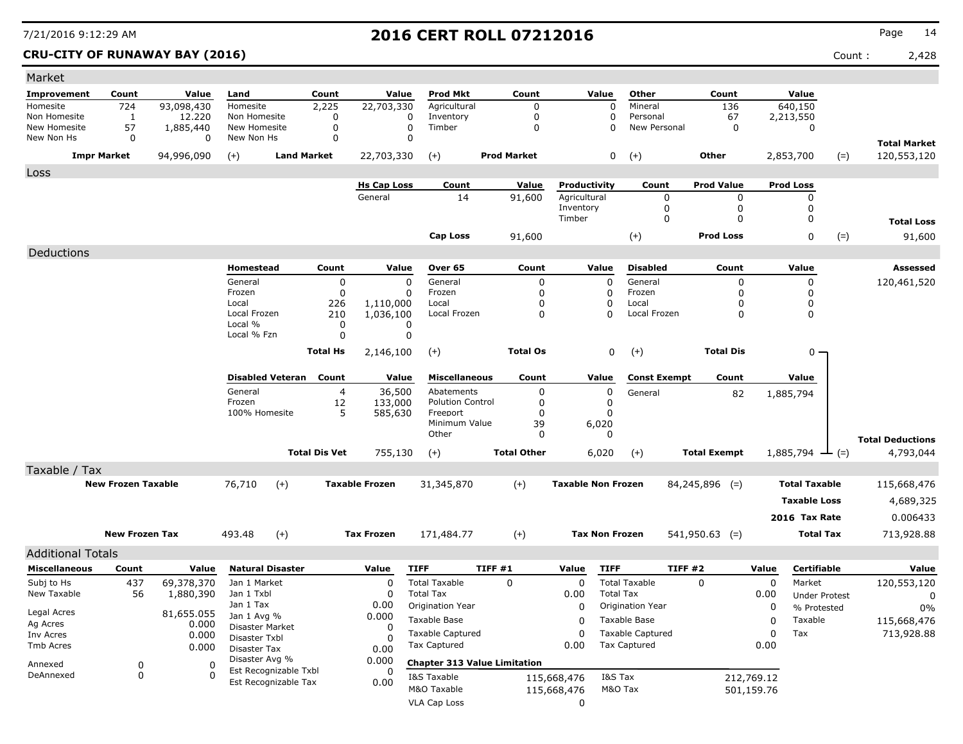**CRU-CITY OF RUNAWAY BAY (2016)** Count : 2,428

| Market                     |                           |                     |                                  |                         |                      |                       |                                     |        |                    |                           |                       |                         |                     |            |                      |       |                                      |
|----------------------------|---------------------------|---------------------|----------------------------------|-------------------------|----------------------|-----------------------|-------------------------------------|--------|--------------------|---------------------------|-----------------------|-------------------------|---------------------|------------|----------------------|-------|--------------------------------------|
| Improvement                | Count                     | Value               | Land                             |                         | Count                | Value                 | <b>Prod Mkt</b>                     |        | Count              |                           | Value                 | Other                   | Count               |            | Value                |       |                                      |
| Homesite                   | 724                       | 93,098,430          | Homesite                         |                         | 2,225                | 22,703,330            | Agricultural                        |        | 0                  |                           | $\Omega$              | Mineral                 | 136                 |            | 640,150              |       |                                      |
| Non Homesite               | 1                         | 12,220              | Non Homesite                     |                         | $\Omega$             |                       | Inventory<br>0                      |        | 0                  |                           | $\Omega$              | Personal                | 67                  |            | 2,213,550            |       |                                      |
| New Homesite<br>New Non Hs | 57<br>$\mathbf 0$         | 1,885,440<br>0      | New Homesite<br>New Non Hs       |                         | 0<br>$\Omega$        |                       | $\mathbf 0$<br>Timber<br>0          |        | 0                  |                           | $\Omega$              | New Personal            | 0                   |            | 0                    |       |                                      |
|                            | <b>Impr Market</b>        | 94,996,090          | $(+)$                            | <b>Land Market</b>      |                      | 22,703,330            | $(+)$                               |        | <b>Prod Market</b> |                           | 0                     | $(+)$                   | <b>Other</b>        |            | 2,853,700            | $(=)$ | <b>Total Market</b><br>120,553,120   |
| Loss                       |                           |                     |                                  |                         |                      |                       |                                     |        |                    |                           |                       |                         |                     |            |                      |       |                                      |
|                            |                           |                     |                                  |                         |                      | <b>Hs Cap Loss</b>    | Count                               |        | Value              | Productivity              |                       | Count                   | <b>Prod Value</b>   |            | <b>Prod Loss</b>     |       |                                      |
|                            |                           |                     |                                  |                         |                      | General               | 14                                  |        | 91,600             | Agricultural              |                       | 0                       | 0                   |            | 0                    |       |                                      |
|                            |                           |                     |                                  |                         |                      |                       |                                     |        |                    | Inventory<br>Timber       |                       | 0<br>0                  | 0<br>0              |            | 0<br>0               |       |                                      |
|                            |                           |                     |                                  |                         |                      |                       |                                     |        |                    |                           |                       |                         |                     |            |                      |       | <b>Total Loss</b>                    |
|                            |                           |                     |                                  |                         |                      |                       | <b>Cap Loss</b>                     |        | 91,600             |                           |                       | $(+)$                   | <b>Prod Loss</b>    |            | 0                    | $(=)$ | 91,600                               |
| Deductions                 |                           |                     |                                  |                         |                      |                       |                                     |        |                    |                           |                       |                         |                     |            |                      |       |                                      |
|                            |                           |                     | Homestead                        |                         | Count                | Value                 | Over 65                             |        | Count              |                           | Value                 | <b>Disabled</b>         | Count               |            | Value                |       | Assessed                             |
|                            |                           |                     | General                          |                         | 0                    | $\Omega$              | General                             |        | 0                  |                           | 0                     | General                 | 0                   |            | 0                    |       | 120,461,520                          |
|                            |                           |                     | Frozen<br>Local                  |                         | 0<br>226             | 0<br>1,110,000        | Frozen<br>Local                     |        | $\mathbf 0$<br>0   |                           | 0<br>0                | Frozen<br>Local         | 0<br>0              |            | 0<br>0               |       |                                      |
|                            |                           |                     | Local Frozen                     |                         | 210                  | 1,036,100             | Local Frozen                        |        | 0                  |                           | $\mathbf 0$           | Local Frozen            | 0                   |            | 0                    |       |                                      |
|                            |                           |                     | Local %                          |                         | 0                    | 0                     |                                     |        |                    |                           |                       |                         |                     |            |                      |       |                                      |
|                            |                           |                     | Local % Fzn                      |                         | 0                    | $\Omega$              |                                     |        |                    |                           |                       |                         |                     |            |                      |       |                                      |
|                            |                           |                     |                                  |                         | <b>Total Hs</b>      | 2,146,100             | $(+)$                               |        | <b>Total Os</b>    |                           | 0                     | $(+)$                   | <b>Total Dis</b>    |            | 0 -                  |       |                                      |
|                            |                           |                     |                                  | <b>Disabled Veteran</b> | Count                | Value                 | <b>Miscellaneous</b>                |        | Count              |                           | Value                 | <b>Const Exempt</b>     | Count               |            | Value                |       |                                      |
|                            |                           |                     | General                          |                         | 4                    | 36,500                | Abatements                          |        | 0                  |                           | 0                     | General                 | 82                  |            | 1,885,794            |       |                                      |
|                            |                           |                     | Frozen                           |                         | 12                   | 133,000               | <b>Polution Control</b>             |        | 0                  |                           | 0                     |                         |                     |            |                      |       |                                      |
|                            |                           |                     | 100% Homesite                    |                         | 5                    | 585,630               | Freeport<br>Minimum Value           |        | $\Omega$<br>39     |                           | 0<br>6,020            |                         |                     |            |                      |       |                                      |
|                            |                           |                     |                                  |                         |                      |                       | Other                               |        | 0                  |                           | 0                     |                         |                     |            |                      |       |                                      |
|                            |                           |                     |                                  |                         | <b>Total Dis Vet</b> | 755,130               | $(+)$                               |        | <b>Total Other</b> |                           | 6,020                 | $(+)$                   | <b>Total Exempt</b> |            | 1,885,794            | $(=)$ | <b>Total Deductions</b><br>4,793,044 |
|                            |                           |                     |                                  |                         |                      |                       |                                     |        |                    |                           |                       |                         |                     |            |                      |       |                                      |
| Taxable / Tax              | <b>New Frozen Taxable</b> |                     |                                  |                         |                      | <b>Taxable Frozen</b> |                                     |        |                    | <b>Taxable Non Frozen</b> |                       |                         |                     |            | <b>Total Taxable</b> |       |                                      |
|                            |                           |                     | 76,710                           | $(+)$                   |                      |                       | 31,345,870                          |        | $(+)$              |                           |                       |                         | $84,245,896$ (=)    |            |                      |       | 115,668,476                          |
|                            |                           |                     |                                  |                         |                      |                       |                                     |        |                    |                           |                       |                         |                     |            | <b>Taxable Loss</b>  |       | 4,689,325                            |
|                            |                           |                     |                                  |                         |                      |                       |                                     |        |                    |                           |                       |                         |                     |            | 2016 Tax Rate        |       | 0.006433                             |
|                            | <b>New Frozen Tax</b>     |                     | 493.48                           | $(+)$                   |                      | <b>Tax Frozen</b>     | 171,484.77                          |        | $(+)$              |                           | <b>Tax Non Frozen</b> |                         | $541,950.63$ (=)    |            | <b>Total Tax</b>     |       | 713,928.88                           |
| <b>Additional Totals</b>   |                           |                     |                                  |                         |                      |                       |                                     |        |                    |                           |                       |                         |                     |            |                      |       |                                      |
| <b>Miscellaneous</b>       | Count                     | Value               |                                  | <b>Natural Disaster</b> |                      | Value                 | <b>TIFF</b>                         | TIFF#1 |                    | Value                     | <b>TIFF</b>           |                         | TIFF#2              | Value      | Certifiable          |       | Value                                |
| Subj to Hs                 | 437                       | 69,378,370          | Jan 1 Market                     |                         |                      | $\mathbf 0$           | <b>Total Taxable</b>                |        | 0                  | $\mathbf 0$               |                       | <b>Total Taxable</b>    | 0                   | $\Omega$   | Market               |       | 120,553,120                          |
| New Taxable                | 56                        | 1,880,390           | Jan 1 Txbl                       |                         |                      | 0                     | <b>Total Tax</b>                    |        |                    | 0.00                      | <b>Total Tax</b>      |                         |                     | 0.00       | <b>Under Protest</b> |       | 0                                    |
|                            |                           |                     | Jan 1 Tax                        |                         |                      | 0.00                  | Origination Year                    |        |                    | 0                         |                       | Origination Year        |                     | 0          | % Protested          |       | $0\%$                                |
| Legal Acres<br>Ag Acres    |                           | 81,655.055<br>0.000 | Jan 1 Avg %                      |                         |                      | 0.000                 | Taxable Base                        |        |                    | 0                         |                       | Taxable Base            |                     | 0          | Taxable              |       | 115,668,476                          |
| Inv Acres                  |                           | 0.000               | Disaster Market<br>Disaster Txbl |                         |                      | 0                     | <b>Taxable Captured</b>             |        |                    | $\Omega$                  |                       | <b>Taxable Captured</b> |                     | 0          | Tax                  |       | 713,928.88                           |
| Tmb Acres                  |                           | 0.000               | Disaster Tax                     |                         |                      | $\Omega$<br>0.00      | Tax Captured                        |        |                    | 0.00                      |                       | <b>Tax Captured</b>     |                     | 0.00       |                      |       |                                      |
| Annexed                    | 0                         | 0                   | Disaster Avg %                   |                         |                      | 0.000                 | <b>Chapter 313 Value Limitation</b> |        |                    |                           |                       |                         |                     |            |                      |       |                                      |
| DeAnnexed                  | 0                         | 0                   |                                  | Est Recognizable Txbl   |                      | 0                     | I&S Taxable                         |        |                    | 115,668,476               | I&S Tax               |                         |                     | 212,769.12 |                      |       |                                      |
|                            |                           |                     |                                  | Est Recognizable Tax    |                      | 0.00                  | M&O Taxable                         |        |                    | 115,668,476               | M&O Tax               |                         |                     | 501,159.76 |                      |       |                                      |
|                            |                           |                     |                                  |                         |                      |                       | <b>VLA Cap Loss</b>                 |        |                    | 0                         |                       |                         |                     |            |                      |       |                                      |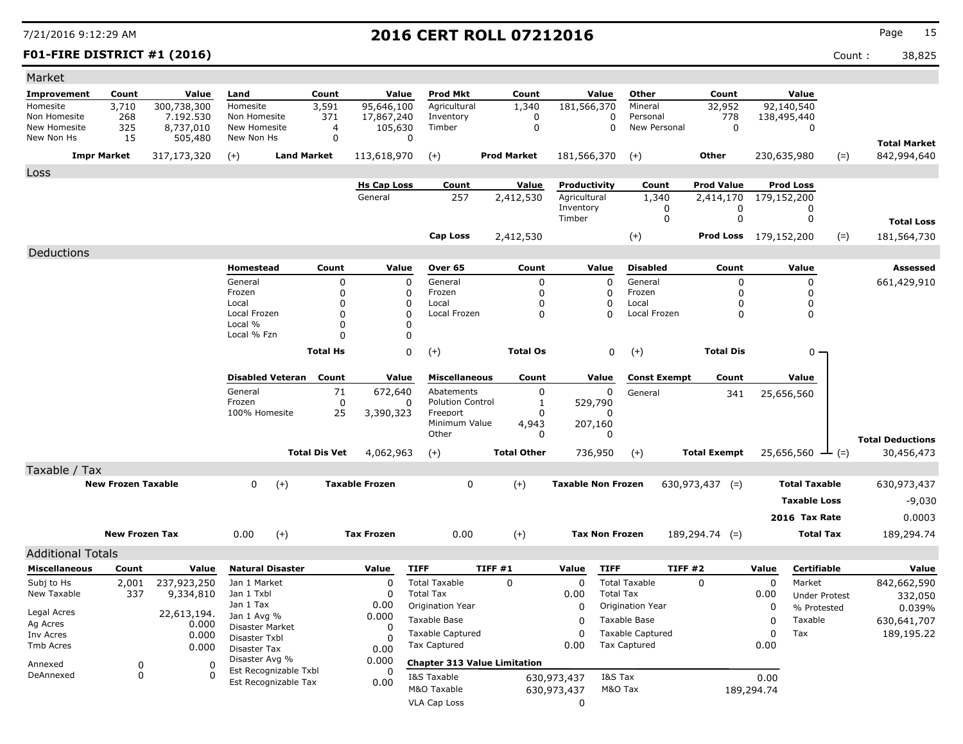### **F01-FIRE DISTRICT #1 (2016)** Count : 38,825

| Market                     |                           |                      |                                         |                       |                            |                         |                                     |         |                    |                              |                       |                         |                              |             |                      |        |                                       |
|----------------------------|---------------------------|----------------------|-----------------------------------------|-----------------------|----------------------------|-------------------------|-------------------------------------|---------|--------------------|------------------------------|-----------------------|-------------------------|------------------------------|-------------|----------------------|--------|---------------------------------------|
| Improvement                | Count                     | Value                | Land                                    | Count                 |                            | Value                   | <b>Prod Mkt</b>                     |         | Count              |                              | Value                 | Other                   | Count                        |             | Value                |        |                                       |
| Homesite                   | 3,710                     | 300,738,300          | Homesite                                | 3,591                 |                            | 95,646,100              | Agricultural                        |         | 1,340              | 181,566,370                  |                       | Mineral                 | 32,952                       |             | 92,140,540           |        |                                       |
| Non Homesite               | 268                       | 7.192.530            | Non Homesite                            |                       | 371                        | 17,867,240              | Inventory                           |         | $\mathbf 0$        |                              | $\Omega$              | Personal                | 778                          |             | 138,495,440          |        |                                       |
| New Homesite<br>New Non Hs | 325<br>15                 | 8,737,010<br>505,480 | New Homesite<br>New Non Hs              |                       | 4<br>0                     | 105,630<br>0            | Timber                              |         | $\mathbf 0$        |                              | 0                     | New Personal            | $\mathbf 0$                  |             | 0                    |        |                                       |
|                            |                           |                      |                                         |                       |                            |                         |                                     |         |                    |                              |                       |                         |                              |             |                      |        | <b>Total Market</b>                   |
|                            | <b>Impr Market</b>        | 317,173,320          | $(+)$                                   | <b>Land Market</b>    |                            | 113,618,970             | $(+)$                               |         | <b>Prod Market</b> | 181,566,370                  |                       | $(+)$                   | <b>Other</b>                 |             | 230,635,980          | $(=)$  | 842,994,640                           |
| Loss                       |                           |                      |                                         |                       |                            |                         |                                     |         |                    |                              |                       |                         |                              |             |                      |        |                                       |
|                            |                           |                      |                                         |                       |                            | <b>Hs Cap Loss</b>      | Count                               |         | Value              | Productivity<br>Agricultural |                       | Count                   | <b>Prod Value</b>            |             | <b>Prod Loss</b>     |        |                                       |
|                            |                           |                      |                                         |                       |                            | General                 | 257                                 |         | 2,412,530          | Inventory                    |                       | 1,340<br>0              | 2,414,170<br>0               |             | 179,152,200<br>0     |        |                                       |
|                            |                           |                      |                                         |                       |                            |                         |                                     |         |                    | Timber                       |                       | $\mathbf 0$             | $\mathbf 0$                  |             | $\mathbf 0$          |        | <b>Total Loss</b>                     |
|                            |                           |                      |                                         |                       |                            |                         | <b>Cap Loss</b>                     |         | 2,412,530          |                              |                       | $(+)$                   | <b>Prod Loss</b> 179,152,200 |             |                      | $(=)$  | 181,564,730                           |
| Deductions                 |                           |                      |                                         |                       |                            |                         |                                     |         |                    |                              |                       |                         |                              |             |                      |        |                                       |
|                            |                           |                      | Homestead                               |                       | Count                      | Value                   | Over 65                             |         | Count              |                              | Value                 | <b>Disabled</b>         | Count                        |             | Value                |        | <b>Assessed</b>                       |
|                            |                           |                      | General                                 |                       | $\mathbf 0$                | $\mathbf 0$             | General                             |         | $\mathbf 0$        |                              | $\mathbf 0$           | General                 | $\mathbf 0$                  |             | 0                    |        |                                       |
|                            |                           |                      | Frozen                                  |                       | 0                          | $\Omega$                | Frozen                              |         | $\mathbf 0$        |                              | $\Omega$              | Frozen                  | $\Omega$                     |             | $\Omega$             |        | 661,429,910                           |
|                            |                           |                      | Local                                   |                       | $\mathbf 0$                | 0                       | Local                               |         | $\mathbf 0$        |                              | $\mathbf 0$           | Local                   | $\mathbf 0$                  |             | 0                    |        |                                       |
|                            |                           |                      | Local Frozen                            |                       | $\mathbf 0$                | $\Omega$                | Local Frozen                        |         | 0                  |                              | $\Omega$              | Local Frozen            | 0                            |             | 0                    |        |                                       |
|                            |                           |                      | Local %<br>Local % Fzn                  |                       | $\mathbf 0$<br>$\mathbf 0$ | $\Omega$<br>$\mathbf 0$ |                                     |         |                    |                              |                       |                         |                              |             |                      |        |                                       |
|                            |                           |                      |                                         |                       |                            |                         |                                     |         |                    |                              |                       |                         |                              |             |                      |        |                                       |
|                            |                           |                      |                                         | <b>Total Hs</b>       |                            | $\mathbf 0$             | $(+)$                               |         | <b>Total Os</b>    |                              | 0                     | $(+)$                   | <b>Total Dis</b>             |             | 0                    |        |                                       |
|                            |                           |                      | <b>Disabled Veteran</b>                 |                       | Count                      | Value                   | <b>Miscellaneous</b>                |         | Count              |                              | Value                 | <b>Const Exempt</b>     | Count                        |             | Value                |        |                                       |
|                            |                           |                      | General                                 |                       | 71                         | 672,640                 | Abatements                          |         | $\pmb{0}$          |                              | 0                     | General                 | 341                          |             | 25,656,560           |        |                                       |
|                            |                           |                      | Frozen                                  |                       | $\mathbf 0$                | 0                       | <b>Polution Control</b>             |         | 1                  |                              | 529,790               |                         |                              |             |                      |        |                                       |
|                            |                           |                      | 100% Homesite                           |                       | 25                         | 3,390,323               | Freeport<br>Minimum Value           |         | $\Omega$<br>4,943  |                              | 207,160               |                         |                              |             |                      |        |                                       |
|                            |                           |                      |                                         |                       |                            |                         | Other                               |         | 0                  |                              | $\Omega$              |                         |                              |             |                      |        |                                       |
|                            |                           |                      |                                         | <b>Total Dis Vet</b>  |                            | 4,062,963               | $(+)$                               |         | <b>Total Other</b> |                              | 736,950               | $(+)$                   | <b>Total Exempt</b>          |             | 25,656,560           | $ (=)$ | <b>Total Deductions</b><br>30,456,473 |
| Taxable / Tax              |                           |                      |                                         |                       |                            |                         |                                     |         |                    |                              |                       |                         |                              |             |                      |        |                                       |
|                            | <b>New Frozen Taxable</b> |                      | $\Omega$                                | $(+)$                 |                            | <b>Taxable Frozen</b>   | 0                                   |         | $(+)$              | <b>Taxable Non Frozen</b>    |                       |                         | $630,973,437$ (=)            |             | <b>Total Taxable</b> |        | 630,973,437                           |
|                            |                           |                      |                                         |                       |                            |                         |                                     |         |                    |                              |                       |                         |                              |             |                      |        |                                       |
|                            |                           |                      |                                         |                       |                            |                         |                                     |         |                    |                              |                       |                         |                              |             | <b>Taxable Loss</b>  |        | -9,030                                |
|                            |                           |                      |                                         |                       |                            |                         |                                     |         |                    |                              |                       |                         |                              |             | 2016 Tax Rate        |        | 0.0003                                |
|                            | <b>New Frozen Tax</b>     |                      | 0.00                                    | $(+)$                 |                            | <b>Tax Frozen</b>       | 0.00                                |         | $(+)$              |                              | <b>Tax Non Frozen</b> |                         | $189,294.74$ (=)             |             | <b>Total Tax</b>     |        | 189,294.74                            |
| <b>Additional Totals</b>   |                           |                      |                                         |                       |                            |                         |                                     |         |                    |                              |                       |                         |                              |             |                      |        |                                       |
| <b>Miscellaneous</b>       | Count                     | Value                | <b>Natural Disaster</b>                 |                       |                            | Value                   | <b>TIFF</b>                         | TIFF #1 |                    | Value                        | <b>TIFF</b>           |                         | <b>TIFF #2</b>               | Value       | Certifiable          |        | Value                                 |
| Subj to Hs                 | 2,001                     | 237,923,250          | Jan 1 Market                            |                       |                            | $\Omega$                | <b>Total Taxable</b>                |         | $\Omega$           | $\Omega$                     |                       | <b>Total Taxable</b>    | $\Omega$                     | $\Omega$    | Market               |        | 842,662,590                           |
| New Taxable                | 337                       | 9,334,810            | Jan 1 Txbl                              |                       |                            | $\Omega$                | <b>Total Tax</b>                    |         |                    | 0.00                         | <b>Total Tax</b>      |                         |                              | 0.00        | <b>Under Protest</b> |        | 332,050                               |
|                            |                           |                      | Jan 1 Tax                               |                       |                            | 0.00                    | Origination Year                    |         |                    | 0                            |                       | Origination Year        |                              | $\mathbf 0$ | % Protested          |        | 0.039%                                |
| Legal Acres<br>Ag Acres    |                           | 22,613,194.<br>0.000 | Jan 1 Avg %                             |                       |                            | 0.000                   | <b>Taxable Base</b>                 |         |                    | $\Omega$                     |                       | Taxable Base            |                              | 0           | Taxable              |        | 630,641,707                           |
| Inv Acres                  |                           | 0.000                | <b>Disaster Market</b><br>Disaster Txbl |                       |                            | $\Omega$<br>$\Omega$    | <b>Taxable Captured</b>             |         |                    | $\mathbf 0$                  |                       | <b>Taxable Captured</b> |                              | 0           | Tax                  |        | 189,195.22                            |
| Tmb Acres                  |                           | 0.000                | Disaster Tax                            |                       |                            | 0.00                    | <b>Tax Captured</b>                 |         |                    | 0.00                         |                       | <b>Tax Captured</b>     |                              | 0.00        |                      |        |                                       |
| Annexed                    | 0                         | $\mathbf 0$          | Disaster Avg %                          |                       |                            | 0.000                   | <b>Chapter 313 Value Limitation</b> |         |                    |                              |                       |                         |                              |             |                      |        |                                       |
| DeAnnexed                  | $\Omega$                  | $\Omega$             |                                         | Est Recognizable Txbl |                            | $\Omega$                | I&S Taxable                         |         |                    | 630,973,437                  | I&S Tax               |                         |                              | 0.00        |                      |        |                                       |
|                            |                           |                      |                                         | Est Recognizable Tax  |                            | 0.00                    | M&O Taxable                         |         |                    | 630,973,437                  | M&O Tax               |                         |                              | 189,294.74  |                      |        |                                       |
|                            |                           |                      |                                         |                       |                            |                         | <b>VLA Cap Loss</b>                 |         |                    | 0                            |                       |                         |                              |             |                      |        |                                       |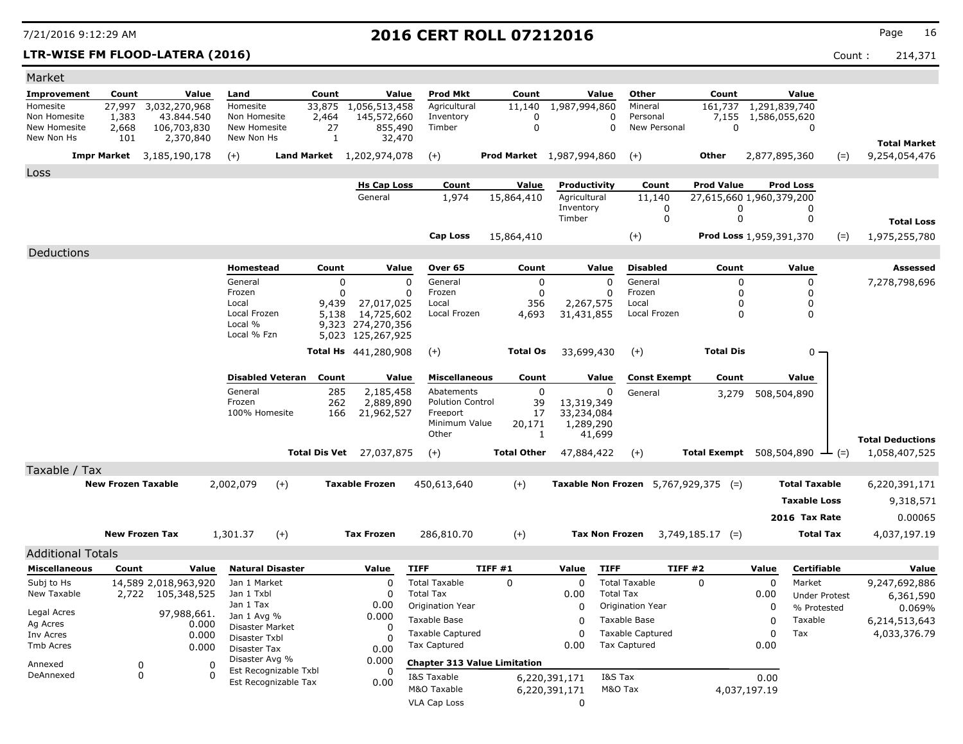### **LTR-WISE FM FLOOD-LATERA (2016)** 214,371

| Market                   |                           |                             |                |                                    |                       |                      |                                  |                                      |                                  |                     |                       |                                             |                                 |                                |                        |        |                         |
|--------------------------|---------------------------|-----------------------------|----------------|------------------------------------|-----------------------|----------------------|----------------------------------|--------------------------------------|----------------------------------|---------------------|-----------------------|---------------------------------------------|---------------------------------|--------------------------------|------------------------|--------|-------------------------|
| Improvement              | Count                     | Value                       |                | Land                               |                       | Count                | Value                            | Prod Mkt                             | Count                            |                     | Value                 | Other                                       | Count                           |                                | Value                  |        |                         |
| Homesite<br>Non Homesite | 27,997<br>1,383           | 3,032,270,968<br>43.844.540 |                | Homesite<br>Non Homesite           |                       | 33,875<br>2,464      | 1,056,513,458<br>145,572,660     | Agricultural<br>Inventory            | 11,140<br>0                      | 1,987,994,860       | 0                     | Mineral<br>Personal                         | 161,737<br>7,155                | 1,291,839,740<br>1,586,055,620 |                        |        |                         |
| New Homesite             | 2,668                     | 106,703,830                 |                | New Homesite                       |                       | 27                   | 855,490                          | Timber                               | $\mathbf 0$                      |                     | $\Omega$              | New Personal                                | $\mathbf 0$                     |                                | 0                      |        |                         |
| New Non Hs               | 101                       | 2,370,840                   |                | New Non Hs                         |                       | 1                    | 32,470                           |                                      |                                  |                     |                       |                                             |                                 |                                |                        |        | <b>Total Market</b>     |
| <b>Impr Market</b>       |                           | 3,185,190,178               |                | $(+)$                              |                       |                      | <b>Land Market</b> 1,202,974,078 | $(+)$                                | <b>Prod Market</b> 1,987,994,860 |                     |                       | $(+)$                                       | <b>Other</b>                    | 2,877,895,360                  |                        | $(=)$  | 9,254,054,476           |
| Loss                     |                           |                             |                |                                    |                       |                      |                                  |                                      |                                  |                     |                       |                                             |                                 |                                |                        |        |                         |
|                          |                           |                             |                |                                    |                       |                      | <b>Hs Cap Loss</b>               | Count                                | Value                            | Productivity        |                       | Count                                       | <b>Prod Value</b>               |                                | <b>Prod Loss</b>       |        |                         |
|                          |                           |                             |                |                                    |                       |                      | General                          | 1,974                                | 15,864,410                       | Agricultural        |                       | 11,140                                      | 27,615,660 1,960,379,200        |                                |                        |        |                         |
|                          |                           |                             |                |                                    |                       |                      |                                  |                                      |                                  | Inventory<br>Timber |                       | 0<br>$\mathbf 0$                            | 0<br>$\mathbf 0$                |                                | 0<br>0                 |        | <b>Total Loss</b>       |
|                          |                           |                             |                |                                    |                       |                      |                                  | <b>Cap Loss</b>                      | 15,864,410                       |                     |                       |                                             | <b>Prod Loss 1,959,391,370</b>  |                                |                        |        |                         |
|                          |                           |                             |                |                                    |                       |                      |                                  |                                      |                                  |                     |                       | $(+)$                                       |                                 |                                |                        | $(=)$  | 1,975,255,780           |
| Deductions               |                           |                             |                | Homestead                          |                       | Count                | Value                            | Over 65                              | Count                            |                     | Value                 | <b>Disabled</b>                             | Count                           |                                | Value                  |        | <b>Assessed</b>         |
|                          |                           |                             |                | General                            |                       | 0                    | $\mathbf 0$                      | General                              |                                  | 0                   | $\mathbf 0$           | General                                     | 0                               |                                | 0                      |        | 7,278,798,696           |
|                          |                           |                             |                | Frozen                             |                       | 0                    | $\Omega$                         | Frozen                               |                                  | $\mathbf 0$         | 0                     | Frozen                                      | 0                               |                                | 0                      |        |                         |
|                          |                           |                             |                | Local                              |                       | 9,439                | 27,017,025                       | Local                                | 356                              |                     | 2,267,575             | Local                                       | $\Omega$                        |                                | 0                      |        |                         |
|                          |                           |                             |                | Local Frozen<br>Local %            |                       | 5,138                | 14,725,602<br>9,323 274,270,356  | Local Frozen                         | 4,693                            | 31,431,855          |                       | Local Frozen                                | $\Omega$                        |                                | 0                      |        |                         |
|                          |                           |                             |                | Local % Fzn                        |                       |                      | 5,023 125,267,925                |                                      |                                  |                     |                       |                                             |                                 |                                |                        |        |                         |
|                          |                           |                             |                |                                    |                       |                      | <b>Total Hs</b> 441,280,908      | $(+)$                                | <b>Total Os</b>                  | 33,699,430          |                       | $(+)$                                       | <b>Total Dis</b>                |                                | 0 -                    |        |                         |
|                          |                           |                             |                |                                    |                       | Count                |                                  | <b>Miscellaneous</b>                 | Count                            |                     | Value                 |                                             | Count                           |                                |                        |        |                         |
|                          |                           |                             |                | <b>Disabled Veteran</b><br>General |                       | 285                  | Value<br>2,185,458               | Abatements                           |                                  | $\mathbf 0$         | $\Omega$              | <b>Const Exempt</b>                         |                                 |                                | Value                  |        |                         |
|                          |                           |                             |                | Frozen                             |                       | 262                  | 2,889,890                        | <b>Polution Control</b>              | 39                               | 13,319,349          |                       | General                                     | 3,279                           |                                | 508,504,890            |        |                         |
|                          |                           |                             |                | 100% Homesite                      |                       | 166                  | 21,962,527                       | Freeport                             | 17                               | 33,234,084          |                       |                                             |                                 |                                |                        |        |                         |
|                          |                           |                             |                |                                    |                       |                      |                                  | Minimum Value<br>Other               | 20,171                           | 1,289,290<br>1      | 41,699                |                                             |                                 |                                |                        |        |                         |
|                          |                           |                             |                |                                    |                       |                      |                                  |                                      |                                  |                     |                       |                                             |                                 |                                |                        |        | <b>Total Deductions</b> |
|                          |                           |                             |                |                                    |                       | <b>Total Dis Vet</b> | 27,037,875                       | $(+)$                                | <b>Total Other</b>               | 47,884,422          |                       | $(+)$                                       | <b>Total Exempt</b> 508,504,890 |                                |                        | $ (=)$ | 1,058,407,525           |
| Taxable / Tax            | <b>New Frozen Taxable</b> |                             |                | 2,002,079                          | $(+)$                 |                      | <b>Taxable Frozen</b>            | 450,613,640                          | $(+)$                            |                     |                       | <b>Taxable Non Frozen</b> 5,767,929,375 (=) |                                 |                                | <b>Total Taxable</b>   |        | 6,220,391,171           |
|                          |                           |                             |                |                                    |                       |                      |                                  |                                      |                                  |                     |                       |                                             |                                 |                                | <b>Taxable Loss</b>    |        |                         |
|                          |                           |                             |                |                                    |                       |                      |                                  |                                      |                                  |                     |                       |                                             |                                 |                                |                        |        | 9,318,571               |
|                          |                           |                             |                |                                    |                       |                      |                                  |                                      |                                  |                     |                       |                                             |                                 |                                | 2016 Tax Rate          |        | 0.00065                 |
|                          | <b>New Frozen Tax</b>     |                             |                | 1,301.37                           | $(+)$                 |                      | <b>Tax Frozen</b>                | 286,810.70                           | $(+)$                            |                     | <b>Tax Non Frozen</b> |                                             | $3,749,185.17$ (=)              |                                | <b>Total Tax</b>       |        | 4,037,197.19            |
| <b>Additional Totals</b> |                           |                             |                |                                    |                       |                      |                                  |                                      |                                  |                     |                       |                                             |                                 |                                |                        |        |                         |
| <b>Miscellaneous</b>     | Count                     |                             | Value          | <b>Natural Disaster</b>            |                       |                      | Value                            | <b>TIFF</b>                          | TIFF #1                          | Value               | <b>TIFF</b>           | <b>TIFF #2</b>                              |                                 | Value                          | Certifiable            |        | Value                   |
| Subj to Hs               |                           | 14,589 2,018,963,920        |                | Jan 1 Market                       |                       |                      | $\mathbf 0$                      | <b>Total Taxable</b>                 | $\Omega$                         | $\Omega$            |                       | <b>Total Taxable</b>                        | $\Omega$                        | $\mathbf 0$                    | Market                 |        | 9,247,692,886           |
| New Taxable              | 2,722                     | 105,348,525                 |                | Jan 1 Txbl<br>Jan 1 Tax            |                       |                      | $\Omega$<br>0.00                 | <b>Total Tax</b><br>Origination Year |                                  | 0.00<br>$\Omega$    | <b>Total Tax</b>      | Origination Year                            |                                 | 0.00<br>$\Omega$               | <b>Under Protest</b>   |        | 6,361,590               |
| Legal Acres              |                           | 97,988,661.                 |                | Jan 1 Avg %                        |                       |                      | 0.000                            | Taxable Base                         |                                  | $\Omega$            |                       | Taxable Base                                |                                 | $\Omega$                       | % Protested<br>Taxable |        | 0.069%<br>6,214,513,643 |
| Ag Acres<br>Inv Acres    |                           |                             | 0.000<br>0.000 | Disaster Market                    |                       |                      | 0                                | <b>Taxable Captured</b>              |                                  | $\Omega$            |                       | <b>Taxable Captured</b>                     |                                 | $\Omega$                       | Tax                    |        | 4,033,376.79            |
| Tmb Acres                |                           |                             | 0.000          | Disaster Txbl<br>Disaster Tax      |                       |                      | $\Omega$<br>0.00                 | <b>Tax Captured</b>                  |                                  | 0.00                |                       | <b>Tax Captured</b>                         |                                 | 0.00                           |                        |        |                         |
| Annexed                  | 0                         |                             | $\mathbf 0$    | Disaster Avg %                     |                       |                      | 0.000                            | <b>Chapter 313 Value Limitation</b>  |                                  |                     |                       |                                             |                                 |                                |                        |        |                         |
| DeAnnexed                | 0                         |                             | $\Omega$       |                                    | Est Recognizable Txbl |                      | $\Omega$                         | I&S Taxable                          |                                  | 6,220,391,171       | I&S Tax               |                                             |                                 | 0.00                           |                        |        |                         |
|                          |                           |                             |                |                                    | Est Recognizable Tax  |                      | 0.00                             | M&O Taxable                          |                                  | 6,220,391,171       | M&O Tax               |                                             |                                 | 4,037,197.19                   |                        |        |                         |
|                          |                           |                             |                |                                    |                       |                      |                                  | <b>VLA Cap Loss</b>                  |                                  | $\Omega$            |                       |                                             |                                 |                                |                        |        |                         |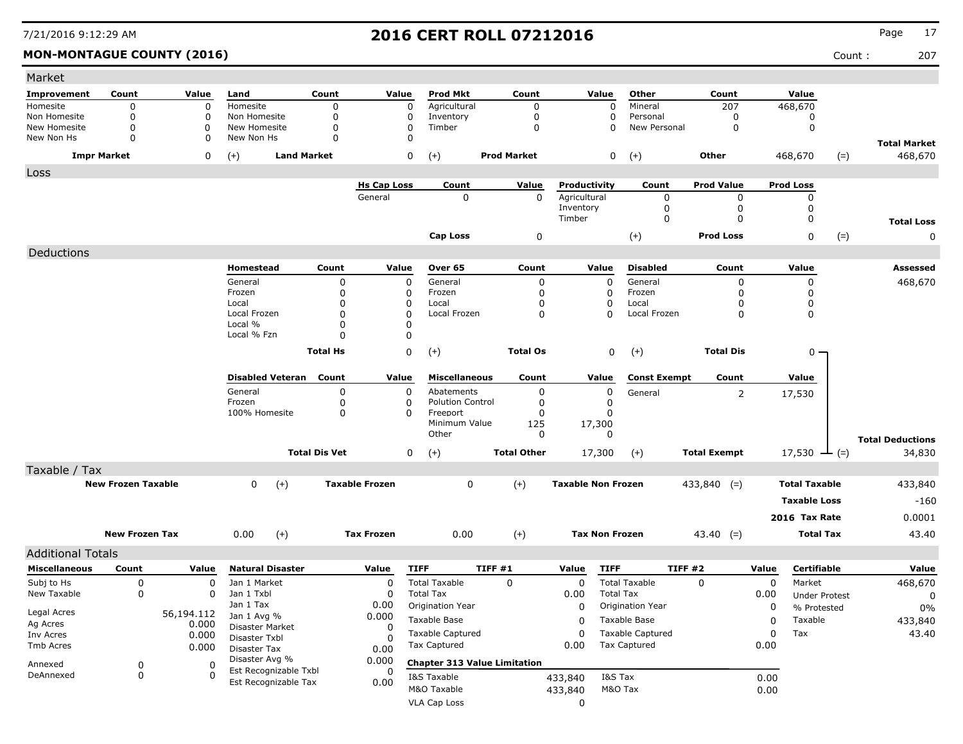### **MON-MONTAGUE COUNTY (2016)** Count : 207

| Market                       |                           |                |                                |                      |                       |                                     |                    |                  |                           |                          |                     |                |                          |       |                         |
|------------------------------|---------------------------|----------------|--------------------------------|----------------------|-----------------------|-------------------------------------|--------------------|------------------|---------------------------|--------------------------|---------------------|----------------|--------------------------|-------|-------------------------|
| Improvement                  | Count                     | Value          | Land                           | Count                | Value                 | <b>Prod Mkt</b>                     |                    | Count            | Value                     | Other                    | Count               |                | Value                    |       |                         |
| Homesite                     | 0                         | 0              | Homesite                       | 0                    | 0                     | Agricultural                        |                    | 0                | 0                         | Mineral                  | 207                 |                | 468,670                  |       |                         |
| Non Homesite<br>New Homesite | 0<br>0                    | 0<br>0         | Non Homesite<br>New Homesite   | 0<br>0               | 0<br>0                | Inventory<br>Timber                 |                    | 0<br>$\mathbf 0$ | 0<br>0                    | Personal<br>New Personal | 0<br>0              |                | 0<br>$\mathbf 0$         |       |                         |
| New Non Hs                   | 0                         | 0              | New Non Hs                     | 0                    | 0                     |                                     |                    |                  |                           |                          |                     |                |                          |       | <b>Total Market</b>     |
|                              | <b>Impr Market</b>        | 0              | $(+)$<br><b>Land Market</b>    |                      | 0                     | $(+)$                               | <b>Prod Market</b> |                  | 0                         | $(+)$                    | Other               |                | 468,670                  | $(=)$ | 468,670                 |
| Loss                         |                           |                |                                |                      |                       |                                     |                    |                  |                           |                          |                     |                |                          |       |                         |
|                              |                           |                |                                |                      | <b>Hs Cap Loss</b>    | Count                               |                    | Value            | Productivity              | Count                    | <b>Prod Value</b>   |                | <b>Prod Loss</b>         |       |                         |
|                              |                           |                |                                |                      | General               | 0                                   |                    | 0                | Agricultural<br>Inventory | 0<br>0                   | 0<br>0              |                | 0<br>0                   |       |                         |
|                              |                           |                |                                |                      |                       |                                     |                    |                  | Timber                    | $\mathbf 0$              | 0                   |                | 0                        |       | <b>Total Loss</b>       |
|                              |                           |                |                                |                      |                       | <b>Cap Loss</b>                     |                    | 0                |                           | $(+)$                    | <b>Prod Loss</b>    |                | 0                        | $(=)$ | 0                       |
| Deductions                   |                           |                |                                |                      |                       |                                     |                    |                  |                           |                          |                     |                |                          |       |                         |
|                              |                           |                | Homestead                      | Count                | Value                 | Over 65                             |                    | Count            | Value                     | <b>Disabled</b>          | Count               |                | Value                    |       | Assessed                |
|                              |                           |                | General                        | 0                    | $\mathbf 0$           | General                             |                    | $\mathbf 0$      | $\Omega$                  | General                  | $\Omega$            |                | 0                        |       | 468,670                 |
|                              |                           |                | Frozen                         | 0                    | 0                     | Frozen                              |                    | 0                | 0                         | Frozen                   | $\Omega$            |                | 0                        |       |                         |
|                              |                           |                | Local                          | 0                    | 0                     | Local                               |                    | $\Omega$         | 0                         | Local                    | O                   |                | 0                        |       |                         |
|                              |                           |                | Local Frozen<br>Local %        | 0<br>0               | O<br>O                | Local Frozen                        |                    | 0                | $\Omega$                  | Local Frozen             | $\Omega$            |                | 0                        |       |                         |
|                              |                           |                | Local % Fzn                    | 0                    | $\Omega$              |                                     |                    |                  |                           |                          |                     |                |                          |       |                         |
|                              |                           |                |                                | <b>Total Hs</b>      | $\mathsf 0$           | $(+)$                               |                    | <b>Total Os</b>  | 0                         |                          | <b>Total Dis</b>    |                | $0 -$                    |       |                         |
|                              |                           |                |                                |                      |                       |                                     |                    |                  |                           | $(+)$                    |                     |                |                          |       |                         |
|                              |                           |                | <b>Disabled Veteran</b>        | Count                | Value                 | <b>Miscellaneous</b>                |                    | Count            | Value                     | <b>Const Exempt</b>      | Count               |                | Value                    |       |                         |
|                              |                           |                | General                        | 0                    | 0                     | Abatements                          |                    | 0                | 0                         | General                  |                     | $\overline{2}$ | 17,530                   |       |                         |
|                              |                           |                | Frozen<br>100% Homesite        | 0<br>0               | 0<br>$\Omega$         | <b>Polution Control</b><br>Freeport |                    | 0<br>$\Omega$    | 0<br>0                    |                          |                     |                |                          |       |                         |
|                              |                           |                |                                |                      |                       | Minimum Value                       |                    | 125              | 17,300                    |                          |                     |                |                          |       |                         |
|                              |                           |                |                                |                      |                       | Other                               |                    | 0                | 0                         |                          |                     |                |                          |       | <b>Total Deductions</b> |
|                              |                           |                |                                | <b>Total Dis Vet</b> | 0                     | $(+)$                               | <b>Total Other</b> |                  | 17,300                    | $(+)$                    | <b>Total Exempt</b> |                | 17,530 $\rightarrow$ (=) |       | 34,830                  |
| Taxable / Tax                |                           |                |                                |                      |                       |                                     |                    |                  |                           |                          |                     |                |                          |       |                         |
|                              | <b>New Frozen Taxable</b> |                | $\mathbf{0}$<br>$(+)$          |                      | <b>Taxable Frozen</b> | 0                                   | $(+)$              |                  | <b>Taxable Non Frozen</b> |                          | $433,840$ (=)       |                | <b>Total Taxable</b>     |       | 433,840                 |
|                              |                           |                |                                |                      |                       |                                     |                    |                  |                           |                          |                     |                | <b>Taxable Loss</b>      |       | $-160$                  |
|                              |                           |                |                                |                      |                       |                                     |                    |                  |                           |                          |                     |                | 2016 Tax Rate            |       | 0.0001                  |
|                              | <b>New Frozen Tax</b>     |                | $(+)$<br>0.00                  |                      | <b>Tax Frozen</b>     | 0.00                                | $(+)$              |                  | <b>Tax Non Frozen</b>     |                          | $43.40$ (=)         |                | <b>Total Tax</b>         |       | 43.40                   |
| <b>Additional Totals</b>     |                           |                |                                |                      |                       |                                     |                    |                  |                           |                          |                     |                |                          |       |                         |
| <b>Miscellaneous</b>         | Count                     | Value          | <b>Natural Disaster</b>        |                      | Value                 | <b>TIFF</b>                         | <b>TIFF #1</b>     |                  | <b>TIFF</b><br>Value      |                          | <b>TIFF #2</b>      | Value          | Certifiable              |       | Value                   |
| Subj to Hs                   | 0                         | 0              | Jan 1 Market                   |                      | 0                     | <b>Total Taxable</b>                | 0                  |                  | 0                         | <b>Total Taxable</b>     | $\Omega$            | 0              | Market                   |       | 468,670                 |
| New Taxable                  | 0                         | 0              | Jan 1 Txbl                     |                      | 0                     | <b>Total Tax</b>                    |                    |                  | 0.00                      | <b>Total Tax</b>         |                     | 0.00           | <b>Under Protest</b>     |       | 0                       |
|                              |                           |                | Jan 1 Tax                      |                      | 0.00                  | Origination Year                    |                    |                  | 0                         | Origination Year         |                     | 0              | % Protested              |       | $0\%$                   |
| Legal Acres                  |                           | 56,194.112     | Jan 1 Avg %                    |                      | 0.000                 | Taxable Base                        |                    |                  | 0                         | Taxable Base             |                     | 0              | Taxable                  |       | 433,840                 |
| Ag Acres<br>Inv Acres        |                           | 0.000<br>0.000 | Disaster Market                |                      | 0                     | <b>Taxable Captured</b>             |                    |                  | 0                         | <b>Taxable Captured</b>  |                     | 0              | Tax                      |       | 43.40                   |
| Tmb Acres                    |                           | 0.000          | Disaster Txbl                  |                      |                       | <b>Tax Captured</b>                 |                    |                  | 0.00                      | <b>Tax Captured</b>      |                     | 0.00           |                          |       |                         |
|                              |                           |                | Disaster Tax<br>Disaster Avg % |                      | 0.00<br>0.000         |                                     |                    |                  |                           |                          |                     |                |                          |       |                         |
| Annexed                      | 0                         | 0              | Est Recognizable Txbl          |                      | 0                     | <b>Chapter 313 Value Limitation</b> |                    |                  |                           |                          |                     |                |                          |       |                         |
| DeAnnexed                    | 0                         | $\mathbf{0}$   | Est Recognizable Tax           |                      | 0.00                  | I&S Taxable                         |                    |                  | 433,840                   | I&S Tax                  |                     | 0.00           |                          |       |                         |
|                              |                           |                |                                |                      |                       | M&O Taxable                         |                    |                  | 433,840                   | M&O Tax                  |                     | 0.00           |                          |       |                         |
|                              |                           |                |                                |                      |                       | <b>VLA Cap Loss</b>                 |                    |                  | 0                         |                          |                     |                |                          |       |                         |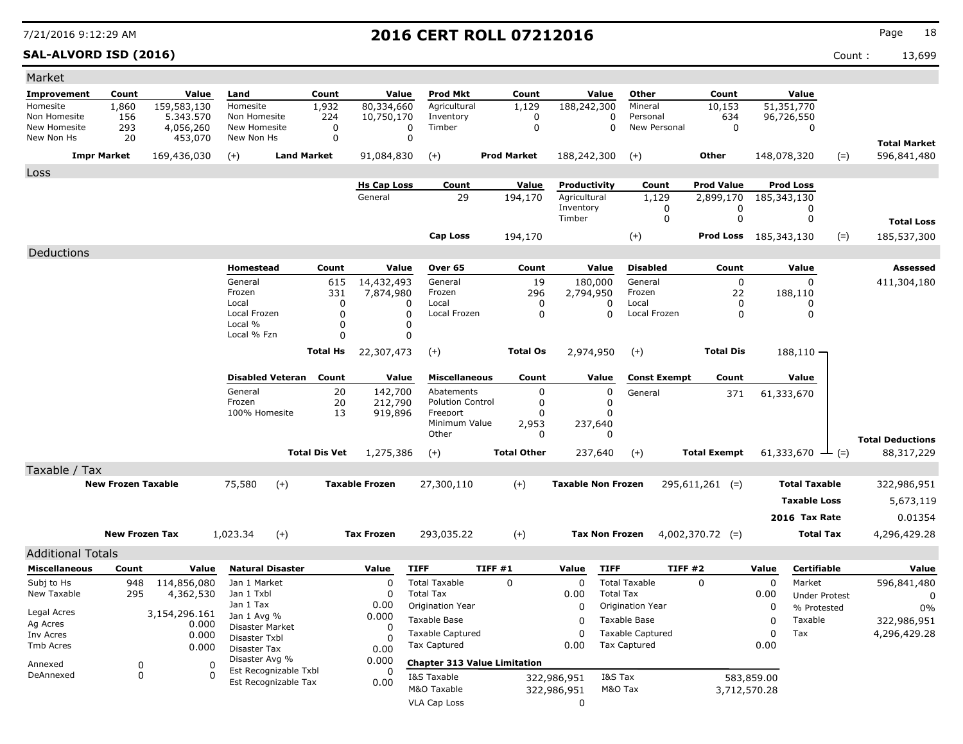**SAL-ALVORD ISD (2016)** Count : 13,699

| Market                   |                           |                          |                               |                                               |                      |                          |                                      |                                     |                           |                  |                         |                     |             |                                       |       |                         |
|--------------------------|---------------------------|--------------------------|-------------------------------|-----------------------------------------------|----------------------|--------------------------|--------------------------------------|-------------------------------------|---------------------------|------------------|-------------------------|---------------------|-------------|---------------------------------------|-------|-------------------------|
| Improvement              | Count                     | Value                    | Land                          |                                               | Count                | Value                    | <b>Prod Mkt</b>                      | Count                               |                           | Value            | Other                   | Count               |             | Value                                 |       |                         |
| Homesite<br>Non Homesite | 1,860<br>156              | 159,583,130<br>5.343.570 | Homesite<br>Non Homesite      |                                               | 1,932<br>224         | 80,334,660<br>10,750,170 | Agricultural<br>Inventory            | 1,129<br>0                          | 188,242,300               | 0                | Mineral<br>Personal     | 10,153<br>634       |             | $\overline{51,}351,770$<br>96,726,550 |       |                         |
| New Homesite             | 293                       | 4,056,260                | New Homesite                  |                                               | 0                    |                          | Timber<br>$\Omega$                   | $\mathbf 0$                         |                           | 0                | New Personal            | 0                   |             | 0                                     |       |                         |
| New Non Hs               | 20                        | 453,070                  | New Non Hs                    |                                               | 0                    |                          | $\mathbf 0$                          |                                     |                           |                  |                         |                     |             |                                       |       | <b>Total Market</b>     |
|                          | <b>Impr Market</b>        | 169,436,030              | $(+)$                         | <b>Land Market</b>                            |                      | 91,084,830               | $(+)$                                | <b>Prod Market</b>                  | 188,242,300               |                  | $(+)$                   | Other               |             | 148,078,320                           | $(=)$ | 596,841,480             |
| Loss                     |                           |                          |                               |                                               |                      |                          |                                      |                                     |                           |                  |                         |                     |             |                                       |       |                         |
|                          |                           |                          |                               |                                               |                      | <b>Hs Cap Loss</b>       | Count                                | Value                               | Productivity              |                  | Count                   | <b>Prod Value</b>   |             | <b>Prod Loss</b>                      |       |                         |
|                          |                           |                          |                               |                                               |                      | General                  | 29                                   | 194,170                             | Agricultural<br>Inventory |                  | 1,129<br>0              | 2,899,170<br>0      | 185,343,130 | 0                                     |       |                         |
|                          |                           |                          |                               |                                               |                      |                          |                                      |                                     | Timber                    |                  | 0                       | 0                   |             | 0                                     |       | <b>Total Loss</b>       |
|                          |                           |                          |                               |                                               |                      |                          | Cap Loss                             | 194,170                             |                           |                  | $(+)$                   | Prod Loss           | 185,343,130 |                                       | $(=)$ | 185,537,300             |
| Deductions               |                           |                          |                               |                                               |                      |                          |                                      |                                     |                           |                  |                         |                     |             |                                       |       |                         |
|                          |                           |                          | Homestead                     |                                               | Count                | Value                    | Over 65                              | Count                               |                           | Value            | <b>Disabled</b>         | Count               |             | Value                                 |       | Assessed                |
|                          |                           |                          | General                       |                                               | 615                  | 14,432,493               | General                              | 19                                  | 180,000                   |                  | General                 | $\mathbf 0$         |             | $\Omega$                              |       | 411,304,180             |
|                          |                           |                          | Frozen<br>Local               |                                               | 331<br>0             | 7,874,980                | Frozen<br>Local<br>0                 | 296<br>0                            | 2,794,950                 | 0                | Frozen<br>Local         | 22<br>0             |             | 188,110<br>0                          |       |                         |
|                          |                           |                          | Local Frozen                  |                                               | 0                    |                          | 0<br>Local Frozen                    | 0                                   |                           | 0                | Local Frozen            | 0                   |             | 0                                     |       |                         |
|                          |                           |                          | Local %<br>Local % Fzn        |                                               | $\Omega$<br>$\Omega$ |                          | 0<br>0                               |                                     |                           |                  |                         |                     |             |                                       |       |                         |
|                          |                           |                          |                               |                                               | <b>Total Hs</b>      | 22,307,473               | $(+)$                                | <b>Total Os</b>                     | 2,974,950                 |                  | $(+)$                   | <b>Total Dis</b>    |             | $188,110 -$                           |       |                         |
|                          |                           |                          |                               | <b>Disabled Veteran</b>                       | Count                | Value                    | <b>Miscellaneous</b>                 | Count                               |                           | Value            | <b>Const Exempt</b>     | Count               |             | Value                                 |       |                         |
|                          |                           |                          | General                       |                                               | 20                   | 142,700                  | Abatements                           | 0                                   |                           | 0                | General                 | 371                 |             | 61,333,670                            |       |                         |
|                          |                           |                          | Frozen                        |                                               | 20                   | 212,790                  | <b>Polution Control</b>              | 0                                   |                           | 0                |                         |                     |             |                                       |       |                         |
|                          |                           |                          | 100% Homesite                 |                                               | 13                   | 919,896                  | Freeport<br>Minimum Value            | 0<br>2,953                          | 237,640                   | 0                |                         |                     |             |                                       |       |                         |
|                          |                           |                          |                               |                                               |                      |                          | Other                                | 0                                   |                           | 0                |                         |                     |             |                                       |       | <b>Total Deductions</b> |
|                          |                           |                          |                               |                                               | <b>Total Dis Vet</b> | 1,275,386                | $(+)$                                | <b>Total Other</b>                  | 237,640                   |                  | $(+)$                   | <b>Total Exempt</b> |             | 61,333,670 $\rightarrow$ (=)          |       | 88,317,229              |
| Taxable / Tax            |                           |                          |                               |                                               |                      |                          |                                      |                                     |                           |                  |                         |                     |             |                                       |       |                         |
|                          | <b>New Frozen Taxable</b> |                          | 75,580                        | $(+)$                                         |                      | <b>Taxable Frozen</b>    | 27,300,110                           | $(+)$                               | <b>Taxable Non Frozen</b> |                  |                         | $295,611,261$ (=)   |             | <b>Total Taxable</b>                  |       | 322,986,951             |
|                          |                           |                          |                               |                                               |                      |                          |                                      |                                     |                           |                  |                         |                     |             | <b>Taxable Loss</b>                   |       | 5,673,119               |
|                          |                           |                          |                               |                                               |                      |                          |                                      |                                     |                           |                  |                         |                     |             | 2016 Tax Rate                         |       | 0.01354                 |
|                          | <b>New Frozen Tax</b>     |                          | 1,023.34                      | $(+)$                                         |                      | <b>Tax Frozen</b>        | 293,035.22                           | $(+)$                               | <b>Tax Non Frozen</b>     |                  |                         | $4,002,370.72$ (=)  |             | <b>Total Tax</b>                      |       | 4,296,429.28            |
| <b>Additional Totals</b> |                           |                          |                               |                                               |                      |                          |                                      |                                     |                           |                  |                         |                     |             |                                       |       |                         |
| <b>Miscellaneous</b>     | Count                     | Value                    |                               | <b>Natural Disaster</b>                       |                      | Value                    | <b>TIFF</b>                          | TIFF #1                             | Value                     | <b>TIFF</b>      | TIFF #2                 |                     | Value       | Certifiable                           |       | Value                   |
| Subj to Hs               | 948                       | 114,856,080              | Jan 1 Market                  |                                               |                      | 0                        | <b>Total Taxable</b>                 | $\mathbf 0$                         | 0                         |                  | <b>Total Taxable</b>    | 0                   | 0           | Market                                |       | 596,841,480             |
| New Taxable              | 295                       | 4,362,530                | Jan 1 Txbl<br>Jan 1 Tax       |                                               |                      | $\Omega$<br>0.00         | <b>Total Tax</b><br>Origination Year |                                     | 0.00<br>0                 | <b>Total Tax</b> | Origination Year        |                     | 0.00<br>0   | <b>Under Protest</b>                  |       | 0                       |
| Legal Acres              |                           | 3,154,296.161            | Jan 1 Avg %                   |                                               |                      | 0.000                    | Taxable Base                         |                                     | 0                         |                  | Taxable Base            |                     | 0           | % Protested<br>Taxable                |       | 0%<br>322,986,951       |
| Ag Acres<br>Inv Acres    |                           | 0.000<br>0.000           | Disaster Market               |                                               |                      | 0                        | <b>Taxable Captured</b>              |                                     | 0                         |                  | <b>Taxable Captured</b> |                     | 0           | Tax                                   |       | 4,296,429.28            |
| Tmb Acres                |                           | 0.000                    | Disaster Txbl<br>Disaster Tax |                                               |                      | O<br>0.00                | <b>Tax Captured</b>                  |                                     | 0.00                      |                  | <b>Tax Captured</b>     |                     | 0.00        |                                       |       |                         |
| Annexed                  | 0                         | 0                        | Disaster Avg %                |                                               |                      | 0.000                    |                                      | <b>Chapter 313 Value Limitation</b> |                           |                  |                         |                     |             |                                       |       |                         |
| DeAnnexed                | 0                         | $\Omega$                 |                               | Est Recognizable Txbl<br>Est Recognizable Tax |                      | 0<br>0.00                | I&S Taxable                          |                                     | 322,986,951               | I&S Tax          |                         |                     | 583,859.00  |                                       |       |                         |
|                          |                           |                          |                               |                                               |                      |                          | M&O Taxable                          |                                     | 322,986,951               | M&O Tax          |                         | 3,712,570.28        |             |                                       |       |                         |
|                          |                           |                          |                               |                                               |                      |                          | VLA Cap Loss                         |                                     | 0                         |                  |                         |                     |             |                                       |       |                         |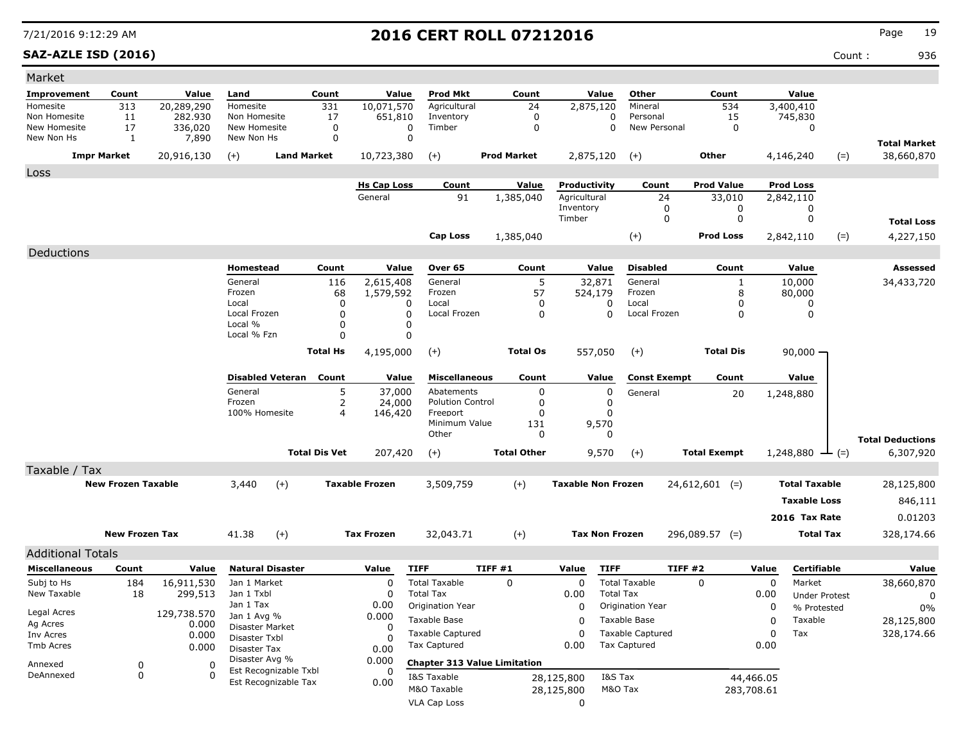### **SAZ-AZLE ISD (2016)** Count : 936

| Count: |  |  |
|--------|--|--|
|        |  |  |

| Market                       |                           |                    |                                |                         |                      |                       |                                     |                    |                    |                           |                                                |                     |                     |            |                             |       |                         |
|------------------------------|---------------------------|--------------------|--------------------------------|-------------------------|----------------------|-----------------------|-------------------------------------|--------------------|--------------------|---------------------------|------------------------------------------------|---------------------|---------------------|------------|-----------------------------|-------|-------------------------|
| Improvement                  | Count                     | Value              | Land                           |                         | Count                | Value                 | Prod Mkt                            |                    | Count              | Value                     | Other                                          |                     | Count               |            | Value                       |       |                         |
| Homesite                     | 313                       | 20,289,290         | Homesite                       |                         | 331                  | 10,071,570            | Agricultural                        |                    | 24                 | 2,875,120                 | Mineral                                        |                     | 534                 |            | 3,400,410                   |       |                         |
| Non Homesite<br>New Homesite | 11<br>17                  | 282.930<br>336,020 | Non Homesite<br>New Homesite   |                         | 17<br>0              | 651,810<br>0          | Inventory<br>Timber                 |                    | 0<br>0             |                           | 0<br>Personal<br>$\Omega$<br>New Personal      |                     | 15<br>0             |            | 745,830<br>0                |       |                         |
| New Non Hs                   | $\mathbf{1}$              | 7,890              | New Non Hs                     |                         | $\mathbf 0$          | $\mathbf 0$           |                                     |                    |                    |                           |                                                |                     |                     |            |                             |       | <b>Total Market</b>     |
|                              | <b>Impr Market</b>        | 20,916,130         | $(+)$                          | <b>Land Market</b>      |                      | 10,723,380            | $(+)$                               | <b>Prod Market</b> |                    | 2,875,120                 | $(+)$                                          |                     | Other               |            | 4,146,240                   | $(=)$ | 38,660,870              |
| Loss                         |                           |                    |                                |                         |                      |                       |                                     |                    |                    |                           |                                                |                     |                     |            |                             |       |                         |
|                              |                           |                    |                                |                         |                      | <b>Hs Cap Loss</b>    | Count                               |                    | Value              | Productivity              | Count                                          |                     | <b>Prod Value</b>   |            | <b>Prod Loss</b>            |       |                         |
|                              |                           |                    |                                |                         |                      | General               | 91                                  |                    | 1,385,040          | Agricultural              |                                                | 24                  | 33,010              |            | 2,842,110                   |       |                         |
|                              |                           |                    |                                |                         |                      |                       |                                     |                    |                    | Inventory<br>Timber       |                                                | 0<br>0              | 0<br>0              |            | 0<br>0                      |       | <b>Total Loss</b>       |
|                              |                           |                    |                                |                         |                      |                       | Cap Loss                            |                    | 1,385,040          |                           | $(+)$                                          |                     | <b>Prod Loss</b>    |            | 2,842,110                   | $(=)$ | 4,227,150               |
| Deductions                   |                           |                    |                                |                         |                      |                       |                                     |                    |                    |                           |                                                |                     |                     |            |                             |       |                         |
|                              |                           |                    | Homestead                      |                         | Count                | Value                 | Over 65                             |                    | Count              | Value                     | <b>Disabled</b>                                |                     | Count               |            | Value                       |       | <b>Assessed</b>         |
|                              |                           |                    | General                        |                         | 116                  | 2,615,408             | General                             |                    | 5                  | 32,871                    | General                                        |                     | 1                   |            | 10,000                      |       | 34,433,720              |
|                              |                           |                    | Frozen                         |                         | 68                   | 1,579,592             | Frozen                              |                    | 57                 | 524,179                   | Frozen                                         |                     | 8                   |            | 80,000                      |       |                         |
|                              |                           |                    | Local<br>Local Frozen          |                         | 0<br>0               | 0<br>0                | Local<br>Local Frozen               |                    | 0<br>0             | 0<br>$\Omega$             | Local<br>Local Frozen                          |                     | 0<br>0              |            | 0<br>0                      |       |                         |
|                              |                           |                    | Local %                        |                         | 0                    | 0                     |                                     |                    |                    |                           |                                                |                     |                     |            |                             |       |                         |
|                              |                           |                    | Local % Fzn                    |                         | $\Omega$             | $\mathbf 0$           |                                     |                    |                    |                           |                                                |                     |                     |            |                             |       |                         |
|                              |                           |                    |                                |                         | <b>Total Hs</b>      | 4,195,000             | $(+)$                               |                    | <b>Total Os</b>    | 557,050                   | $(+)$                                          |                     | <b>Total Dis</b>    |            | $90,000 -$                  |       |                         |
|                              |                           |                    |                                | <b>Disabled Veteran</b> | Count                | Value                 | <b>Miscellaneous</b>                |                    | Count              | Value                     |                                                | <b>Const Exempt</b> | Count               |            | Value                       |       |                         |
|                              |                           |                    | General                        |                         | 5                    | 37,000                | Abatements                          |                    | 0                  | 0                         | General                                        |                     | 20                  |            | 1,248,880                   |       |                         |
|                              |                           |                    | Frozen<br>100% Homesite        |                         | 2<br>4               | 24,000<br>146,420     | <b>Polution Control</b><br>Freeport |                    | 0<br>O             | 0<br>$\Omega$             |                                                |                     |                     |            |                             |       |                         |
|                              |                           |                    |                                |                         |                      |                       | Minimum Value                       |                    | 131                | 9,570                     |                                                |                     |                     |            |                             |       |                         |
|                              |                           |                    |                                |                         |                      |                       | Other                               |                    | 0                  | 0                         |                                                |                     |                     |            |                             |       | <b>Total Deductions</b> |
|                              |                           |                    |                                |                         | <b>Total Dis Vet</b> | 207,420               | $(+)$                               |                    | <b>Total Other</b> | 9,570                     | $(+)$                                          |                     | <b>Total Exempt</b> |            | 1,248,880 $\rightarrow$ (=) |       | 6,307,920               |
| Taxable / Tax                |                           |                    |                                |                         |                      |                       |                                     |                    |                    |                           |                                                |                     |                     |            |                             |       |                         |
|                              | <b>New Frozen Taxable</b> |                    | 3,440                          | $(+)$                   |                      | <b>Taxable Frozen</b> | 3,509,759                           |                    | $(+)$              | <b>Taxable Non Frozen</b> |                                                |                     | $24,612,601$ (=)    |            | <b>Total Taxable</b>        |       | 28,125,800              |
|                              |                           |                    |                                |                         |                      |                       |                                     |                    |                    |                           |                                                |                     |                     |            | <b>Taxable Loss</b>         |       | 846,111                 |
|                              |                           |                    |                                |                         |                      |                       |                                     |                    |                    |                           |                                                |                     |                     |            | 2016 Tax Rate               |       | 0.01203                 |
|                              | <b>New Frozen Tax</b>     |                    | 41.38                          | $(+)$                   |                      | <b>Tax Frozen</b>     | 32,043.71                           |                    | $(+)$              | <b>Tax Non Frozen</b>     |                                                |                     | $296,089.57$ (=)    |            | <b>Total Tax</b>            |       | 328,174.66              |
| <b>Additional Totals</b>     |                           |                    |                                |                         |                      |                       |                                     |                    |                    |                           |                                                |                     |                     |            |                             |       |                         |
| <b>Miscellaneous</b>         | Count                     | Value              |                                | <b>Natural Disaster</b> |                      | Value                 | <b>TIFF</b>                         | <b>TIFF #1</b>     |                    | <b>TIFF</b><br>Value      |                                                | <b>TIFF #2</b>      |                     | Value      | Certifiable                 |       | Value                   |
| Subj to Hs                   | 184                       | 16,911,530         | Jan 1 Market                   |                         |                      | 0                     | <b>Total Taxable</b>                | 0                  |                    | 0                         | <b>Total Taxable</b>                           |                     | $\Omega$            | 0          | Market                      |       | 38,660,870              |
| New Taxable                  | 18                        | 299,513            | Jan 1 Txbl                     |                         |                      | $\mathbf 0$           | <b>Total Tax</b>                    |                    |                    | 0.00                      | <b>Total Tax</b>                               |                     |                     | 0.00       | <b>Under Protest</b>        |       | 0                       |
| Legal Acres                  |                           | 129,738.570        | Jan 1 Tax                      |                         |                      | 0.00                  | Origination Year                    |                    |                    | 0                         | <b>Origination Year</b>                        |                     |                     | 0          | % Protested                 |       | $0\%$                   |
| Ag Acres                     |                           | 0.000              | Jan 1 Avg %<br>Disaster Market |                         |                      | 0.000<br>0            | Taxable Base                        |                    |                    | 0                         | Taxable Base                                   |                     |                     | 0          | Taxable                     |       | 28,125,800              |
| Inv Acres                    |                           | 0.000              | Disaster Txbl                  |                         |                      | 0                     | <b>Taxable Captured</b>             |                    |                    | 0                         | <b>Taxable Captured</b><br><b>Tax Captured</b> |                     |                     | 0          | Tax                         |       | 328,174.66              |
| Tmb Acres                    |                           | 0.000              | Disaster Tax                   |                         |                      | 0.00                  | Tax Captured                        |                    |                    | 0.00                      |                                                |                     |                     | 0.00       |                             |       |                         |
| Annexed                      | 0                         | O                  | Disaster Avg %                 | Est Recognizable Txbl   |                      | 0.000<br>0            | <b>Chapter 313 Value Limitation</b> |                    |                    |                           |                                                |                     |                     |            |                             |       |                         |
| DeAnnexed                    | $\mathbf 0$               | 0                  |                                | Est Recognizable Tax    |                      | 0.00                  | I&S Taxable                         |                    |                    | 28,125,800                | I&S Tax                                        |                     |                     | 44,466.05  |                             |       |                         |
|                              |                           |                    |                                |                         |                      |                       | M&O Taxable<br><b>VLA Cap Loss</b>  |                    |                    | 28,125,800                | M&O Tax                                        |                     |                     | 283,708.61 |                             |       |                         |
|                              |                           |                    |                                |                         |                      |                       |                                     |                    |                    | 0                         |                                                |                     |                     |            |                             |       |                         |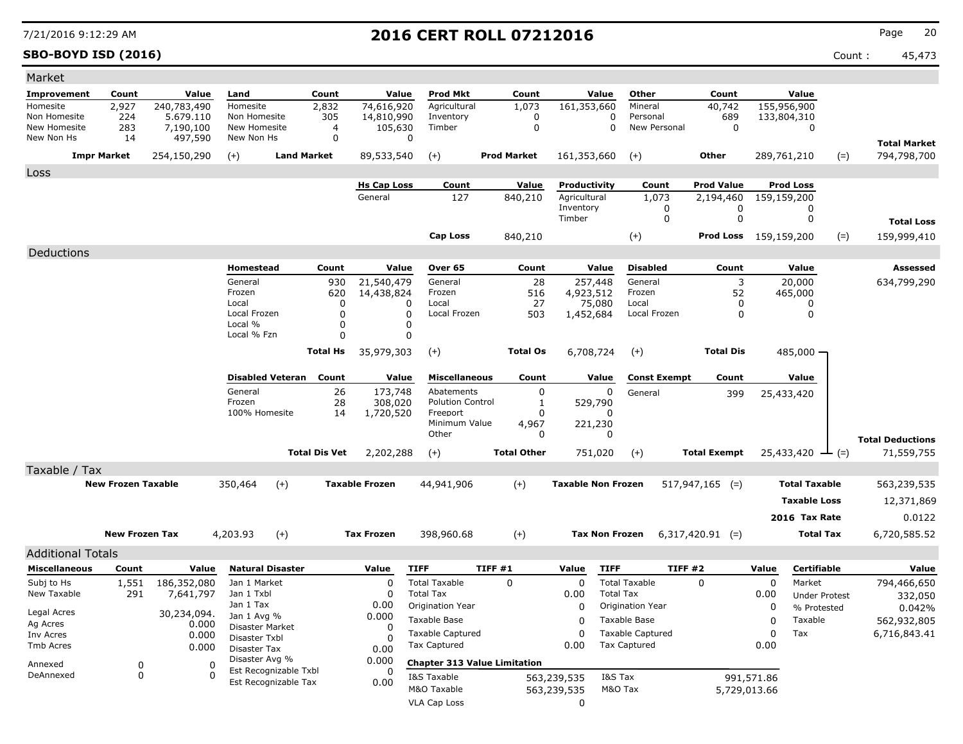**SBO-BOYD ISD (2016)** Count : 45,473

| Market                                           |                           |                        |                                  |                                               |                      |                               |                                     |                    |                              |                         |                          |                                |             |                                 |                                    |
|--------------------------------------------------|---------------------------|------------------------|----------------------------------|-----------------------------------------------|----------------------|-------------------------------|-------------------------------------|--------------------|------------------------------|-------------------------|--------------------------|--------------------------------|-------------|---------------------------------|------------------------------------|
| Improvement                                      | Count                     | Value                  | Land                             |                                               | Count                | Value                         | <b>Prod Mkt</b>                     | Count              | Value                        | Other                   |                          | Count                          |             | Value                           |                                    |
| Homesite                                         | 2,927                     | 240,783,490            | Homesite                         |                                               | 2,832                | 74,616,920                    | Agricultural                        | 1,073              | 161,353,660                  |                         | Mineral                  | 40,742                         |             | 155,956,900                     |                                    |
| Non Homesite<br>New Homesite                     | 224<br>283                | 5.679.110<br>7,190,100 | Non Homesite<br>New Homesite     |                                               | 305<br>4             | 14,810,990<br>105,630         | Inventory<br>Timber                 | 0<br>0             |                              | 0<br>$\mathbf 0$        | Personal<br>New Personal | 689<br>0                       |             | 133,804,310<br>0                |                                    |
| New Non Hs                                       | 14                        | 497,590                | New Non Hs                       |                                               | 0                    |                               | 0                                   |                    |                              |                         |                          |                                |             |                                 |                                    |
|                                                  | <b>Impr Market</b>        |                        |                                  | <b>Land Market</b>                            |                      | 89,533,540                    |                                     | <b>Prod Market</b> | 161,353,660                  | $(+)$                   |                          | Other                          |             | $(=)$                           | <b>Total Market</b><br>794,798,700 |
|                                                  |                           | 254,150,290            | $(+)$                            |                                               |                      |                               | $(+)$                               |                    |                              |                         |                          |                                |             | 289,761,210                     |                                    |
| Loss                                             |                           |                        |                                  |                                               |                      |                               |                                     |                    |                              |                         |                          |                                |             |                                 |                                    |
|                                                  |                           |                        |                                  |                                               |                      | <b>Hs Cap Loss</b><br>General | Count<br>127                        | Value<br>840,210   | Productivity<br>Agricultural |                         | Count<br>1,073           | <b>Prod Value</b><br>2,194,460 |             | <b>Prod Loss</b><br>159,159,200 |                                    |
|                                                  |                           |                        |                                  |                                               |                      |                               |                                     |                    | Inventory                    |                         | 0                        | 0                              |             | 0                               |                                    |
|                                                  |                           |                        |                                  |                                               |                      |                               |                                     |                    | Timber                       |                         | 0                        | 0                              |             | 0                               | <b>Total Loss</b>                  |
|                                                  |                           |                        |                                  |                                               |                      |                               | <b>Cap Loss</b>                     | 840,210            |                              | $(+)$                   |                          | <b>Prod Loss</b> 159,159,200   |             | $(=)$                           | 159,999,410                        |
| Deductions                                       |                           |                        |                                  |                                               |                      |                               |                                     |                    |                              |                         |                          |                                |             |                                 |                                    |
|                                                  |                           |                        | Homestead                        |                                               | Count                | Value                         | Over 65                             | Count              | Value                        |                         | <b>Disabled</b>          | Count                          |             | Value                           | <b>Assessed</b>                    |
|                                                  |                           |                        | General                          |                                               | 930                  | 21,540,479                    | General                             | 28                 | 257,448                      |                         | General                  | 3                              |             | 20,000                          | 634,799,290                        |
|                                                  |                           |                        | Frozen                           |                                               | 620                  | 14,438,824                    | Frozen<br>Local                     | 516                | 4,923,512                    | Frozen                  |                          | 52                             |             | 465,000                         |                                    |
|                                                  |                           |                        | Local<br>Local Frozen            |                                               | 0<br>O               | 0<br>0                        | Local Frozen                        | 27<br>503          | 75,080<br>1,452,684          | Local                   | Local Frozen             | 0<br>0                         |             | 0<br>0                          |                                    |
|                                                  |                           |                        | Local %                          |                                               | 0                    | 0                             |                                     |                    |                              |                         |                          |                                |             |                                 |                                    |
|                                                  |                           |                        | Local % Fzn                      |                                               | 0                    | 0                             |                                     |                    |                              |                         |                          |                                |             |                                 |                                    |
|                                                  |                           |                        |                                  |                                               | <b>Total Hs</b>      | 35,979,303                    | $(+)$                               | <b>Total Os</b>    | 6,708,724                    | $(+)$                   |                          | <b>Total Dis</b>               |             | 485,000 -                       |                                    |
|                                                  |                           |                        |                                  | <b>Disabled Veteran</b>                       | Count                | Value                         | <b>Miscellaneous</b>                | Count              | Value                        |                         | <b>Const Exempt</b>      | Count                          |             | Value                           |                                    |
|                                                  |                           |                        | General                          |                                               | 26                   | 173,748                       | Abatements                          | 0                  |                              | 0                       | General                  | 399                            |             | 25,433,420                      |                                    |
|                                                  |                           |                        | Frozen<br>100% Homesite          |                                               | 28                   | 308,020                       | <b>Polution Control</b><br>Freeport | 1<br>O             | 529,790                      | <sup>0</sup>            |                          |                                |             |                                 |                                    |
|                                                  |                           |                        |                                  |                                               | 14                   | 1,720,520                     | Minimum Value                       | 4,967              | 221,230                      |                         |                          |                                |             |                                 |                                    |
|                                                  |                           |                        |                                  |                                               |                      |                               | Other                               | 0                  |                              | <sup>0</sup>            |                          |                                |             |                                 | <b>Total Deductions</b>            |
|                                                  |                           |                        |                                  |                                               | <b>Total Dis Vet</b> | 2,202,288                     | $(+)$                               | <b>Total Other</b> | 751,020                      | $(+)$                   |                          | <b>Total Exempt</b>            |             | $25,433,420$ $\rightarrow$ (=)  | 71,559,755                         |
| Taxable / Tax                                    |                           |                        |                                  |                                               |                      |                               |                                     |                    |                              |                         |                          |                                |             |                                 |                                    |
|                                                  | <b>New Frozen Taxable</b> |                        | 350,464                          | $(+)$                                         |                      | <b>Taxable Frozen</b>         | 44,941,906                          | $(+)$              | <b>Taxable Non Frozen</b>    |                         |                          | $517,947,165$ (=)              |             | <b>Total Taxable</b>            | 563,239,535                        |
|                                                  |                           |                        |                                  |                                               |                      |                               |                                     |                    |                              |                         |                          |                                |             | <b>Taxable Loss</b>             | 12,371,869                         |
|                                                  |                           |                        |                                  |                                               |                      |                               |                                     |                    |                              |                         |                          |                                |             | 2016 Tax Rate                   | 0.0122                             |
|                                                  | <b>New Frozen Tax</b>     |                        | 4,203.93                         | $(+)$                                         |                      | <b>Tax Frozen</b>             | 398,960.68                          | $(+)$              |                              | <b>Tax Non Frozen</b>   |                          | $6,317,420.91$ (=)             |             | <b>Total Tax</b>                | 6,720,585.52                       |
|                                                  |                           |                        |                                  |                                               |                      |                               |                                     |                    |                              |                         |                          |                                |             |                                 |                                    |
| <b>Additional Totals</b><br><b>Miscellaneous</b> | Count                     | Value                  |                                  | <b>Natural Disaster</b>                       |                      | Value                         | <b>TIFF</b>                         | TIFF #1            | Value                        | <b>TIFF</b>             | TIFF#2                   |                                | Value       | Certifiable                     | Value                              |
| Subj to Hs                                       | 1,551                     | 186,352,080            | Jan 1 Market                     |                                               |                      | 0                             | <b>Total Taxable</b>                | $\mathbf 0$        | 0                            | <b>Total Taxable</b>    |                          | $\mathbf 0$                    | $\mathbf 0$ | Market                          | 794,466,650                        |
| New Taxable                                      | 291                       | 7,641,797              | Jan 1 Txbl                       |                                               |                      | $\Omega$                      | <b>Total Tax</b>                    |                    | 0.00                         | <b>Total Tax</b>        |                          |                                | 0.00        | <b>Under Protest</b>            | 332,050                            |
| Legal Acres                                      |                           |                        | Jan 1 Tax                        |                                               |                      | 0.00                          | Origination Year                    |                    | $\Omega$                     | Origination Year        |                          |                                | 0           | % Protested                     | 0.042%                             |
| Ag Acres                                         |                           | 30,234,094.<br>0.000   | Jan 1 Avg %                      |                                               |                      | 0.000                         | Taxable Base                        |                    | 0                            | Taxable Base            |                          |                                | 0           | Taxable                         | 562,932,805                        |
| Inv Acres                                        |                           | 0.000                  | Disaster Market<br>Disaster Txbl |                                               |                      | 0<br>$\Omega$                 | <b>Taxable Captured</b>             |                    | 0                            | <b>Taxable Captured</b> |                          |                                | 0           | Tax                             | 6,716,843.41                       |
| Tmb Acres                                        |                           | 0.000                  | <b>Disaster Tax</b>              |                                               |                      | 0.00                          | <b>Tax Captured</b>                 |                    | 0.00                         | <b>Tax Captured</b>     |                          |                                | 0.00        |                                 |                                    |
| Annexed                                          | 0                         | 0                      | Disaster Avg %                   |                                               |                      | 0.000                         | <b>Chapter 313 Value Limitation</b> |                    |                              |                         |                          |                                |             |                                 |                                    |
| DeAnnexed                                        | 0                         |                        |                                  | Est Recognizable Txbl<br>Est Recognizable Tax |                      | 0<br>0.00                     | I&S Taxable                         |                    | 563,239,535                  | I&S Tax                 |                          |                                | 991,571.86  |                                 |                                    |
|                                                  |                           |                        |                                  |                                               |                      |                               | M&O Taxable                         |                    | 563,239,535                  | M&O Tax                 |                          | 5,729,013.66                   |             |                                 |                                    |
|                                                  |                           |                        |                                  |                                               |                      |                               | <b>VLA Cap Loss</b>                 |                    | 0                            |                         |                          |                                |             |                                 |                                    |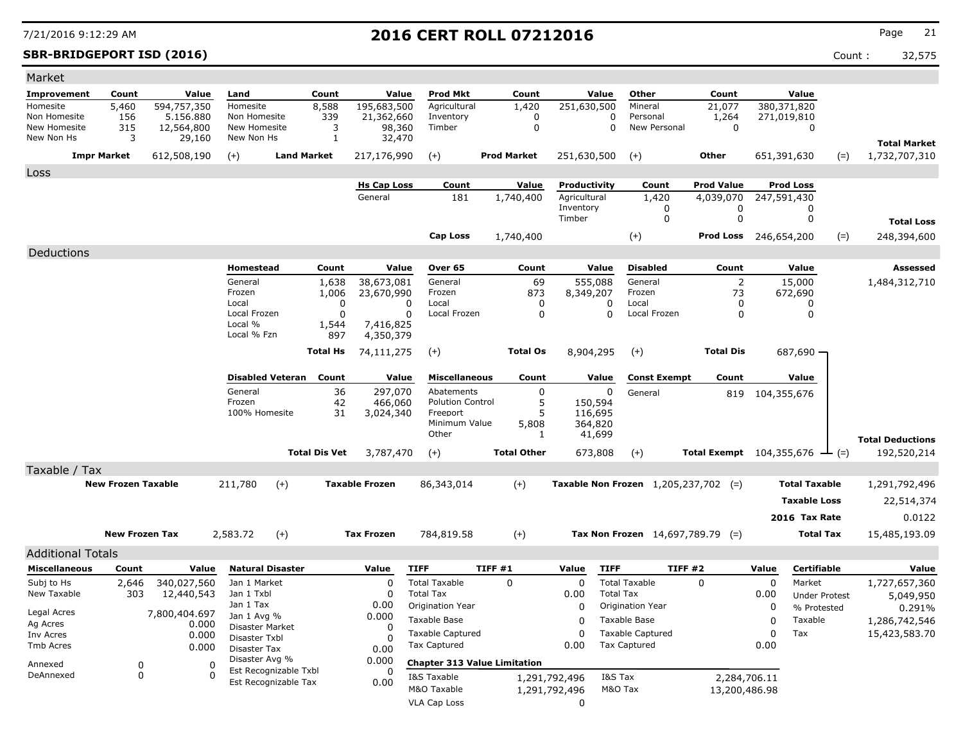### **SBR-BRIDGEPORT ISD (2016)** Count : 32,575

| Market                       |                           |                        |                                |                                               |             |                       |                                     |         |                    |               |                  |                                               |                                              |       |                      |       |                                      |
|------------------------------|---------------------------|------------------------|--------------------------------|-----------------------------------------------|-------------|-----------------------|-------------------------------------|---------|--------------------|---------------|------------------|-----------------------------------------------|----------------------------------------------|-------|----------------------|-------|--------------------------------------|
| <b>Improvement</b>           | Count                     | Value                  | Land                           | Count                                         |             | Value                 | <b>Prod Mkt</b>                     |         | Count              |               | Value            | Other                                         | Count                                        |       | Value                |       |                                      |
| Homesite                     | 5,460                     | 594,757,350            | Homesite                       | 8,588                                         |             | 195,683,500           | Agricultural                        |         | 1,420              | 251,630,500   |                  | Mineral                                       | 21,077                                       |       | 380,371,820          |       |                                      |
| Non Homesite<br>New Homesite | 156                       | 5.156.880              | Non Homesite<br>New Homesite   |                                               | 339         | 21,362,660            | Inventory<br>Timber                 |         | 0                  |               | 0<br>0           | Personal<br>New Personal                      | 1,264<br>$\mathbf 0$                         |       | 271,019,810          |       |                                      |
| New Non Hs                   | 315<br>3                  | 12,564,800<br>29,160   | New Non Hs                     |                                               | 3<br>1      | 98,360<br>32,470      |                                     |         | 0                  |               |                  |                                               |                                              |       | 0                    |       |                                      |
| <b>Impr Market</b>           |                           | 612,508,190            | $(+)$                          | <b>Land Market</b>                            |             | 217,176,990           | $(+)$                               |         | <b>Prod Market</b> | 251,630,500   |                  | $(+)$                                         | Other                                        |       | 651,391,630          | $(=)$ | <b>Total Market</b><br>1,732,707,310 |
|                              |                           |                        |                                |                                               |             |                       |                                     |         |                    |               |                  |                                               |                                              |       |                      |       |                                      |
| Loss                         |                           |                        |                                |                                               |             | <b>Hs Cap Loss</b>    | Count                               |         | <b>Value</b>       | Productivity  |                  | Count                                         | <b>Prod Value</b>                            |       | <b>Prod Loss</b>     |       |                                      |
|                              |                           |                        |                                |                                               |             | General               | 181                                 |         | 1,740,400          | Agricultural  |                  | 1,420                                         | 4,039,070                                    |       | 247,591,430          |       |                                      |
|                              |                           |                        |                                |                                               |             |                       |                                     |         |                    | Inventory     |                  | 0                                             | 0                                            |       | 0                    |       |                                      |
|                              |                           |                        |                                |                                               |             |                       |                                     |         |                    | Timber        |                  | 0                                             | 0                                            |       | 0                    |       | <b>Total Loss</b>                    |
|                              |                           |                        |                                |                                               |             |                       | <b>Cap Loss</b>                     |         | 1,740,400          |               |                  | $(+)$                                         | Prod Loss                                    |       | 246,654,200          | $(=)$ | 248,394,600                          |
| Deductions                   |                           |                        |                                |                                               |             |                       |                                     |         |                    |               |                  |                                               |                                              |       |                      |       |                                      |
|                              |                           |                        | Homestead                      |                                               | Count       | Value                 | Over 65                             |         | Count              |               | Value            | <b>Disabled</b>                               | Count                                        |       | Value                |       | Assessed                             |
|                              |                           |                        | General                        |                                               | 1,638       | 38,673,081            | General                             |         | 69                 |               | 555,088          | General                                       | 2                                            |       | 15,000               |       | 1,484,312,710                        |
|                              |                           |                        | Frozen<br>Local                |                                               | 1,006<br>0  | 23,670,990            | Frozen<br>Local                     |         | 873<br>0           | 8,349,207     | 0                | Frozen<br>Local                               | 73<br>0                                      |       | 672,690              |       |                                      |
|                              |                           |                        | Local Frozen                   |                                               | $\mathbf 0$ | 0<br>0                | Local Frozen                        |         | $\Omega$           |               | $\Omega$         | Local Frozen                                  | 0                                            |       | 0<br>0               |       |                                      |
|                              |                           |                        | Local %                        |                                               | 1,544       | 7,416,825             |                                     |         |                    |               |                  |                                               |                                              |       |                      |       |                                      |
|                              |                           |                        | Local % Fzn                    |                                               | 897         | 4,350,379             |                                     |         |                    |               |                  |                                               |                                              |       |                      |       |                                      |
|                              |                           |                        |                                | <b>Total Hs</b>                               |             | 74,111,275            | $(+)$                               |         | <b>Total Os</b>    | 8,904,295     |                  | $(+)$                                         | <b>Total Dis</b>                             |       | 687,690              |       |                                      |
|                              |                           |                        |                                | <b>Disabled Veteran</b> Count                 |             | Value                 | <b>Miscellaneous</b>                |         | Count              |               | Value            | <b>Const Exempt</b>                           | Count                                        |       | Value                |       |                                      |
|                              |                           |                        | General                        |                                               | 36          | 297,070               | Abatements                          |         | 0                  |               | 0                |                                               |                                              |       |                      |       |                                      |
|                              |                           |                        | Frozen                         |                                               | 42          | 466,060               | <b>Polution Control</b>             |         | 5                  | 150,594       |                  | General                                       | 819                                          |       | 104,355,676          |       |                                      |
|                              |                           |                        | 100% Homesite                  |                                               | 31          | 3,024,340             | Freeport                            |         | 5                  |               | 116,695          |                                               |                                              |       |                      |       |                                      |
|                              |                           |                        |                                |                                               |             |                       | Minimum Value<br>Other              |         | 5,808<br>1         | 364,820       | 41,699           |                                               |                                              |       |                      |       |                                      |
|                              |                           |                        |                                |                                               |             |                       |                                     |         |                    |               |                  |                                               |                                              |       |                      |       | <b>Total Deductions</b>              |
|                              |                           |                        |                                | <b>Total Dis Vet</b>                          |             | 3,787,470             | $(+)$                               |         | <b>Total Other</b> |               | 673,808          | $(+)$                                         | Total Exempt $104,355,676$ $\rightarrow$ (=) |       |                      |       | 192,520,214                          |
| Taxable / Tax                |                           |                        |                                |                                               |             |                       |                                     |         |                    |               |                  |                                               |                                              |       |                      |       |                                      |
|                              | <b>New Frozen Taxable</b> |                        | 211,780                        | $(+)$                                         |             | <b>Taxable Frozen</b> | 86,343,014                          |         | $(+)$              |               |                  | <b>Taxable Non Frozen</b> $1,205,237,702$ (=) |                                              |       | <b>Total Taxable</b> |       | 1,291,792,496                        |
|                              |                           |                        |                                |                                               |             |                       |                                     |         |                    |               |                  |                                               |                                              |       | <b>Taxable Loss</b>  |       | 22,514,374                           |
|                              |                           |                        |                                |                                               |             |                       |                                     |         |                    |               |                  |                                               |                                              |       | 2016 Tax Rate        |       | 0.0122                               |
|                              | <b>New Frozen Tax</b>     |                        | 2,583.72                       | $(+)$                                         |             | <b>Tax Frozen</b>     | 784,819.58                          |         | $(+)$              |               |                  | Tax Non Frozen $14,697,789.79$ (=)            |                                              |       | <b>Total Tax</b>     |       | 15,485,193.09                        |
| <b>Additional Totals</b>     |                           |                        |                                |                                               |             |                       |                                     |         |                    |               |                  |                                               |                                              |       |                      |       |                                      |
| Miscellaneous                | Count                     | Value                  |                                | <b>Natural Disaster</b>                       |             | Value                 | <b>TIFF</b>                         | TIFF #1 |                    | Value         | <b>TIFF</b>      | TIFF #2                                       |                                              | Value | <b>Certifiable</b>   |       | Value                                |
| Subj to Hs                   | 2,646                     | 340,027,560            | Jan 1 Market                   |                                               |             | $\Omega$              | <b>Total Taxable</b>                |         | 0                  | 0             |                  | <b>Total Taxable</b>                          | 0                                            | 0     | Market               |       | 1,727,657,360                        |
| New Taxable                  | 303                       | 12,440,543             | Jan 1 Txbl                     |                                               |             | 0                     | <b>Total Tax</b>                    |         |                    | 0.00          | <b>Total Tax</b> |                                               |                                              | 0.00  | <b>Under Protest</b> |       | 5,049,950                            |
| Legal Acres                  |                           |                        | Jan 1 Tax                      |                                               |             | 0.00                  | Origination Year                    |         |                    | $\Omega$      |                  | Origination Year                              |                                              | 0     | % Protested          |       | 0.291%                               |
| Ag Acres                     |                           | 7,800,404.697<br>0.000 | Jan 1 Avg %<br>Disaster Market |                                               |             | 0.000                 | Taxable Base                        |         |                    | 0             |                  | Taxable Base                                  |                                              | 0     | Taxable              |       | 1,286,742,546                        |
| Inv Acres                    |                           | 0.000                  | Disaster Txbl                  |                                               |             | 0                     | <b>Taxable Captured</b>             |         |                    | 0             |                  | <b>Taxable Captured</b>                       |                                              | 0     | Tax                  |       | 15,423,583.70                        |
| Tmb Acres                    |                           | 0.000                  | Disaster Tax                   |                                               |             | 0.00                  | <b>Tax Captured</b>                 |         |                    | 0.00          |                  | <b>Tax Captured</b>                           |                                              | 0.00  |                      |       |                                      |
| Annexed                      | 0                         | 0                      | Disaster Avg %                 |                                               |             | 0.000                 | <b>Chapter 313 Value Limitation</b> |         |                    |               |                  |                                               |                                              |       |                      |       |                                      |
| DeAnnexed                    | 0                         | 0                      |                                | Est Recognizable Txbl<br>Est Recognizable Tax |             |                       | I&S Taxable                         |         |                    | 1,291,792,496 | I&S Tax          |                                               | 2,284,706.11                                 |       |                      |       |                                      |
|                              |                           |                        |                                |                                               |             | 0.00                  | M&O Taxable                         |         |                    | 1,291,792,496 | M&O Tax          |                                               | 13,200,486.98                                |       |                      |       |                                      |
|                              |                           |                        |                                |                                               |             |                       | VLA Cap Loss                        |         |                    | 0             |                  |                                               |                                              |       |                      |       |                                      |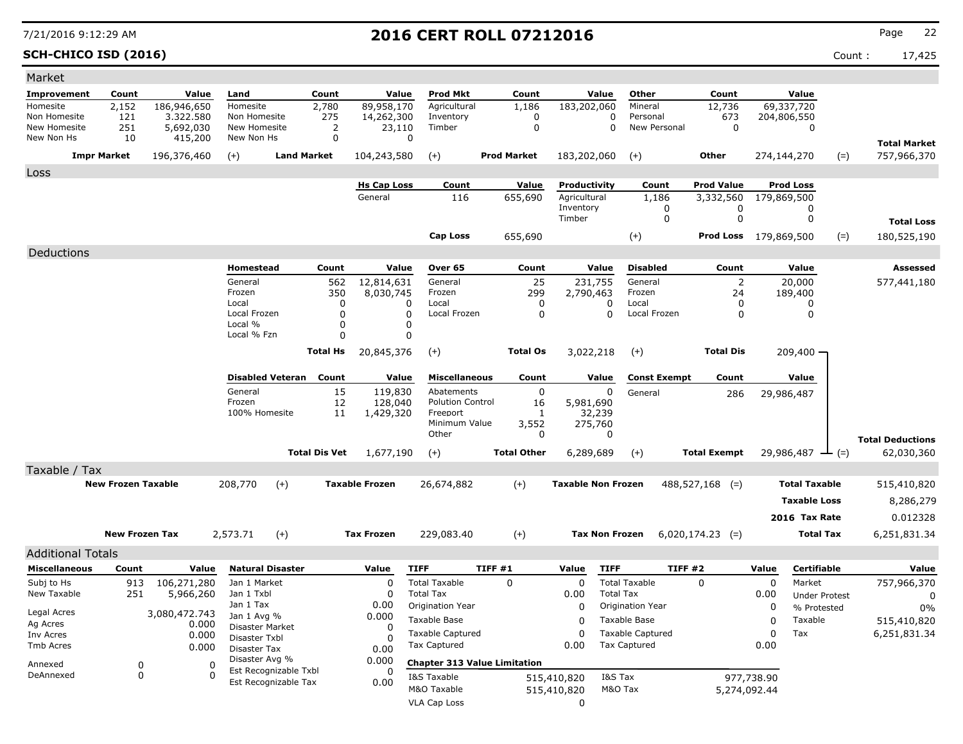**SCH-CHICO ISD (2016)** Count : 17,425

| Market                       |                           |                        |                                  |                                               |          |                       |                                      |        |                    |                           |                       |                          |                              |            |                                     |       |                         |
|------------------------------|---------------------------|------------------------|----------------------------------|-----------------------------------------------|----------|-----------------------|--------------------------------------|--------|--------------------|---------------------------|-----------------------|--------------------------|------------------------------|------------|-------------------------------------|-------|-------------------------|
| Improvement                  | Count                     | Value                  | Land                             | Count                                         |          | Value                 | <b>Prod Mkt</b>                      |        | Count              |                           | Value                 | Other                    | Count                        |            | Value                               |       |                         |
| Homesite                     | 2,152                     | 186,946,650            | Homesite                         | 2,780                                         |          | 89,958,170            | Agricultural                         |        | 1,186              | 183,202,060               |                       | Mineral                  | 12,736                       |            | 69,337,720                          |       |                         |
| Non Homesite<br>New Homesite | 121<br>251                | 3.322.580<br>5,692,030 | Non Homesite<br>New Homesite     |                                               | 275<br>2 | 14,262,300<br>23,110  | Inventory<br>Timber                  |        | 0<br>$\mathbf 0$   |                           | 0<br>0                | Personal<br>New Personal | 673<br>0                     |            | 204,806,550<br>0                    |       |                         |
| New Non Hs                   | 10                        | 415,200                | New Non Hs                       |                                               | 0        | $\Omega$              |                                      |        |                    |                           |                       |                          |                              |            |                                     |       | <b>Total Market</b>     |
|                              | <b>Impr Market</b>        | 196,376,460            | $(+)$                            | <b>Land Market</b>                            |          | 104,243,580           | $(+)$                                |        | <b>Prod Market</b> | 183,202,060               |                       | $(+)$                    | Other                        |            | 274,144,270                         | $(=)$ | 757,966,370             |
| Loss                         |                           |                        |                                  |                                               |          |                       |                                      |        |                    |                           |                       |                          |                              |            |                                     |       |                         |
|                              |                           |                        |                                  |                                               |          | <b>Hs Cap Loss</b>    | Count                                |        | Value              | Productivity              |                       | Count                    | <b>Prod Value</b>            |            | <b>Prod Loss</b>                    |       |                         |
|                              |                           |                        |                                  |                                               |          | General               | 116                                  |        | 655,690            | Agricultural<br>Inventory |                       | 1,186<br>0               | 3,332,560<br>0               |            | 179,869,500<br>0                    |       |                         |
|                              |                           |                        |                                  |                                               |          |                       |                                      |        |                    | Timber                    |                       | 0                        | 0                            |            | 0                                   |       | <b>Total Loss</b>       |
|                              |                           |                        |                                  |                                               |          |                       | <b>Cap Loss</b>                      |        | 655,690            |                           |                       | $(+)$                    | <b>Prod Loss</b> 179,869,500 |            |                                     | $(=)$ | 180,525,190             |
| Deductions                   |                           |                        |                                  |                                               |          |                       |                                      |        |                    |                           |                       |                          |                              |            |                                     |       |                         |
|                              |                           |                        | Homestead                        |                                               | Count    | Value                 | Over 65                              |        | Count              |                           | Value                 | <b>Disabled</b>          | Count                        |            | Value                               |       | Assessed                |
|                              |                           |                        | General                          |                                               | 562      | 12,814,631            | General                              |        | 25                 | 231,755                   |                       | General                  | 2                            |            | 20,000                              |       | 577,441,180             |
|                              |                           |                        | Frozen<br>Local                  |                                               | 350<br>0 | 8,030,745<br>0        | Frozen<br>Local                      |        | 299<br>0           | 2,790,463                 | 0                     | Frozen<br>Local          | 24<br>0                      |            | 189,400<br>0                        |       |                         |
|                              |                           |                        | Local Frozen                     |                                               | 0        | 0                     | Local Frozen                         |        | 0                  |                           | $\Omega$              | Local Frozen             | 0                            |            | 0                                   |       |                         |
|                              |                           |                        | Local %<br>Local % Fzn           |                                               | 0<br>0   | 0<br>0                |                                      |        |                    |                           |                       |                          |                              |            |                                     |       |                         |
|                              |                           |                        |                                  |                                               |          |                       |                                      |        |                    | 3,022,218                 |                       |                          |                              |            |                                     |       |                         |
|                              |                           |                        |                                  | <b>Total Hs</b>                               |          | 20,845,376            | $(+)$                                |        | <b>Total Os</b>    |                           |                       | $(+)$                    | <b>Total Dis</b>             |            | 209,400 -                           |       |                         |
|                              |                           |                        |                                  | <b>Disabled Veteran</b>                       | Count    | Value                 | <b>Miscellaneous</b>                 |        | Count              |                           | Value                 | <b>Const Exempt</b>      | Count                        |            | Value                               |       |                         |
|                              |                           |                        | General                          |                                               | 15       | 119,830               | Abatements                           |        | 0                  |                           | 0                     | General                  | 286                          |            | 29,986,487                          |       |                         |
|                              |                           |                        | Frozen<br>100% Homesite          |                                               | 12<br>11 | 128,040<br>1,429,320  | <b>Polution Control</b><br>Freeport  |        | 16<br>1            | 5,981,690                 | 32,239                |                          |                              |            |                                     |       |                         |
|                              |                           |                        |                                  |                                               |          |                       | Minimum Value                        |        | 3,552              |                           | 275,760               |                          |                              |            |                                     |       |                         |
|                              |                           |                        |                                  |                                               |          |                       | Other                                |        | 0                  |                           | 0                     |                          |                              |            |                                     |       | <b>Total Deductions</b> |
|                              |                           |                        |                                  | <b>Total Dis Vet</b>                          |          | 1,677,190             | $(+)$                                |        | <b>Total Other</b> | 6,289,689                 |                       | $(+)$                    | <b>Total Exempt</b>          |            | $29,986,487$ - (=)                  |       | 62,030,360              |
| Taxable / Tax                |                           |                        |                                  |                                               |          |                       |                                      |        |                    |                           |                       |                          |                              |            |                                     |       |                         |
|                              | <b>New Frozen Taxable</b> |                        | 208,770                          | $(+)$                                         |          | <b>Taxable Frozen</b> | 26,674,882                           |        | $(+)$              | <b>Taxable Non Frozen</b> |                       |                          | $488,527,168$ (=)            |            | <b>Total Taxable</b>                |       | 515,410,820             |
|                              |                           |                        |                                  |                                               |          |                       |                                      |        |                    |                           |                       |                          |                              |            | <b>Taxable Loss</b>                 |       | 8,286,279               |
|                              |                           |                        |                                  |                                               |          |                       |                                      |        |                    |                           |                       |                          |                              |            | 2016 Tax Rate                       |       | 0.012328                |
|                              | <b>New Frozen Tax</b>     |                        | 2,573.71                         | $(+)$                                         |          | <b>Tax Frozen</b>     | 229,083.40                           |        | $^{(+)}$           |                           | <b>Tax Non Frozen</b> |                          | $6,020,174.23$ (=)           |            | <b>Total Tax</b>                    |       | 6,251,831.34            |
| <b>Additional Totals</b>     |                           |                        |                                  |                                               |          |                       |                                      |        |                    |                           |                       |                          |                              |            |                                     |       |                         |
| <b>Miscellaneous</b>         | Count                     | Value                  |                                  | <b>Natural Disaster</b>                       |          | Value                 | <b>TIFF</b>                          | TIFF#1 |                    | Value                     | <b>TIFF</b>           | TIFF #2                  |                              | Value      | Certifiable                         |       | Value                   |
| Subj to Hs<br>New Taxable    | 913                       | 106,271,280            | Jan 1 Market                     |                                               |          | 0                     | <b>Total Taxable</b>                 |        | $\mathbf 0$        | 0                         |                       | <b>Total Taxable</b>     | $\mathbf 0$                  | 0          | Market                              |       | 757,966,370             |
|                              | 251                       | 5,966,260              | Jan 1 Txbl<br>Jan 1 Tax          |                                               |          | 0<br>0.00             | <b>Total Tax</b><br>Origination Year |        |                    | 0.00<br>0                 | <b>Total Tax</b>      | Origination Year         |                              | 0.00<br>0  | <b>Under Protest</b><br>% Protested |       | 0<br>0%                 |
| Legal Acres                  |                           | 3,080,472.743          | Jan 1 Avg %                      |                                               |          | 0.000                 | Taxable Base                         |        |                    | 0                         |                       | Taxable Base             |                              | 0          | Taxable                             |       | 515,410,820             |
| Ag Acres<br>Inv Acres        |                           | 0.000<br>0.000         | Disaster Market<br>Disaster Txbl |                                               |          | 0<br>O                | <b>Taxable Captured</b>              |        |                    | 0                         |                       | <b>Taxable Captured</b>  |                              | 0          | Tax                                 |       | 6,251,831.34            |
| Tmb Acres                    |                           | 0.000                  | Disaster Tax                     |                                               |          | 0.00                  | <b>Tax Captured</b>                  |        |                    | 0.00                      |                       | <b>Tax Captured</b>      |                              | 0.00       |                                     |       |                         |
| Annexed                      | 0                         | 0                      | Disaster Avg %                   |                                               |          | 0.000                 | <b>Chapter 313 Value Limitation</b>  |        |                    |                           |                       |                          |                              |            |                                     |       |                         |
| DeAnnexed                    | 0                         | $\Omega$               |                                  | Est Recognizable Txbl<br>Est Recognizable Tax |          | 0.00                  | I&S Taxable                          |        |                    | 515,410,820               | I&S Tax               |                          |                              | 977,738.90 |                                     |       |                         |
|                              |                           |                        |                                  |                                               |          |                       | M&O Taxable                          |        |                    | 515,410,820               | M&O Tax               |                          | 5,274,092.44                 |            |                                     |       |                         |
|                              |                           |                        |                                  |                                               |          |                       | <b>VLA Cap Loss</b>                  |        |                    | 0                         |                       |                          |                              |            |                                     |       |                         |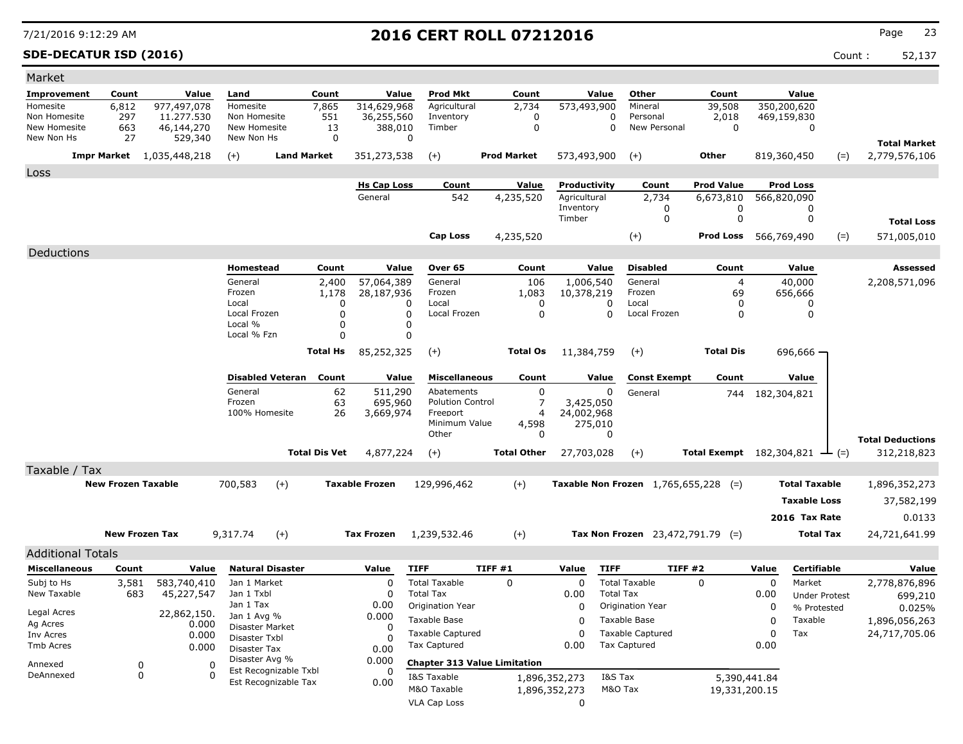### **SDE-DECATUR ISD (2016)** Count : 52,137

| Market                       |                           |                           |                               |                               |                 |                          |                                          |         |                    |                         |                  |                                      |                                              |             |                                     |       |                                        |
|------------------------------|---------------------------|---------------------------|-------------------------------|-------------------------------|-----------------|--------------------------|------------------------------------------|---------|--------------------|-------------------------|------------------|--------------------------------------|----------------------------------------------|-------------|-------------------------------------|-------|----------------------------------------|
| Improvement                  | Count                     | Value                     | Land                          |                               | Count           | Value                    | <b>Prod Mkt</b>                          |         | Count              | Value                   |                  | Other                                | Count                                        |             | Value                               |       |                                        |
| Homesite                     | 6,812                     | 977,497,078               | Homesite                      |                               | 7,865           | 314,629,968              | Agricultural                             |         | 2,734              | 573,493,900             |                  | Mineral                              | 39,508                                       |             | 350,200,620                         |       |                                        |
| Non Homesite<br>New Homesite | 297<br>663                | 11.277.530<br>46,144,270  | Non Homesite<br>New Homesite  |                               | 551<br>13       | 36,255,560<br>388,010    | Inventory<br>Timber                      |         | 0<br>0             |                         | 0<br>0           | Personal<br>New Personal             | 2,018<br>0                                   |             | 469,159,830<br>0                    |       |                                        |
| New Non Hs                   | 27                        | 529,340                   | New Non Hs                    |                               | 0               |                          | 0                                        |         |                    |                         |                  |                                      |                                              |             |                                     |       | <b>Total Market</b>                    |
|                              | Impr Market               | 1,035,448,218             | $(+)$                         | <b>Land Market</b>            |                 | 351,273,538              | $(+)$                                    |         | <b>Prod Market</b> | 573,493,900             |                  | $(+)$                                | Other                                        |             | 819,360,450                         | $(=)$ | 2,779,576,106                          |
| Loss                         |                           |                           |                               |                               |                 |                          |                                          |         |                    |                         |                  |                                      |                                              |             |                                     |       |                                        |
|                              |                           |                           |                               |                               |                 | <b>Hs Cap Loss</b>       | Count                                    |         | Value              | Productivity            |                  | Count                                | <b>Prod Value</b>                            |             | <b>Prod Loss</b>                    |       |                                        |
|                              |                           |                           |                               |                               |                 | General                  | 542                                      |         | 4,235,520          | Agricultural            |                  | 2,734                                | 6,673,810                                    |             | 566,820,090                         |       |                                        |
|                              |                           |                           |                               |                               |                 |                          |                                          |         |                    | Inventory<br>Timber     |                  | 0<br>0                               | 0<br>0                                       |             | 0<br>0                              |       |                                        |
|                              |                           |                           |                               |                               |                 |                          |                                          |         |                    |                         |                  |                                      |                                              |             |                                     |       | <b>Total Loss</b>                      |
|                              |                           |                           |                               |                               |                 |                          | <b>Cap Loss</b>                          |         | 4,235,520          |                         |                  | $(+)$                                | Prod Loss                                    |             | 566,769,490                         | $(=)$ | 571,005,010                            |
| Deductions                   |                           |                           |                               |                               |                 |                          |                                          |         |                    |                         |                  |                                      |                                              |             |                                     |       |                                        |
|                              |                           |                           | Homestead<br>General          |                               | Count           | Value                    | Over 65                                  |         | Count              | Value                   |                  | <b>Disabled</b><br>General           | Count                                        |             | Value                               |       | Assessed                               |
|                              |                           |                           | Frozen                        |                               | 2,400<br>1,178  | 57,064,389<br>28,187,936 | General<br>Frozen                        |         | 106<br>1,083       | 1,006,540<br>10,378,219 |                  | Frozen                               | $\overline{4}$<br>69                         |             | 40,000<br>656,666                   |       | 2,208,571,096                          |
|                              |                           |                           | Local                         |                               | $\Omega$        |                          | Local<br>0                               |         | 0                  |                         | 0                | Local                                | 0                                            |             | 0                                   |       |                                        |
|                              |                           |                           | Local Frozen<br>Local %       |                               | $\Omega$<br>0   |                          | Local Frozen<br>0<br>0                   |         | 0                  |                         | O                | Local Frozen                         | 0                                            |             | 0                                   |       |                                        |
|                              |                           |                           | Local % Fzn                   |                               | $\Omega$        |                          | 0                                        |         |                    |                         |                  |                                      |                                              |             |                                     |       |                                        |
|                              |                           |                           |                               |                               | <b>Total Hs</b> | 85,252,325               | $(+)$                                    |         | <b>Total Os</b>    | 11,384,759              |                  | $(+)$                                | <b>Total Dis</b>                             |             | 696,666 ·                           |       |                                        |
|                              |                           |                           |                               | <b>Disabled Veteran Count</b> |                 | Value                    | <b>Miscellaneous</b>                     |         | Count              | Value                   |                  | <b>Const Exempt</b>                  | Count                                        |             | Value                               |       |                                        |
|                              |                           |                           | General                       |                               | 62              | 511,290                  | Abatements                               |         | 0                  |                         | 0                | General                              | 744                                          | 182,304,821 |                                     |       |                                        |
|                              |                           |                           | Frozen                        |                               | 63              | 695,960                  | <b>Polution Control</b>                  |         | 7                  | 3,425,050               |                  |                                      |                                              |             |                                     |       |                                        |
|                              |                           |                           | 100% Homesite                 |                               | 26              | 3,669,974                | Freeport<br>Minimum Value                |         | 4                  | 24,002,968              |                  |                                      |                                              |             |                                     |       |                                        |
|                              |                           |                           |                               |                               |                 |                          | Other                                    |         | 4,598<br>0         | 275,010                 | 0                |                                      |                                              |             |                                     |       |                                        |
|                              |                           |                           |                               | <b>Total Dis Vet</b>          |                 | 4,877,224                | $(+)$                                    |         | <b>Total Other</b> | 27,703,028              |                  | $(+)$                                | Total Exempt $182,304,821$ $\rightarrow$ (=) |             |                                     |       | <b>Total Deductions</b><br>312,218,823 |
| Taxable / Tax                |                           |                           |                               |                               |                 |                          |                                          |         |                    |                         |                  |                                      |                                              |             |                                     |       |                                        |
|                              | <b>New Frozen Taxable</b> |                           | 700,583                       | $(+)$                         |                 | <b>Taxable Frozen</b>    | 129,996,462                              |         | $(+)$              |                         |                  | Taxable Non Frozen 1,765,655,228 (=) |                                              |             | <b>Total Taxable</b>                |       | 1,896,352,273                          |
|                              |                           |                           |                               |                               |                 |                          |                                          |         |                    |                         |                  |                                      |                                              |             | <b>Taxable Loss</b>                 |       | 37,582,199                             |
|                              |                           |                           |                               |                               |                 |                          |                                          |         |                    |                         |                  |                                      |                                              |             |                                     |       |                                        |
|                              |                           |                           |                               |                               |                 |                          |                                          |         |                    |                         |                  |                                      |                                              |             | 2016 Tax Rate                       |       | 0.0133                                 |
|                              |                           | <b>New Frozen Tax</b>     | 9,317.74                      | $(+)$                         |                 | <b>Tax Frozen</b>        | 1,239,532.46                             |         | $(+)$              |                         |                  | Tax Non Frozen $23,472,791.79$ (=)   |                                              |             | <b>Total Tax</b>                    |       | 24,721,641.99                          |
| <b>Additional Totals</b>     |                           |                           |                               |                               |                 |                          |                                          |         |                    |                         |                  |                                      |                                              |             |                                     |       |                                        |
| <b>Miscellaneous</b>         | Count                     | Value                     |                               | <b>Natural Disaster</b>       |                 | Value                    | <b>TIFF</b>                              | TIFF #1 |                    | Value                   | <b>TIFF</b>      | TIFF #2                              |                                              | Value       | Certifiable                         |       | Value                                  |
| Subj to Hs<br>New Taxable    | 3,581<br>683              | 583,740,410<br>45,227,547 | Jan 1 Market<br>Jan 1 Txbl    |                               |                 | 0<br>0                   | <b>Total Taxable</b><br><b>Total Tax</b> |         | 0                  | $\mathbf 0$<br>0.00     | <b>Total Tax</b> | <b>Total Taxable</b>                 | 0                                            | 0           | Market                              |       | 2,778,876,896                          |
|                              |                           |                           | Jan 1 Tax                     |                               |                 | 0.00                     | Origination Year                         |         |                    | 0                       |                  | Origination Year                     |                                              | 0.00<br>0   | <b>Under Protest</b><br>% Protested |       | 699,210<br>0.025%                      |
| Legal Acres                  |                           | 22,862,150.               | Jan 1 Avg %                   |                               |                 | 0.000                    | Taxable Base                             |         |                    | 0                       |                  | Taxable Base                         |                                              | 0           | Taxable                             |       | 1,896,056,263                          |
| Ag Acres<br>Inv Acres        |                           | 0.000<br>0.000            | Disaster Market               |                               |                 | 0                        | <b>Taxable Captured</b>                  |         |                    | 0                       |                  | <b>Taxable Captured</b>              |                                              | 0           | Tax                                 |       | 24,717,705.06                          |
| Tmb Acres                    |                           | 0.000                     | Disaster Txbl<br>Disaster Tax |                               |                 | 0.00                     | <b>Tax Captured</b>                      |         |                    | 0.00                    |                  | <b>Tax Captured</b>                  |                                              | 0.00        |                                     |       |                                        |
| Annexed                      |                           | 0<br>0                    | Disaster Avg %                |                               |                 | 0.000                    | <b>Chapter 313 Value Limitation</b>      |         |                    |                         |                  |                                      |                                              |             |                                     |       |                                        |
| DeAnnexed                    |                           | 0<br>0                    |                               | Est Recognizable Txbl         |                 |                          | I&S Taxable                              |         |                    | 1,896,352,273           | I&S Tax          |                                      | 5,390,441.84                                 |             |                                     |       |                                        |
|                              |                           |                           |                               | Est Recognizable Tax          |                 | 0.00                     | M&O Taxable                              |         | 1,896,352,273      |                         | M&O Tax          |                                      | 19,331,200.15                                |             |                                     |       |                                        |
|                              |                           |                           |                               |                               |                 |                          | VLA Cap Loss                             |         |                    | 0                       |                  |                                      |                                              |             |                                     |       |                                        |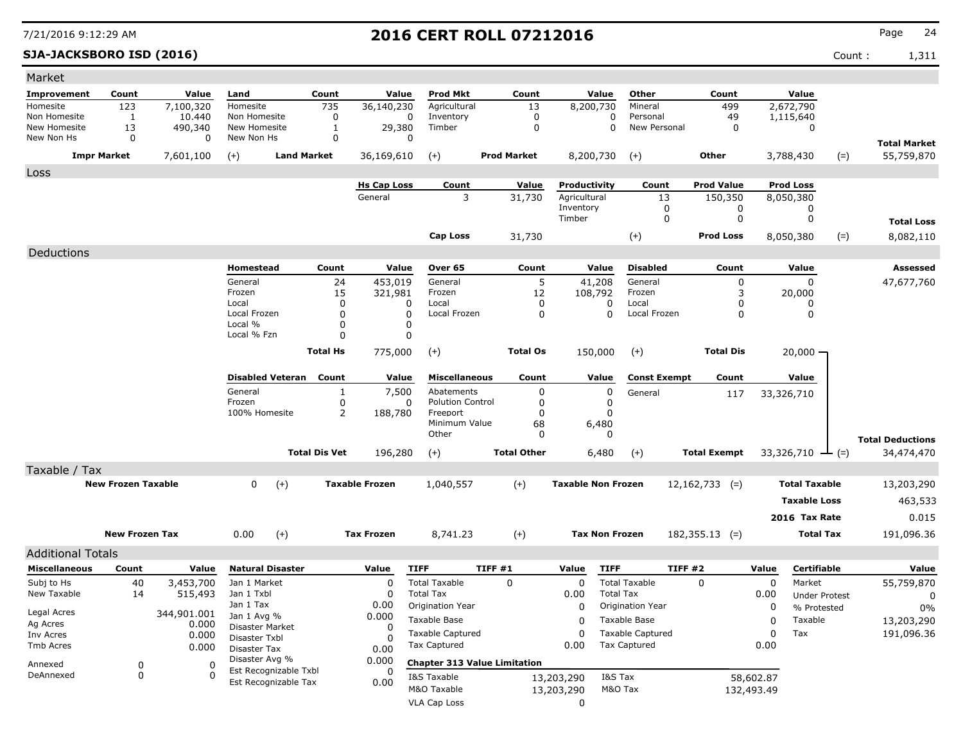**SJA-JACKSBORO ISD (2016)** Count : 1,311

| Market                     |                           |                     |                                         |                              |                       |                                     |                                     |                           |                         |                     |            |                              |                                   |
|----------------------------|---------------------------|---------------------|-----------------------------------------|------------------------------|-----------------------|-------------------------------------|-------------------------------------|---------------------------|-------------------------|---------------------|------------|------------------------------|-----------------------------------|
| <b>Improvement</b>         | Count                     | Value               | Land                                    | Count                        | Value                 | <b>Prod Mkt</b>                     | Count                               | Value                     | Other                   | Count               |            | Value                        |                                   |
| Homesite                   | 123                       | 7,100,320           | Homesite                                | 735                          | 36,140,230            | Agricultural                        | 13                                  | 8,200,730                 | Mineral                 | 499                 |            | 2,672,790                    |                                   |
| Non Homesite               | 1                         | 10,440              | Non Homesite                            | 0                            | 0                     | Inventory                           | 0                                   | 0                         | Personal                | 49                  |            | 1,115,640                    |                                   |
| New Homesite<br>New Non Hs | 13<br>0                   | 490,340<br>$\Omega$ | New Homesite<br>New Non Hs              | 1<br>0                       | 29,380<br>O           | Timber                              | 0                                   | 0                         | New Personal            | 0                   |            | 0                            |                                   |
|                            | <b>Impr Market</b>        | 7,601,100           | $(+)$                                   | <b>Land Market</b>           | 36,169,610            | $(+)$                               | <b>Prod Market</b>                  | 8,200,730                 | $(+)$                   | Other               |            | 3,788,430<br>$(=)$           | <b>Total Market</b><br>55,759,870 |
|                            |                           |                     |                                         |                              |                       |                                     |                                     |                           |                         |                     |            |                              |                                   |
| Loss                       |                           |                     |                                         |                              | <b>Hs Cap Loss</b>    | Count                               | Value                               | Productivity              | Count                   | <b>Prod Value</b>   |            | <b>Prod Loss</b>             |                                   |
|                            |                           |                     |                                         |                              | General               | 3                                   | 31,730                              | Agricultural              | 13                      | 150,350             |            | 8,050,380                    |                                   |
|                            |                           |                     |                                         |                              |                       |                                     |                                     | Inventory                 | 0                       | 0                   |            | 0                            |                                   |
|                            |                           |                     |                                         |                              |                       |                                     |                                     | Timber                    | $\mathbf 0$             | $\mathbf 0$         |            | 0                            | <b>Total Loss</b>                 |
|                            |                           |                     |                                         |                              |                       | Cap Loss                            | 31,730                              |                           | $(+)$                   | <b>Prod Loss</b>    |            | $(=)$<br>8,050,380           | 8,082,110                         |
| Deductions                 |                           |                     |                                         |                              |                       |                                     |                                     |                           |                         |                     |            |                              |                                   |
|                            |                           |                     | Homestead                               | Count                        | Value                 | Over 65                             | Count                               | Value                     | <b>Disabled</b>         | Count               |            | Value                        | Assessed                          |
|                            |                           |                     | General                                 | 24                           | 453,019               | General                             | 5                                   | 41,208                    | General                 | 0                   |            | $\Omega$                     | 47,677,760                        |
|                            |                           |                     | Frozen                                  | 15                           | 321,981               | Frozen                              | 12                                  | 108,792                   | Frozen                  | 3                   |            | 20,000                       |                                   |
|                            |                           |                     | Local                                   | $\mathbf{0}$                 | 0                     | Local                               | 0                                   | 0                         | Local                   | 0                   |            | 0                            |                                   |
|                            |                           |                     | Local Frozen<br>Local %                 | $\mathbf{0}$<br>$\mathbf{0}$ | 0<br>0                | Local Frozen                        | 0                                   | $\Omega$                  | Local Frozen            | 0                   |            | 0                            |                                   |
|                            |                           |                     | Local % Fzn                             | $\Omega$                     | 0                     |                                     |                                     |                           |                         |                     |            |                              |                                   |
|                            |                           |                     |                                         | <b>Total Hs</b>              | 775,000               | $(+)$                               | <b>Total Os</b>                     | 150,000                   | $(+)$                   | <b>Total Dis</b>    |            | $20,000 -$                   |                                   |
|                            |                           |                     |                                         |                              |                       |                                     |                                     |                           |                         |                     |            |                              |                                   |
|                            |                           |                     | <b>Disabled Veteran</b>                 | Count                        | Value                 | <b>Miscellaneous</b>                | Count                               | Value                     | <b>Const Exempt</b>     | Count               |            | Value                        |                                   |
|                            |                           |                     | General                                 | 1                            | 7,500                 | Abatements                          | 0                                   | 0                         | General                 | 117                 |            | 33,326,710                   |                                   |
|                            |                           |                     | Frozen<br>100% Homesite                 | 0<br>2                       | 0                     | <b>Polution Control</b><br>Freeport | 0<br>0                              | 0<br>$\mathbf{0}$         |                         |                     |            |                              |                                   |
|                            |                           |                     |                                         |                              | 188,780               | Minimum Value                       | 68                                  | 6,480                     |                         |                     |            |                              |                                   |
|                            |                           |                     |                                         |                              |                       | Other                               | 0                                   | 0                         |                         |                     |            |                              | <b>Total Deductions</b>           |
|                            |                           |                     |                                         | <b>Total Dis Vet</b>         | 196,280               | $(+)$                               | <b>Total Other</b>                  | 6,480                     | $(+)$                   | <b>Total Exempt</b> |            | 33,326,710 $\rightarrow$ (=) | 34,474,470                        |
| Taxable / Tax              |                           |                     |                                         |                              |                       |                                     |                                     |                           |                         |                     |            |                              |                                   |
|                            | <b>New Frozen Taxable</b> |                     | $(+)$<br>$\mathbf{0}$                   |                              | <b>Taxable Frozen</b> | 1,040,557                           | $(+)$                               | <b>Taxable Non Frozen</b> |                         | $12,162,733$ (=)    |            | <b>Total Taxable</b>         | 13,203,290                        |
|                            |                           |                     |                                         |                              |                       |                                     |                                     |                           |                         |                     |            | <b>Taxable Loss</b>          | 463,533                           |
|                            |                           |                     |                                         |                              |                       |                                     |                                     |                           |                         |                     |            | 2016 Tax Rate                | 0.015                             |
|                            |                           |                     |                                         |                              |                       |                                     |                                     |                           |                         |                     |            |                              |                                   |
|                            | <b>New Frozen Tax</b>     |                     | $(+)$<br>0.00                           |                              | <b>Tax Frozen</b>     | 8,741.23                            | $(+)$                               | <b>Tax Non Frozen</b>     |                         | $182,355.13$ (=)    |            | <b>Total Tax</b>             | 191,096.36                        |
| <b>Additional Totals</b>   |                           |                     |                                         |                              |                       |                                     |                                     |                           |                         |                     |            |                              |                                   |
| <b>Miscellaneous</b>       | Count                     | Value               | <b>Natural Disaster</b>                 |                              | Value                 | <b>TIFF</b>                         | TIFF #1                             | <b>TIFF</b><br>Value      |                         | TIFF #2             | Value      | Certifiable                  | Value                             |
| Subj to Hs                 | 40                        | 3,453,700           | Jan 1 Market                            |                              | 0                     | <b>Total Taxable</b>                | $\mathbf 0$                         | 0                         | <b>Total Taxable</b>    | $\Omega$            | 0          | Market                       | 55,759,870                        |
| New Taxable                | 14                        | 515,493             | Jan 1 Txbl<br>Jan 1 Tax                 |                              | 0<br>0.00             | <b>Total Tax</b>                    |                                     | 0.00                      | <b>Total Tax</b>        |                     | 0.00       | <b>Under Protest</b>         | 0                                 |
| Legal Acres                |                           | 344,901.001         | Jan 1 Avg %                             |                              | 0.000                 | Origination Year                    |                                     | 0                         | Origination Year        |                     | 0          | % Protested                  | $0\%$                             |
| Ag Acres                   |                           | 0.000               | Disaster Market                         |                              | 0                     | Taxable Base                        |                                     | 0                         | Taxable Base            |                     | 0          | Taxable                      | 13,203,290                        |
| Inv Acres                  |                           | 0.000               | Disaster Txbl                           |                              | O                     | <b>Taxable Captured</b>             |                                     | 0                         | <b>Taxable Captured</b> |                     | 0          | Tax                          | 191,096.36                        |
| Tmb Acres                  |                           | 0.000               | Disaster Tax                            |                              | 0.00                  | Tax Captured                        |                                     | 0.00                      | <b>Tax Captured</b>     |                     | 0.00       |                              |                                   |
| Annexed                    | 0                         | 0                   | Disaster Avg %<br>Est Recognizable Txbl |                              | 0.000                 |                                     | <b>Chapter 313 Value Limitation</b> |                           |                         |                     |            |                              |                                   |
| DeAnnexed                  | 0                         | $\Omega$            | Est Recognizable Tax                    |                              | 0<br>0.00             | I&S Taxable                         |                                     | 13,203,290                | I&S Tax                 |                     | 58,602.87  |                              |                                   |
|                            |                           |                     |                                         |                              |                       | M&O Taxable                         |                                     | 13,203,290                | M&O Tax                 |                     | 132,493.49 |                              |                                   |
|                            |                           |                     |                                         |                              |                       | VLA Cap Loss                        |                                     | 0                         |                         |                     |            |                              |                                   |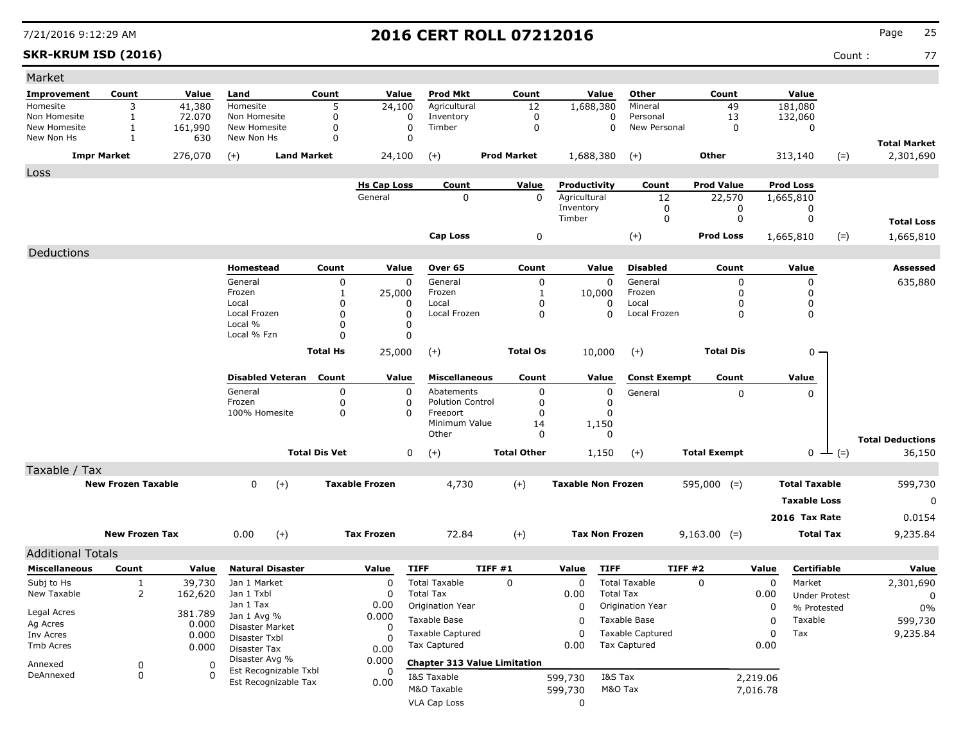### **SKR-KRUM ISD (2016)** Count : 77

| Market                                           |                              |                   |                               |                      |                       |                                     |                    |                           |                                              |                     |          |                      |                   |                                   |
|--------------------------------------------------|------------------------------|-------------------|-------------------------------|----------------------|-----------------------|-------------------------------------|--------------------|---------------------------|----------------------------------------------|---------------------|----------|----------------------|-------------------|-----------------------------------|
| <b>Improvement</b>                               | Count                        | Value             | Land                          | Count                | Value                 | Prod Mkt                            | Count              | Value                     | Other                                        | Count               |          | Value                |                   |                                   |
| Homesite                                         | 3                            | 41,380            | Homesite                      | 5                    | 24,100                | Agricultural                        | 12                 | 1,688,380                 | Mineral                                      | 49                  |          | 181,080              |                   |                                   |
| Non Homesite<br>New Homesite                     | $\mathbf{1}$<br>$\mathbf{1}$ | 72.070<br>161,990 | Non Homesite<br>New Homesite  | 0<br>0               | 0<br>0                | Inventory<br>Timber                 | 0<br>0             |                           | 0<br>Personal<br>$\mathbf 0$<br>New Personal | 13<br>0             |          | 132,060<br>0         |                   |                                   |
| New Non Hs                                       | 1                            | 630               | New Non Hs                    | $\Omega$             |                       | 0                                   |                    |                           |                                              |                     |          |                      |                   |                                   |
|                                                  | <b>Impr Market</b>           | 276,070           | $(+)$                         | <b>Land Market</b>   | 24,100                | $(+)$                               | <b>Prod Market</b> | 1,688,380                 | $(+)$                                        | <b>Other</b>        |          | 313,140              | $(=)$             | <b>Total Market</b><br>2,301,690  |
| Loss                                             |                              |                   |                               |                      |                       |                                     |                    |                           |                                              |                     |          |                      |                   |                                   |
|                                                  |                              |                   |                               |                      | <b>Hs Cap Loss</b>    | Count                               | Value              | Productivity              | Count                                        | <b>Prod Value</b>   |          | <b>Prod Loss</b>     |                   |                                   |
|                                                  |                              |                   |                               |                      | General               | 0                                   | $\mathbf{0}$       | Agricultural              | 12                                           | 22,570              |          | 1,665,810            |                   |                                   |
|                                                  |                              |                   |                               |                      |                       |                                     |                    | Inventory<br>Timber       | 0<br>0                                       |                     | 0<br>0   | 0<br>0               |                   |                                   |
|                                                  |                              |                   |                               |                      |                       |                                     |                    |                           |                                              |                     |          |                      |                   | <b>Total Loss</b>                 |
|                                                  |                              |                   |                               |                      |                       | Cap Loss                            | 0                  |                           | $(+)$                                        | <b>Prod Loss</b>    |          | 1,665,810            | $(=)$             | 1,665,810                         |
| Deductions                                       |                              |                   |                               |                      |                       |                                     |                    |                           |                                              |                     |          |                      |                   |                                   |
|                                                  |                              |                   | Homestead                     | Count                | Value                 | Over 65                             | Count              | Value                     | <b>Disabled</b>                              | Count               |          | Value                |                   | Assessed                          |
|                                                  |                              |                   | General<br>Frozen             | 0<br>1               | 0<br>25,000           | General<br>Frozen                   | 0<br>1             | 0<br>10,000               | General<br>Frozen                            |                     | 0<br>0   | 0<br>0               |                   | 635,880                           |
|                                                  |                              |                   | Local                         | 0                    | $\Omega$              | Local                               | 0                  | 0                         | Local                                        |                     | 0        | 0                    |                   |                                   |
|                                                  |                              |                   | Local Frozen                  | 0                    | $\Omega$              | Local Frozen                        | 0                  | $\mathbf{0}$              | Local Frozen                                 |                     | 0        | 0                    |                   |                                   |
|                                                  |                              |                   | Local %                       | 0                    | 0                     |                                     |                    |                           |                                              |                     |          |                      |                   |                                   |
|                                                  |                              |                   | Local % Fzn                   | O                    | 0                     |                                     |                    |                           |                                              |                     |          |                      |                   |                                   |
|                                                  |                              |                   |                               | <b>Total Hs</b>      | 25,000                | $^{(+)}$                            | <b>Total Os</b>    | 10,000                    | $(+)$                                        | <b>Total Dis</b>    |          | $0 -$                |                   |                                   |
|                                                  |                              |                   | <b>Disabled Veteran</b>       | Count                | Value                 | Miscellaneous                       | Count              | Value                     | <b>Const Exempt</b>                          | Count               |          | Value                |                   |                                   |
|                                                  |                              |                   | General                       | 0                    | 0                     | Abatements                          | 0                  | 0                         | General                                      |                     | 0        | $\mathbf{0}$         |                   |                                   |
|                                                  |                              |                   | Frozen                        | 0                    | 0                     | <b>Polution Control</b>             | 0                  | 0                         |                                              |                     |          |                      |                   |                                   |
|                                                  |                              |                   | 100% Homesite                 | 0                    | $\Omega$              | Freeport<br>Minimum Value           | 0<br>14            | 0<br>1,150                |                                              |                     |          |                      |                   |                                   |
|                                                  |                              |                   |                               |                      |                       | Other                               | 0                  | 0                         |                                              |                     |          |                      |                   |                                   |
|                                                  |                              |                   |                               | <b>Total Dis Vet</b> |                       | 0<br>$(+)$                          | <b>Total Other</b> | 1,150                     | $(+)$                                        | <b>Total Exempt</b> |          | 0                    | $(=)$<br><b>ᅩ</b> | <b>Total Deductions</b><br>36,150 |
| Taxable / Tax                                    |                              |                   |                               |                      |                       |                                     |                    |                           |                                              |                     |          |                      |                   |                                   |
|                                                  | <b>New Frozen Taxable</b>    |                   | 0<br>$(+)$                    |                      | <b>Taxable Frozen</b> | 4,730                               | $(+)$              | <b>Taxable Non Frozen</b> |                                              | $595,000$ (=)       |          | <b>Total Taxable</b> |                   | 599,730                           |
|                                                  |                              |                   |                               |                      |                       |                                     |                    |                           |                                              |                     |          | <b>Taxable Loss</b>  |                   | 0                                 |
|                                                  |                              |                   |                               |                      |                       |                                     |                    |                           |                                              |                     |          | 2016 Tax Rate        |                   | 0.0154                            |
|                                                  | <b>New Frozen Tax</b>        |                   | 0.00<br>$(+)$                 |                      | <b>Tax Frozen</b>     | 72.84                               | $(+)$              | <b>Tax Non Frozen</b>     |                                              | $9,163.00$ (=)      |          | <b>Total Tax</b>     |                   | 9,235.84                          |
|                                                  |                              |                   |                               |                      |                       |                                     |                    |                           |                                              |                     |          |                      |                   |                                   |
| <b>Additional Totals</b><br><b>Miscellaneous</b> | Count                        | Value             | <b>Natural Disaster</b>       |                      | Value                 | <b>TIFF</b>                         | TIFF #1            | Value<br><b>TIFF</b>      |                                              | TIFF #2             | Value    | Certifiable          |                   | Value                             |
| Subj to Hs                                       | 1                            | 39,730            | Jan 1 Market                  |                      | $\Omega$              | <b>Total Taxable</b>                | 0                  | $\mathbf 0$               | <b>Total Taxable</b>                         | $\Omega$            | $\Omega$ | Market               |                   | 2,301,690                         |
| New Taxable                                      | 2                            | 162,620           | Jan 1 Txbl                    |                      | 0                     | <b>Total Tax</b>                    |                    | 0.00                      | <b>Total Tax</b>                             |                     | 0.00     | <b>Under Protest</b> |                   | 0                                 |
|                                                  |                              |                   | Jan 1 Tax                     |                      | 0.00                  | Origination Year                    |                    | 0                         | <b>Origination Year</b>                      |                     | 0        | % Protested          |                   | 0%                                |
| Legal Acres                                      |                              | 381.789           | Jan 1 Avg %                   |                      | 0.000                 | Taxable Base                        |                    | 0                         | Taxable Base                                 |                     | 0        | Taxable              |                   | 599,730                           |
| Ag Acres<br>Inv Acres                            |                              | 0.000<br>0.000    | Disaster Market               |                      | 0                     | <b>Taxable Captured</b>             |                    | 0                         | <b>Taxable Captured</b>                      |                     | $\Omega$ | Tax                  |                   | 9,235.84                          |
| Tmb Acres                                        |                              | 0.000             | Disaster Txbl<br>Disaster Tax |                      | 0<br>0.00             | <b>Tax Captured</b>                 |                    | 0.00                      | <b>Tax Captured</b>                          |                     | 0.00     |                      |                   |                                   |
|                                                  |                              |                   | Disaster Avg %                |                      | 0.000                 | <b>Chapter 313 Value Limitation</b> |                    |                           |                                              |                     |          |                      |                   |                                   |
| Annexed<br>DeAnnexed                             | 0<br>0                       | 0<br>0            | Est Recognizable Txbl         |                      | 0                     |                                     |                    |                           |                                              |                     |          |                      |                   |                                   |
|                                                  |                              |                   | Est Recognizable Tax          |                      | 0.00                  | I&S Taxable<br>M&O Taxable          |                    | 599,730                   | I&S Tax<br>M&O Tax                           |                     | 2,219.06 |                      |                   |                                   |
|                                                  |                              |                   |                               |                      |                       |                                     |                    | 599,730                   |                                              |                     | 7,016.78 |                      |                   |                                   |
|                                                  |                              |                   |                               |                      |                       | <b>VLA Cap Loss</b>                 |                    | 0                         |                                              |                     |          |                      |                   |                                   |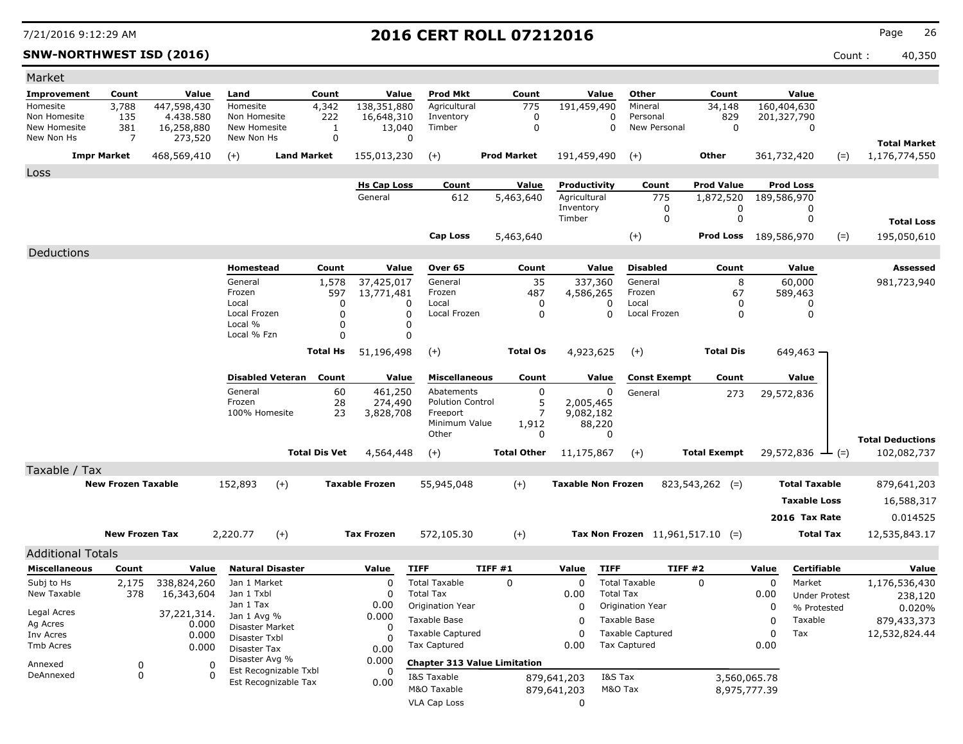### **SNW-NORTHWEST ISD (2016)** Count : 40,350

| Market                     |                           |                       |                            |                         |                      |                               |                                     |         |                           |                              |                  |                                    |                                |       |                                 |       |                                      |
|----------------------------|---------------------------|-----------------------|----------------------------|-------------------------|----------------------|-------------------------------|-------------------------------------|---------|---------------------------|------------------------------|------------------|------------------------------------|--------------------------------|-------|---------------------------------|-------|--------------------------------------|
| <b>Improvement</b>         | Count                     | Value                 | Land                       |                         | Count                | Value                         | Prod Mkt                            |         | Count                     |                              | Value            | Other                              | Count                          |       | Value                           |       |                                      |
| Homesite                   | 3,788                     | 447,598,430           | Homesite                   |                         | 4,342                | 138,351,880                   | Agricultural                        |         | 775                       | 191,459,490                  |                  | Mineral                            | 34,148                         |       | 160,404,630                     |       |                                      |
| Non Homesite               | 135                       | 4.438.580             | Non Homesite               |                         | 222                  | 16,648,310                    | Inventory                           |         | 0                         |                              | 0                | Personal                           | 829                            |       | 201,327,790                     |       |                                      |
| New Homesite<br>New Non Hs | 381<br>7                  | 16,258,880<br>273,520 | New Homesite<br>New Non Hs |                         | $\mathbf{1}$<br>0    | 13,040                        | Timber<br>0                         |         | 0                         |                              | $\Omega$         | New Personal                       | $\mathbf 0$                    |       | 0                               |       |                                      |
|                            |                           | 468,569,410           |                            | <b>Land Market</b>      |                      |                               |                                     |         | <b>Prod Market</b>        |                              |                  |                                    | Other                          |       |                                 |       | <b>Total Market</b><br>1,176,774,550 |
|                            | <b>Impr Market</b>        |                       | $(+)$                      |                         |                      | 155,013,230                   | $(+)$                               |         |                           | 191,459,490                  |                  | $(+)$                              |                                |       | 361,732,420                     | $(=)$ |                                      |
| Loss                       |                           |                       |                            |                         |                      |                               |                                     |         |                           |                              |                  |                                    |                                |       |                                 |       |                                      |
|                            |                           |                       |                            |                         |                      | <b>Hs Cap Loss</b><br>General | Count<br>612                        |         | <u>Value</u><br>5,463,640 | Productivity<br>Agricultural |                  | Count<br>775                       | <b>Prod Value</b><br>1,872,520 |       | <b>Prod Loss</b><br>189,586,970 |       |                                      |
|                            |                           |                       |                            |                         |                      |                               |                                     |         |                           | Inventory                    |                  | 0                                  | 0                              |       | 0                               |       |                                      |
|                            |                           |                       |                            |                         |                      |                               |                                     |         |                           | Timber                       |                  | 0                                  | 0                              |       | 0                               |       | <b>Total Loss</b>                    |
|                            |                           |                       |                            |                         |                      |                               | Cap Loss                            |         | 5,463,640                 |                              |                  | $(+)$                              | Prod Loss                      |       | 189,586,970                     | $(=)$ | 195,050,610                          |
| Deductions                 |                           |                       |                            |                         |                      |                               |                                     |         |                           |                              |                  |                                    |                                |       |                                 |       |                                      |
|                            |                           |                       | Homestead                  |                         | Count                | Value                         | Over 65                             |         | Count                     |                              | Value            | <b>Disabled</b>                    | Count                          |       | Value                           |       | <b>Assessed</b>                      |
|                            |                           |                       | General                    |                         | 1,578                | 37,425,017                    | General                             |         | 35                        | 337,360                      |                  | General                            | 8                              |       | 60,000                          |       | 981,723,940                          |
|                            |                           |                       | Frozen                     |                         | 597                  | 13,771,481                    | Frozen                              |         | 487                       | 4,586,265                    |                  | Frozen                             | 67                             |       | 589,463                         |       |                                      |
|                            |                           |                       | Local                      |                         | 0                    |                               | Local<br>0                          |         | 0                         |                              | 0                | Local                              | 0                              |       | 0                               |       |                                      |
|                            |                           |                       | Local Frozen<br>Local %    |                         | $\mathbf 0$<br>0     |                               | Local Frozen<br>0<br>O              |         | $\mathbf 0$               |                              | $\Omega$         | Local Frozen                       | 0                              |       | 0                               |       |                                      |
|                            |                           |                       | Local % Fzn                |                         | $\Omega$             |                               | $\Omega$                            |         |                           |                              |                  |                                    |                                |       |                                 |       |                                      |
|                            |                           |                       |                            |                         | <b>Total Hs</b>      | 51,196,498                    | $(+)$                               |         | <b>Total Os</b>           | 4,923,625                    |                  | $(+)$                              | <b>Total Dis</b>               |       | 649,463 -                       |       |                                      |
|                            |                           |                       |                            |                         |                      |                               |                                     |         |                           |                              |                  |                                    |                                |       |                                 |       |                                      |
|                            |                           |                       |                            | <b>Disabled Veteran</b> | Count                | Value                         | <b>Miscellaneous</b>                |         | Count                     |                              | Value            | <b>Const Exempt</b>                | Count                          |       | Value                           |       |                                      |
|                            |                           |                       | General                    |                         | 60                   | 461,250                       | Abatements                          |         | 0                         |                              | 0                | General                            | 273                            |       | 29,572,836                      |       |                                      |
|                            |                           |                       | Frozen<br>100% Homesite    |                         | 28<br>23             | 274,490<br>3,828,708          | <b>Polution Control</b><br>Freeport |         | 5<br>$\overline{7}$       | 2,005,465<br>9,082,182       |                  |                                    |                                |       |                                 |       |                                      |
|                            |                           |                       |                            |                         |                      |                               | Minimum Value                       |         | 1,912                     | 88,220                       |                  |                                    |                                |       |                                 |       |                                      |
|                            |                           |                       |                            |                         |                      |                               | Other                               |         | 0                         |                              | 0                |                                    |                                |       |                                 |       | <b>Total Deductions</b>              |
|                            |                           |                       |                            |                         | <b>Total Dis Vet</b> | 4,564,448                     | $(+)$                               |         | <b>Total Other</b>        | 11,175,867                   |                  | $(+)$                              | <b>Total Exempt</b>            |       | 29,572,836                      | $(=)$ | 102,082,737                          |
| Taxable / Tax              |                           |                       |                            |                         |                      |                               |                                     |         |                           |                              |                  |                                    |                                |       |                                 |       |                                      |
|                            | <b>New Frozen Taxable</b> |                       | 152,893                    | $(+)$                   |                      | <b>Taxable Frozen</b>         | 55,945,048                          |         | $(+)$                     | <b>Taxable Non Frozen</b>    |                  |                                    | $823,543,262$ (=)              |       | <b>Total Taxable</b>            |       | 879,641,203                          |
|                            |                           |                       |                            |                         |                      |                               |                                     |         |                           |                              |                  |                                    |                                |       | <b>Taxable Loss</b>             |       | 16,588,317                           |
|                            |                           |                       |                            |                         |                      |                               |                                     |         |                           |                              |                  |                                    |                                |       | 2016 Tax Rate                   |       | 0.014525                             |
|                            |                           |                       |                            |                         |                      |                               |                                     |         |                           |                              |                  |                                    |                                |       |                                 |       |                                      |
|                            | <b>New Frozen Tax</b>     |                       | 2,220.77                   | $(+)$                   |                      | <b>Tax Frozen</b>             | 572,105.30                          |         | $^{(+)}$                  |                              |                  | Tax Non Frozen $11,961,517.10$ (=) |                                |       | <b>Total Tax</b>                |       | 12,535,843.17                        |
| <b>Additional Totals</b>   |                           |                       |                            |                         |                      |                               |                                     |         |                           |                              |                  |                                    |                                |       |                                 |       |                                      |
| <b>Miscellaneous</b>       | Count                     | Value                 |                            | <b>Natural Disaster</b> |                      | Value                         | <b>TIFF</b>                         | TIFF #1 |                           | Value                        | <b>TIFF</b>      | TIFF #2                            |                                | Value | Certifiable                     |       | Value                                |
| Subj to Hs                 | 2,175                     | 338,824,260           | Jan 1 Market               |                         |                      | $\Omega$                      | <b>Total Taxable</b>                |         | 0                         | 0                            |                  | <b>Total Taxable</b>               | $\Omega$                       | 0     | Market                          |       | 1,176,536,430                        |
| New Taxable                | 378                       | 16,343,604            | Jan 1 Txbl<br>Jan 1 Tax    |                         |                      | $\Omega$                      | <b>Total Tax</b>                    |         |                           | 0.00                         | <b>Total Tax</b> |                                    |                                | 0.00  | <b>Under Protest</b>            |       | 238,120                              |
| Legal Acres                |                           | 37,221,314.           | Jan 1 Avg %                |                         |                      | 0.00<br>0.000                 | Origination Year                    |         |                           | 0                            |                  | Origination Year                   |                                | 0     | % Protested                     |       | 0.020%                               |
| Ag Acres                   |                           | 0.000                 | Disaster Market            |                         |                      | 0                             | Taxable Base                        |         |                           | 0                            |                  | Taxable Base                       |                                | 0     | Taxable                         |       | 879,433,373                          |
| Inv Acres                  |                           | 0.000                 | Disaster Txbl              |                         |                      |                               | <b>Taxable Captured</b>             |         |                           | 0                            |                  | <b>Taxable Captured</b>            |                                | 0     | Tax                             |       | 12,532,824.44                        |
| Tmb Acres                  |                           | 0.000                 | Disaster Tax               |                         |                      | 0.00                          | <b>Tax Captured</b>                 |         |                           | 0.00                         |                  | <b>Tax Captured</b>                |                                | 0.00  |                                 |       |                                      |
| Annexed                    | 0                         | 0                     | Disaster Avg %             | Est Recognizable Txbl   |                      | 0.000                         | <b>Chapter 313 Value Limitation</b> |         |                           |                              |                  |                                    |                                |       |                                 |       |                                      |
| DeAnnexed                  | 0                         | $\Omega$              |                            | Est Recognizable Tax    |                      | 0.00                          | I&S Taxable                         |         |                           | 879,641,203                  | I&S Tax          |                                    | 3,560,065.78                   |       |                                 |       |                                      |
|                            |                           |                       |                            |                         |                      |                               | M&O Taxable                         |         |                           | 879,641,203                  | M&O Tax          |                                    | 8,975,777.39                   |       |                                 |       |                                      |
|                            |                           |                       |                            |                         |                      |                               | <b>VLA Cap Loss</b>                 |         |                           | 0                            |                  |                                    |                                |       |                                 |       |                                      |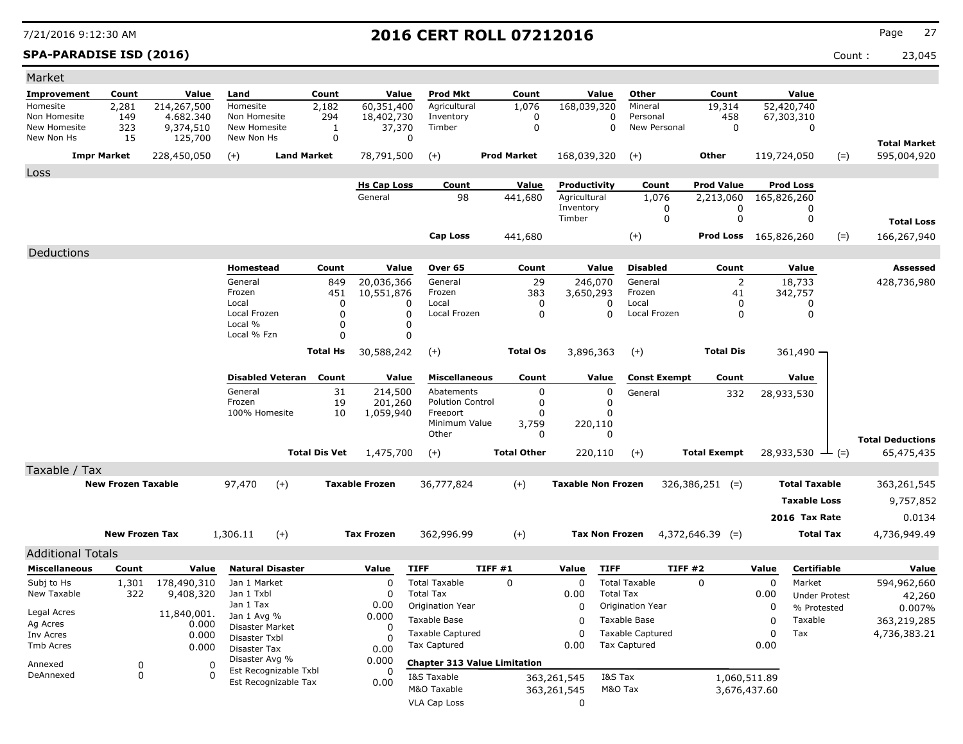### **SPA-PARADISE ISD (2016)** Count : 23,045

| Market                       |                           |                      |                                  |                               |                      |                       |                                       |                    |             |                           |                          |                              |       |                             |       |                                    |
|------------------------------|---------------------------|----------------------|----------------------------------|-------------------------------|----------------------|-----------------------|---------------------------------------|--------------------|-------------|---------------------------|--------------------------|------------------------------|-------|-----------------------------|-------|------------------------------------|
| <b>Improvement</b>           | Count                     | Value                | Land                             |                               | Count                | Value                 | <b>Prod Mkt</b>                       | Count              |             | Value                     | Other                    | Count                        |       | Value                       |       |                                    |
| Homesite                     | 2,281                     | 214,267,500          | Homesite                         |                               | 2,182                | 60,351,400            | Agricultural                          | 1,076              |             | 168,039,320               | Mineral                  | 19,314                       |       | 52,420,740                  |       |                                    |
| Non Homesite<br>New Homesite | 149<br>323                | 4.682.340            | Non Homesite<br>New Homesite     |                               | 294                  | 18,402,730<br>37,370  | Inventory<br>Timber                   |                    | 0<br>0      | 0<br>0                    | Personal<br>New Personal | 458<br>$\mathbf 0$           |       | 67,303,310<br>0             |       |                                    |
| New Non Hs                   | 15                        | 9,374,510<br>125,700 | New Non Hs                       |                               | 1<br>0               |                       | 0                                     |                    |             |                           |                          |                              |       |                             |       |                                    |
|                              | <b>Impr Market</b>        | 228,450,050          | $(+)$                            | <b>Land Market</b>            |                      | 78,791,500            | $(+)$                                 | <b>Prod Market</b> |             | 168,039,320               | $(+)$                    | Other                        |       | 119,724,050                 | $(=)$ | <b>Total Market</b><br>595,004,920 |
|                              |                           |                      |                                  |                               |                      |                       |                                       |                    |             |                           |                          |                              |       |                             |       |                                    |
| Loss                         |                           |                      |                                  |                               |                      | <b>Hs Cap Loss</b>    | Count                                 | <u>Value</u>       |             | Productivity              | Count                    | <b>Prod Value</b>            |       | <b>Prod Loss</b>            |       |                                    |
|                              |                           |                      |                                  |                               |                      | General               | 98                                    | 441,680            |             | Agricultural              | 1,076                    | 2,213,060                    |       | 165,826,260                 |       |                                    |
|                              |                           |                      |                                  |                               |                      |                       |                                       |                    |             | Inventory                 | 0                        | 0                            |       | 0                           |       |                                    |
|                              |                           |                      |                                  |                               |                      |                       |                                       |                    | Timber      |                           | 0                        | 0                            |       | 0                           |       | <b>Total Loss</b>                  |
|                              |                           |                      |                                  |                               |                      |                       | <b>Cap Loss</b>                       | 441,680            |             |                           | $(+)$                    | <b>Prod Loss</b> 165,826,260 |       |                             | $(=)$ | 166,267,940                        |
| Deductions                   |                           |                      |                                  |                               |                      |                       |                                       |                    |             |                           |                          |                              |       |                             |       |                                    |
|                              |                           |                      | Homestead                        |                               | Count                | Value                 | Over 65                               | Count              |             | Value                     | <b>Disabled</b>          | Count                        |       | Value                       |       | <b>Assessed</b>                    |
|                              |                           |                      | General                          |                               | 849                  | 20,036,366            | General                               |                    | 29          | 246,070                   | General                  | 2                            |       | 18,733                      |       | 428,736,980                        |
|                              |                           |                      | Frozen                           |                               | 451                  | 10,551,876            | Frozen                                |                    | 383         | 3,650,293                 | Frozen                   | 41                           |       | 342,757                     |       |                                    |
|                              |                           |                      | Local<br>Local Frozen            |                               | $\Omega$<br>$\Omega$ |                       | Local<br>0<br>0<br>Local Frozen       |                    | 0<br>0      | 0<br>$\Omega$             | Local<br>Local Frozen    | 0<br>$\Omega$                |       | 0<br>0                      |       |                                    |
|                              |                           |                      | Local %                          |                               | $\Omega$             |                       | 0                                     |                    |             |                           |                          |                              |       |                             |       |                                    |
|                              |                           |                      | Local % Fzn                      |                               | $\Omega$             |                       | 0                                     |                    |             |                           |                          |                              |       |                             |       |                                    |
|                              |                           |                      |                                  |                               | <b>Total Hs</b>      | 30,588,242            | $(+)$                                 | <b>Total Os</b>    |             | 3,896,363                 | $(+)$                    | <b>Total Dis</b>             |       | 361,490 -                   |       |                                    |
|                              |                           |                      |                                  |                               |                      |                       |                                       |                    |             |                           |                          |                              |       |                             |       |                                    |
|                              |                           |                      |                                  | <b>Disabled Veteran Count</b> |                      | Value                 | <b>Miscellaneous</b>                  | Count              |             | Value                     | <b>Const Exempt</b>      | Count                        |       | Value                       |       |                                    |
|                              |                           |                      | General<br>Frozen                |                               | 31<br>19             | 214,500<br>201,260    | Abatements<br><b>Polution Control</b> |                    | 0<br>0      | 0<br>0                    | General                  | 332                          |       | 28,933,530                  |       |                                    |
|                              |                           |                      | 100% Homesite                    |                               | 10                   | 1,059,940             | Freeport                              |                    | 0           | 0                         |                          |                              |       |                             |       |                                    |
|                              |                           |                      |                                  |                               |                      |                       | Minimum Value                         | 3,759              |             | 220,110                   |                          |                              |       |                             |       |                                    |
|                              |                           |                      |                                  |                               |                      |                       | Other                                 |                    | 0           | 0                         |                          |                              |       |                             |       | <b>Total Deductions</b>            |
|                              |                           |                      |                                  |                               | <b>Total Dis Vet</b> | 1,475,700             | $(+)$                                 | <b>Total Other</b> |             | 220,110                   | $(+)$                    | <b>Total Exempt</b>          |       | $28,933,530 \leftarrow (=)$ |       | 65,475,435                         |
| Taxable / Tax                |                           |                      |                                  |                               |                      |                       |                                       |                    |             |                           |                          |                              |       |                             |       |                                    |
|                              | <b>New Frozen Taxable</b> |                      | 97,470                           | $(+)$                         |                      | <b>Taxable Frozen</b> | 36,777,824                            | $(+)$              |             | <b>Taxable Non Frozen</b> |                          | $326,386,251$ (=)            |       | <b>Total Taxable</b>        |       | 363,261,545                        |
|                              |                           |                      |                                  |                               |                      |                       |                                       |                    |             |                           |                          |                              |       | <b>Taxable Loss</b>         |       | 9,757,852                          |
|                              |                           |                      |                                  |                               |                      |                       |                                       |                    |             |                           |                          |                              |       | 2016 Tax Rate               |       | 0.0134                             |
|                              | <b>New Frozen Tax</b>     |                      | 1,306.11                         | $(+)$                         |                      | <b>Tax Frozen</b>     | 362,996.99                            | $(+)$              |             | <b>Tax Non Frozen</b>     |                          | $4,372,646.39$ (=)           |       | <b>Total Tax</b>            |       | 4,736,949.49                       |
| <b>Additional Totals</b>     |                           |                      |                                  |                               |                      |                       |                                       |                    |             |                           |                          |                              |       |                             |       |                                    |
| <b>Miscellaneous</b>         | Count                     | Value                |                                  | <b>Natural Disaster</b>       |                      | Value                 | <b>TIFF</b>                           | TIFF #1            | Value       | <b>TIFF</b>               | TIFF #2                  |                              | Value | Certifiable                 |       | Value                              |
| Subj to Hs                   | 1,301                     | 178,490,310          | Jan 1 Market                     |                               |                      | 0                     | <b>Total Taxable</b>                  | 0                  |             | 0                         | <b>Total Taxable</b>     | 0                            | 0     | Market                      |       | 594,962,660                        |
| New Taxable                  | 322                       | 9,408,320            | Jan 1 Txbl                       |                               |                      | 0                     | <b>Total Tax</b>                      |                    | 0.00        | <b>Total Tax</b>          |                          |                              | 0.00  | <b>Under Protest</b>        |       | 42,260                             |
|                              |                           |                      | Jan 1 Tax                        |                               |                      | 0.00                  | Origination Year                      |                    |             | 0                         | <b>Origination Year</b>  |                              | 0     | % Protested                 |       | 0.007%                             |
| Legal Acres<br>Ag Acres      |                           | 11,840,001.<br>0.000 | Jan 1 Avg %                      |                               |                      | 0.000                 | Taxable Base                          |                    |             | 0                         | Taxable Base             |                              | 0     | Taxable                     |       | 363,219,285                        |
| Inv Acres                    |                           | 0.000                | Disaster Market<br>Disaster Txbl |                               |                      | 0                     | <b>Taxable Captured</b>               |                    |             | 0                         | <b>Taxable Captured</b>  |                              | 0     | Tax                         |       | 4,736,383.21                       |
| Tmb Acres                    |                           | 0.000                | <b>Disaster Tax</b>              |                               |                      | 0.00                  | Tax Captured                          |                    | 0.00        |                           | <b>Tax Captured</b>      |                              | 0.00  |                             |       |                                    |
| Annexed                      | 0                         | 0                    | Disaster Avg %                   |                               |                      | 0.000                 | <b>Chapter 313 Value Limitation</b>   |                    |             |                           |                          |                              |       |                             |       |                                    |
| DeAnnexed                    | 0                         | $\Omega$             |                                  | Est Recognizable Txbl         |                      | 0                     | I&S Taxable                           |                    | 363,261,545 | I&S Tax                   |                          | 1,060,511.89                 |       |                             |       |                                    |
|                              |                           |                      |                                  | Est Recognizable Tax          |                      | 0.00                  | M&O Taxable                           |                    | 363,261,545 |                           | M&O Tax                  | 3,676,437.60                 |       |                             |       |                                    |
|                              |                           |                      |                                  |                               |                      |                       | <b>VLA Cap Loss</b>                   |                    |             | 0                         |                          |                              |       |                             |       |                                    |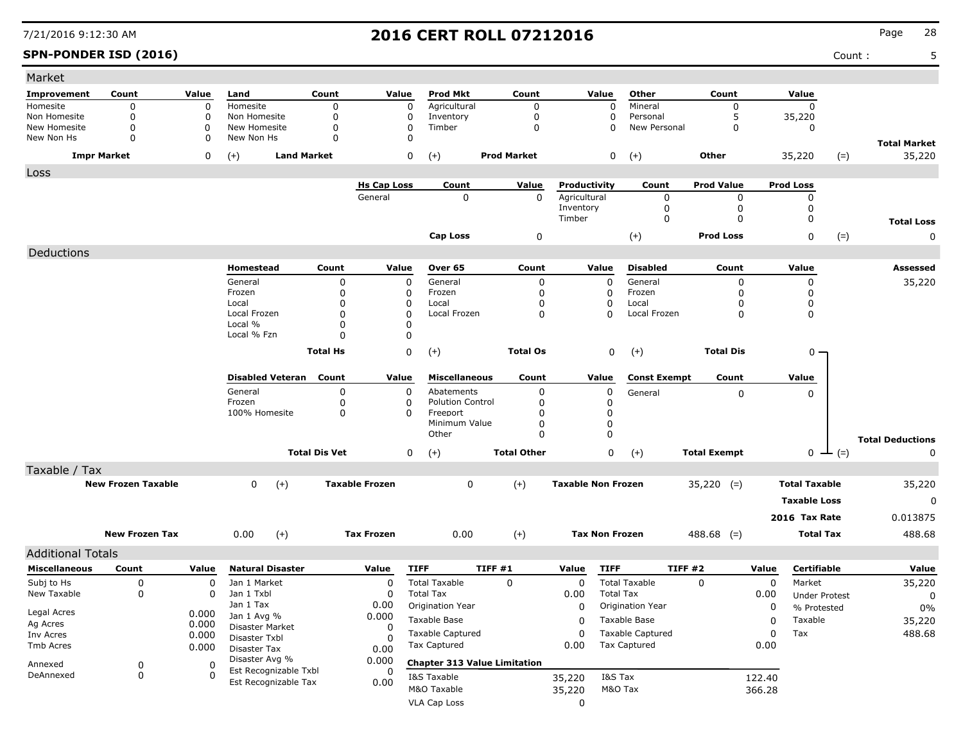| Market                       |                           |        |                                               |                      |                       |                                     |                    |                           |                          |                     |          |                      |               |                               |
|------------------------------|---------------------------|--------|-----------------------------------------------|----------------------|-----------------------|-------------------------------------|--------------------|---------------------------|--------------------------|---------------------|----------|----------------------|---------------|-------------------------------|
| <b>Improvement</b>           | Count                     | Value  | Land                                          | Count                | Value                 | <b>Prod Mkt</b>                     | Count              | Value                     | Other                    | Count               |          | Value                |               |                               |
| Homesite                     | $\mathbf 0$               | 0      | Homesite                                      | $\mathbf 0$          | 0                     | Agricultural                        | $\mathbf 0$        | $\mathbf 0$               | Mineral                  | $\mathbf 0$         |          | $\Omega$             |               |                               |
| Non Homesite<br>New Homesite | 0<br>$\mathbf 0$          | 0<br>0 | Non Homesite<br>New Homesite                  | 0<br>0               | 0<br>0                | Inventory<br>Timber                 | 0<br>$\Omega$      | $\Omega$<br>$\Omega$      | Personal<br>New Personal | 5<br>$\Omega$       |          | 35,220<br>0          |               |                               |
| New Non Hs                   | 0                         | 0      | New Non Hs                                    | $\Omega$             | 0                     |                                     |                    |                           |                          |                     |          |                      |               |                               |
| <b>Impr Market</b>           |                           | 0      | <b>Land Market</b><br>$(+)$                   |                      | 0                     | $(+)$                               | <b>Prod Market</b> | 0                         | $(+)$                    | Other               |          | 35,220               | $(=)$         | <b>Total Market</b><br>35,220 |
| Loss                         |                           |        |                                               |                      |                       |                                     |                    |                           |                          |                     |          |                      |               |                               |
|                              |                           |        |                                               |                      | <b>Hs Cap Loss</b>    | Count                               | Value              | Productivity              | Count                    | <b>Prod Value</b>   |          | <b>Prod Loss</b>     |               |                               |
|                              |                           |        |                                               |                      | General               | $\mathbf 0$                         | 0                  | Agricultural              | 0                        | 0                   |          | 0                    |               |                               |
|                              |                           |        |                                               |                      |                       |                                     |                    | Inventory                 | 0                        | 0                   |          | 0                    |               |                               |
|                              |                           |        |                                               |                      |                       |                                     |                    | Timber                    | 0                        | 0                   |          | 0                    |               | <b>Total Loss</b>             |
|                              |                           |        |                                               |                      |                       | <b>Cap Loss</b>                     | 0                  |                           | $(+)$                    | <b>Prod Loss</b>    |          | 0                    | $(=)$         | 0                             |
| Deductions                   |                           |        |                                               |                      |                       |                                     |                    |                           |                          |                     |          |                      |               |                               |
|                              |                           |        | Homestead                                     | Count                | Value                 | Over 65                             | Count              | Value                     | <b>Disabled</b>          | Count               |          | Value                |               | Assessed                      |
|                              |                           |        | General                                       | 0                    | 0                     | General                             | 0                  | $\mathbf 0$               | General                  | 0                   |          | 0                    |               | 35,220                        |
|                              |                           |        | Frozen                                        | 0                    | 0                     | Frozen                              | 0                  | 0                         | Frozen                   | O                   |          | 0                    |               |                               |
|                              |                           |        | Local<br>Local Frozen                         | 0<br>0               | 0<br>0                | Local<br>Local Frozen               | 0<br>$\Omega$      | 0<br>$\Omega$             | Local<br>Local Frozen    | 0<br>0              |          | 0<br>0               |               |                               |
|                              |                           |        | Local %                                       | 0                    | $\Omega$              |                                     |                    |                           |                          |                     |          |                      |               |                               |
|                              |                           |        | Local % Fzn                                   | O                    | 0                     |                                     |                    |                           |                          |                     |          |                      |               |                               |
|                              |                           |        |                                               | <b>Total Hs</b>      | 0                     | $(+)$                               | <b>Total Os</b>    | 0                         | $(+)$                    | <b>Total Dis</b>    |          | $0 -$                |               |                               |
|                              |                           |        |                                               |                      |                       |                                     |                    |                           |                          |                     |          |                      |               |                               |
|                              |                           |        | <b>Disabled Veteran</b>                       | Count                | Value                 | <b>Miscellaneous</b>                | Count              | Value                     | <b>Const Exempt</b>      | Count               |          | Value                |               |                               |
|                              |                           |        | General                                       | 0                    | 0                     | Abatements                          | 0                  | 0                         | General                  | 0                   |          | 0                    |               |                               |
|                              |                           |        | Frozen<br>100% Homesite                       | 0                    | $\Omega$<br>$\Omega$  | <b>Polution Control</b><br>Freeport | 0<br>0             | 0                         |                          |                     |          |                      |               |                               |
|                              |                           |        |                                               | 0                    |                       | Minimum Value                       | $\Omega$           | 0<br>0                    |                          |                     |          |                      |               |                               |
|                              |                           |        |                                               |                      |                       | Other                               | $\Omega$           | $\mathbf 0$               |                          |                     |          |                      |               | <b>Total Deductions</b>       |
|                              |                           |        |                                               | <b>Total Dis Vet</b> | 0                     | $(+)$                               | <b>Total Other</b> | 0                         | $(+)$                    | <b>Total Exempt</b> |          |                      | $0 \perp (=)$ | 0                             |
| Taxable / Tax                |                           |        |                                               |                      |                       |                                     |                    |                           |                          |                     |          |                      |               |                               |
|                              | <b>New Frozen Taxable</b> |        | $(+)$<br>0                                    |                      | <b>Taxable Frozen</b> | 0                                   | $(+)$              | <b>Taxable Non Frozen</b> |                          | $35,220$ (=)        |          | <b>Total Taxable</b> |               | 35,220                        |
|                              |                           |        |                                               |                      |                       |                                     |                    |                           |                          |                     |          | <b>Taxable Loss</b>  |               | 0                             |
|                              |                           |        |                                               |                      |                       |                                     |                    |                           |                          |                     |          |                      |               |                               |
|                              |                           |        |                                               |                      |                       |                                     |                    |                           |                          |                     |          | 2016 Tax Rate        |               | 0.013875                      |
|                              | <b>New Frozen Tax</b>     |        | $(+)$<br>0.00                                 |                      | <b>Tax Frozen</b>     | 0.00                                | $(+)$              | <b>Tax Non Frozen</b>     |                          | $488.68$ (=)        |          | <b>Total Tax</b>     |               | 488.68                        |
| <b>Additional Totals</b>     |                           |        |                                               |                      |                       |                                     |                    |                           |                          |                     |          |                      |               |                               |
| <b>Miscellaneous</b>         | Count                     | Value  | <b>Natural Disaster</b>                       |                      | Value                 | <b>TIFF</b>                         | TIFF #1            | <b>TIFF</b><br>Value      |                          | TIFF#2              | Value    | Certifiable          |               | Value                         |
| Subj to Hs                   | 0                         | 0      | Jan 1 Market                                  |                      | $\Omega$              | <b>Total Taxable</b>                | 0                  | 0                         | <b>Total Taxable</b>     | 0                   | 0        | Market               |               | 35,220                        |
| New Taxable                  | 0                         | 0      | Jan 1 Txbl                                    |                      | 0                     | <b>Total Tax</b>                    |                    | 0.00                      | <b>Total Tax</b>         |                     | 0.00     | <b>Under Protest</b> |               | 0                             |
| Legal Acres                  |                           | 0.000  | Jan 1 Tax                                     |                      | 0.00                  | Origination Year                    |                    | $\Omega$                  | Origination Year         |                     | $\Omega$ | % Protested          |               | $0\%$                         |
| Ag Acres                     |                           | 0.000  | Jan 1 Avg %<br>Disaster Market                |                      | 0.000<br>$\Omega$     | Taxable Base                        |                    | 0                         | Taxable Base             |                     | 0        | Taxable              |               | 35,220                        |
| Inv Acres                    |                           | 0.000  | Disaster Txbl                                 |                      | 0                     | Taxable Captured                    |                    | 0                         | Taxable Captured         |                     | 0        | Tax                  |               | 488.68                        |
| Tmb Acres                    |                           | 0.000  | Disaster Tax                                  |                      | 0.00                  | <b>Tax Captured</b>                 |                    | 0.00                      | <b>Tax Captured</b>      |                     | 0.00     |                      |               |                               |
| Annexed                      | 0                         | 0      | Disaster Avg %                                |                      | 0.000                 | <b>Chapter 313 Value Limitation</b> |                    |                           |                          |                     |          |                      |               |                               |
| DeAnnexed                    | 0                         | 0      | Est Recognizable Txbl<br>Est Recognizable Tax |                      | 0                     | I&S Taxable                         |                    | 35,220                    | I&S Tax                  |                     | 122.40   |                      |               |                               |
|                              |                           |        |                                               |                      | 0.00                  | M&O Taxable                         |                    | 35,220                    | M&O Tax                  |                     | 366.28   |                      |               |                               |
|                              |                           |        |                                               |                      |                       | VLA Cap Loss                        |                    | 0                         |                          |                     |          |                      |               |                               |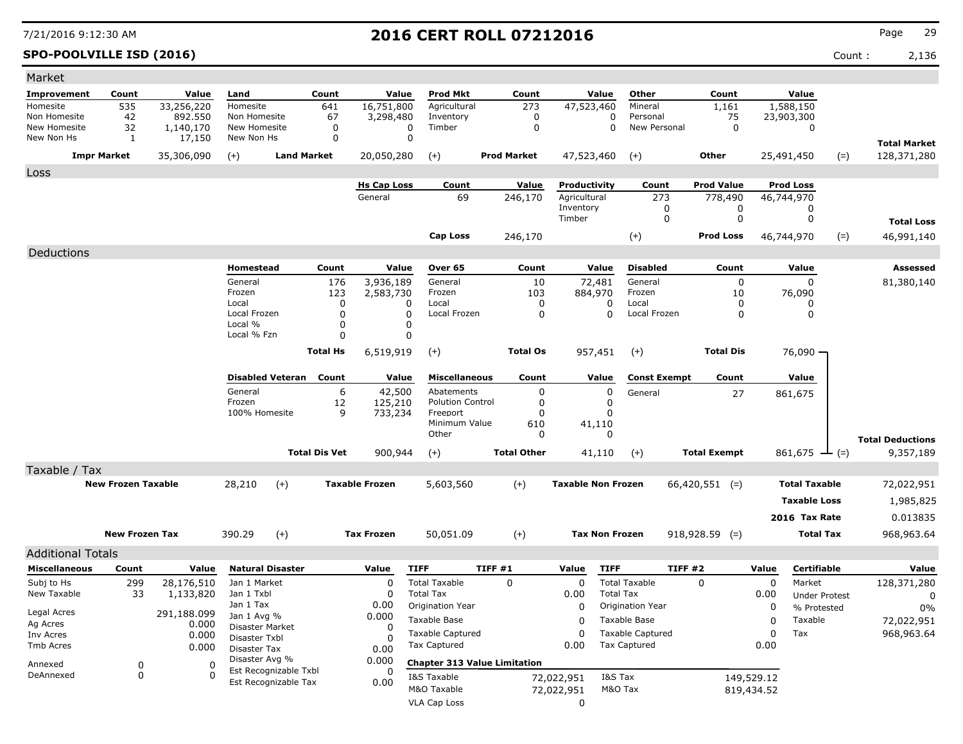### **SPO-POOLVILLE ISD (2016)** Count : 2,136

| Market                       |                           |                         |                               |                      |                               |                                          |                                     |                           |                                          |                     |            |                                     |                                    |
|------------------------------|---------------------------|-------------------------|-------------------------------|----------------------|-------------------------------|------------------------------------------|-------------------------------------|---------------------------|------------------------------------------|---------------------|------------|-------------------------------------|------------------------------------|
| <b>Improvement</b>           | Count                     | Value                   | Land                          | Count                | Value                         | <b>Prod Mkt</b>                          | Count                               | Value                     | Other                                    | Count               |            | Value                               |                                    |
| Homesite                     | 535                       | 33,256,220              | Homesite                      | 641                  | 16,751,800                    | Agricultural                             | 273                                 | 47,523,460                | Mineral                                  | 1,161               |            | 1,588,150                           |                                    |
| Non Homesite<br>New Homesite | 42                        | 892,550                 | Non Homesite                  |                      | 67<br>3,298,480               | Inventory                                | 0                                   |                           | 0<br>Personal                            | 75                  |            | 23,903,300                          |                                    |
| New Non Hs                   | 32<br>1                   | 1,140,170<br>17,150     | New Homesite<br>New Non Hs    |                      | 0<br>0                        | 0<br>Timber<br>$\mathbf 0$               | 0                                   |                           | 0<br>New Personal                        | 0                   |            | 0                                   |                                    |
|                              | <b>Impr Market</b>        | 35,306,090              | $(+)$                         | <b>Land Market</b>   | 20,050,280                    | $(+)$                                    | <b>Prod Market</b>                  | 47,523,460                | $(+)$                                    | Other               |            | $(=)$<br>25,491,450                 | <b>Total Market</b><br>128,371,280 |
| Loss                         |                           |                         |                               |                      |                               |                                          |                                     |                           |                                          |                     |            |                                     |                                    |
|                              |                           |                         |                               |                      | <b>Hs Cap Loss</b>            | Count                                    | Value                               | Productivity              | Count                                    | <b>Prod Value</b>   |            | <b>Prod Loss</b>                    |                                    |
|                              |                           |                         |                               |                      | General                       | 69                                       | 246,170                             | Agricultural              | 273                                      | 778,490             |            | 46,744,970                          |                                    |
|                              |                           |                         |                               |                      |                               |                                          |                                     | Inventory<br>Timber       | 0<br>$\mathbf 0$                         | 0<br>0              |            | 0<br>0                              |                                    |
|                              |                           |                         |                               |                      |                               |                                          |                                     |                           |                                          |                     |            |                                     | <b>Total Loss</b>                  |
|                              |                           |                         |                               |                      |                               | Cap Loss                                 | 246,170                             |                           | $(+)$                                    | <b>Prod Loss</b>    |            | $(=)$<br>46,744,970                 | 46,991,140                         |
| Deductions                   |                           |                         |                               |                      |                               |                                          |                                     |                           |                                          |                     |            |                                     |                                    |
|                              |                           |                         | Homestead                     | Count                | Value                         | Over 65                                  | Count                               | Value                     | Disabled                                 | Count               |            | Value                               | Assessed                           |
|                              |                           |                         | General                       |                      | 176<br>3,936,189              | General                                  | 10                                  | 72,481                    | General                                  | 0                   |            | $\Omega$                            | 81,380,140                         |
|                              |                           |                         | Frozen<br>Local               |                      | 123<br>2,583,730<br>0         | Frozen<br>Local<br>0                     | 103<br>0                            | 884,970<br>0              | Frozen<br>Local                          | 10<br>0             |            | 76,090<br>0                         |                                    |
|                              |                           |                         | Local Frozen                  |                      | $\mathbf 0$                   | 0<br>Local Frozen                        | 0                                   | $\Omega$                  | Local Frozen                             | 0                   |            | 0                                   |                                    |
|                              |                           |                         | Local %                       |                      | 0                             | 0                                        |                                     |                           |                                          |                     |            |                                     |                                    |
|                              |                           |                         | Local % Fzn                   |                      | $\Omega$                      | 0                                        |                                     |                           |                                          |                     |            |                                     |                                    |
|                              |                           |                         |                               | <b>Total Hs</b>      | 6,519,919                     | $(+)$                                    | <b>Total Os</b>                     | 957,451                   | $(+)$                                    | <b>Total Dis</b>    |            | 76,090 -                            |                                    |
|                              |                           |                         | <b>Disabled Veteran</b>       | Count                | Value                         | <b>Miscellaneous</b>                     | Count                               | Value                     | <b>Const Exempt</b>                      | Count               |            | Value                               |                                    |
|                              |                           |                         | General                       |                      | 6<br>42,500                   | Abatements                               | 0                                   | 0                         | General                                  | 27                  |            | 861,675                             |                                    |
|                              |                           |                         | Frozen<br>100% Homesite       |                      | 12<br>125,210<br>9<br>733,234 | <b>Polution Control</b><br>Freeport      | 0<br>0                              | 0<br>0                    |                                          |                     |            |                                     |                                    |
|                              |                           |                         |                               |                      |                               | Minimum Value                            | 610                                 | 41,110                    |                                          |                     |            |                                     |                                    |
|                              |                           |                         |                               |                      |                               | Other                                    | 0                                   | 0                         |                                          |                     |            |                                     | <b>Total Deductions</b>            |
|                              |                           |                         |                               | <b>Total Dis Vet</b> | 900,944                       | $(+)$                                    | <b>Total Other</b>                  | 41,110                    | $(+)$                                    | <b>Total Exempt</b> |            | 861,675 $\perp$ (=)                 | 9,357,189                          |
| Taxable / Tax                |                           |                         |                               |                      |                               |                                          |                                     |                           |                                          |                     |            |                                     |                                    |
|                              | <b>New Frozen Taxable</b> |                         | 28,210                        | $(+)$                | <b>Taxable Frozen</b>         | 5,603,560                                | $(+)$                               | <b>Taxable Non Frozen</b> |                                          | $66,420,551$ (=)    |            | <b>Total Taxable</b>                | 72,022,951                         |
|                              |                           |                         |                               |                      |                               |                                          |                                     |                           |                                          |                     |            | <b>Taxable Loss</b>                 | 1,985,825                          |
|                              |                           |                         |                               |                      |                               |                                          |                                     |                           |                                          |                     |            | 2016 Tax Rate                       | 0.013835                           |
|                              | <b>New Frozen Tax</b>     |                         | 390.29                        | $(+)$                | <b>Tax Frozen</b>             | 50,051.09                                | $(+)$                               | <b>Tax Non Frozen</b>     |                                          | $918,928.59$ (=)    |            | <b>Total Tax</b>                    | 968,963.64                         |
|                              |                           |                         |                               |                      |                               |                                          |                                     |                           |                                          |                     |            |                                     |                                    |
| <b>Additional Totals</b>     |                           |                         |                               |                      |                               |                                          |                                     |                           |                                          |                     |            |                                     |                                    |
| <b>Miscellaneous</b>         | Count                     | Value                   | <b>Natural Disaster</b>       |                      | Value                         | <b>TIFF</b>                              | TIFF #1                             | <b>TIFF</b><br>Value      |                                          | <b>TIFF #2</b>      | Value      | Certifiable                         | Value                              |
| Subj to Hs<br>New Taxable    | 299<br>33                 | 28,176,510<br>1,133,820 | Jan 1 Market<br>Jan 1 Txbl    |                      | 0<br>0                        | <b>Total Taxable</b><br><b>Total Tax</b> | 0                                   | 0<br>0.00                 | <b>Total Taxable</b><br><b>Total Tax</b> | 0                   | 0<br>0.00  | Market                              | 128,371,280                        |
|                              |                           |                         | Jan 1 Tax                     |                      | 0.00                          | Origination Year                         |                                     | 0                         | Origination Year                         |                     | 0          | <b>Under Protest</b><br>% Protested | 0<br>$0\%$                         |
| Legal Acres                  |                           | 291,188.099             | Jan 1 Avg %                   |                      | 0.000                         | Taxable Base                             |                                     | 0                         | Taxable Base                             |                     | 0          | Taxable                             | 72,022,951                         |
| Ag Acres<br>Inv Acres        |                           | 0.000<br>0.000          | Disaster Market               |                      | 0                             | <b>Taxable Captured</b>                  |                                     | 0                         | <b>Taxable Captured</b>                  |                     | 0          | Tax                                 | 968,963.64                         |
| Tmb Acres                    |                           | 0.000                   | Disaster Txbl<br>Disaster Tax |                      | $\Omega$<br>0.00              | <b>Tax Captured</b>                      |                                     | 0.00                      | <b>Tax Captured</b>                      |                     | 0.00       |                                     |                                    |
|                              |                           |                         | Disaster Avg %                |                      | 0.000                         |                                          | <b>Chapter 313 Value Limitation</b> |                           |                                          |                     |            |                                     |                                    |
| Annexed<br>DeAnnexed         | 0<br>0                    | 0<br>0                  | Est Recognizable Txbl         |                      | 0                             | I&S Taxable                              |                                     | 72,022,951                | I&S Tax                                  |                     | 149,529.12 |                                     |                                    |
|                              |                           |                         | Est Recognizable Tax          |                      | 0.00                          | M&O Taxable                              |                                     | 72,022,951                | M&O Tax                                  |                     | 819,434.52 |                                     |                                    |
|                              |                           |                         |                               |                      |                               | VLA Cap Loss                             |                                     | 0                         |                                          |                     |            |                                     |                                    |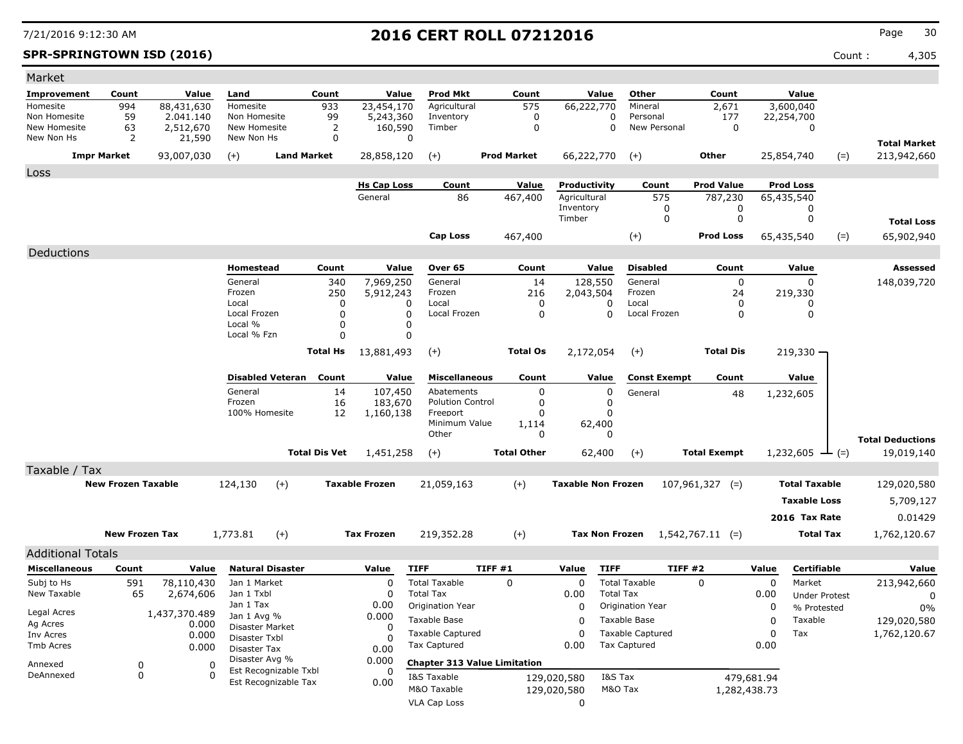**SPR-SPRINGTOWN ISD (2016)** Count : 4,305

| Market                       |                           |                         |                                  |                                               |                      |                       |                                          |                |                    |                           |                       |                          |                     |            |                                     |       |                         |
|------------------------------|---------------------------|-------------------------|----------------------------------|-----------------------------------------------|----------------------|-----------------------|------------------------------------------|----------------|--------------------|---------------------------|-----------------------|--------------------------|---------------------|------------|-------------------------------------|-------|-------------------------|
| <b>Improvement</b>           | Count                     | Value                   | Land                             |                                               | Count                | Value                 | <b>Prod Mkt</b>                          |                | Count              |                           | Value                 | Other                    | Count               |            | Value                               |       |                         |
| Homesite                     | 994                       | 88,431,630              | Homesite                         |                                               | 933                  | 23,454,170            | Agricultural                             |                | 575                | 66,222,770                |                       | Mineral                  | 2,671               |            | 3,600,040                           |       |                         |
| Non Homesite<br>New Homesite | 59<br>63                  | 2.041.140<br>2,512,670  | Non Homesite<br>New Homesite     |                                               | 99<br>2              | 5,243,360<br>160,590  | Inventory<br>Timber                      |                | 0<br>$\mathbf 0$   |                           | 0<br>0                | Personal<br>New Personal | 177<br>0            |            | 22,254,700<br>0                     |       |                         |
| New Non Hs                   | 2                         | 21,590                  | New Non Hs                       |                                               | 0                    | 0                     |                                          |                |                    |                           |                       |                          |                     |            |                                     |       | <b>Total Market</b>     |
| <b>Impr Market</b>           |                           | 93,007,030              | $(+)$                            | <b>Land Market</b>                            |                      | 28,858,120            | $(+)$                                    |                | <b>Prod Market</b> | 66,222,770                |                       | $(+)$                    | Other               |            | 25,854,740                          | $(=)$ | 213,942,660             |
| Loss                         |                           |                         |                                  |                                               |                      |                       |                                          |                |                    |                           |                       |                          |                     |            |                                     |       |                         |
|                              |                           |                         |                                  |                                               |                      | <b>Hs Cap Loss</b>    | Count                                    |                | Value              | Productivity              |                       | Count                    | <b>Prod Value</b>   |            | <b>Prod Loss</b>                    |       |                         |
|                              |                           |                         |                                  |                                               |                      | General               | 86                                       |                | 467,400            | Agricultural              |                       | 575                      | 787,230             |            | 65,435,540                          |       |                         |
|                              |                           |                         |                                  |                                               |                      |                       |                                          |                |                    | Inventory<br>Timber       |                       | 0<br>0                   | 0<br>0              |            | 0<br>0                              |       |                         |
|                              |                           |                         |                                  |                                               |                      |                       |                                          |                |                    |                           |                       |                          |                     |            |                                     |       | <b>Total Loss</b>       |
|                              |                           |                         |                                  |                                               |                      |                       | <b>Cap Loss</b>                          |                | 467,400            |                           |                       | $(+)$                    | <b>Prod Loss</b>    |            | 65,435,540                          | $(=)$ | 65,902,940              |
| Deductions                   |                           |                         |                                  |                                               |                      |                       |                                          |                |                    |                           |                       |                          |                     |            |                                     |       |                         |
|                              |                           |                         | Homestead                        |                                               | Count                | Value                 | Over 65                                  |                | Count              |                           | Value                 | <b>Disabled</b>          | Count               |            | Value                               |       | <b>Assessed</b>         |
|                              |                           |                         | General<br>Frozen                |                                               | 340<br>250           | 7,969,250             | General<br>Frozen                        |                | 14<br>216          | 128,550                   |                       | General<br>Frozen        | $\mathbf 0$<br>24   |            | 0                                   |       | 148,039,720             |
|                              |                           |                         | Local                            |                                               | 0                    | 5,912,243<br>0        | Local                                    |                | $\Omega$           | 2,043,504                 | 0                     | Local                    | 0                   |            | 219,330<br>0                        |       |                         |
|                              |                           |                         | Local Frozen                     |                                               | $\Omega$             | 0                     | Local Frozen                             |                | 0                  |                           | $\Omega$              | Local Frozen             | 0                   |            | 0                                   |       |                         |
|                              |                           |                         | Local %<br>Local % Fzn           |                                               | $\Omega$<br>$\Omega$ | 0<br>0                |                                          |                |                    |                           |                       |                          |                     |            |                                     |       |                         |
|                              |                           |                         |                                  |                                               | <b>Total Hs</b>      | 13,881,493            | $(+)$                                    |                | <b>Total Os</b>    | 2,172,054                 |                       | $^{(+)}$                 | <b>Total Dis</b>    |            | $219,330 -$                         |       |                         |
|                              |                           |                         |                                  |                                               |                      |                       |                                          |                |                    |                           |                       |                          |                     |            |                                     |       |                         |
|                              |                           |                         |                                  | <b>Disabled Veteran</b>                       | Count                | Value                 | <b>Miscellaneous</b>                     |                | Count              |                           | Value                 | <b>Const Exempt</b>      | Count               |            | Value                               |       |                         |
|                              |                           |                         | General                          |                                               | 14                   | 107,450               | Abatements                               |                | 0                  |                           | 0                     | General                  | 48                  |            | 1,232,605                           |       |                         |
|                              |                           |                         | Frozen                           |                                               | 16                   | 183,670               | <b>Polution Control</b>                  |                | 0                  |                           | 0                     |                          |                     |            |                                     |       |                         |
|                              |                           |                         | 100% Homesite                    |                                               | 12                   | 1,160,138             | Freeport<br>Minimum Value                |                | 0<br>1,114         |                           | 0<br>62,400           |                          |                     |            |                                     |       |                         |
|                              |                           |                         |                                  |                                               |                      |                       | Other                                    |                | 0                  |                           | 0                     |                          |                     |            |                                     |       | <b>Total Deductions</b> |
|                              |                           |                         |                                  |                                               | <b>Total Dis Vet</b> | 1,451,258             | $(+)$                                    |                | <b>Total Other</b> |                           | 62,400                | $(+)$                    | <b>Total Exempt</b> |            | $1,232,605$ — (=)                   |       | 19,019,140              |
| Taxable / Tax                |                           |                         |                                  |                                               |                      |                       |                                          |                |                    |                           |                       |                          |                     |            |                                     |       |                         |
|                              | <b>New Frozen Taxable</b> |                         | 124,130                          | $(+)$                                         |                      | <b>Taxable Frozen</b> | 21,059,163                               |                | $(+)$              | <b>Taxable Non Frozen</b> |                       |                          | $107,961,327$ (=)   |            | <b>Total Taxable</b>                |       | 129,020,580             |
|                              |                           |                         |                                  |                                               |                      |                       |                                          |                |                    |                           |                       |                          |                     |            | <b>Taxable Loss</b>                 |       | 5,709,127               |
|                              |                           |                         |                                  |                                               |                      |                       |                                          |                |                    |                           |                       |                          |                     |            | 2016 Tax Rate                       |       | 0.01429                 |
|                              | <b>New Frozen Tax</b>     |                         | 1,773.81                         | $(+)$                                         |                      | <b>Tax Frozen</b>     |                                          |                |                    |                           | <b>Tax Non Frozen</b> |                          |                     |            | <b>Total Tax</b>                    |       |                         |
|                              |                           |                         |                                  |                                               |                      |                       | 219,352.28                               |                | $(+)$              |                           |                       |                          | $1,542,767.11$ (=)  |            |                                     |       | 1,762,120.67            |
| <b>Additional Totals</b>     |                           |                         |                                  |                                               |                      |                       |                                          |                |                    |                           |                       |                          |                     |            |                                     |       |                         |
| <b>Miscellaneous</b>         | Count                     | Value                   |                                  | <b>Natural Disaster</b>                       |                      | Value                 | <b>TIFF</b>                              | <b>TIFF #1</b> |                    | Value                     | <b>TIFF</b>           | <b>TIFF #2</b>           |                     | Value      | Certifiable                         |       | Value                   |
| Subj to Hs<br>New Taxable    | 591<br>65                 | 78,110,430<br>2,674,606 | Jan 1 Market<br>Jan 1 Txbl       |                                               |                      | 0<br>0                | <b>Total Taxable</b><br><b>Total Tax</b> |                | $\mathbf 0$        | 0<br>0.00                 | <b>Total Tax</b>      | <b>Total Taxable</b>     | $\mathbf 0$         | 0<br>0.00  | Market                              |       | 213,942,660             |
|                              |                           |                         | Jan 1 Tax                        |                                               |                      | 0.00                  | Origination Year                         |                |                    | 0                         |                       | Origination Year         |                     | 0          | <b>Under Protest</b><br>% Protested |       | 0<br>0%                 |
| Legal Acres<br>Ag Acres      |                           | 1,437,370.489<br>0.000  | Jan 1 Avg %                      |                                               |                      | 0.000                 | Taxable Base                             |                |                    | 0                         |                       | Taxable Base             |                     | 0          | Taxable                             |       | 129,020,580             |
| Inv Acres                    |                           | 0.000                   | Disaster Market<br>Disaster Txbl |                                               |                      | 0                     | <b>Taxable Captured</b>                  |                |                    | 0                         |                       | <b>Taxable Captured</b>  |                     | 0          | Tax                                 |       | 1,762,120.67            |
| Tmb Acres                    |                           | 0.000                   | Disaster Tax                     |                                               |                      | 0.00                  | <b>Tax Captured</b>                      |                |                    | 0.00                      |                       | <b>Tax Captured</b>      |                     | 0.00       |                                     |       |                         |
| Annexed                      | 0                         | 0                       | Disaster Avg %                   |                                               |                      | 0.000                 | <b>Chapter 313 Value Limitation</b>      |                |                    |                           |                       |                          |                     |            |                                     |       |                         |
| DeAnnexed                    | 0                         | 0                       |                                  | Est Recognizable Txbl<br>Est Recognizable Tax |                      | 0.00                  | I&S Taxable                              |                |                    | 129,020,580               | I&S Tax               |                          |                     | 479,681.94 |                                     |       |                         |
|                              |                           |                         |                                  |                                               |                      |                       | M&O Taxable                              |                |                    | 129,020,580               | M&O Tax               |                          | 1,282,438.73        |            |                                     |       |                         |
|                              |                           |                         |                                  |                                               |                      |                       | VLA Cap Loss                             |                |                    | 0                         |                       |                          |                     |            |                                     |       |                         |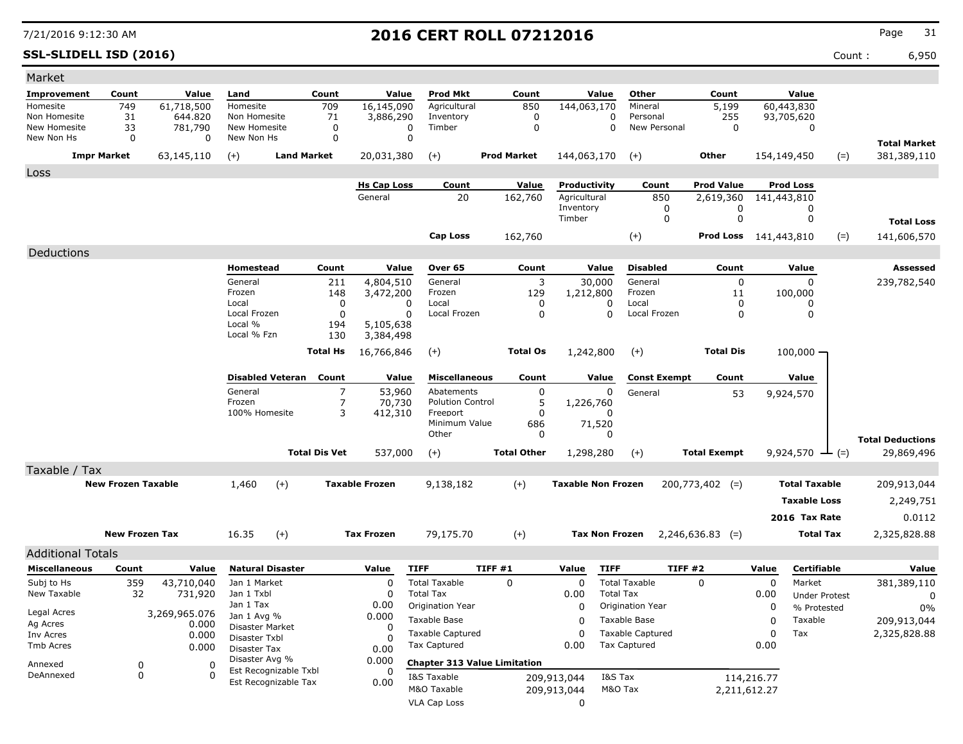**SSL-SLIDELL ISD (2016)** Count : 6,950

| Market                       |                           |                         |                               |                       |                       |                                      |                                     |                           |                                      |                       |             |                        |                                       |
|------------------------------|---------------------------|-------------------------|-------------------------------|-----------------------|-----------------------|--------------------------------------|-------------------------------------|---------------------------|--------------------------------------|-----------------------|-------------|------------------------|---------------------------------------|
| Improvement                  | Count                     | Value                   | Land                          | Count                 | Value                 | <b>Prod Mkt</b>                      | Count                               | Value                     | Other                                | Count                 |             | Value                  |                                       |
| Homesite                     | 749                       | 61,718,500              | Homesite                      | 709                   | 16,145,090            | Agricultural                         | 850                                 | 144,063,170               | Mineral                              | 5,199                 |             | 60,443,830             |                                       |
| Non Homesite<br>New Homesite | 31<br>33                  | 644.820<br>781,790      | Non Homesite<br>New Homesite  | 71<br>0               | 3,886,290<br>$\Omega$ | Inventory<br>Timber                  | 0<br>0                              | 0<br>$\Omega$             | Personal<br>New Personal             | 255<br>0              |             | 93,705,620<br>0        |                                       |
| New Non Hs                   | $\mathbf 0$               | 0                       | New Non Hs                    | 0                     | $\mathbf 0$           |                                      |                                     |                           |                                      |                       |             |                        | <b>Total Market</b>                   |
|                              | <b>Impr Market</b>        | 63,145,110              | $(+)$                         | <b>Land Market</b>    | 20,031,380            | $(+)$                                | <b>Prod Market</b>                  | 144,063,170               | $(+)$                                | Other                 | 154,149,450 | $(=)$                  | 381,389,110                           |
|                              |                           |                         |                               |                       |                       |                                      |                                     |                           |                                      |                       |             |                        |                                       |
| Loss                         |                           |                         |                               |                       | <b>Hs Cap Loss</b>    | Count                                | Value                               | Productivity              | Count                                | <b>Prod Value</b>     |             | Prod Loss              |                                       |
|                              |                           |                         |                               |                       | General               | 20                                   | 162,760                             | Agricultural              | 850                                  | 2,619,360             | 141,443,810 |                        |                                       |
|                              |                           |                         |                               |                       |                       |                                      |                                     | Inventory                 | 0                                    | 0                     |             | 0                      |                                       |
|                              |                           |                         |                               |                       |                       |                                      |                                     | Timber                    | 0                                    | 0                     |             | 0                      | <b>Total Loss</b>                     |
|                              |                           |                         |                               |                       |                       | <b>Cap Loss</b>                      | 162,760                             |                           | $(+)$                                | Prod Loss 141,443,810 |             | $(=)$                  | 141,606,570                           |
| Deductions                   |                           |                         |                               |                       |                       |                                      |                                     |                           |                                      |                       |             |                        |                                       |
|                              |                           |                         | Homestead                     | Count                 | Value                 | Over 65                              | Count                               | Value                     | <b>Disabled</b>                      | Count                 |             | Value                  | Assessed                              |
|                              |                           |                         | General                       | 211                   | 4,804,510             | General                              | 3                                   | 30,000                    | General                              | 0                     |             | $\Omega$               | 239,782,540                           |
|                              |                           |                         | Frozen<br>Local               | 148<br>0              | 3,472,200<br>0        | Frozen<br>Local                      | 129<br>0                            | 1,212,800<br>0            | Frozen<br>Local                      | 11                    |             | 100,000                |                                       |
|                              |                           |                         | Local Frozen                  | 0                     | 0                     | Local Frozen                         | 0                                   | $\Omega$                  | Local Frozen                         | 0<br>0                |             | 0<br>0                 |                                       |
|                              |                           |                         | Local %                       | 194                   | 5,105,638             |                                      |                                     |                           |                                      |                       |             |                        |                                       |
|                              |                           |                         | Local % Fzn                   | 130                   | 3,384,498             |                                      |                                     |                           |                                      |                       |             |                        |                                       |
|                              |                           |                         |                               | <b>Total Hs</b>       | 16,766,846            | $(+)$                                | <b>Total Os</b>                     | 1,242,800                 | $(+)$                                | <b>Total Dis</b>      |             | $100,000 -$            |                                       |
|                              |                           |                         | <b>Disabled Veteran</b>       | Count                 | Value                 | <b>Miscellaneous</b>                 | Count                               | Value                     | <b>Const Exempt</b>                  | Count                 |             | Value                  |                                       |
|                              |                           |                         | General                       | 7                     | 53,960                | Abatements                           | 0                                   | 0                         | General                              | 53                    |             | 9,924,570              |                                       |
|                              |                           |                         | Frozen                        | 7                     | 70,730                | <b>Polution Control</b>              | 5                                   | 1,226,760                 |                                      |                       |             |                        |                                       |
|                              |                           |                         | 100% Homesite                 | 3                     | 412,310               | Freeport<br>Minimum Value            | 0                                   | $\Omega$                  |                                      |                       |             |                        |                                       |
|                              |                           |                         |                               |                       |                       | Other                                | 686<br>0                            | 71,520<br>0               |                                      |                       |             |                        |                                       |
|                              |                           |                         |                               | <b>Total Dis Vet</b>  | 537,000               | $(+)$                                | <b>Total Other</b>                  | 1,298,280                 | $(+)$                                | <b>Total Exempt</b>   |             | 9,924,570 $\perp$ (=)  | <b>Total Deductions</b><br>29,869,496 |
| Taxable / Tax                |                           |                         |                               |                       |                       |                                      |                                     |                           |                                      |                       |             |                        |                                       |
|                              | <b>New Frozen Taxable</b> |                         | 1,460                         | $(+)$                 | <b>Taxable Frozen</b> | 9,138,182                            | $(+)$                               | <b>Taxable Non Frozen</b> |                                      | $200,773,402$ (=)     |             | <b>Total Taxable</b>   | 209,913,044                           |
|                              |                           |                         |                               |                       |                       |                                      |                                     |                           |                                      |                       |             | <b>Taxable Loss</b>    | 2,249,751                             |
|                              |                           |                         |                               |                       |                       |                                      |                                     |                           |                                      |                       |             | 2016 Tax Rate          | 0.0112                                |
|                              |                           |                         |                               |                       |                       |                                      |                                     |                           |                                      |                       |             |                        |                                       |
|                              | <b>New Frozen Tax</b>     |                         | 16.35                         | $(+)$                 | <b>Tax Frozen</b>     | 79,175.70                            | $^{(+)}$                            | <b>Tax Non Frozen</b>     |                                      | $2,246,636.83$ (=)    |             | <b>Total Tax</b>       | 2,325,828.88                          |
| <b>Additional Totals</b>     |                           |                         |                               |                       |                       |                                      |                                     |                           |                                      |                       |             |                        |                                       |
| <b>Miscellaneous</b>         | Count                     | Value                   | <b>Natural Disaster</b>       |                       | Value                 | <b>TIFF</b>                          | TIFF #1                             | <b>TIFF</b><br>Value      | <b>TIFF #2</b>                       |                       | Value       | Certifiable            | Value                                 |
| Subj to Hs                   | 359                       | 43,710,040              | Jan 1 Market                  |                       | 0                     | <b>Total Taxable</b>                 | 0                                   | 0                         | <b>Total Taxable</b>                 | $\mathbf 0$           | 0           | Market                 | 381,389,110                           |
| New Taxable                  | 32                        | 731,920                 | Jan 1 Txbl<br>Jan 1 Tax       |                       | 0<br>0.00             | <b>Total Tax</b><br>Origination Year |                                     | 0.00<br>0                 | <b>Total Tax</b><br>Origination Year |                       | 0.00<br>0   | <b>Under Protest</b>   | 0                                     |
| Legal Acres                  |                           | 3,269,965.076           | Jan 1 Avg %                   |                       | 0.000                 | Taxable Base                         |                                     | 0                         | Taxable Base                         |                       | 0           | % Protested<br>Taxable | $0\%$<br>209,913,044                  |
| Ag Acres<br>Inv Acres        |                           | 0.000<br>0.000          | Disaster Market               |                       | 0                     | <b>Taxable Captured</b>              |                                     | 0                         | <b>Taxable Captured</b>              |                       | 0           | Tax                    | 2,325,828.88                          |
| Tmb Acres                    |                           | 0.000                   | Disaster Txbl<br>Disaster Tax |                       | O<br>0.00             | Tax Captured                         |                                     | 0.00                      | <b>Tax Captured</b>                  |                       | 0.00        |                        |                                       |
|                              |                           |                         | Disaster Avg %                |                       | 0.000                 |                                      | <b>Chapter 313 Value Limitation</b> |                           |                                      |                       |             |                        |                                       |
| Annexed<br>DeAnnexed         | 0<br>0                    | $\mathbf 0$<br>$\Omega$ |                               | Est Recognizable Txbl |                       | I&S Taxable                          |                                     | 209,913,044               | I&S Tax                              |                       | 114,216.77  |                        |                                       |
|                              |                           |                         |                               | Est Recognizable Tax  | 0.00                  | M&O Taxable                          |                                     | 209,913,044               | M&O Tax                              | 2,211,612.27          |             |                        |                                       |
|                              |                           |                         |                               |                       |                       | <b>VLA Cap Loss</b>                  |                                     | 0                         |                                      |                       |             |                        |                                       |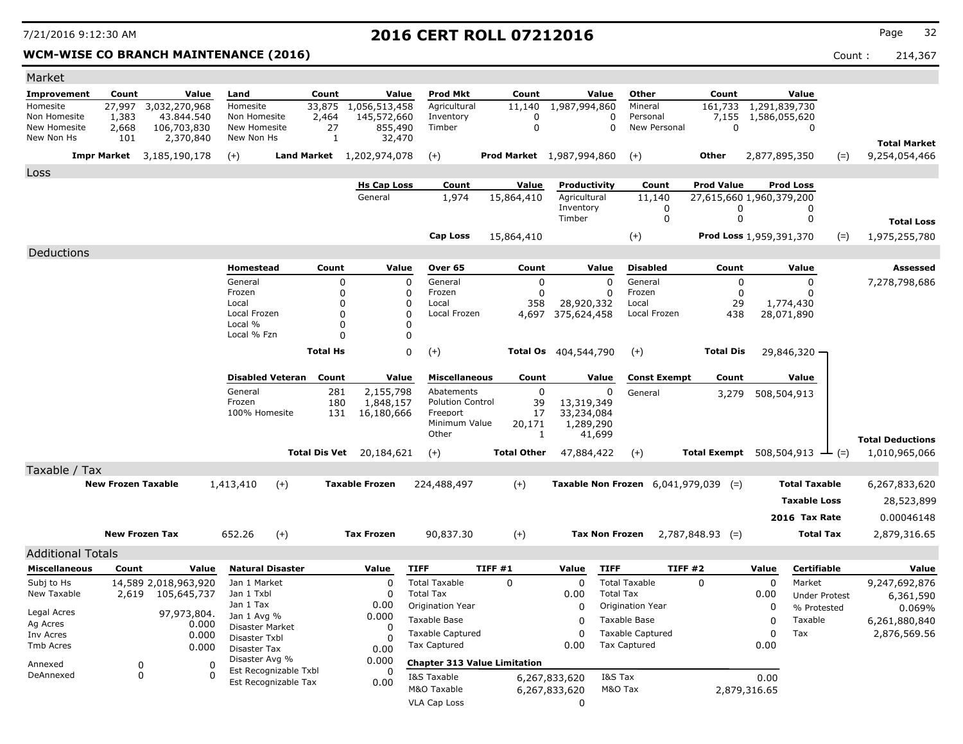### **WCM-WISE CO BRANCH MAINTENANCE (2016)** Count : 214,367

| Market                    |                           |                                     |                                  |                 |                              |                                          |                                     |                         |                                           |                                               |                                |                                              |                         |
|---------------------------|---------------------------|-------------------------------------|----------------------------------|-----------------|------------------------------|------------------------------------------|-------------------------------------|-------------------------|-------------------------------------------|-----------------------------------------------|--------------------------------|----------------------------------------------|-------------------------|
| <b>Improvement</b>        | Count                     | Value                               | Land                             | Count           | Value                        | Prod Mkt                                 | Count                               | Value                   | Other                                     | Count                                         |                                | Value                                        |                         |
| Homesite<br>Non Homesite  | 27,997<br>1,383           | 3,032,270,968<br>43.844.540         | Homesite<br>Non Homesite         | 33,875<br>2,464 | 1,056,513,458<br>145,572,660 | Agricultural<br>Inventory                | 11,140<br>0                         | 1,987,994,860           | Mineral<br>0<br>Personal                  | 161,733<br>7,155                              | 1,291,839,730<br>1,586,055,620 |                                              |                         |
| New Homesite              | 2,668                     | 106,703,830                         | New Homesite                     | 27              | 855,490                      | Timber                                   | $\mathbf 0$                         |                         | New Personal<br>$\Omega$                  | $\mathbf 0$                                   |                                | 0                                            |                         |
| New Non Hs                | 101                       | 2,370,840                           | New Non Hs                       | 1               | 32,470                       |                                          |                                     |                         |                                           |                                               |                                |                                              | <b>Total Market</b>     |
|                           |                           | <b>Impr Market</b> 3,185,190,178    | $(+)$                            |                 | Land Market 1,202,974,078    | $(+)$                                    | <b>Prod Market</b> 1,987,994,860    |                         | $(+)$                                     | Other                                         | 2,877,895,350                  | $(=)$                                        | 9,254,054,466           |
| Loss                      |                           |                                     |                                  |                 |                              |                                          |                                     |                         |                                           |                                               |                                |                                              |                         |
|                           |                           |                                     |                                  |                 | <b>Hs Cap Loss</b>           | Count                                    | Value                               | Productivity            | Count                                     | <b>Prod Value</b>                             |                                | <b>Prod Loss</b>                             |                         |
|                           |                           |                                     |                                  |                 | General                      | 1,974                                    | 15,864,410                          | Agricultural            | 11,140                                    | 27,615,660 1,960,379,200                      |                                |                                              |                         |
|                           |                           |                                     |                                  |                 |                              |                                          |                                     | Inventory<br>Timber     | 0<br>0                                    | 0<br>0                                        |                                | 0<br>0                                       |                         |
|                           |                           |                                     |                                  |                 |                              |                                          |                                     |                         |                                           |                                               |                                |                                              | <b>Total Loss</b>       |
|                           |                           |                                     |                                  |                 |                              | <b>Cap Loss</b>                          | 15,864,410                          |                         | $(+)$                                     | Prod Loss 1,959,391,370                       |                                | $(=)$                                        | 1,975,255,780           |
| Deductions                |                           |                                     |                                  |                 |                              |                                          |                                     |                         |                                           |                                               |                                |                                              |                         |
|                           |                           |                                     | Homestead                        | Count           | Value                        | Over 65                                  | Count                               | Value                   | <b>Disabled</b>                           | Count                                         |                                | Value                                        | Assessed                |
|                           |                           |                                     | General<br>Frozen                |                 | 0<br>0                       | 0<br>General<br>Frozen<br>0              | 0<br>$\Omega$                       |                         | General<br>$\Omega$<br>Frozen<br>$\Omega$ | 0<br>0                                        |                                | 0<br>O                                       | 7,278,798,686           |
|                           |                           |                                     | Local                            |                 | 0                            | Local                                    | 358                                 | 28,920,332              | Local                                     | 29                                            |                                | 1,774,430                                    |                         |
|                           |                           |                                     | Local Frozen                     |                 | 0                            | Local Frozen<br>0                        | 4,697                               | 375,624,458             | Local Frozen                              | 438                                           |                                | 28,071,890                                   |                         |
|                           |                           |                                     | Local %<br>Local % Fzn           |                 | 0<br>0                       | O                                        |                                     |                         |                                           |                                               |                                |                                              |                         |
|                           |                           |                                     |                                  | <b>Total Hs</b> |                              | 0                                        |                                     | Total Os 404,544,790    | $(+)$                                     | <b>Total Dis</b>                              |                                |                                              |                         |
|                           |                           |                                     |                                  |                 |                              | $(+)$                                    |                                     |                         |                                           |                                               |                                | 29,846,320 -                                 |                         |
|                           |                           |                                     | <b>Disabled Veteran</b>          | Count           | Value                        | <b>Miscellaneous</b>                     | Count                               | Value                   | <b>Const Exempt</b>                       | Count                                         |                                | Value                                        |                         |
|                           |                           |                                     | General                          | 281             | 2,155,798                    | Abatements                               | 0                                   |                         | 0<br>General                              | 3,279                                         |                                | 508,504,913                                  |                         |
|                           |                           |                                     | Frozen<br>100% Homesite          |                 | 180<br>1,848,157             | <b>Polution Control</b><br>Freeport      | 39                                  | 13,319,349              |                                           |                                               |                                |                                              |                         |
|                           |                           |                                     |                                  |                 | 131<br>16,180,666            | Minimum Value                            | 17<br>20,171                        | 33,234,084<br>1,289,290 |                                           |                                               |                                |                                              |                         |
|                           |                           |                                     |                                  |                 |                              | Other                                    | 1                                   | 41,699                  |                                           |                                               |                                |                                              | <b>Total Deductions</b> |
|                           |                           |                                     |                                  | Total Dis Vet   | 20,184,621                   | $(+)$                                    | <b>Total Other</b>                  | 47,884,422              | $(+)$                                     |                                               |                                | Total Exempt $508,504,913$ $\rightarrow$ (=) | 1,010,965,066           |
| Taxable / Tax             |                           |                                     |                                  |                 |                              |                                          |                                     |                         |                                           |                                               |                                |                                              |                         |
|                           | <b>New Frozen Taxable</b> |                                     | 1,413,410                        | $(+)$           | <b>Taxable Frozen</b>        | 224,488,497                              | $(+)$                               |                         |                                           | <b>Taxable Non Frozen</b> $6,041,979,039$ (=) |                                | <b>Total Taxable</b>                         | 6,267,833,620           |
|                           |                           |                                     |                                  |                 |                              |                                          |                                     |                         |                                           |                                               |                                | <b>Taxable Loss</b>                          | 28,523,899              |
|                           |                           |                                     |                                  |                 |                              |                                          |                                     |                         |                                           |                                               |                                | 2016 Tax Rate                                | 0.00046148              |
|                           | <b>New Frozen Tax</b>     |                                     | 652.26                           | $(+)$           | <b>Tax Frozen</b>            | 90,837.30                                | $(+)$                               |                         | <b>Tax Non Frozen</b>                     | $2,787,848.93$ (=)                            |                                | <b>Total Tax</b>                             | 2,879,316.65            |
|                           |                           |                                     |                                  |                 |                              |                                          |                                     |                         |                                           |                                               |                                |                                              |                         |
| <b>Additional Totals</b>  |                           |                                     |                                  |                 |                              |                                          |                                     |                         |                                           |                                               |                                |                                              |                         |
| <b>Miscellaneous</b>      | Count                     | Value                               | <b>Natural Disaster</b>          |                 | Value                        | <b>TIFF</b>                              | <b>TIFF #1</b>                      | Value                   | <b>TIFF</b>                               | TIFF #2                                       | Value                          | Certifiable                                  | Value                   |
| Subj to Hs<br>New Taxable | 2,619                     | 14,589 2,018,963,920<br>105,645,737 | Jan 1 Market<br>Jan 1 Txbl       |                 | $\Omega$                     | <b>Total Taxable</b><br><b>Total Tax</b> | $\mathbf 0$                         | 0<br>0.00               | <b>Total Taxable</b><br><b>Total Tax</b>  | 0                                             | $\mathbf 0$<br>0.00            | Market<br><b>Under Protest</b>               | 9,247,692,876           |
|                           |                           |                                     | Jan 1 Tax                        |                 | 0.00                         | Origination Year                         |                                     | 0                       | Origination Year                          |                                               | 0                              | % Protested                                  | 6,361,590<br>0.069%     |
| Legal Acres<br>Ag Acres   |                           | 97,973,804.<br>0.000                | Jan 1 Avg %                      |                 | 0.000                        | Taxable Base                             |                                     | 0                       | Taxable Base                              |                                               | 0                              | Taxable                                      | 6,261,880,840           |
| Inv Acres                 |                           | 0.000                               | Disaster Market<br>Disaster Txbl |                 | 0                            | Taxable Captured                         |                                     | 0                       | <b>Taxable Captured</b>                   |                                               | 0                              | Tax                                          | 2,876,569.56            |
| Tmb Acres                 |                           | 0.000                               | Disaster Tax                     |                 | 0.00                         | Tax Captured                             |                                     | 0.00                    | <b>Tax Captured</b>                       |                                               | 0.00                           |                                              |                         |
| Annexed                   | 0                         | 0                                   | Disaster Avg %                   |                 | 0.000                        |                                          | <b>Chapter 313 Value Limitation</b> |                         |                                           |                                               |                                |                                              |                         |
| DeAnnexed                 | 0                         | $\Omega$                            | Est Recognizable Txbl            |                 | 0                            | I&S Taxable                              |                                     | 6,267,833,620           | I&S Tax                                   |                                               | 0.00                           |                                              |                         |
|                           |                           |                                     | Est Recognizable Tax             |                 | 0.00                         | M&O Taxable                              |                                     | 6,267,833,620           | M&O Tax                                   |                                               | 2,879,316.65                   |                                              |                         |
|                           |                           |                                     |                                  |                 |                              | <b>VLA Cap Loss</b>                      |                                     | 0                       |                                           |                                               |                                |                                              |                         |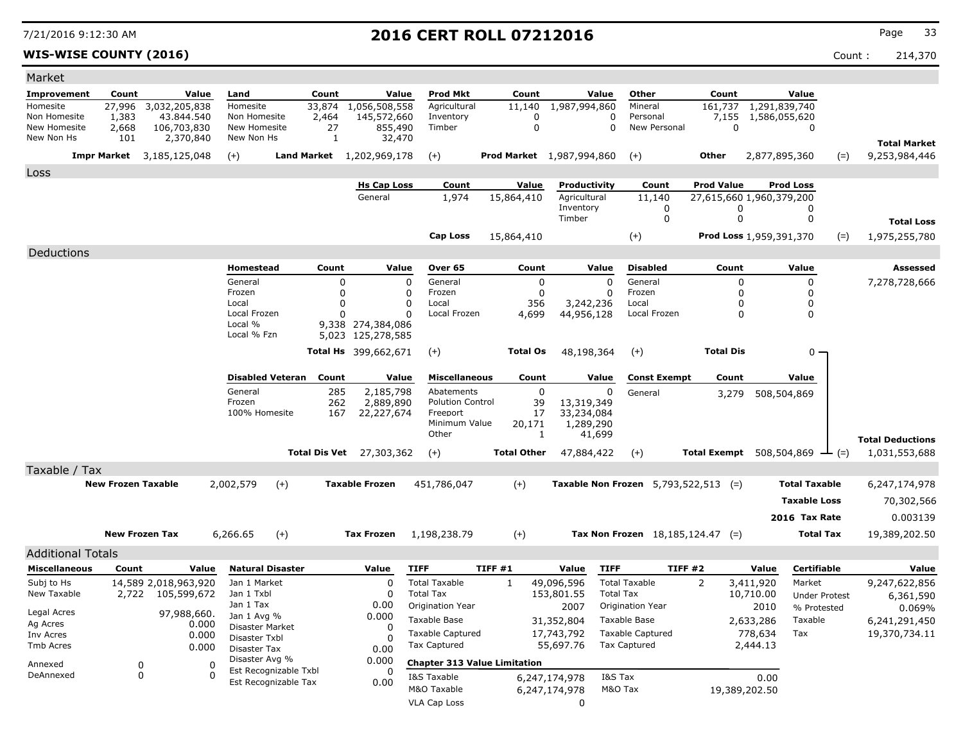### **WIS-WISE COUNTY (2016)** Count : 214,370

| Market                   |                           |                             |                |                               |                                               |                         |                              |                                               |                    |                                  |                                               |                   |                   |                                                     |                      |                         |
|--------------------------|---------------------------|-----------------------------|----------------|-------------------------------|-----------------------------------------------|-------------------------|------------------------------|-----------------------------------------------|--------------------|----------------------------------|-----------------------------------------------|-------------------|-------------------|-----------------------------------------------------|----------------------|-------------------------|
| Improvement              | Count                     |                             | Value          | Land                          |                                               | Count                   | Value                        | <b>Prod Mkt</b>                               | Count              | Value                            | Other                                         | Count             |                   | Value                                               |                      |                         |
| Homesite<br>Non Homesite | 27,996<br>1,383           | 3,032,205,838<br>43.844.540 |                | Homesite<br>Non Homesite      |                                               | 33,874<br>2,464         | 1,056,508,558<br>145,572,660 | Agricultural<br>Inventory                     | 11,140<br>$\Omega$ | 1,987,994,860                    | Mineral<br>0<br>Personal                      | 161,737           |                   | 1,291,839,740<br>7,155 1,586,055,620                |                      |                         |
| New Homesite             | 2,668                     | 106,703,830                 |                | New Homesite                  |                                               | 27                      | 855,490                      | Timber                                        | $\mathbf 0$        |                                  | $\mathbf 0$<br>New Personal                   |                   | $\mathbf 0$       | 0                                                   |                      |                         |
| New Non Hs               | 101                       | 2,370,840                   |                | New Non Hs                    |                                               | 1                       | 32,470                       |                                               |                    |                                  |                                               |                   |                   |                                                     |                      | <b>Total Market</b>     |
|                          | <b>Impr Market</b>        | 3,185,125,048               |                | $(+)$                         |                                               |                         | Land Market 1,202,969,178    | $(+)$                                         |                    | <b>Prod Market</b> 1,987,994,860 | $(+)$                                         | <b>Other</b>      |                   | 2,877,895,360                                       | $(=)$                | 9,253,984,446           |
| Loss                     |                           |                             |                |                               |                                               |                         |                              |                                               |                    |                                  |                                               |                   |                   |                                                     |                      |                         |
|                          |                           |                             |                |                               |                                               |                         | <b>Hs Cap Loss</b>           | Count                                         | Value              | Productivity                     | Count                                         | <b>Prod Value</b> |                   | <b>Prod Loss</b>                                    |                      |                         |
|                          |                           |                             |                |                               |                                               |                         | General                      | 1,974                                         | 15,864,410         | Agricultural<br>Inventory        | 11,140<br>0                                   |                   | 0                 | 27,615,660 1,960,379,200<br>0                       |                      |                         |
|                          |                           |                             |                |                               |                                               |                         |                              |                                               |                    | Timber                           | $\mathbf 0$                                   |                   | $\mathbf 0$       | $\mathbf 0$                                         |                      | <b>Total Loss</b>       |
|                          |                           |                             |                |                               |                                               |                         |                              | <b>Cap Loss</b>                               | 15,864,410         |                                  | $(+)$                                         |                   |                   | Prod Loss 1,959,391,370                             | $(=)$                | 1,975,255,780           |
| Deductions               |                           |                             |                |                               |                                               |                         |                              |                                               |                    |                                  |                                               |                   |                   |                                                     |                      |                         |
|                          |                           |                             |                | <b>Homestead</b>              |                                               | Count                   | Value                        | Over 65                                       | Count              | Value                            | <b>Disabled</b>                               | Count             |                   | Value                                               |                      | Assessed                |
|                          |                           |                             |                | General                       |                                               | $\mathbf 0$             |                              | $\mathbf 0$<br>General                        | $\mathbf 0$        | $\Omega$                         | General                                       |                   | 0                 | 0                                                   |                      | 7,278,728,666           |
|                          |                           |                             |                | Frozen<br>Local               |                                               | $\mathbf 0$<br>$\Omega$ |                              | $\mathbf 0$<br>Frozen<br>$\mathbf 0$<br>Local | $\mathbf 0$<br>356 | $\Omega$<br>3,242,236            | Frozen<br>Local                               |                   | 0<br>0            | 0<br>0                                              |                      |                         |
|                          |                           |                             |                | Local Frozen                  |                                               | n                       |                              | $\Omega$<br>Local Frozen                      | 4,699              | 44,956,128                       | Local Frozen                                  |                   | 0                 | 0                                                   |                      |                         |
|                          |                           |                             |                | Local %<br>Local % Fzn        |                                               |                         | 9,338 274,384,086            |                                               |                    |                                  |                                               |                   |                   |                                                     |                      |                         |
|                          |                           |                             |                |                               |                                               |                         | 5,023 125,278,585            |                                               |                    |                                  |                                               |                   |                   |                                                     |                      |                         |
|                          |                           |                             |                |                               |                                               |                         | Total Hs 399,662,671         | $(+)$                                         | <b>Total Os</b>    | 48,198,364                       | $(+)$                                         | <b>Total Dis</b>  |                   | $0 -$                                               |                      |                         |
|                          |                           |                             |                | <b>Disabled Veteran</b>       |                                               | Count                   | Value                        | <b>Miscellaneous</b>                          | Count              | Value                            | <b>Const Exempt</b>                           | Count             |                   | Value                                               |                      |                         |
|                          |                           |                             |                | General                       |                                               | 285                     | 2,185,798                    | Abatements                                    | $\mathbf{0}$       |                                  | $\Omega$<br>General                           | 3,279             |                   | 508,504,869                                         |                      |                         |
|                          |                           |                             |                | Frozen<br>100% Homesite       |                                               | 262<br>167              | 2,889,890<br>22,227,674      | <b>Polution Control</b><br>Freeport           | 39<br>17           | 13,319,349<br>33,234,084         |                                               |                   |                   |                                                     |                      |                         |
|                          |                           |                             |                |                               |                                               |                         |                              | Minimum Value                                 | 20,171             | 1,289,290                        |                                               |                   |                   |                                                     |                      |                         |
|                          |                           |                             |                |                               |                                               |                         |                              | Other                                         | 1                  | 41,699                           |                                               |                   |                   |                                                     |                      | <b>Total Deductions</b> |
|                          |                           |                             |                |                               |                                               |                         | Total Dis Vet 27,303,362     | $(+)$                                         | <b>Total Other</b> | 47,884,422                       | $(+)$                                         |                   |                   | <b>Total Exempt</b> $508,504,869$ $\rightarrow$ (=) |                      | 1,031,553,688           |
| Taxable / Tax            |                           |                             |                |                               |                                               |                         |                              |                                               |                    |                                  |                                               |                   |                   |                                                     |                      |                         |
|                          | <b>New Frozen Taxable</b> |                             |                | 2,002,579                     | $(+)$                                         |                         | <b>Taxable Frozen</b>        | 451,786,047                                   | $(+)$              |                                  | <b>Taxable Non Frozen</b> $5,793,522,513$ (=) |                   |                   | <b>Total Taxable</b>                                |                      | 6,247,174,978           |
|                          |                           |                             |                |                               |                                               |                         |                              |                                               |                    |                                  |                                               |                   |                   | <b>Taxable Loss</b>                                 |                      | 70,302,566              |
|                          |                           |                             |                |                               |                                               |                         |                              |                                               |                    |                                  |                                               |                   |                   | 2016 Tax Rate                                       |                      | 0.003139                |
|                          | <b>New Frozen Tax</b>     |                             |                | 6,266.65                      | $(+)$                                         |                         | <b>Tax Frozen</b>            | 1,198,238.79                                  | $(+)$              |                                  | Tax Non Frozen $18,185,124.47$ (=)            |                   |                   | <b>Total Tax</b>                                    |                      | 19,389,202.50           |
| <b>Additional Totals</b> |                           |                             |                |                               |                                               |                         |                              |                                               |                    |                                  |                                               |                   |                   |                                                     |                      |                         |
| <b>Miscellaneous</b>     | Count                     |                             | Value          | <b>Natural Disaster</b>       |                                               |                         | Value                        | <b>TIFF</b>                                   | TIFF#1             | Value                            | <b>TIFF</b>                                   | TIFF#2            | Value             | Certifiable                                         |                      | Value                   |
| Subj to Hs               |                           | 14,589 2,018,963,920        |                | Jan 1 Market                  |                                               |                         | $\Omega$                     | <b>Total Taxable</b>                          | $\mathbf{1}$       | 49,096,596                       | <b>Total Taxable</b>                          | 2                 | 3,411,920         | Market                                              |                      | 9,247,622,856           |
| New Taxable              | 2,722                     | 105,599,672                 |                | Jan 1 Txbl<br>Jan 1 Tax       |                                               |                         | $\Omega$<br>0.00             | <b>Total Tax</b>                              |                    | 153,801.55                       | <b>Total Tax</b>                              |                   | 10,710.00         |                                                     | <b>Under Protest</b> | 6,361,590               |
| Legal Acres              |                           | 97,988,660.                 |                | Jan 1 Avg %                   |                                               |                         | 0.000                        | Origination Year<br>Taxable Base              |                    | 2007<br>31,352,804               | Origination Year<br>Taxable Base              |                   | 2010<br>2,633,286 | % Protested<br>Taxable                              |                      | 0.069%<br>6,241,291,450 |
| Ag Acres<br>Inv Acres    |                           |                             | 0.000<br>0.000 | Disaster Market               |                                               |                         | 0                            | <b>Taxable Captured</b>                       |                    | 17,743,792                       | <b>Taxable Captured</b>                       |                   | 778,634           | Tax                                                 |                      | 19,370,734.11           |
| <b>Tmb Acres</b>         |                           |                             | 0.000          | Disaster Txbl<br>Disaster Tax |                                               |                         | $\Omega$<br>0.00             | <b>Tax Captured</b>                           |                    | 55,697.76                        | <b>Tax Captured</b>                           |                   | 2,444.13          |                                                     |                      |                         |
| Annexed                  | 0                         |                             | 0              | Disaster Avg %                |                                               |                         | 0.000                        | <b>Chapter 313 Value Limitation</b>           |                    |                                  |                                               |                   |                   |                                                     |                      |                         |
| DeAnnexed                | 0                         |                             | $\Omega$       |                               | Est Recognizable Txbl<br>Est Recognizable Tax |                         | 0<br>0.00                    | I&S Taxable                                   |                    | 6,247,174,978                    | I&S Tax                                       |                   | 0.00              |                                                     |                      |                         |
|                          |                           |                             |                |                               |                                               |                         |                              | M&O Taxable                                   |                    | 6,247,174,978                    | M&O Tax                                       |                   | 19,389,202.50     |                                                     |                      |                         |
|                          |                           |                             |                |                               |                                               |                         |                              | <b>VLA Cap Loss</b>                           |                    | $\mathbf{0}$                     |                                               |                   |                   |                                                     |                      |                         |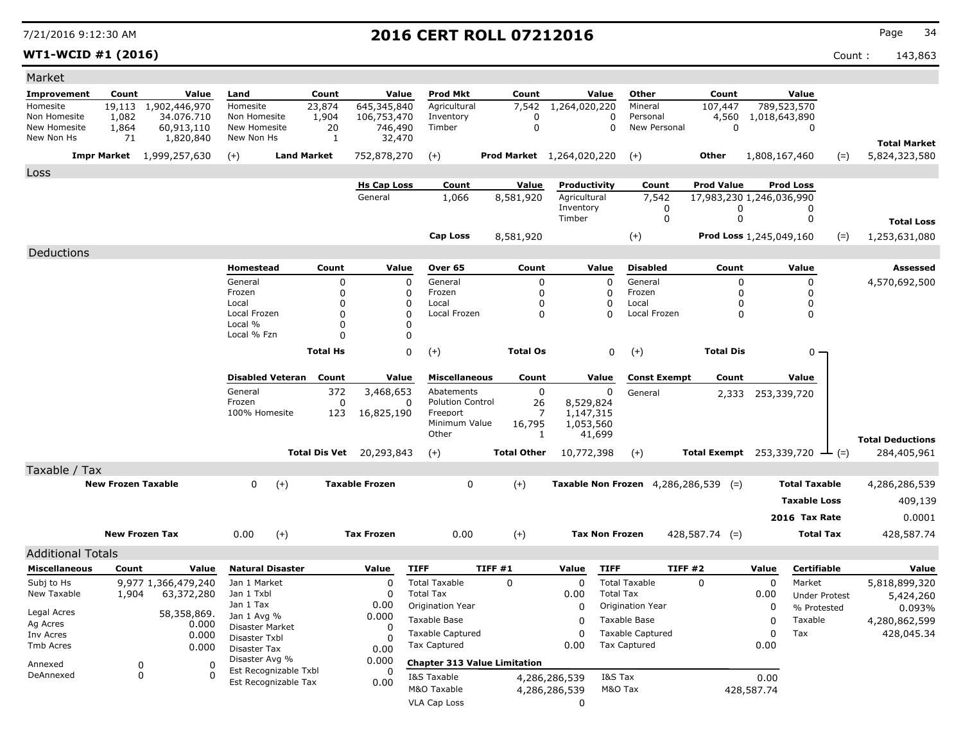**WT1-WCID #1 (2016)** Count : 143,863

| Market                                           |                           |                                  |                                  |                                  |                               |                                     |                                     |                              |                                                        |                                               |               |                                      |                                      |
|--------------------------------------------------|---------------------------|----------------------------------|----------------------------------|----------------------------------|-------------------------------|-------------------------------------|-------------------------------------|------------------------------|--------------------------------------------------------|-----------------------------------------------|---------------|--------------------------------------|--------------------------------------|
| <b>Improvement</b>                               | Count                     | Value                            | Land                             | Count                            | Value                         | <b>Prod Mkt</b>                     | Count                               | Value                        | Other                                                  | Count                                         |               | Value                                |                                      |
| Homesite                                         | 19,113                    | 1,902,446,970                    | Homesite                         | 23,874                           | 645,345,840                   | Agricultural                        | 7,542                               | 1,264,020,220                | Mineral                                                | 107,447                                       |               | 789,523,570                          |                                      |
| Non Homesite<br>New Homesite                     | 1,082<br>1,864            | 34.076.710                       | Non Homesite<br>New Homesite     | 1,904                            | 106,753,470                   | Inventory<br>Timber                 | 0<br>0                              |                              | $\mathbf 0$<br>Personal<br>$\mathbf 0$<br>New Personal | 4,560<br>$\mathbf 0$                          | 1,018,643,890 | 0                                    |                                      |
| New Non Hs                                       | 71                        | 60,913,110<br>1,820,840          | New Non Hs                       | 20<br>1                          | 746,490<br>32,470             |                                     |                                     |                              |                                                        |                                               |               |                                      |                                      |
|                                                  |                           | <b>Impr Market</b> 1,999,257,630 |                                  | <b>Land Market</b>               | 752,878,270                   |                                     |                                     | Prod Market 1,264,020,220    |                                                        | Other                                         |               |                                      | <b>Total Market</b><br>5,824,323,580 |
|                                                  |                           |                                  | $(+)$                            |                                  |                               | $(+)$                               |                                     |                              | $(+)$                                                  |                                               | 1,808,167,460 | $(=)$                                |                                      |
| Loss                                             |                           |                                  |                                  |                                  |                               |                                     |                                     |                              |                                                        |                                               |               |                                      |                                      |
|                                                  |                           |                                  |                                  |                                  | <b>Hs Cap Loss</b><br>General | Count<br>1,066                      | Value<br>8,581,920                  | Productivity<br>Agricultural | Count<br>7,542                                         | <b>Prod Value</b><br>17,983,230 1,246,036,990 |               | <b>Prod Loss</b>                     |                                      |
|                                                  |                           |                                  |                                  |                                  |                               |                                     |                                     | Inventory                    | 0                                                      | 0                                             |               | 0                                    |                                      |
|                                                  |                           |                                  |                                  |                                  |                               |                                     |                                     | Timber                       | 0                                                      | 0                                             |               | 0                                    | <b>Total Loss</b>                    |
|                                                  |                           |                                  |                                  |                                  |                               | <b>Cap Loss</b>                     | 8,581,920                           |                              | $(+)$                                                  | Prod Loss 1,245,049,160                       |               | $(=)$                                | 1,253,631,080                        |
| Deductions                                       |                           |                                  |                                  |                                  |                               |                                     |                                     |                              |                                                        |                                               |               |                                      |                                      |
|                                                  |                           |                                  | Homestead                        | Count                            | Value                         | Over 65                             | Count                               | Value                        | <b>Disabled</b>                                        | Count                                         |               | Value                                | Assessed                             |
|                                                  |                           |                                  | General                          |                                  | 0                             | $\Omega$<br>General                 | 0                                   |                              | $\mathbf 0$<br>General                                 | 0                                             |               | $\mathbf 0$                          | 4,570,692,500                        |
|                                                  |                           |                                  | Frozen                           |                                  | 0                             | Frozen<br>0                         | 0                                   |                              | Frozen<br>O                                            | 0                                             |               | 0                                    |                                      |
|                                                  |                           |                                  | Local                            |                                  | $\Omega$                      | 0<br>Local                          | O                                   |                              | Local<br>0                                             | 0                                             |               | 0                                    |                                      |
|                                                  |                           |                                  | Local Frozen<br>Local %          |                                  | 0<br>0                        | 0<br>Local Frozen<br>$\mathbf{0}$   | $\Omega$                            |                              | Local Frozen<br>O                                      | 0                                             |               | $\mathbf 0$                          |                                      |
|                                                  |                           |                                  | Local % Fzn                      |                                  | 0                             | 0                                   |                                     |                              |                                                        |                                               |               |                                      |                                      |
|                                                  |                           |                                  |                                  | <b>Total Hs</b>                  |                               | 0<br>$(+)$                          | <b>Total Os</b>                     |                              | $(+)$<br>0                                             | <b>Total Dis</b>                              |               | $0 -$                                |                                      |
|                                                  |                           |                                  |                                  |                                  |                               |                                     |                                     |                              |                                                        |                                               |               |                                      |                                      |
|                                                  |                           |                                  |                                  | <b>Disabled Veteran</b><br>Count | Value                         | <b>Miscellaneous</b>                | Count                               | Value                        | <b>Const Exempt</b>                                    | Count                                         |               | Value                                |                                      |
|                                                  |                           |                                  | General                          | 372                              | 3,468,653                     | Abatements                          | 0                                   |                              | 0<br>General                                           | 2,333                                         | 253,339,720   |                                      |                                      |
|                                                  |                           |                                  | Frozen<br>100% Homesite          | 123                              | 0                             | <b>Polution Control</b><br>Freeport | 26<br>7                             | 8,529,824<br>1,147,315       |                                                        |                                               |               |                                      |                                      |
|                                                  |                           |                                  |                                  |                                  | 16,825,190                    | Minimum Value                       | 16,795                              | 1,053,560                    |                                                        |                                               |               |                                      |                                      |
|                                                  |                           |                                  |                                  |                                  |                               | Other                               | 1                                   | 41,699                       |                                                        |                                               |               |                                      | <b>Total Deductions</b>              |
|                                                  |                           |                                  |                                  | <b>Total Dis Vet</b>             | 20,293,843                    | $(+)$                               | <b>Total Other</b>                  | 10,772,398                   | $(+)$                                                  |                                               |               | Total Exempt 253,339,720 $\perp$ (=) | 284,405,961                          |
| Taxable / Tax                                    |                           |                                  |                                  |                                  |                               |                                     |                                     |                              |                                                        |                                               |               |                                      |                                      |
|                                                  | <b>New Frozen Taxable</b> |                                  | $\mathbf 0$                      | $(+)$                            | <b>Taxable Frozen</b>         | $\mathbf 0$                         | $(+)$                               |                              | <b>Taxable Non Frozen</b> $4,286,286,539$ (=)          |                                               |               | <b>Total Taxable</b>                 | 4,286,286,539                        |
|                                                  |                           |                                  |                                  |                                  |                               |                                     |                                     |                              |                                                        |                                               |               | <b>Taxable Loss</b>                  | 409,139                              |
|                                                  |                           |                                  |                                  |                                  |                               |                                     |                                     |                              |                                                        |                                               |               | 2016 Tax Rate                        | 0.0001                               |
|                                                  |                           | <b>New Frozen Tax</b>            | 0.00                             | $(+)$                            | <b>Tax Frozen</b>             | 0.00                                | $(+)$                               | <b>Tax Non Frozen</b>        |                                                        | $428,587.74$ (=)                              |               | <b>Total Tax</b>                     | 428,587.74                           |
|                                                  |                           |                                  |                                  |                                  |                               |                                     |                                     |                              |                                                        |                                               |               |                                      |                                      |
| <b>Additional Totals</b><br><b>Miscellaneous</b> | Count                     | Value                            | <b>Natural Disaster</b>          |                                  | Value                         | <b>TIFF</b>                         | <b>TIFF #1</b>                      | Value                        | <b>TIFF</b>                                            | TIFF#2                                        | Value         | Certifiable                          | Value                                |
| Subj to Hs                                       |                           | 9,977 1,366,479,240              | Jan 1 Market                     |                                  | 0                             | <b>Total Taxable</b>                | $\mathbf 0$                         | $\Omega$                     | <b>Total Taxable</b>                                   | $\mathbf 0$                                   | $\mathbf 0$   | Market                               | 5,818,899,320                        |
| New Taxable                                      | 1,904                     | 63,372,280                       | Jan 1 Txbl                       |                                  | $\Omega$                      | <b>Total Tax</b>                    |                                     | 0.00                         | <b>Total Tax</b>                                       |                                               | 0.00          | <b>Under Protest</b>                 | 5,424,260                            |
|                                                  |                           |                                  | Jan 1 Tax                        |                                  | 0.00                          | Origination Year                    |                                     | $\Omega$                     | Origination Year                                       |                                               | 0             | % Protested                          | 0.093%                               |
| Legal Acres<br>Ag Acres                          |                           | 58,358,869.<br>0.000             | Jan 1 Avg %                      |                                  | 0.000                         | Taxable Base                        |                                     | 0                            | Taxable Base                                           |                                               | 0             | Taxable                              | 4,280,862,599                        |
| Inv Acres                                        |                           | 0.000                            | Disaster Market<br>Disaster Txbl |                                  | 0<br><sup>0</sup>             | <b>Taxable Captured</b>             |                                     | 0                            | <b>Taxable Captured</b>                                |                                               | 0             | Tax                                  | 428,045.34                           |
| Tmb Acres                                        |                           | 0.000                            | Disaster Tax                     |                                  | 0.00                          | <b>Tax Captured</b>                 |                                     | 0.00                         | <b>Tax Captured</b>                                    |                                               | 0.00          |                                      |                                      |
| Annexed                                          |                           | 0<br>0                           | Disaster Avg %                   |                                  | 0.000                         |                                     | <b>Chapter 313 Value Limitation</b> |                              |                                                        |                                               |               |                                      |                                      |
| DeAnnexed                                        |                           | 0<br>$\Omega$                    |                                  | Est Recognizable Txbl            | 0                             | I&S Taxable                         |                                     | 4,286,286,539                | I&S Tax                                                |                                               | 0.00          |                                      |                                      |
|                                                  |                           |                                  |                                  | Est Recognizable Tax             | 0.00                          | M&O Taxable                         |                                     | 4,286,286,539                | M&O Tax                                                |                                               | 428,587.74    |                                      |                                      |
|                                                  |                           |                                  |                                  |                                  |                               | <b>VLA Cap Loss</b>                 |                                     | 0                            |                                                        |                                               |               |                                      |                                      |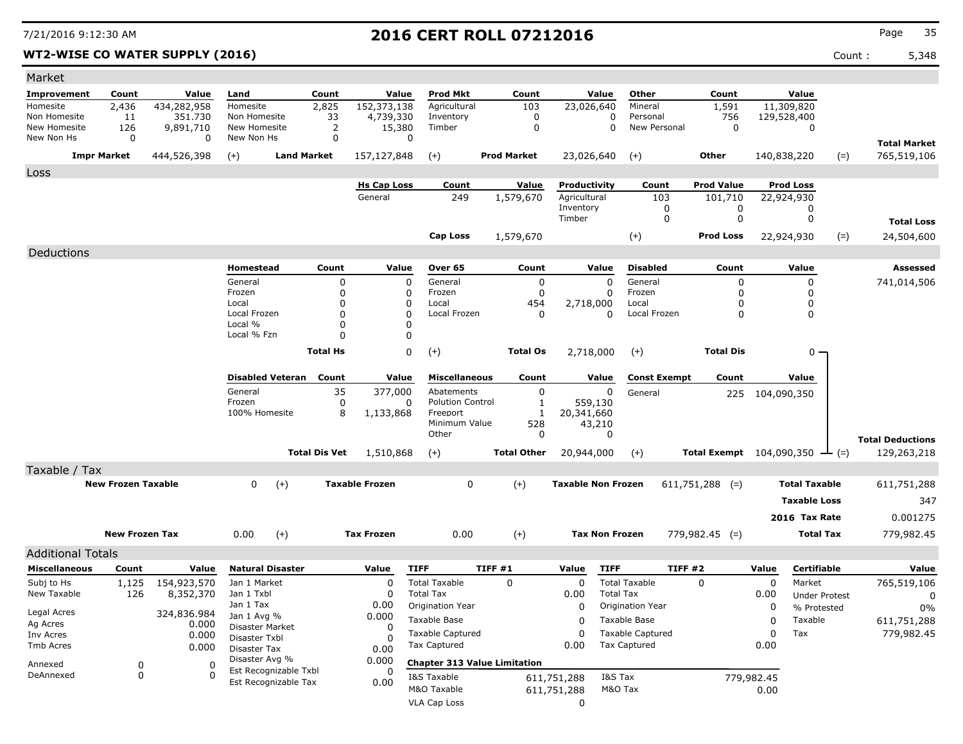### **WT2-WISE CO WATER SUPPLY (2016)** Count : 5,348

| Market                   |                           |                                    |                                                |                                        |                    |                           |                                     |                           |                         |                          |                  |                      |                         |
|--------------------------|---------------------------|------------------------------------|------------------------------------------------|----------------------------------------|--------------------|---------------------------|-------------------------------------|---------------------------|-------------------------|--------------------------|------------------|----------------------|-------------------------|
| Improvement              | Count                     | Value                              | Land                                           | Count                                  | Value              | <b>Prod Mkt</b>           | Count                               | Value                     | Other                   | Count                    | Value            |                      |                         |
| Homesite                 | 2,436                     | 434,282,958                        | Homesite                                       | 2,825                                  | 152,373,138        | Agricultural              | 103                                 | 23,026,640                | Mineral                 | 1,591                    | 11,309,820       |                      |                         |
| Non Homesite             | 11                        | 351,730                            | Non Homesite                                   | 33                                     | 4,739,330          | Inventory                 | 0                                   |                           | 0<br>Personal           | 756                      | 129,528,400      |                      |                         |
| New Homesite             | 126<br>0                  | 9,891,710<br>0                     | New Homesite                                   | 2<br>0                                 | 15,380<br>0        | Timber                    | 0                                   |                           | 0<br>New Personal       | $\mathbf 0$              |                  | 0                    |                         |
| New Non Hs               |                           |                                    | New Non Hs                                     |                                        |                    |                           |                                     |                           |                         |                          |                  |                      | <b>Total Market</b>     |
|                          | <b>Impr Market</b>        | 444,526,398                        | $(+)$                                          | <b>Land Market</b>                     | 157,127,848        | $(+)$                     | <b>Prod Market</b>                  | 23,026,640                | $(+)$                   | Other                    | 140,838,220      | $(=)$                | 765,519,106             |
| Loss                     |                           |                                    |                                                |                                        |                    |                           |                                     |                           |                         |                          |                  |                      |                         |
|                          |                           |                                    |                                                |                                        | <b>Hs Cap Loss</b> | Count                     | <b>Value</b>                        | Productivity              | Count                   | <b>Prod Value</b>        | <b>Prod Loss</b> |                      |                         |
|                          |                           |                                    |                                                |                                        | General            | 249                       | 1,579,670                           | Agricultural              | 103                     | 101,710                  | 22,924,930       |                      |                         |
|                          |                           |                                    |                                                |                                        |                    |                           |                                     | Inventory<br>Timber       | 0<br>0                  | 0<br>0                   |                  | 0<br>0               |                         |
|                          |                           |                                    |                                                |                                        |                    |                           |                                     |                           |                         |                          |                  |                      | <b>Total Loss</b>       |
|                          |                           |                                    |                                                |                                        |                    | <b>Cap Loss</b>           | 1,579,670                           |                           | $(+)$                   | <b>Prod Loss</b>         | 22,924,930       | $(=)$                | 24,504,600              |
| Deductions               |                           |                                    |                                                |                                        |                    |                           |                                     |                           |                         |                          |                  |                      |                         |
|                          |                           |                                    | Homestead                                      | Count                                  | Value              | Over 65                   | Count                               | Value                     | <b>Disabled</b>         | Count                    | Value            |                      | Assessed                |
|                          |                           |                                    | General                                        | 0                                      | $\pmb{0}$          | General                   | $\mathbf 0$                         | $\Omega$                  | General                 | 0                        |                  | 0                    | 741,014,506             |
|                          |                           |                                    | Frozen                                         | $\mathbf{0}$                           | 0                  | Frozen                    | 0                                   | 0                         | Frozen                  | 0                        |                  | 0                    |                         |
|                          |                           |                                    | Local<br>Local Frozen                          | $\mathbf 0$<br>$\Omega$                | 0<br>$\Omega$      | Local<br>Local Frozen     | 454<br>$\Omega$                     | 2,718,000<br>0            | Local<br>Local Frozen   | 0<br>0                   |                  | 0<br>0               |                         |
|                          |                           |                                    | Local %                                        | $\mathbf 0$                            | 0                  |                           |                                     |                           |                         |                          |                  |                      |                         |
|                          |                           |                                    | Local % Fzn                                    | $\Omega$                               | 0                  |                           |                                     |                           |                         |                          |                  |                      |                         |
|                          |                           |                                    |                                                | <b>Total Hs</b>                        | 0                  | $(+)$                     | <b>Total Os</b>                     | 2,718,000                 | $(+)$                   | <b>Total Dis</b>         |                  | $0 -$                |                         |
|                          |                           |                                    |                                                |                                        |                    |                           |                                     |                           |                         |                          |                  |                      |                         |
|                          |                           |                                    | <b>Disabled Veteran</b>                        | Count                                  | Value              | <b>Miscellaneous</b>      | Count                               | Value                     | <b>Const Exempt</b>     | Count                    | Value            |                      |                         |
|                          |                           |                                    | General                                        | 35                                     | 377,000            | Abatements                | 0                                   | 0                         | General                 | 225                      | 104,090,350      |                      |                         |
|                          |                           |                                    | Frozen                                         | 0                                      | 0                  | <b>Polution Control</b>   | $\mathbf{1}$                        | 559,130                   |                         |                          |                  |                      |                         |
|                          |                           |                                    | 100% Homesite                                  | 8                                      | 1,133,868          | Freeport<br>Minimum Value | -1<br>528                           | 20,341,660                |                         |                          |                  |                      |                         |
|                          |                           |                                    |                                                |                                        |                    | Other                     | 0                                   | 43,210<br>0               |                         |                          |                  |                      |                         |
|                          |                           |                                    |                                                |                                        |                    |                           |                                     |                           |                         |                          |                  |                      | <b>Total Deductions</b> |
|                          |                           |                                    |                                                | <b>Total Dis Vet</b>                   | 1,510,868          | $(+)$                     | <b>Total Other</b>                  | 20,944,000                | $(+)$                   | Total Exempt 104,090,350 |                  | $ (=)$               | 129,263,218             |
| Taxable / Tax            |                           |                                    |                                                |                                        |                    |                           |                                     |                           |                         |                          |                  |                      |                         |
|                          | <b>New Frozen Taxable</b> |                                    | $\mathbf{0}$<br>$(+)$<br><b>Taxable Frozen</b> |                                        |                    | 0                         | $(+)$                               | <b>Taxable Non Frozen</b> |                         | $611,751,288$ (=)        |                  | <b>Total Taxable</b> | 611,751,288             |
|                          |                           |                                    |                                                |                                        |                    |                           |                                     |                           |                         |                          |                  | <b>Taxable Loss</b>  | 347                     |
|                          |                           |                                    |                                                |                                        |                    |                           |                                     |                           |                         |                          |                  | 2016 Tax Rate        | 0.001275                |
| <b>New Frozen Tax</b>    |                           | $(+)$<br>0.00<br><b>Tax Frozen</b> |                                                | 0.00<br>$(+)$<br><b>Tax Non Frozen</b> |                    |                           | $779,982.45$ (=)                    | <b>Total Tax</b>          |                         | 779,982.45               |                  |                      |                         |
|                          |                           |                                    |                                                |                                        |                    |                           |                                     |                           |                         |                          |                  |                      |                         |
| <b>Additional Totals</b> |                           |                                    |                                                |                                        |                    |                           |                                     |                           |                         |                          |                  |                      |                         |
| <b>Miscellaneous</b>     | Count                     | Value                              | <b>Natural Disaster</b>                        |                                        | Value              | <b>TIFF</b>               | TIFF#1                              | <b>TIFF</b><br>Value      |                         | TIFF#2                   | Value            | <b>Certifiable</b>   | Value                   |
| Subj to Hs               | 1,125                     | 154,923,570                        | Jan 1 Market                                   |                                        | 0                  | <b>Total Taxable</b>      | $\Omega$                            | 0                         | <b>Total Taxable</b>    | $\Omega$                 | 0                | Market               | 765,519,106             |
| New Taxable              | 126                       | 8,352,370                          | Jan 1 Txbl                                     |                                        | 0                  | <b>Total Tax</b>          |                                     | 0.00                      | <b>Total Tax</b>        |                          | 0.00<br>0        | <b>Under Protest</b> | 0                       |
| Legal Acres              |                           | 324,836.984                        | Jan 1 Tax                                      |                                        | 0.00<br>0.000      | Origination Year          |                                     | $\Omega$                  | Origination Year        |                          |                  | % Protested          | $0\%$                   |
| Ag Acres                 |                           | 0.000                              | Jan 1 Avg %<br>Disaster Market                 |                                        | $\Omega$           | Taxable Base              |                                     | 0                         | Taxable Base            |                          | Taxable<br>0     |                      | 611,751,288             |
| Inv Acres                |                           | 0.000                              | Disaster Txbl                                  |                                        |                    | <b>Taxable Captured</b>   |                                     | 0                         | <b>Taxable Captured</b> |                          | 0<br>Tax         |                      | 779,982.45              |
| Tmb Acres                |                           | 0.000                              | Disaster Tax                                   |                                        | 0.00               | Tax Captured<br>0.00      |                                     |                           | <b>Tax Captured</b>     |                          | 0.00             |                      |                         |
| Annexed                  | 0                         | 0                                  | Disaster Avg %                                 |                                        | 0.000              |                           | <b>Chapter 313 Value Limitation</b> |                           |                         |                          |                  |                      |                         |
| DeAnnexed                | 0                         | $\Omega$                           | Est Recognizable Txbl<br>Est Recognizable Tax  |                                        | 0<br>0.00          | I&S Taxable               |                                     | 611,751,288               | I&S Tax                 |                          | 779,982.45       |                      |                         |
|                          |                           |                                    |                                                |                                        |                    | M&O Taxable               |                                     | 611,751,288               | M&O Tax                 |                          | 0.00             |                      |                         |
|                          |                           |                                    |                                                |                                        |                    | VLA Cap Loss              |                                     | 0                         |                         |                          |                  |                      |                         |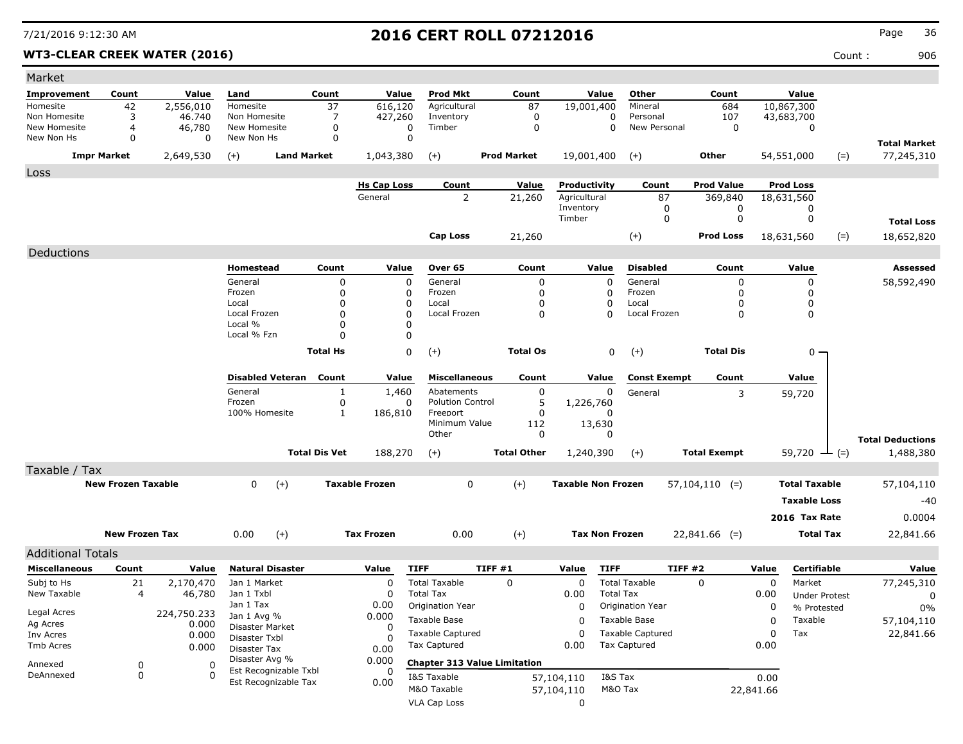### WT3-CLEAR CREEK WATER (2016) **Count :** 906

| Market                   |                           |                |                                     |                      |                    |                                     |                    |                           |                        |                         |                     |                     |                      |                                      |
|--------------------------|---------------------------|----------------|-------------------------------------|----------------------|--------------------|-------------------------------------|--------------------|---------------------------|------------------------|-------------------------|---------------------|---------------------|----------------------|--------------------------------------|
| Improvement              | Count                     | Value          | Land                                | Count                | Value              | <b>Prod Mkt</b>                     | Count              |                           | Value                  | Other                   | Count               |                     | Value                |                                      |
| Homesite                 | 42                        | 2,556,010      | Homesite                            | 37                   | 616,120            | Agricultural                        | 87                 | 19,001,400                |                        | Mineral                 | 684                 |                     | 10,867,300           |                                      |
| Non Homesite             | 3                         | 46.740         | Non Homesite                        | 7                    | 427,260            | Inventory                           | $\mathbf 0$        |                           | 0                      | Personal                | 107                 |                     | 43,683,700           |                                      |
| New Homesite             | 4                         | 46,780         | New Homesite                        | $\Omega$             | 0                  | Timber                              | $\mathbf 0$        |                           | $\Omega$               | New Personal            | 0                   |                     | 0                    |                                      |
| New Non Hs               | 0                         | 0              | New Non Hs                          | 0                    | 0                  |                                     |                    |                           |                        |                         |                     |                     |                      | <b>Total Market</b>                  |
|                          | <b>Impr Market</b>        | 2,649,530      | <b>Land Market</b><br>$(+)$         |                      | 1,043,380          | $(+)$                               | <b>Prod Market</b> | 19,001,400                |                        | $(+)$                   | Other               |                     | 54,551,000           | 77,245,310<br>$(=)$                  |
| Loss                     |                           |                |                                     |                      |                    |                                     |                    |                           |                        |                         |                     |                     |                      |                                      |
|                          |                           |                |                                     |                      | <b>Hs Cap Loss</b> | Count                               | Value              | Productivity              |                        | Count                   | <b>Prod Value</b>   |                     | <b>Prod Loss</b>     |                                      |
|                          |                           |                |                                     |                      | General            | 2                                   | 21,260             | Agricultural              |                        | 87                      | 369,840             |                     | 18,631,560           |                                      |
|                          |                           |                |                                     |                      |                    |                                     |                    | Inventory<br>Timber       |                        | 0<br>0                  | 0<br>$\mathbf 0$    |                     | 0<br>0               |                                      |
|                          |                           |                |                                     |                      |                    |                                     |                    |                           |                        |                         |                     |                     |                      | <b>Total Loss</b>                    |
|                          |                           |                |                                     |                      |                    | <b>Cap Loss</b>                     | 21,260             |                           |                        | $(+)$                   | <b>Prod Loss</b>    |                     | 18,631,560           | $(=)$<br>18,652,820                  |
| Deductions               |                           |                |                                     |                      |                    |                                     |                    |                           |                        |                         |                     |                     |                      |                                      |
|                          |                           |                | Homestead                           | Count                | Value              | Over 65                             | Count              |                           | Value                  | <b>Disabled</b>         | Count               |                     | Value                | Assessed                             |
|                          |                           |                | General                             | $\mathbf 0$          | $\mathbf 0$        | General                             |                    | $\mathbf 0$               | $\mathbf 0$            | General                 | 0                   |                     | 0                    | 58,592,490                           |
|                          |                           |                | Frozen                              | $\mathbf 0$          | 0                  | Frozen                              |                    | $\Omega$                  | 0                      | Frozen                  | 0                   |                     | 0                    |                                      |
|                          |                           |                | Local<br>Local Frozen               | 0<br>$\mathbf 0$     | 0<br>0             | Local<br>Local Frozen               |                    | 0<br>$\Omega$             | 0<br>$\Omega$          | Local<br>Local Frozen   | 0<br>0              |                     | 0<br>0               |                                      |
|                          |                           |                | Local %                             | $\mathbf 0$          | $\Omega$           |                                     |                    |                           |                        |                         |                     |                     |                      |                                      |
|                          |                           |                | Local % Fzn                         | $\Omega$             | 0                  |                                     |                    |                           |                        |                         |                     |                     |                      |                                      |
|                          |                           |                |                                     | <b>Total Hs</b>      | 0                  | $(+)$                               | <b>Total Os</b>    |                           | 0                      | $(+)$                   | <b>Total Dis</b>    |                     | 0 -                  |                                      |
|                          |                           |                |                                     |                      |                    |                                     |                    |                           |                        |                         |                     |                     |                      |                                      |
|                          |                           |                | <b>Disabled Veteran</b>             | Count                | Value              | <b>Miscellaneous</b>                | Count              |                           | Value                  | <b>Const Exempt</b>     | Count               |                     | Value                |                                      |
|                          |                           |                | General                             | 1                    | 1,460              | Abatements                          |                    | 0                         | 0                      | General                 | 3                   |                     | 59,720               |                                      |
|                          |                           |                | Frozen                              | 0                    | 0                  | <b>Polution Control</b>             |                    | 5<br>1,226,760            |                        |                         |                     |                     |                      |                                      |
|                          |                           |                | 100% Homesite                       | 1                    | 186,810            | Freeport<br>Minimum Value           | 112                | 0                         | <sup>0</sup><br>13,630 |                         |                     |                     |                      |                                      |
|                          |                           |                |                                     |                      |                    | Other                               |                    | 0                         | 0                      |                         |                     |                     |                      |                                      |
|                          |                           |                |                                     | <b>Total Dis Vet</b> | 188,270            |                                     | <b>Total Other</b> |                           |                        |                         | <b>Total Exempt</b> |                     | 59,720               | <b>Total Deductions</b><br>1,488,380 |
|                          |                           |                |                                     |                      | $(+)$              |                                     | 1,240,390          |                           | $(+)$                  |                         |                     | $-(-)$              |                      |                                      |
| Taxable / Tax            |                           |                |                                     |                      |                    |                                     |                    |                           |                        |                         |                     |                     |                      |                                      |
|                          | <b>New Frozen Taxable</b> |                | 0<br>$(+)$<br><b>Taxable Frozen</b> |                      |                    | 0                                   | $(+)$              | <b>Taxable Non Frozen</b> |                        |                         | $57,104,110$ (=)    |                     | <b>Total Taxable</b> | 57,104,110                           |
|                          |                           |                |                                     |                      |                    |                                     |                    |                           |                        |                         |                     | <b>Taxable Loss</b> | $-40$                |                                      |
|                          |                           |                |                                     |                      |                    |                                     |                    |                           | 2016 Tax Rate          |                         | 0.0004              |                     |                      |                                      |
| <b>New Frozen Tax</b>    |                           | 0.00<br>$(+)$  |                                     | <b>Tax Frozen</b>    | 0.00               | $(+)$                               |                    | <b>Tax Non Frozen</b>     |                        | $22,841.66$ (=)         |                     | <b>Total Tax</b>    | 22,841.66            |                                      |
| <b>Additional Totals</b> |                           |                |                                     |                      |                    |                                     |                    |                           |                        |                         |                     |                     |                      |                                      |
| <b>Miscellaneous</b>     | Count                     | Value          | <b>Natural Disaster</b>             |                      | Value              | <b>TIFF</b>                         | TIFF #1            | Value                     | <b>TIFF</b>            |                         | TIFF#2              | Value               | Certifiable          | Value                                |
| Subj to Hs               | 21                        | 2,170,470      | Jan 1 Market                        |                      | $\mathbf 0$        | <b>Total Taxable</b>                | 0                  | $\mathbf 0$               |                        | <b>Total Taxable</b>    | 0                   | 0                   | Market               | 77,245,310                           |
| New Taxable              | 4                         | 46,780         | Jan 1 Txbl                          |                      | 0                  | <b>Total Tax</b>                    |                    | 0.00                      | <b>Total Tax</b>       |                         |                     | 0.00                | <b>Under Protest</b> | 0                                    |
|                          |                           |                | Jan 1 Tax                           |                      | 0.00               | Origination Year                    |                    | 0                         |                        | Origination Year        |                     | 0                   | % Protested          | 0%                                   |
| Legal Acres              |                           | 224,750.233    | Jan 1 Avg %                         |                      | 0.000              | Taxable Base                        |                    | 0                         |                        | Taxable Base            |                     | 0                   | Taxable              | 57,104,110                           |
| Ag Acres<br>Inv Acres    |                           | 0.000<br>0.000 | Disaster Market                     |                      | 0                  | <b>Taxable Captured</b>             |                    | 0                         |                        | <b>Taxable Captured</b> |                     | 0                   | Tax                  | 22,841.66                            |
| Tmb Acres                |                           | 0.000          | Disaster Txbl                       |                      | 0                  | <b>Tax Captured</b>                 |                    | 0.00                      |                        | <b>Tax Captured</b>     |                     | 0.00                |                      |                                      |
|                          |                           |                | Disaster Tax<br>Disaster Avg %      |                      | 0.00<br>0.000      | <b>Chapter 313 Value Limitation</b> |                    |                           |                        |                         |                     |                     |                      |                                      |
| Annexed<br>DeAnnexed     | 0<br>0                    | 0<br>0         | Est Recognizable Txbl               |                      | 0                  |                                     |                    |                           |                        |                         |                     |                     |                      |                                      |
|                          |                           |                | Est Recognizable Tax                |                      | 0.00               | I&S Taxable<br>M&O Taxable          |                    | 57,104,110                | I&S Tax                | M&O Tax                 |                     | 0.00                |                      |                                      |
|                          |                           |                |                                     |                      |                    |                                     |                    | 57,104,110<br>$\mathbf 0$ |                        |                         |                     | 22,841.66           |                      |                                      |
|                          |                           |                |                                     |                      |                    | VLA Cap Loss                        |                    |                           |                        |                         |                     |                     |                      |                                      |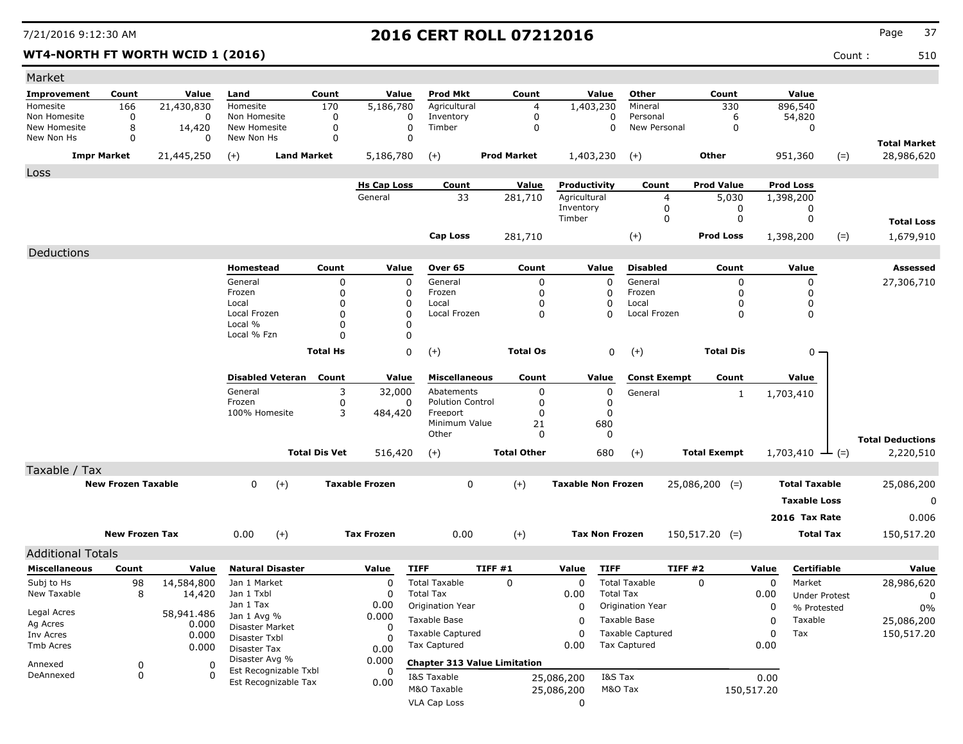### **WT4-NORTH FT WORTH WCID 1 (2016)** Count : 510

| Count<br>Value<br>Prod Mkt<br>Count<br>Value<br>Other<br>Count<br>Value<br>Improvement<br>Count<br>Value<br>Land<br>170<br>896,540<br>166<br>21,430,830<br>5,186,780<br>Agricultural<br>1,403,230<br>330<br>Homesite<br>Homesite<br>Mineral<br>4<br>54,820<br>Non Homesite<br>0<br>Non Homesite<br>0<br>0<br>Inventory<br>0<br>0<br>Personal<br>6<br>0<br>New Homesite<br>8<br>New Homesite<br>0<br>$\mathbf 0$<br>Timber<br>0<br>$\mathbf 0$<br>New Personal<br>0<br>14,420<br>0<br>New Non Hs<br>0<br>New Non Hs<br>0<br>0<br>0<br><b>Total Market</b><br><b>Land Market</b><br><b>Impr Market</b><br>21,445,250<br>5,186,780<br>$(+)$<br><b>Prod Market</b><br>1,403,230<br>Other<br>951,360<br>$(=)$<br>28,986,620<br>$(+)$<br>$(+)$<br>Loss<br><b>Prod Value</b><br><b>Prod Loss</b><br><b>Hs Cap Loss</b><br>Value<br>Productivity<br>Count<br>Count<br>General<br>Agricultural<br>33<br>281,710<br>5,030<br>4<br>1,398,200<br>Inventory<br>0<br>0<br>0<br>Timber<br>0<br>0<br>0<br><b>Total Loss</b><br>Cap Loss<br>$(+)$<br><b>Prod Loss</b><br>$(=)$<br>281,710<br>1,398,200<br>1,679,910<br>Deductions<br><b>Disabled</b><br>Homestead<br>Count<br>Value<br>Over 65<br>Count<br>Value<br>Count<br>Value<br>Assessed<br>General<br>General<br>General<br>0<br>0<br>0<br>27,306,710<br>0<br>0<br>$\Omega$<br>Frozen<br>0<br>0<br>Frozen<br>Frozen<br>0<br>0<br>0<br><sup>0</sup><br>Local<br>$\mathbf 0$<br>0<br>Local<br>0<br>$\Omega$<br>Local<br>0<br>$\mathbf 0$<br>Local Frozen<br>$\mathbf 0$<br>Local Frozen<br>0<br>Local Frozen<br>0<br>0<br>n<br>Local %<br>$\mathbf 0$<br>0<br>Local % Fzn<br>0<br>$\Omega$<br>0<br>$(+)$<br><b>Total Hs</b><br><b>Total Os</b><br>0<br>$^{(+)}$<br><b>Total Dis</b><br>$0 -$<br><b>Disabled Veteran</b><br>Count<br>Value<br><b>Miscellaneous</b><br>Count<br>Value<br><b>Const Exempt</b><br>Count<br>Value<br>General<br>3<br>32,000<br>Abatements<br>0<br>0<br>General<br>1,703,410<br>$\mathbf{1}$<br>Frozen<br>0<br><b>Polution Control</b><br>0<br>0<br>0<br>3<br>100% Homesite<br>484,420<br>Freeport<br>0<br>0<br>Minimum Value |
|---------------------------------------------------------------------------------------------------------------------------------------------------------------------------------------------------------------------------------------------------------------------------------------------------------------------------------------------------------------------------------------------------------------------------------------------------------------------------------------------------------------------------------------------------------------------------------------------------------------------------------------------------------------------------------------------------------------------------------------------------------------------------------------------------------------------------------------------------------------------------------------------------------------------------------------------------------------------------------------------------------------------------------------------------------------------------------------------------------------------------------------------------------------------------------------------------------------------------------------------------------------------------------------------------------------------------------------------------------------------------------------------------------------------------------------------------------------------------------------------------------------------------------------------------------------------------------------------------------------------------------------------------------------------------------------------------------------------------------------------------------------------------------------------------------------------------------------------------------------------------------------------------------------------------------------------------------------------------------------------------------------------------------------------------------------------------------------------|
|                                                                                                                                                                                                                                                                                                                                                                                                                                                                                                                                                                                                                                                                                                                                                                                                                                                                                                                                                                                                                                                                                                                                                                                                                                                                                                                                                                                                                                                                                                                                                                                                                                                                                                                                                                                                                                                                                                                                                                                                                                                                                             |
|                                                                                                                                                                                                                                                                                                                                                                                                                                                                                                                                                                                                                                                                                                                                                                                                                                                                                                                                                                                                                                                                                                                                                                                                                                                                                                                                                                                                                                                                                                                                                                                                                                                                                                                                                                                                                                                                                                                                                                                                                                                                                             |
|                                                                                                                                                                                                                                                                                                                                                                                                                                                                                                                                                                                                                                                                                                                                                                                                                                                                                                                                                                                                                                                                                                                                                                                                                                                                                                                                                                                                                                                                                                                                                                                                                                                                                                                                                                                                                                                                                                                                                                                                                                                                                             |
|                                                                                                                                                                                                                                                                                                                                                                                                                                                                                                                                                                                                                                                                                                                                                                                                                                                                                                                                                                                                                                                                                                                                                                                                                                                                                                                                                                                                                                                                                                                                                                                                                                                                                                                                                                                                                                                                                                                                                                                                                                                                                             |
|                                                                                                                                                                                                                                                                                                                                                                                                                                                                                                                                                                                                                                                                                                                                                                                                                                                                                                                                                                                                                                                                                                                                                                                                                                                                                                                                                                                                                                                                                                                                                                                                                                                                                                                                                                                                                                                                                                                                                                                                                                                                                             |
|                                                                                                                                                                                                                                                                                                                                                                                                                                                                                                                                                                                                                                                                                                                                                                                                                                                                                                                                                                                                                                                                                                                                                                                                                                                                                                                                                                                                                                                                                                                                                                                                                                                                                                                                                                                                                                                                                                                                                                                                                                                                                             |
|                                                                                                                                                                                                                                                                                                                                                                                                                                                                                                                                                                                                                                                                                                                                                                                                                                                                                                                                                                                                                                                                                                                                                                                                                                                                                                                                                                                                                                                                                                                                                                                                                                                                                                                                                                                                                                                                                                                                                                                                                                                                                             |
|                                                                                                                                                                                                                                                                                                                                                                                                                                                                                                                                                                                                                                                                                                                                                                                                                                                                                                                                                                                                                                                                                                                                                                                                                                                                                                                                                                                                                                                                                                                                                                                                                                                                                                                                                                                                                                                                                                                                                                                                                                                                                             |
|                                                                                                                                                                                                                                                                                                                                                                                                                                                                                                                                                                                                                                                                                                                                                                                                                                                                                                                                                                                                                                                                                                                                                                                                                                                                                                                                                                                                                                                                                                                                                                                                                                                                                                                                                                                                                                                                                                                                                                                                                                                                                             |
|                                                                                                                                                                                                                                                                                                                                                                                                                                                                                                                                                                                                                                                                                                                                                                                                                                                                                                                                                                                                                                                                                                                                                                                                                                                                                                                                                                                                                                                                                                                                                                                                                                                                                                                                                                                                                                                                                                                                                                                                                                                                                             |
|                                                                                                                                                                                                                                                                                                                                                                                                                                                                                                                                                                                                                                                                                                                                                                                                                                                                                                                                                                                                                                                                                                                                                                                                                                                                                                                                                                                                                                                                                                                                                                                                                                                                                                                                                                                                                                                                                                                                                                                                                                                                                             |
|                                                                                                                                                                                                                                                                                                                                                                                                                                                                                                                                                                                                                                                                                                                                                                                                                                                                                                                                                                                                                                                                                                                                                                                                                                                                                                                                                                                                                                                                                                                                                                                                                                                                                                                                                                                                                                                                                                                                                                                                                                                                                             |
|                                                                                                                                                                                                                                                                                                                                                                                                                                                                                                                                                                                                                                                                                                                                                                                                                                                                                                                                                                                                                                                                                                                                                                                                                                                                                                                                                                                                                                                                                                                                                                                                                                                                                                                                                                                                                                                                                                                                                                                                                                                                                             |
|                                                                                                                                                                                                                                                                                                                                                                                                                                                                                                                                                                                                                                                                                                                                                                                                                                                                                                                                                                                                                                                                                                                                                                                                                                                                                                                                                                                                                                                                                                                                                                                                                                                                                                                                                                                                                                                                                                                                                                                                                                                                                             |
|                                                                                                                                                                                                                                                                                                                                                                                                                                                                                                                                                                                                                                                                                                                                                                                                                                                                                                                                                                                                                                                                                                                                                                                                                                                                                                                                                                                                                                                                                                                                                                                                                                                                                                                                                                                                                                                                                                                                                                                                                                                                                             |
|                                                                                                                                                                                                                                                                                                                                                                                                                                                                                                                                                                                                                                                                                                                                                                                                                                                                                                                                                                                                                                                                                                                                                                                                                                                                                                                                                                                                                                                                                                                                                                                                                                                                                                                                                                                                                                                                                                                                                                                                                                                                                             |
|                                                                                                                                                                                                                                                                                                                                                                                                                                                                                                                                                                                                                                                                                                                                                                                                                                                                                                                                                                                                                                                                                                                                                                                                                                                                                                                                                                                                                                                                                                                                                                                                                                                                                                                                                                                                                                                                                                                                                                                                                                                                                             |
|                                                                                                                                                                                                                                                                                                                                                                                                                                                                                                                                                                                                                                                                                                                                                                                                                                                                                                                                                                                                                                                                                                                                                                                                                                                                                                                                                                                                                                                                                                                                                                                                                                                                                                                                                                                                                                                                                                                                                                                                                                                                                             |
|                                                                                                                                                                                                                                                                                                                                                                                                                                                                                                                                                                                                                                                                                                                                                                                                                                                                                                                                                                                                                                                                                                                                                                                                                                                                                                                                                                                                                                                                                                                                                                                                                                                                                                                                                                                                                                                                                                                                                                                                                                                                                             |
|                                                                                                                                                                                                                                                                                                                                                                                                                                                                                                                                                                                                                                                                                                                                                                                                                                                                                                                                                                                                                                                                                                                                                                                                                                                                                                                                                                                                                                                                                                                                                                                                                                                                                                                                                                                                                                                                                                                                                                                                                                                                                             |
|                                                                                                                                                                                                                                                                                                                                                                                                                                                                                                                                                                                                                                                                                                                                                                                                                                                                                                                                                                                                                                                                                                                                                                                                                                                                                                                                                                                                                                                                                                                                                                                                                                                                                                                                                                                                                                                                                                                                                                                                                                                                                             |
|                                                                                                                                                                                                                                                                                                                                                                                                                                                                                                                                                                                                                                                                                                                                                                                                                                                                                                                                                                                                                                                                                                                                                                                                                                                                                                                                                                                                                                                                                                                                                                                                                                                                                                                                                                                                                                                                                                                                                                                                                                                                                             |
|                                                                                                                                                                                                                                                                                                                                                                                                                                                                                                                                                                                                                                                                                                                                                                                                                                                                                                                                                                                                                                                                                                                                                                                                                                                                                                                                                                                                                                                                                                                                                                                                                                                                                                                                                                                                                                                                                                                                                                                                                                                                                             |
| 21<br>680                                                                                                                                                                                                                                                                                                                                                                                                                                                                                                                                                                                                                                                                                                                                                                                                                                                                                                                                                                                                                                                                                                                                                                                                                                                                                                                                                                                                                                                                                                                                                                                                                                                                                                                                                                                                                                                                                                                                                                                                                                                                                   |
| Other<br>0<br>0<br><b>Total Deductions</b>                                                                                                                                                                                                                                                                                                                                                                                                                                                                                                                                                                                                                                                                                                                                                                                                                                                                                                                                                                                                                                                                                                                                                                                                                                                                                                                                                                                                                                                                                                                                                                                                                                                                                                                                                                                                                                                                                                                                                                                                                                                  |
| <b>Total Dis Vet</b><br><b>Total Other</b><br>680<br><b>Total Exempt</b><br>516,420<br>2,220,510<br>$(+)$<br>$(+)$<br>1,703,410<br>$-(-)$                                                                                                                                                                                                                                                                                                                                                                                                                                                                                                                                                                                                                                                                                                                                                                                                                                                                                                                                                                                                                                                                                                                                                                                                                                                                                                                                                                                                                                                                                                                                                                                                                                                                                                                                                                                                                                                                                                                                                   |
| Taxable / Tax                                                                                                                                                                                                                                                                                                                                                                                                                                                                                                                                                                                                                                                                                                                                                                                                                                                                                                                                                                                                                                                                                                                                                                                                                                                                                                                                                                                                                                                                                                                                                                                                                                                                                                                                                                                                                                                                                                                                                                                                                                                                               |
| <b>New Frozen Taxable</b><br>$(+)$<br><b>Taxable Frozen</b><br>0<br>$(+)$<br><b>Taxable Non Frozen</b><br>0<br><b>Total Taxable</b><br>$25,086,200$ (=)<br>25,086,200                                                                                                                                                                                                                                                                                                                                                                                                                                                                                                                                                                                                                                                                                                                                                                                                                                                                                                                                                                                                                                                                                                                                                                                                                                                                                                                                                                                                                                                                                                                                                                                                                                                                                                                                                                                                                                                                                                                       |
| <b>Taxable Loss</b><br>0                                                                                                                                                                                                                                                                                                                                                                                                                                                                                                                                                                                                                                                                                                                                                                                                                                                                                                                                                                                                                                                                                                                                                                                                                                                                                                                                                                                                                                                                                                                                                                                                                                                                                                                                                                                                                                                                                                                                                                                                                                                                    |
| 2016 Tax Rate<br>0.006                                                                                                                                                                                                                                                                                                                                                                                                                                                                                                                                                                                                                                                                                                                                                                                                                                                                                                                                                                                                                                                                                                                                                                                                                                                                                                                                                                                                                                                                                                                                                                                                                                                                                                                                                                                                                                                                                                                                                                                                                                                                      |
| $(+)$<br><b>New Frozen Tax</b><br>0.00<br><b>Tax Frozen</b><br>0.00<br>$^{(+)}$<br><b>Tax Non Frozen</b><br>$150,517.20$ (=)<br><b>Total Tax</b><br>150,517.20                                                                                                                                                                                                                                                                                                                                                                                                                                                                                                                                                                                                                                                                                                                                                                                                                                                                                                                                                                                                                                                                                                                                                                                                                                                                                                                                                                                                                                                                                                                                                                                                                                                                                                                                                                                                                                                                                                                              |
| <b>Additional Totals</b>                                                                                                                                                                                                                                                                                                                                                                                                                                                                                                                                                                                                                                                                                                                                                                                                                                                                                                                                                                                                                                                                                                                                                                                                                                                                                                                                                                                                                                                                                                                                                                                                                                                                                                                                                                                                                                                                                                                                                                                                                                                                    |
| <b>Natural Disaster</b><br><b>TIFF #1</b><br><b>TIFF</b><br><b>TIFF #2</b><br>Certifiable<br><b>Miscellaneous</b><br>Count<br>Value<br><b>TIFF</b><br>Value<br>Value<br>Value<br>Value                                                                                                                                                                                                                                                                                                                                                                                                                                                                                                                                                                                                                                                                                                                                                                                                                                                                                                                                                                                                                                                                                                                                                                                                                                                                                                                                                                                                                                                                                                                                                                                                                                                                                                                                                                                                                                                                                                      |
| <b>Total Taxable</b><br>$\mathbf 0$<br><b>Total Taxable</b><br>28,986,620<br>Subj to Hs<br>98<br>14,584,800<br>Jan 1 Market<br>0<br>0<br>0<br>0<br>Market                                                                                                                                                                                                                                                                                                                                                                                                                                                                                                                                                                                                                                                                                                                                                                                                                                                                                                                                                                                                                                                                                                                                                                                                                                                                                                                                                                                                                                                                                                                                                                                                                                                                                                                                                                                                                                                                                                                                   |
| New Taxable<br>8<br>Jan 1 Txbl<br>0<br><b>Total Tax</b><br>0.00<br><b>Total Tax</b><br>14,420<br>0.00<br><b>Under Protest</b><br>0                                                                                                                                                                                                                                                                                                                                                                                                                                                                                                                                                                                                                                                                                                                                                                                                                                                                                                                                                                                                                                                                                                                                                                                                                                                                                                                                                                                                                                                                                                                                                                                                                                                                                                                                                                                                                                                                                                                                                          |
| Jan 1 Tax<br>0.00<br>Origination Year<br>$\mathbf 0$<br>Origination Year<br>0<br>% Protested<br>0%                                                                                                                                                                                                                                                                                                                                                                                                                                                                                                                                                                                                                                                                                                                                                                                                                                                                                                                                                                                                                                                                                                                                                                                                                                                                                                                                                                                                                                                                                                                                                                                                                                                                                                                                                                                                                                                                                                                                                                                          |
| Legal Acres<br>58,941.486<br>0.000<br>Jan 1 Avg %<br>Taxable Base<br>Taxable Base<br>Taxable<br>25,086,200<br>0<br>0<br>Ag Acres                                                                                                                                                                                                                                                                                                                                                                                                                                                                                                                                                                                                                                                                                                                                                                                                                                                                                                                                                                                                                                                                                                                                                                                                                                                                                                                                                                                                                                                                                                                                                                                                                                                                                                                                                                                                                                                                                                                                                            |
| 0.000<br>Disaster Market<br>0<br><b>Taxable Captured</b><br>$\Omega$<br><b>Taxable Captured</b><br>$\mathbf 0$<br>150,517.20<br>Tax<br>Inv Acres<br>0.000                                                                                                                                                                                                                                                                                                                                                                                                                                                                                                                                                                                                                                                                                                                                                                                                                                                                                                                                                                                                                                                                                                                                                                                                                                                                                                                                                                                                                                                                                                                                                                                                                                                                                                                                                                                                                                                                                                                                   |
| Disaster Txbl<br>0<br><b>Tax Captured</b><br><b>Tax Captured</b><br>0.00<br>0.00<br>Tmb Acres<br>0.000<br>Disaster Tax<br>0.00                                                                                                                                                                                                                                                                                                                                                                                                                                                                                                                                                                                                                                                                                                                                                                                                                                                                                                                                                                                                                                                                                                                                                                                                                                                                                                                                                                                                                                                                                                                                                                                                                                                                                                                                                                                                                                                                                                                                                              |
| Disaster Avg %<br>0.000<br><b>Chapter 313 Value Limitation</b>                                                                                                                                                                                                                                                                                                                                                                                                                                                                                                                                                                                                                                                                                                                                                                                                                                                                                                                                                                                                                                                                                                                                                                                                                                                                                                                                                                                                                                                                                                                                                                                                                                                                                                                                                                                                                                                                                                                                                                                                                              |
| Annexed<br>0<br>0<br>Est Recognizable Txbl<br>0<br>0<br>DeAnnexed<br>$\Omega$<br>I&S Tax<br>I&S Taxable<br>0.00<br>25,086,200                                                                                                                                                                                                                                                                                                                                                                                                                                                                                                                                                                                                                                                                                                                                                                                                                                                                                                                                                                                                                                                                                                                                                                                                                                                                                                                                                                                                                                                                                                                                                                                                                                                                                                                                                                                                                                                                                                                                                               |
| Est Recognizable Tax<br>0.00<br>M&O Taxable<br>M&O Tax<br>25,086,200<br>150,517.20                                                                                                                                                                                                                                                                                                                                                                                                                                                                                                                                                                                                                                                                                                                                                                                                                                                                                                                                                                                                                                                                                                                                                                                                                                                                                                                                                                                                                                                                                                                                                                                                                                                                                                                                                                                                                                                                                                                                                                                                          |
|                                                                                                                                                                                                                                                                                                                                                                                                                                                                                                                                                                                                                                                                                                                                                                                                                                                                                                                                                                                                                                                                                                                                                                                                                                                                                                                                                                                                                                                                                                                                                                                                                                                                                                                                                                                                                                                                                                                                                                                                                                                                                             |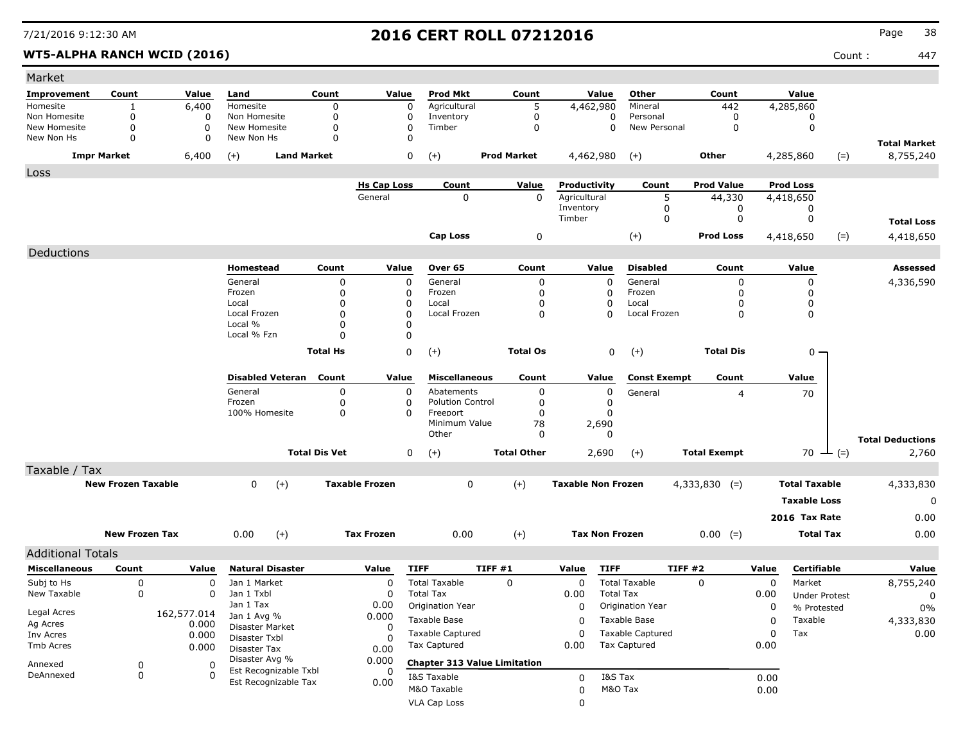### WT5-ALPHA RANCH WCID (2016) **Count :** 447

| Market                       |                       |               |                                               |                      |                       |                                     |                    |                           |                                    |                            |             |                      |       |                                  |
|------------------------------|-----------------------|---------------|-----------------------------------------------|----------------------|-----------------------|-------------------------------------|--------------------|---------------------------|------------------------------------|----------------------------|-------------|----------------------|-------|----------------------------------|
| Improvement                  | Count                 | Value         | Land                                          | Count                | Value                 | <b>Prod Mkt</b>                     | Count              | Value                     | Other                              | Count                      |             | Value                |       |                                  |
| Homesite                     | 1                     | 6,400         | Homesite                                      | $\Omega$             | 0                     | Agricultural                        | 5                  | 4,462,980                 | Mineral                            | 442                        |             | 4,285,860            |       |                                  |
| Non Homesite<br>New Homesite | 0<br>0                | 0<br>$\Omega$ | Non Homesite<br>New Homesite                  | 0<br>0               | 0<br>0                | Inventory<br>Timber                 | 0<br>$\mathbf 0$   |                           | 0<br>Personal<br>0<br>New Personal | $\mathbf 0$<br>$\mathbf 0$ |             | 0<br>$\mathbf 0$     |       |                                  |
| New Non Hs                   | $\mathbf 0$           | $\mathbf 0$   | New Non Hs                                    | 0                    | $\Omega$              |                                     |                    |                           |                                    |                            |             |                      |       |                                  |
|                              | <b>Impr Market</b>    | 6,400         | $(+)$<br><b>Land Market</b>                   |                      | 0                     | $(+)$                               | <b>Prod Market</b> | 4,462,980                 | $(+)$                              | Other                      |             | 4,285,860            | $(=)$ | <b>Total Market</b><br>8,755,240 |
| Loss                         |                       |               |                                               |                      |                       |                                     |                    |                           |                                    |                            |             |                      |       |                                  |
|                              |                       |               |                                               |                      | <b>Hs Cap Loss</b>    | Count                               | <b>Value</b>       | Productivity              | Count                              | <b>Prod Value</b>          |             | <b>Prod Loss</b>     |       |                                  |
|                              |                       |               |                                               |                      | General               | 0                                   | 0                  | Agricultural              | 5                                  | 44,330                     |             | 4,418,650            |       |                                  |
|                              |                       |               |                                               |                      |                       |                                     |                    | Inventory                 | 0                                  | 0                          |             | 0                    |       |                                  |
|                              |                       |               |                                               |                      |                       |                                     |                    | Timber                    | 0                                  | 0                          |             | $\mathbf 0$          |       | <b>Total Loss</b>                |
|                              |                       |               |                                               |                      |                       | <b>Cap Loss</b>                     | 0                  |                           | $(+)$                              | <b>Prod Loss</b>           |             | 4,418,650            | $(=)$ | 4,418,650                        |
| Deductions                   |                       |               |                                               |                      |                       |                                     |                    |                           |                                    |                            |             |                      |       |                                  |
|                              |                       |               | Homestead                                     | Count                | Value                 | Over 65                             | Count              | Value                     | <b>Disabled</b>                    | Count                      |             | Value                |       | Assessed                         |
|                              |                       |               | General                                       | 0                    | $\mathbf 0$           | General                             | 0                  | $\mathbf 0$               | General                            | 0                          |             | 0                    |       | 4,336,590                        |
|                              |                       |               | Frozen                                        | 0                    | 0                     | Frozen                              | 0                  | 0                         | Frozen                             | $\Omega$                   |             | 0                    |       |                                  |
|                              |                       |               | Local<br>Local Frozen                         | 0<br>0               | 0<br>$\Omega$         | Local<br>Local Frozen               | 0<br>0             | 0<br>0                    | Local<br>Local Frozen              | <sup>0</sup><br>0          |             | 0<br>0               |       |                                  |
|                              |                       |               | Local %                                       | 0                    | 0                     |                                     |                    |                           |                                    |                            |             |                      |       |                                  |
|                              |                       |               | Local % Fzn                                   | $\Omega$             | 0                     |                                     |                    |                           |                                    |                            |             |                      |       |                                  |
|                              |                       |               |                                               | <b>Total Hs</b>      | 0                     | $(+)$                               | <b>Total Os</b>    |                           | 0<br>$(+)$                         | <b>Total Dis</b>           |             | $0 -$                |       |                                  |
|                              |                       |               |                                               |                      |                       |                                     |                    |                           |                                    |                            |             |                      |       |                                  |
|                              |                       |               | <b>Disabled Veteran</b>                       | Count                | Value                 | <b>Miscellaneous</b>                | Count              | Value                     | <b>Const Exempt</b>                | Count                      |             | Value                |       |                                  |
|                              |                       |               | General                                       | 0                    | 0                     | Abatements                          | 0                  | $\mathbf 0$               | General                            | 4                          |             | 70                   |       |                                  |
|                              |                       |               | Frozen                                        | 0                    | 0                     | <b>Polution Control</b>             | 0                  | 0                         |                                    |                            |             |                      |       |                                  |
|                              |                       |               | 100% Homesite                                 | 0                    | $\Omega$              | Freeport<br>Minimum Value           | 0<br>78            | 0<br>2,690                |                                    |                            |             |                      |       |                                  |
|                              |                       |               |                                               |                      |                       | Other                               | 0                  | 0                         |                                    |                            |             |                      |       |                                  |
|                              |                       |               |                                               | <b>Total Dis Vet</b> | 0                     | $(+)$                               | <b>Total Other</b> | 2,690                     | $(+)$                              | <b>Total Exempt</b>        |             | $70 \leftarrow (=)$  |       | <b>Total Deductions</b><br>2,760 |
| Taxable / Tax                |                       |               |                                               |                      |                       |                                     |                    |                           |                                    |                            |             |                      |       |                                  |
|                              |                       |               | $\mathbf{0}$<br>$(+)$                         |                      | <b>Taxable Frozen</b> | 0                                   | $(+)$              | <b>Taxable Non Frozen</b> |                                    | $4,333,830$ (=)            |             | <b>Total Taxable</b> |       | 4,333,830                        |
| <b>New Frozen Taxable</b>    |                       |               |                                               |                      |                       |                                     |                    |                           |                                    |                            |             |                      |       |                                  |
|                              |                       |               |                                               |                      |                       |                                     |                    |                           |                                    |                            |             | <b>Taxable Loss</b>  |       | 0                                |
|                              |                       |               |                                               |                      |                       |                                     |                    |                           |                                    |                            |             | 2016 Tax Rate        |       | 0.00                             |
|                              | <b>New Frozen Tax</b> |               | $(+)$<br>0.00                                 |                      | <b>Tax Frozen</b>     | 0.00                                | $(+)$              | <b>Tax Non Frozen</b>     |                                    | $0.00 (=)$                 |             | <b>Total Tax</b>     |       | 0.00                             |
| <b>Additional Totals</b>     |                       |               |                                               |                      |                       |                                     |                    |                           |                                    |                            |             |                      |       |                                  |
| <b>Miscellaneous</b>         | Count                 | Value         | <b>Natural Disaster</b>                       |                      | Value                 | <b>TIFF</b>                         | TIFF#1             | <b>TIFF</b><br>Value      |                                    | TIFF#2                     | Value       | Certifiable          |       | Value                            |
| Subj to Hs                   | 0                     | 0             | Jan 1 Market                                  |                      | 0                     | <b>Total Taxable</b>                | $\mathbf 0$        | 0                         | <b>Total Taxable</b>               | $\Omega$                   | $\mathbf 0$ | Market               |       | 8,755,240                        |
| New Taxable                  | $\mathbf 0$           | 0             | Jan 1 Txbl                                    |                      | $\Omega$              | <b>Total Tax</b>                    |                    | 0.00                      | <b>Total Tax</b>                   |                            | 0.00        | <b>Under Protest</b> |       | 0                                |
| Legal Acres                  |                       | 162,577.014   | Jan 1 Tax                                     |                      | 0.00                  | Origination Year                    |                    | 0                         | Origination Year                   |                            | 0           | % Protested          |       | $0\%$                            |
| Ag Acres                     |                       | 0.000         | Jan 1 Avg %<br>Disaster Market                |                      | 0.000<br>0            | Taxable Base                        |                    | 0                         | Taxable Base                       |                            | 0           | Taxable              |       | 4,333,830                        |
| Inv Acres                    |                       | 0.000         | Disaster Txbl                                 |                      |                       | Taxable Captured                    |                    | $\Omega$                  | Taxable Captured                   |                            | 0           | Tax                  |       | 0.00                             |
| Tmb Acres                    |                       | 0.000         | Disaster Tax                                  |                      | 0.00                  | <b>Tax Captured</b>                 |                    | 0.00                      | <b>Tax Captured</b>                |                            | 0.00        |                      |       |                                  |
| Annexed                      | $\boldsymbol{0}$      | 0             | Disaster Avg %                                |                      | 0.000                 | <b>Chapter 313 Value Limitation</b> |                    |                           |                                    |                            |             |                      |       |                                  |
| DeAnnexed                    | 0                     | 0             | Est Recognizable Txbl<br>Est Recognizable Tax |                      | 0                     | I&S Taxable                         |                    | 0                         | I&S Tax                            |                            | 0.00        |                      |       |                                  |
|                              |                       |               |                                               |                      | 0.00                  | M&O Taxable                         |                    | 0                         | M&O Tax                            |                            | 0.00        |                      |       |                                  |
|                              |                       |               |                                               |                      |                       | VLA Cap Loss                        |                    | 0                         |                                    |                            |             |                      |       |                                  |